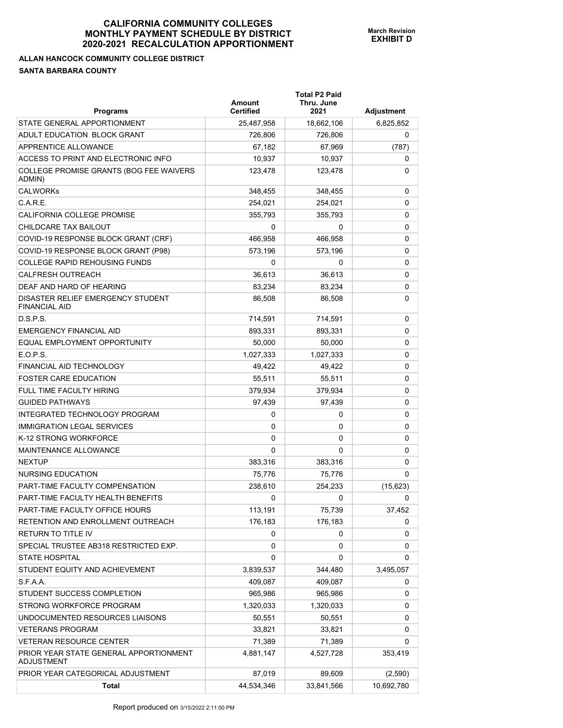## **ALLAN HANCOCK COMMUNITY COLLEGE DISTRICT SANTA BARBARA COUNTY**

| <b>Programs</b>                                             | Amount<br><b>Certified</b> | <b>Total P2 Paid</b><br>Thru. June<br>2021 | Adjustment |
|-------------------------------------------------------------|----------------------------|--------------------------------------------|------------|
| STATE GENERAL APPORTIONMENT                                 | 25,487,958                 | 18,662,106                                 | 6,825,852  |
| ADULT EDUCATION BLOCK GRANT                                 | 726,806                    | 726,806                                    | 0          |
| APPRENTICE ALLOWANCE                                        | 67,182                     | 67,969                                     | (787)      |
| ACCESS TO PRINT AND ELECTRONIC INFO                         | 10,937                     | 10,937                                     | 0          |
| COLLEGE PROMISE GRANTS (BOG FEE WAIVERS<br>ADMIN)           | 123,478                    | 123,478                                    | 0          |
| <b>CALWORKs</b>                                             | 348,455                    | 348,455                                    | 0          |
| C.A.R.E.                                                    | 254,021                    | 254,021                                    | 0          |
| CALIFORNIA COLLEGE PROMISE                                  | 355,793                    | 355,793                                    | 0          |
| CHILDCARE TAX BAILOUT                                       | 0                          | 0                                          | 0          |
| COVID-19 RESPONSE BLOCK GRANT (CRF)                         | 466,958                    | 466,958                                    | 0          |
| COVID-19 RESPONSE BLOCK GRANT (P98)                         | 573,196                    | 573,196                                    | 0          |
| <b>COLLEGE RAPID REHOUSING FUNDS</b>                        | 0                          | 0                                          | 0          |
| <b>CALFRESH OUTREACH</b>                                    | 36,613                     | 36,613                                     | 0          |
| DEAF AND HARD OF HEARING                                    | 83,234                     | 83.234                                     | 0          |
| DISASTER RELIEF EMERGENCY STUDENT<br><b>FINANCIAL AID</b>   | 86,508                     | 86,508                                     | 0          |
| D.S.P.S.                                                    | 714,591                    | 714,591                                    | 0          |
| <b>EMERGENCY FINANCIAL AID</b>                              | 893,331                    | 893,331                                    | 0          |
| EQUAL EMPLOYMENT OPPORTUNITY                                | 50,000                     | 50,000                                     | 0          |
| E.O.P.S.                                                    | 1,027,333                  | 1,027,333                                  | 0          |
| FINANCIAL AID TECHNOLOGY                                    | 49,422                     | 49,422                                     | 0          |
| <b>FOSTER CARE EDUCATION</b>                                | 55,511                     | 55,511                                     | 0          |
| FULL TIME FACULTY HIRING                                    | 379,934                    | 379,934                                    | 0          |
| <b>GUIDED PATHWAYS</b>                                      | 97,439                     | 97,439                                     | 0          |
| INTEGRATED TECHNOLOGY PROGRAM                               | 0                          | 0                                          | 0          |
| <b>IMMIGRATION LEGAL SERVICES</b>                           | 0                          | 0                                          | 0          |
| K-12 STRONG WORKFORCE                                       | 0                          | 0                                          | 0          |
| MAINTENANCE ALLOWANCE                                       | 0                          | 0                                          | 0          |
| <b>NEXTUP</b>                                               | 383,316                    | 383,316                                    | 0          |
| NURSING EDUCATION                                           | 75,776                     | 75,776                                     | 0          |
| PART-TIME FACULTY COMPENSATION                              | 238,610                    | 254,233                                    | (15, 623)  |
| PART-TIME FACULTY HEALTH BENEFITS                           | 0                          | 0                                          | 0          |
| PART-TIME FACULTY OFFICE HOURS                              | 113,191                    | 75,739                                     | 37,452     |
| RETENTION AND ENROLLMENT OUTREACH                           | 176,183                    | 176,183                                    | 0          |
| RETURN TO TITLE IV                                          | 0                          | 0                                          | 0          |
| SPECIAL TRUSTEE AB318 RESTRICTED EXP.                       | 0                          | 0                                          | 0          |
| <b>STATE HOSPITAL</b>                                       | 0                          | 0                                          | 0          |
| STUDENT EQUITY AND ACHIEVEMENT                              | 3,839,537                  | 344,480                                    | 3,495,057  |
| S.F.A.A.                                                    | 409,087                    | 409,087                                    | 0          |
| STUDENT SUCCESS COMPLETION                                  | 965,986                    | 965,986                                    | 0          |
| STRONG WORKFORCE PROGRAM                                    | 1,320,033                  | 1,320,033                                  | 0          |
| UNDOCUMENTED RESOURCES LIAISONS                             | 50,551                     | 50,551                                     | 0          |
| <b>VETERANS PROGRAM</b>                                     | 33,821                     | 33,821                                     | 0          |
| <b>VETERAN RESOURCE CENTER</b>                              | 71,389                     | 71,389                                     | 0          |
| PRIOR YEAR STATE GENERAL APPORTIONMENT<br><b>ADJUSTMENT</b> | 4,881,147                  | 4,527,728                                  | 353,419    |
| PRIOR YEAR CATEGORICAL ADJUSTMENT                           | 87,019                     | 89,609                                     | (2,590)    |
| <b>Total</b>                                                | 44,534,346                 | 33,841,566                                 | 10,692,780 |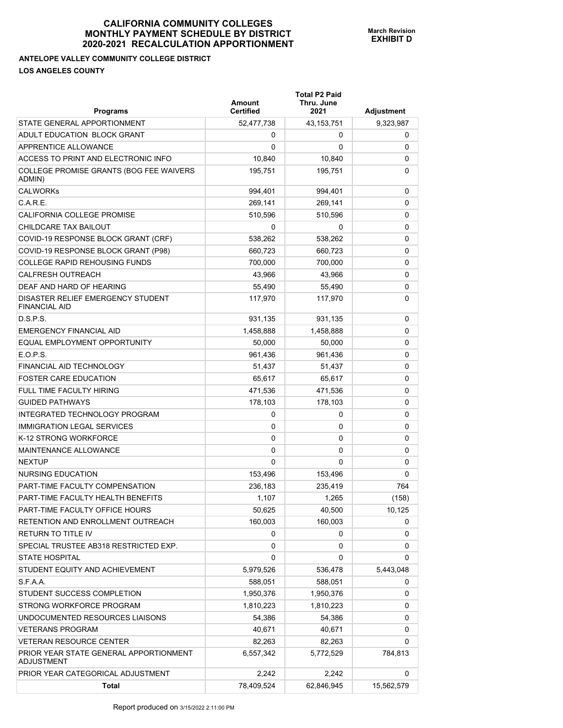## **ANTELOPE VALLEY COMMUNITY COLLEGE DISTRICT LOS ANGELES COUNTY**

| <b>Programs</b>                                             | Amount<br><b>Certified</b> | <b>Total P2 Paid</b><br>Thru. June<br>2021 | <b>Adjustment</b> |
|-------------------------------------------------------------|----------------------------|--------------------------------------------|-------------------|
| STATE GENERAL APPORTIONMENT                                 | 52,477,738                 | 43,153,751                                 | 9,323,987         |
| ADULT EDUCATION BLOCK GRANT                                 | 0                          | 0                                          | 0                 |
| APPRENTICE ALLOWANCE                                        | $\Omega$                   | 0                                          | 0                 |
| ACCESS TO PRINT AND ELECTRONIC INFO                         | 10,840                     | 10,840                                     | 0                 |
| COLLEGE PROMISE GRANTS (BOG FEE WAIVERS<br>ADMIN)           | 195,751                    | 195,751                                    | 0                 |
| <b>CALWORKs</b>                                             | 994,401                    | 994,401                                    | 0                 |
| C.A.R.E.                                                    | 269,141                    | 269.141                                    | 0                 |
| CALIFORNIA COLLEGE PROMISE                                  | 510,596                    | 510,596                                    | 0                 |
| CHILDCARE TAX BAILOUT                                       | 0                          | 0                                          | 0                 |
| COVID-19 RESPONSE BLOCK GRANT (CRF)                         | 538,262                    | 538,262                                    | 0                 |
| COVID-19 RESPONSE BLOCK GRANT (P98)                         | 660,723                    | 660,723                                    | 0                 |
| <b>COLLEGE RAPID REHOUSING FUNDS</b>                        | 700,000                    | 700,000                                    | 0                 |
| <b>CALFRESH OUTREACH</b>                                    | 43,966                     | 43.966                                     | 0                 |
| DEAF AND HARD OF HEARING                                    | 55,490                     | 55,490                                     | 0                 |
| DISASTER RELIEF EMERGENCY STUDENT<br><b>FINANCIAL AID</b>   | 117,970                    | 117,970                                    | 0                 |
| D.S.P.S.                                                    | 931,135                    | 931,135                                    | 0                 |
| <b>EMERGENCY FINANCIAL AID</b>                              | 1,458,888                  | 1,458,888                                  | 0                 |
| EQUAL EMPLOYMENT OPPORTUNITY                                | 50,000                     | 50,000                                     | 0                 |
| E.O.P.S.                                                    | 961,436                    | 961,436                                    | 0                 |
| FINANCIAL AID TECHNOLOGY                                    | 51,437                     | 51,437                                     | 0                 |
| <b>FOSTER CARE EDUCATION</b>                                | 65,617                     | 65,617                                     | 0                 |
| <b>FULL TIME FACULTY HIRING</b>                             | 471,536                    | 471,536                                    | 0                 |
| <b>GUIDED PATHWAYS</b>                                      | 178,103                    | 178,103                                    | 0                 |
| INTEGRATED TECHNOLOGY PROGRAM                               | 0                          | 0                                          | 0                 |
| <b>IMMIGRATION LEGAL SERVICES</b>                           | 0                          | 0                                          | 0                 |
| K-12 STRONG WORKFORCE                                       | 0                          | 0                                          | 0                 |
| MAINTENANCE ALLOWANCE                                       | 0                          | 0                                          | 0                 |
| <b>NEXTUP</b>                                               | 0                          | $\Omega$                                   | 0                 |
| <b>NURSING EDUCATION</b>                                    | 153,496                    | 153,496                                    | 0                 |
| PART-TIME FACULTY COMPENSATION                              | 236,183                    | 235,419                                    | 764               |
| PART-TIME FACULTY HEALTH BENEFITS                           | 1,107                      | 1,265                                      | (158)             |
| PART-TIME FACULTY OFFICE HOURS                              | 50,625                     | 40,500                                     | 10,125            |
| RETENTION AND ENROLLMENT OUTREACH                           | 160,003                    | 160,003                                    | 0                 |
| <b>RETURN TO TITLE IV</b>                                   | 0                          | 0                                          | 0                 |
| SPECIAL TRUSTEE AB318 RESTRICTED EXP.                       | 0                          | 0                                          | 0                 |
| <b>STATE HOSPITAL</b>                                       | 0                          | 0                                          | 0                 |
| STUDENT EQUITY AND ACHIEVEMENT                              | 5,979,526                  | 536,478                                    | 5,443,048         |
| S.F.A.A.                                                    | 588,051                    | 588,051                                    | 0                 |
| STUDENT SUCCESS COMPLETION                                  | 1,950,376                  | 1,950,376                                  | 0                 |
| STRONG WORKFORCE PROGRAM                                    | 1,810,223                  | 1,810,223                                  | 0                 |
| UNDOCUMENTED RESOURCES LIAISONS                             | 54,386                     | 54,386                                     | 0                 |
| <b>VETERANS PROGRAM</b>                                     | 40,671                     | 40,671                                     | 0                 |
| <b>VETERAN RESOURCE CENTER</b>                              | 82,263                     | 82,263                                     | 0                 |
| PRIOR YEAR STATE GENERAL APPORTIONMENT<br><b>ADJUSTMENT</b> | 6,557,342                  | 5,772,529                                  | 784,813           |
| PRIOR YEAR CATEGORICAL ADJUSTMENT                           | 2,242                      | 2,242                                      | 0                 |
| <b>Total</b>                                                | 78,409,524                 | 62,846,945                                 | 15,562,579        |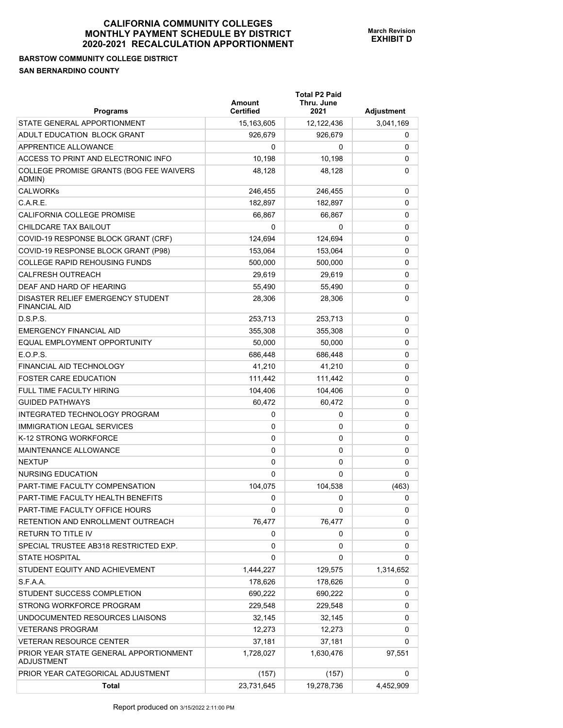## **BARSTOW COMMUNITY COLLEGE DISTRICT SAN BERNARDINO COUNTY**

| <b>Programs</b>                                           | Amount<br><b>Certified</b> | <b>Total P2 Paid</b><br>Thru. June<br>2021 | Adjustment |
|-----------------------------------------------------------|----------------------------|--------------------------------------------|------------|
| STATE GENERAL APPORTIONMENT                               | 15,163,605                 | 12,122,436                                 | 3,041,169  |
| ADULT EDUCATION BLOCK GRANT                               | 926,679                    | 926,679                                    | 0          |
| APPRENTICE ALLOWANCE                                      | 0                          | 0                                          | 0          |
| ACCESS TO PRINT AND ELECTRONIC INFO                       | 10,198                     | 10,198                                     | 0          |
| COLLEGE PROMISE GRANTS (BOG FEE WAIVERS<br>ADMIN)         | 48,128                     | 48,128                                     | 0          |
| <b>CALWORKs</b>                                           | 246,455                    | 246,455                                    | 0          |
| C.A.R.E.                                                  | 182.897                    | 182,897                                    | 0          |
| CALIFORNIA COLLEGE PROMISE                                | 66,867                     | 66,867                                     | 0          |
| CHILDCARE TAX BAILOUT                                     | 0                          | 0                                          | 0          |
| COVID-19 RESPONSE BLOCK GRANT (CRF)                       | 124,694                    | 124,694                                    | 0          |
| COVID-19 RESPONSE BLOCK GRANT (P98)                       | 153,064                    | 153,064                                    | 0          |
| <b>COLLEGE RAPID REHOUSING FUNDS</b>                      | 500,000                    | 500,000                                    | 0          |
| <b>CALFRESH OUTREACH</b>                                  | 29,619                     | 29,619                                     | 0          |
| DEAF AND HARD OF HEARING                                  | 55,490                     | 55,490                                     | 0          |
| DISASTER RELIEF EMERGENCY STUDENT<br><b>FINANCIAL AID</b> | 28,306                     | 28,306                                     | 0          |
| D.S.P.S.                                                  | 253,713                    | 253,713                                    | 0          |
| <b>EMERGENCY FINANCIAL AID</b>                            | 355,308                    | 355,308                                    | 0          |
| EQUAL EMPLOYMENT OPPORTUNITY                              | 50,000                     | 50,000                                     | 0          |
| E.O.P.S.                                                  | 686,448                    | 686,448                                    | 0          |
| <b>FINANCIAL AID TECHNOLOGY</b>                           | 41,210                     | 41,210                                     | 0          |
| <b>FOSTER CARE EDUCATION</b>                              | 111,442                    | 111,442                                    | 0          |
| <b>FULL TIME FACULTY HIRING</b>                           | 104,406                    | 104,406                                    | 0          |
| <b>GUIDED PATHWAYS</b>                                    | 60,472                     | 60,472                                     | 0          |
| INTEGRATED TECHNOLOGY PROGRAM                             | 0                          | 0                                          | 0          |
| <b>IMMIGRATION LEGAL SERVICES</b>                         | 0                          | 0                                          | 0          |
| K-12 STRONG WORKFORCE                                     | 0                          | 0                                          | 0          |
| <b>MAINTENANCE ALLOWANCE</b>                              | 0                          | 0                                          | 0          |
| <b>NEXTUP</b>                                             | 0                          | 0                                          | 0          |
| NURSING EDUCATION                                         | 0                          | 0                                          | 0          |
| PART-TIME FACULTY COMPENSATION                            | 104,075                    | 104,538                                    | (463)      |
| PART-TIME FACULTY HEALTH BENEFITS                         | 0                          | 0                                          | 0          |
| PART-TIME FACULTY OFFICE HOURS                            | 0                          | 0                                          | 0          |
| RETENTION AND ENROLLMENT OUTREACH                         | 76,477                     | 76,477                                     | 0          |
| RETURN TO TITLE IV                                        | 0                          | 0                                          | 0          |
| SPECIAL TRUSTEE AB318 RESTRICTED EXP.                     | 0                          | 0                                          | 0          |
| <b>STATE HOSPITAL</b>                                     | 0                          | 0                                          | 0          |
| STUDENT EQUITY AND ACHIEVEMENT                            | 1,444,227                  | 129,575                                    | 1,314,652  |
| S.F.A.A.                                                  | 178,626                    | 178,626                                    | 0          |
| STUDENT SUCCESS COMPLETION                                | 690,222                    | 690,222                                    | 0          |
| STRONG WORKFORCE PROGRAM                                  | 229,548                    | 229,548                                    | 0          |
| UNDOCUMENTED RESOURCES LIAISONS                           | 32,145                     | 32,145                                     | 0          |
| <b>VETERANS PROGRAM</b>                                   | 12,273                     | 12,273                                     | 0          |
| VETERAN RESOURCE CENTER                                   | 37,181                     | 37,181                                     | 0          |
| PRIOR YEAR STATE GENERAL APPORTIONMENT<br>ADJUSTMENT      | 1,728,027                  | 1,630,476                                  | 97,551     |
| PRIOR YEAR CATEGORICAL ADJUSTMENT                         | (157)                      | (157)                                      | 0          |
| Total                                                     | 23,731,645                 | 19,278,736                                 | 4,452,909  |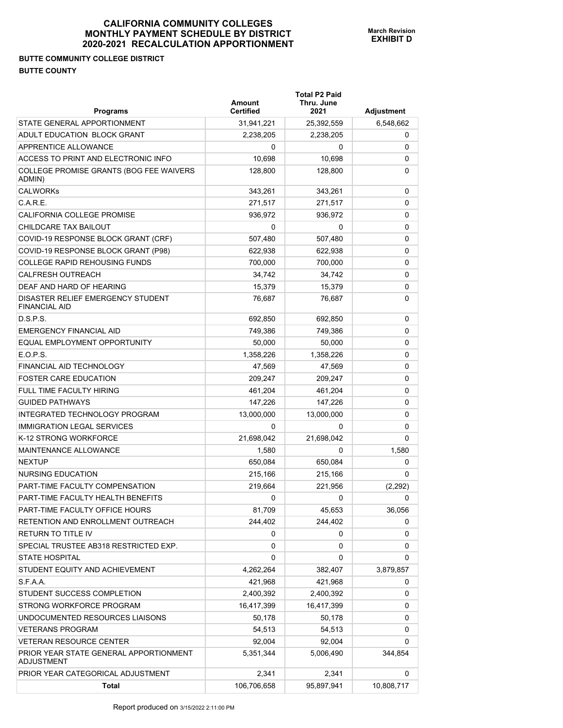## **BUTTE COMMUNITY COLLEGE DISTRICT BUTTE COUNTY**

| <b>Programs</b>                                             | Amount<br><b>Certified</b> | <b>Total P2 Paid</b><br>Thru. June<br>2021 | Adjustment |
|-------------------------------------------------------------|----------------------------|--------------------------------------------|------------|
| STATE GENERAL APPORTIONMENT                                 | 31,941,221                 | 25,392,559                                 | 6,548,662  |
| ADULT EDUCATION BLOCK GRANT                                 | 2,238,205                  | 2,238,205                                  | 0          |
| APPRENTICE ALLOWANCE                                        | 0                          | 0                                          | 0          |
| ACCESS TO PRINT AND ELECTRONIC INFO                         | 10,698                     | 10,698                                     | 0          |
| COLLEGE PROMISE GRANTS (BOG FEE WAIVERS<br>ADMIN)           | 128,800                    | 128,800                                    | 0          |
| <b>CALWORKs</b>                                             | 343,261                    | 343,261                                    | 0          |
| C.A.R.E.                                                    | 271,517                    | 271,517                                    | 0          |
| CALIFORNIA COLLEGE PROMISE                                  | 936,972                    | 936,972                                    | 0          |
| CHILDCARE TAX BAILOUT                                       | 0                          | 0                                          | 0          |
| COVID-19 RESPONSE BLOCK GRANT (CRF)                         | 507,480                    | 507,480                                    | 0          |
| COVID-19 RESPONSE BLOCK GRANT (P98)                         | 622,938                    | 622,938                                    | 0          |
| <b>COLLEGE RAPID REHOUSING FUNDS</b>                        | 700,000                    | 700,000                                    | 0          |
| <b>CALFRESH OUTREACH</b>                                    | 34,742                     | 34,742                                     | 0          |
| DEAF AND HARD OF HEARING                                    | 15,379                     | 15,379                                     | 0          |
| DISASTER RELIEF EMERGENCY STUDENT<br><b>FINANCIAL AID</b>   | 76,687                     | 76,687                                     | 0          |
| D.S.P.S.                                                    | 692,850                    | 692,850                                    | 0          |
| <b>EMERGENCY FINANCIAL AID</b>                              | 749,386                    | 749,386                                    | 0          |
| EQUAL EMPLOYMENT OPPORTUNITY                                | 50,000                     | 50,000                                     | 0          |
| E.O.P.S.                                                    | 1,358,226                  | 1,358,226                                  | 0          |
| FINANCIAL AID TECHNOLOGY                                    | 47,569                     | 47,569                                     | 0          |
| <b>FOSTER CARE EDUCATION</b>                                | 209,247                    | 209,247                                    | 0          |
| FULL TIME FACULTY HIRING                                    | 461,204                    | 461,204                                    | 0          |
| <b>GUIDED PATHWAYS</b>                                      | 147,226                    | 147,226                                    | 0          |
| INTEGRATED TECHNOLOGY PROGRAM                               | 13,000,000                 | 13,000,000                                 | 0          |
| <b>IMMIGRATION LEGAL SERVICES</b>                           | 0                          | 0                                          | 0          |
| K-12 STRONG WORKFORCE                                       | 21,698,042                 | 21,698,042                                 | 0          |
| <b>MAINTENANCE ALLOWANCE</b>                                | 1,580                      | 0                                          | 1,580      |
| <b>NEXTUP</b>                                               | 650,084                    | 650,084                                    | 0          |
| NURSING EDUCATION                                           | 215,166                    | 215,166                                    | 0          |
| PART-TIME FACULTY COMPENSATION                              | 219,664                    | 221,956                                    | (2,292)    |
| PART-TIME FACULTY HEALTH BENEFITS                           | 0                          | 0                                          | 0          |
| PART-TIME FACULTY OFFICE HOURS                              | 81,709                     | 45,653                                     | 36,056     |
| RETENTION AND ENROLLMENT OUTREACH                           | 244,402                    | 244,402                                    | 0          |
| <b>RETURN TO TITLE IV</b>                                   | 0                          | 0                                          | 0          |
| SPECIAL TRUSTEE AB318 RESTRICTED EXP.                       | 0                          | 0                                          | 0          |
| <b>STATE HOSPITAL</b>                                       | 0                          | 0                                          | 0          |
| STUDENT EQUITY AND ACHIEVEMENT                              | 4,262,264                  | 382,407                                    | 3,879,857  |
| S.F.A.A.                                                    | 421,968                    | 421,968                                    | 0          |
| STUDENT SUCCESS COMPLETION                                  | 2,400,392                  | 2,400,392                                  | 0          |
| STRONG WORKFORCE PROGRAM                                    | 16,417,399                 | 16,417,399                                 | 0          |
| UNDOCUMENTED RESOURCES LIAISONS                             | 50,178                     | 50,178                                     | 0          |
| <b>VETERANS PROGRAM</b>                                     | 54,513                     | 54,513                                     | 0          |
| <b>VETERAN RESOURCE CENTER</b>                              | 92,004                     | 92,004                                     | 0          |
| PRIOR YEAR STATE GENERAL APPORTIONMENT<br><b>ADJUSTMENT</b> | 5,351,344                  | 5,006,490                                  | 344,854    |
| PRIOR YEAR CATEGORICAL ADJUSTMENT                           | 2,341                      | 2,341                                      | 0          |
| <b>Total</b>                                                | 106,706,658                | 95,897,941                                 | 10,808,717 |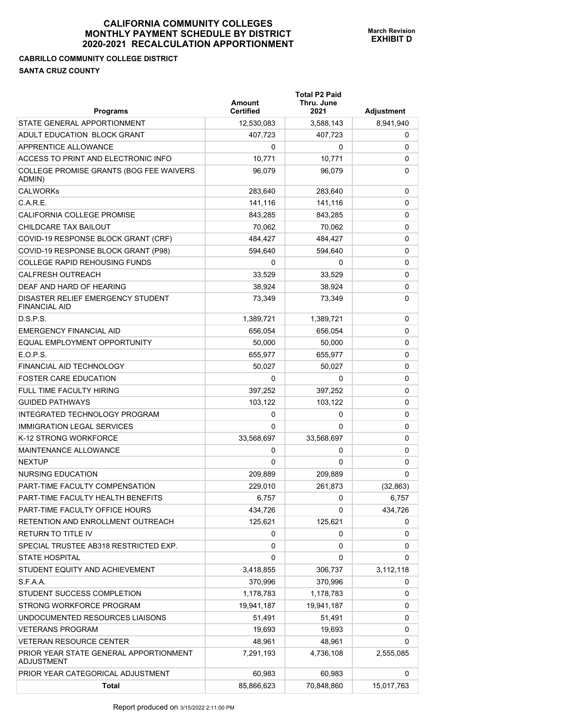## **CABRILLO COMMUNITY COLLEGE DISTRICT SANTA CRUZ COUNTY**

| <b>Programs</b>                                             | Amount<br><b>Certified</b> | <b>Total P2 Paid</b><br>Thru. June<br>2021 | Adjustment |
|-------------------------------------------------------------|----------------------------|--------------------------------------------|------------|
| STATE GENERAL APPORTIONMENT                                 | 12,530,083                 | 3,588,143                                  | 8,941,940  |
| ADULT EDUCATION BLOCK GRANT                                 | 407,723                    | 407.723                                    | 0          |
| <b>APPRENTICE ALLOWANCE</b>                                 | 0                          | 0                                          | 0          |
| ACCESS TO PRINT AND ELECTRONIC INFO                         | 10,771                     | 10,771                                     | 0          |
| COLLEGE PROMISE GRANTS (BOG FEE WAIVERS<br>ADMIN)           | 96,079                     | 96,079                                     | 0          |
| <b>CALWORKs</b>                                             | 283,640                    | 283,640                                    | 0          |
| C.A.R.E.                                                    | 141,116                    | 141,116                                    | 0          |
| <b>CALIFORNIA COLLEGE PROMISE</b>                           | 843,285                    | 843,285                                    | 0          |
| CHILDCARE TAX BAILOUT                                       | 70,062                     | 70,062                                     | 0          |
| COVID-19 RESPONSE BLOCK GRANT (CRF)                         | 484,427                    | 484,427                                    | 0          |
| COVID-19 RESPONSE BLOCK GRANT (P98)                         | 594,640                    | 594,640                                    | 0          |
| <b>COLLEGE RAPID REHOUSING FUNDS</b>                        | 0                          | 0                                          | 0          |
| <b>CALFRESH OUTREACH</b>                                    | 33,529                     | 33,529                                     | 0          |
| DEAF AND HARD OF HEARING                                    | 38,924                     | 38,924                                     | 0          |
| DISASTER RELIEF EMERGENCY STUDENT<br><b>FINANCIAL AID</b>   | 73,349                     | 73,349                                     | 0          |
| D.S.P.S.                                                    | 1,389,721                  | 1,389,721                                  | 0          |
| <b>EMERGENCY FINANCIAL AID</b>                              | 656,054                    | 656,054                                    | 0          |
| EQUAL EMPLOYMENT OPPORTUNITY                                | 50,000                     | 50,000                                     | 0          |
| E.O.P.S.                                                    | 655,977                    | 655,977                                    | 0          |
| FINANCIAL AID TECHNOLOGY                                    | 50,027                     | 50,027                                     | 0          |
| <b>FOSTER CARE EDUCATION</b>                                | $\Omega$                   | 0                                          | 0          |
| FULL TIME FACULTY HIRING                                    | 397,252                    | 397,252                                    | 0          |
| <b>GUIDED PATHWAYS</b>                                      | 103,122                    | 103,122                                    | 0          |
| INTEGRATED TECHNOLOGY PROGRAM                               | 0                          | 0                                          | 0          |
| <b>IMMIGRATION LEGAL SERVICES</b>                           | $\Omega$                   | 0                                          | 0          |
| K-12 STRONG WORKFORCE                                       | 33,568,697                 | 33,568,697                                 | 0          |
| MAINTENANCE ALLOWANCE                                       | 0                          | 0                                          | 0          |
| <b>NEXTUP</b>                                               | 0                          | $\Omega$                                   | 0          |
| NURSING EDUCATION                                           | 209,889                    | 209,889                                    | 0          |
| PART-TIME FACULTY COMPENSATION                              | 229,010                    | 261,873                                    | (32, 863)  |
| PART-TIME FACULTY HEALTH BENEFITS                           | 6,757                      | 0                                          | 6,757      |
| PART-TIME FACULTY OFFICE HOURS                              | 434,726                    | 0                                          | 434,726    |
| RETENTION AND ENROLLMENT OUTREACH                           | 125,621                    | 125,621                                    | 0          |
| RETURN TO TITLE IV                                          | 0                          | 0                                          | 0          |
| SPECIAL TRUSTEE AB318 RESTRICTED EXP.                       | 0                          | 0                                          | 0          |
| <b>STATE HOSPITAL</b>                                       | 0                          | 0                                          | 0          |
| STUDENT EQUITY AND ACHIEVEMENT                              | 3,418,855                  | 306,737                                    | 3,112,118  |
| S.F.A.A.                                                    | 370,996                    | 370,996                                    | 0          |
| STUDENT SUCCESS COMPLETION                                  | 1,178,783                  | 1,178,783                                  | 0          |
| STRONG WORKFORCE PROGRAM                                    | 19,941,187                 | 19,941,187                                 | 0          |
| UNDOCUMENTED RESOURCES LIAISONS                             | 51,491                     | 51,491                                     | 0          |
| <b>VETERANS PROGRAM</b>                                     | 19,693                     | 19,693                                     | 0          |
| <b>VETERAN RESOURCE CENTER</b>                              | 48,961                     | 48,961                                     | 0          |
| PRIOR YEAR STATE GENERAL APPORTIONMENT<br><b>ADJUSTMENT</b> | 7,291,193                  | 4,736,108                                  | 2,555,085  |
| PRIOR YEAR CATEGORICAL ADJUSTMENT                           | 60,983                     | 60,983                                     | 0          |
| <b>Total</b>                                                | 85,866,623                 | 70,848,860                                 | 15,017,763 |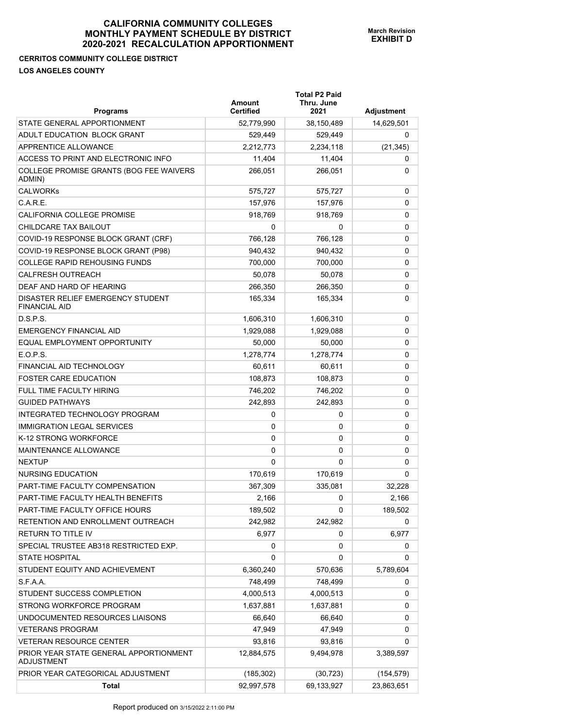#### **CERRITOS COMMUNITY COLLEGE DISTRICT LOS ANGELES COUNTY**

| <b>Programs</b>                                           | <b>Amount</b><br>Certified | <b>Total P2 Paid</b><br>Thru. June<br>2021 | <b>Adjustment</b> |
|-----------------------------------------------------------|----------------------------|--------------------------------------------|-------------------|
| STATE GENERAL APPORTIONMENT                               | 52,779,990                 | 38,150,489                                 | 14,629,501        |
| ADULT EDUCATION BLOCK GRANT                               | 529,449                    | 529,449                                    | 0                 |
| APPRENTICE ALLOWANCE                                      | 2,212,773                  | 2,234,118                                  | (21, 345)         |
| ACCESS TO PRINT AND ELECTRONIC INFO                       | 11,404                     | 11,404                                     | 0                 |
| COLLEGE PROMISE GRANTS (BOG FEE WAIVERS<br>ADMIN)         | 266,051                    | 266,051                                    | 0                 |
| <b>CALWORKs</b>                                           | 575,727                    | 575,727                                    | 0                 |
| C.A.R.E.                                                  | 157,976                    | 157,976                                    | 0                 |
| CALIFORNIA COLLEGE PROMISE                                | 918,769                    | 918,769                                    | 0                 |
| CHILDCARE TAX BAILOUT                                     | 0                          | 0                                          | 0                 |
| COVID-19 RESPONSE BLOCK GRANT (CRF)                       | 766,128                    | 766,128                                    | 0                 |
| COVID-19 RESPONSE BLOCK GRANT (P98)                       | 940,432                    | 940,432                                    | 0                 |
| <b>COLLEGE RAPID REHOUSING FUNDS</b>                      | 700,000                    | 700,000                                    | 0                 |
| CALFRESH OUTREACH                                         | 50,078                     | 50,078                                     | 0                 |
| DEAF AND HARD OF HEARING                                  | 266,350                    | 266,350                                    | 0                 |
| DISASTER RELIEF EMERGENCY STUDENT<br><b>FINANCIAL AID</b> | 165,334                    | 165,334                                    | 0                 |
| D.S.P.S.                                                  | 1,606,310                  | 1,606,310                                  | 0                 |
| <b>EMERGENCY FINANCIAL AID</b>                            | 1,929,088                  | 1,929,088                                  | 0                 |
| EQUAL EMPLOYMENT OPPORTUNITY                              | 50,000                     | 50,000                                     | 0                 |
| E.O.P.S.                                                  | 1,278,774                  | 1,278,774                                  | 0                 |
| FINANCIAL AID TECHNOLOGY                                  | 60,611                     | 60,611                                     | 0                 |
| <b>FOSTER CARE EDUCATION</b>                              | 108,873                    | 108,873                                    | 0                 |
| FULL TIME FACULTY HIRING                                  | 746,202                    | 746,202                                    | 0                 |
| <b>GUIDED PATHWAYS</b>                                    | 242,893                    | 242,893                                    | 0                 |
| INTEGRATED TECHNOLOGY PROGRAM                             | 0                          | 0                                          | 0                 |
| <b>IMMIGRATION LEGAL SERVICES</b>                         | 0                          | 0                                          | 0                 |
| K-12 STRONG WORKFORCE                                     | 0                          | 0                                          | 0                 |
| <b>MAINTENANCE ALLOWANCE</b>                              | 0                          | 0                                          | 0                 |
| <b>NEXTUP</b>                                             | 0                          | $\Omega$                                   | 0                 |
| <b>NURSING EDUCATION</b>                                  | 170,619                    | 170,619                                    | 0                 |
| PART-TIME FACULTY COMPENSATION                            | 367,309                    | 335,081                                    | 32,228            |
| PART-TIME FACULTY HEALTH BENEFITS                         | 2,166                      | 0                                          | 2,166             |
| PART-TIME FACULTY OFFICE HOURS                            | 189,502                    | 0                                          | 189,502           |
| RETENTION AND ENROLLMENT OUTREACH                         | 242,982                    | 242,982                                    | 0                 |
| RETURN TO TITLE IV                                        | 6,977                      | 0                                          | 6,977             |
| SPECIAL TRUSTEE AB318 RESTRICTED EXP.                     | 0                          | 0                                          | 0                 |
| <b>STATE HOSPITAL</b>                                     | 0                          | 0                                          | 0                 |
| STUDENT EQUITY AND ACHIEVEMENT                            | 6,360,240                  | 570,636                                    | 5,789,604         |
| S.F.A.A.                                                  | 748,499                    | 748,499                                    | 0                 |
| STUDENT SUCCESS COMPLETION                                | 4,000,513                  | 4,000,513                                  | 0                 |
| STRONG WORKFORCE PROGRAM                                  | 1,637,881                  | 1,637,881                                  | 0                 |
| UNDOCUMENTED RESOURCES LIAISONS                           | 66,640                     | 66,640                                     | 0                 |

PRIOR YEAR STATE GENERAL APPORTIONMENT

ADJUSTMENT

VETERANS PROGRAM 47,949 47,949 0 VETERAN RESOURCE CENTER 
and the state of the state of the state of the state of the state of the state of the state of the state of the state of the state of the state of the state of the state of the state of the state o

PRIOR YEAR CATEGORICAL ADJUSTMENT (185,302) (30,723) (30,723) (154,579)

**Total** 92,997,578 69,133,927 23,863,651

12,884,575 9,494,978 3,389,597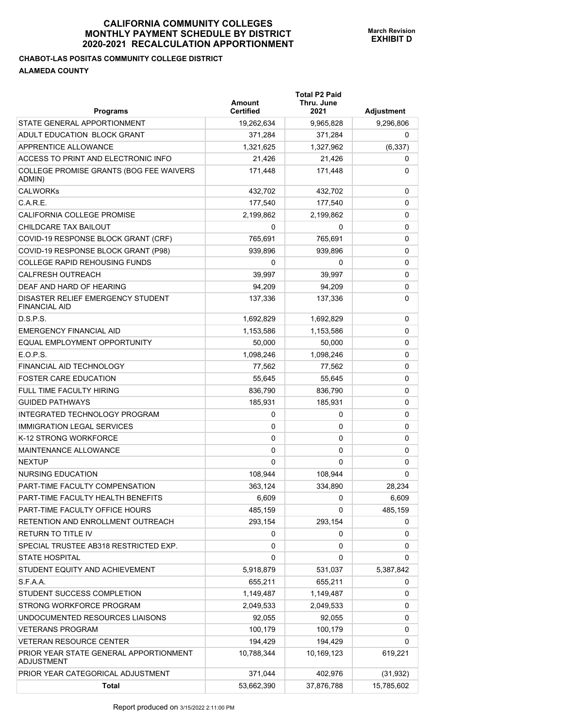## **CHABOT-LAS POSITAS COMMUNITY COLLEGE DISTRICT ALAMEDA COUNTY**

| <b>Programs</b>                                           | Amount<br><b>Certified</b> | <b>Total P2 Paid</b><br>Thru. June<br>2021 | Adjustment |
|-----------------------------------------------------------|----------------------------|--------------------------------------------|------------|
| STATE GENERAL APPORTIONMENT                               | 19,262,634                 | 9,965,828                                  | 9,296,806  |
| ADULT EDUCATION BLOCK GRANT                               | 371.284                    | 371,284                                    | 0          |
| APPRENTICE ALLOWANCE                                      | 1,321,625                  | 1,327,962                                  | (6, 337)   |
| ACCESS TO PRINT AND ELECTRONIC INFO                       | 21,426                     | 21,426                                     | 0          |
| COLLEGE PROMISE GRANTS (BOG FEE WAIVERS<br>ADMIN)         | 171,448                    | 171,448                                    | 0          |
| <b>CALWORKs</b>                                           | 432,702                    | 432,702                                    | 0          |
| C.A.R.E.                                                  | 177,540                    | 177,540                                    | 0          |
| CALIFORNIA COLLEGE PROMISE                                | 2,199,862                  | 2,199,862                                  | 0          |
| CHILDCARE TAX BAILOUT                                     | 0                          | 0                                          | 0          |
| COVID-19 RESPONSE BLOCK GRANT (CRF)                       | 765,691                    | 765,691                                    | 0          |
| COVID-19 RESPONSE BLOCK GRANT (P98)                       | 939,896                    | 939,896                                    | 0          |
| <b>COLLEGE RAPID REHOUSING FUNDS</b>                      | 0                          | 0                                          | 0          |
| <b>CALFRESH OUTREACH</b>                                  | 39,997                     | 39,997                                     | 0          |
| DEAF AND HARD OF HEARING                                  | 94,209                     | 94,209                                     | 0          |
| DISASTER RELIEF EMERGENCY STUDENT<br><b>FINANCIAL AID</b> | 137,336                    | 137,336                                    | 0          |
| D.S.P.S.                                                  | 1,692,829                  | 1,692,829                                  | 0          |
| <b>EMERGENCY FINANCIAL AID</b>                            | 1,153,586                  | 1,153,586                                  | 0          |
| EQUAL EMPLOYMENT OPPORTUNITY                              | 50,000                     | 50,000                                     | 0          |
| E.O.P.S.                                                  | 1,098,246                  | 1,098,246                                  | 0          |
| FINANCIAL AID TECHNOLOGY                                  | 77,562                     | 77,562                                     | 0          |
| <b>FOSTER CARE EDUCATION</b>                              | 55,645                     | 55,645                                     | 0          |
| <b>FULL TIME FACULTY HIRING</b>                           | 836,790                    | 836,790                                    | 0          |
| <b>GUIDED PATHWAYS</b>                                    | 185,931                    | 185,931                                    | 0          |
| INTEGRATED TECHNOLOGY PROGRAM                             | 0                          | 0                                          | 0          |
| <b>IMMIGRATION LEGAL SERVICES</b>                         | 0                          | 0                                          | 0          |
| K-12 STRONG WORKFORCE                                     | 0                          | 0                                          | 0          |
| MAINTENANCE ALLOWANCE                                     | 0                          | 0                                          | 0          |
| <b>NEXTUP</b>                                             | 0                          | 0                                          | 0          |
| NURSING EDUCATION                                         | 108,944                    | 108.944                                    | 0          |
| PART-TIME FACULTY COMPENSATION                            | 363,124                    | 334,890                                    | 28.234     |
| PART-TIME FACULTY HEALTH BENEFITS                         | 6,609                      | 0                                          | 6,609      |
| PART-TIME FACULTY OFFICE HOURS                            | 485,159                    | 0                                          | 485,159    |
| RETENTION AND ENROLLMENT OUTREACH                         | 293,154                    | 293,154                                    | 0          |
| RETURN TO TITLE IV                                        | 0                          | 0                                          | 0          |
| SPECIAL TRUSTEE AB318 RESTRICTED EXP.                     | 0                          | 0                                          | 0          |
| <b>STATE HOSPITAL</b>                                     | 0                          | 0                                          | 0          |
| STUDENT EQUITY AND ACHIEVEMENT                            | 5,918,879                  | 531,037                                    | 5,387,842  |
| S.F.A.A.                                                  | 655,211                    | 655,211                                    | 0          |
| STUDENT SUCCESS COMPLETION                                | 1,149,487                  | 1,149,487                                  | 0          |
| STRONG WORKFORCE PROGRAM                                  | 2,049,533                  | 2,049,533                                  | 0          |
| UNDOCUMENTED RESOURCES LIAISONS                           | 92,055                     | 92,055                                     | 0          |
| <b>VETERANS PROGRAM</b>                                   | 100,179                    | 100,179                                    | 0          |
| <b>VETERAN RESOURCE CENTER</b>                            | 194,429                    | 194,429                                    | 0          |
| PRIOR YEAR STATE GENERAL APPORTIONMENT<br>ADJUSTMENT      | 10,788,344                 | 10,169,123                                 | 619,221    |
| PRIOR YEAR CATEGORICAL ADJUSTMENT                         | 371,044                    | 402,976                                    | (31, 932)  |
| <b>Total</b>                                              | 53,662,390                 | 37,876,788                                 | 15,785,602 |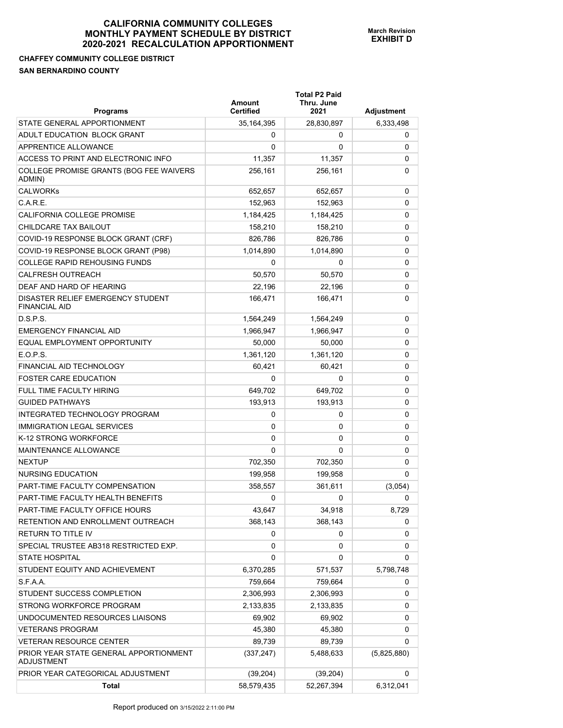## **CHAFFEY COMMUNITY COLLEGE DISTRICT SAN BERNARDINO COUNTY**

| <b>Programs</b>                                           | Amount<br><b>Certified</b> | <b>Total P2 Paid</b><br>Thru. June<br>2021 | Adjustment  |
|-----------------------------------------------------------|----------------------------|--------------------------------------------|-------------|
| STATE GENERAL APPORTIONMENT                               | 35, 164, 395               | 28,830,897                                 | 6,333,498   |
| ADULT EDUCATION BLOCK GRANT                               | 0                          | 0                                          | 0           |
| APPRENTICE ALLOWANCE                                      | 0                          | 0                                          | 0           |
| ACCESS TO PRINT AND ELECTRONIC INFO                       | 11,357                     | 11,357                                     | 0           |
| COLLEGE PROMISE GRANTS (BOG FEE WAIVERS<br>ADMIN)         | 256,161                    | 256,161                                    | 0           |
| <b>CALWORKs</b>                                           | 652,657                    | 652,657                                    | 0           |
| C.A.R.E.                                                  | 152,963                    | 152.963                                    | 0           |
| CALIFORNIA COLLEGE PROMISE                                | 1,184,425                  | 1,184,425                                  | 0           |
| CHILDCARE TAX BAILOUT                                     | 158,210                    | 158,210                                    | 0           |
| COVID-19 RESPONSE BLOCK GRANT (CRF)                       | 826,786                    | 826,786                                    | 0           |
| COVID-19 RESPONSE BLOCK GRANT (P98)                       | 1,014,890                  | 1,014,890                                  | 0           |
| <b>COLLEGE RAPID REHOUSING FUNDS</b>                      | 0                          | 0                                          | 0           |
| <b>CALFRESH OUTREACH</b>                                  | 50,570                     | 50,570                                     | 0           |
| DEAF AND HARD OF HEARING                                  | 22.196                     | 22,196                                     | 0           |
| DISASTER RELIEF EMERGENCY STUDENT<br><b>FINANCIAL AID</b> | 166,471                    | 166,471                                    | 0           |
| D.S.P.S.                                                  | 1,564,249                  | 1,564,249                                  | 0           |
| <b>EMERGENCY FINANCIAL AID</b>                            | 1,966,947                  | 1,966,947                                  | 0           |
| EQUAL EMPLOYMENT OPPORTUNITY                              | 50,000                     | 50,000                                     | 0           |
| E.O.P.S.                                                  | 1,361,120                  | 1,361,120                                  | 0           |
| <b>FINANCIAL AID TECHNOLOGY</b>                           | 60,421                     | 60,421                                     | 0           |
| <b>FOSTER CARE EDUCATION</b>                              | 0                          | 0                                          | 0           |
| FULL TIME FACULTY HIRING                                  | 649,702                    | 649,702                                    | 0           |
| <b>GUIDED PATHWAYS</b>                                    | 193,913                    | 193,913                                    | 0           |
| INTEGRATED TECHNOLOGY PROGRAM                             | 0                          | 0                                          | 0           |
| <b>IMMIGRATION LEGAL SERVICES</b>                         | 0                          | 0                                          | 0           |
| K-12 STRONG WORKFORCE                                     | 0                          | 0                                          | 0           |
| <b>MAINTENANCE ALLOWANCE</b>                              | 0                          | 0                                          | 0           |
| <b>NEXTUP</b>                                             | 702,350                    | 702,350                                    | 0           |
| NURSING EDUCATION                                         | 199,958                    | 199,958                                    | 0           |
| PART-TIME FACULTY COMPENSATION                            | 358,557                    | 361,611                                    | (3,054)     |
| PART-TIME FACULTY HEALTH BENEFITS                         | 0                          | 0                                          | 0           |
| PART-TIME FACULTY OFFICE HOURS                            | 43,647                     | 34,918                                     | 8,729       |
| RETENTION AND ENROLLMENT OUTREACH                         | 368,143                    | 368,143                                    | 0           |
| RETURN TO TITLE IV                                        | 0                          | 0                                          | 0           |
| SPECIAL TRUSTEE AB318 RESTRICTED EXP.                     | 0                          | 0                                          | 0           |
| <b>STATE HOSPITAL</b>                                     | 0                          | 0                                          | 0           |
| STUDENT EQUITY AND ACHIEVEMENT                            | 6,370,285                  | 571,537                                    | 5,798,748   |
| S.F.A.A.                                                  | 759,664                    | 759,664                                    | 0           |
| STUDENT SUCCESS COMPLETION                                | 2,306,993                  | 2,306,993                                  | 0           |
| STRONG WORKFORCE PROGRAM                                  | 2,133,835                  | 2,133,835                                  | 0           |
| UNDOCUMENTED RESOURCES LIAISONS                           | 69,902                     | 69,902                                     | 0           |
| <b>VETERANS PROGRAM</b>                                   | 45,380                     | 45,380                                     | 0           |
| VETERAN RESOURCE CENTER                                   | 89,739                     | 89,739                                     | 0           |
| PRIOR YEAR STATE GENERAL APPORTIONMENT<br>ADJUSTMENT      | (337, 247)                 | 5,488,633                                  | (5,825,880) |
| PRIOR YEAR CATEGORICAL ADJUSTMENT                         | (39, 204)                  | (39, 204)                                  | 0           |
| <b>Total</b>                                              | 58,579,435                 | 52,267,394                                 | 6,312,041   |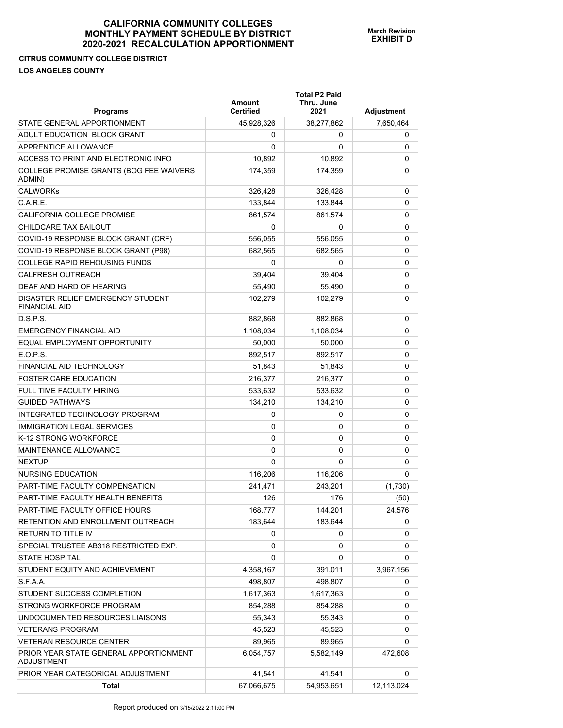## **CITRUS COMMUNITY COLLEGE DISTRICT LOS ANGELES COUNTY**

| <b>Programs</b>                                             | <b>Amount</b><br><b>Certified</b> | <b>Total P2 Paid</b><br>Thru. June<br>2021 | <b>Adjustment</b> |
|-------------------------------------------------------------|-----------------------------------|--------------------------------------------|-------------------|
| STATE GENERAL APPORTIONMENT                                 | 45,928,326                        | 38,277,862                                 | 7,650,464         |
| ADULT EDUCATION BLOCK GRANT                                 | 0                                 | 0                                          | 0                 |
| APPRENTICE ALLOWANCE                                        | 0                                 | 0                                          | 0                 |
| ACCESS TO PRINT AND ELECTRONIC INFO                         | 10,892                            | 10,892                                     | 0                 |
| COLLEGE PROMISE GRANTS (BOG FEE WAIVERS<br>ADMIN)           | 174,359                           | 174,359                                    | 0                 |
| <b>CALWORKs</b>                                             | 326,428                           | 326,428                                    | 0                 |
| C.A.R.E.                                                    | 133,844                           | 133,844                                    | 0                 |
| CALIFORNIA COLLEGE PROMISE                                  | 861,574                           | 861,574                                    | 0                 |
| CHILDCARE TAX BAILOUT                                       | 0                                 | 0                                          | 0                 |
| COVID-19 RESPONSE BLOCK GRANT (CRF)                         | 556,055                           | 556,055                                    | 0                 |
| COVID-19 RESPONSE BLOCK GRANT (P98)                         | 682,565                           | 682,565                                    | 0                 |
| <b>COLLEGE RAPID REHOUSING FUNDS</b>                        | 0                                 | 0                                          | 0                 |
| CALFRESH OUTREACH                                           | 39.404                            | 39,404                                     | 0                 |
| DEAF AND HARD OF HEARING                                    | 55,490                            | 55,490                                     | 0                 |
| DISASTER RELIEF EMERGENCY STUDENT<br><b>FINANCIAL AID</b>   | 102.279                           | 102,279                                    | 0                 |
| D.S.P.S.                                                    | 882.868                           | 882,868                                    | 0                 |
| <b>EMERGENCY FINANCIAL AID</b>                              | 1,108,034                         | 1,108,034                                  | 0                 |
| EQUAL EMPLOYMENT OPPORTUNITY                                | 50,000                            | 50,000                                     | 0                 |
| E.O.P.S.                                                    | 892,517                           | 892,517                                    | 0                 |
| <b>FINANCIAL AID TECHNOLOGY</b>                             | 51,843                            | 51,843                                     | 0                 |
| <b>FOSTER CARE EDUCATION</b>                                | 216,377                           | 216,377                                    | 0                 |
| FULL TIME FACULTY HIRING                                    | 533,632                           | 533,632                                    | 0                 |
| <b>GUIDED PATHWAYS</b>                                      | 134,210                           | 134,210                                    | 0                 |
| INTEGRATED TECHNOLOGY PROGRAM                               | 0                                 | 0                                          | 0                 |
| <b>IMMIGRATION LEGAL SERVICES</b>                           | 0                                 | 0                                          | 0                 |
| K-12 STRONG WORKFORCE                                       | 0                                 | 0                                          | 0                 |
| MAINTENANCE ALLOWANCE                                       | 0                                 | 0                                          | 0                 |
| <b>NEXTUP</b>                                               | 0                                 | 0                                          | 0                 |
| <b>NURSING EDUCATION</b>                                    | 116.206                           | 116,206                                    | 0                 |
| PART-TIME FACULTY COMPENSATION                              | 241,471                           | 243,201                                    | (1,730)           |
| PART-TIME FACULTY HEALTH BENEFITS                           | 126                               | 176                                        | (50)              |
| PART-TIME FACULTY OFFICE HOURS                              | 168,777                           | 144,201                                    | 24,576            |
| RETENTION AND ENROLLMENT OUTREACH                           | 183,644                           | 183,644                                    | 0                 |
| <b>RETURN TO TITLE IV</b>                                   | 0                                 | 0                                          | 0                 |
| SPECIAL TRUSTEE AB318 RESTRICTED EXP.                       | 0                                 | 0                                          | 0                 |
| <b>STATE HOSPITAL</b>                                       | 0                                 | 0                                          | 0                 |
| STUDENT EQUITY AND ACHIEVEMENT                              | 4,358,167                         | 391,011                                    | 3,967,156         |
| S.F.A.A.                                                    | 498,807                           | 498,807                                    | 0                 |
| STUDENT SUCCESS COMPLETION                                  | 1,617,363                         | 1,617,363                                  | 0                 |
| STRONG WORKFORCE PROGRAM                                    | 854,288                           | 854,288                                    | 0                 |
| UNDOCUMENTED RESOURCES LIAISONS                             | 55,343                            | 55,343                                     | 0                 |
| <b>VETERANS PROGRAM</b>                                     | 45,523                            | 45,523                                     | 0                 |
| <b>VETERAN RESOURCE CENTER</b>                              | 89,965                            | 89,965                                     | 0                 |
| PRIOR YEAR STATE GENERAL APPORTIONMENT<br><b>ADJUSTMENT</b> | 6,054,757                         | 5,582,149                                  | 472,608           |
| PRIOR YEAR CATEGORICAL ADJUSTMENT                           | 41,541                            | 41,541                                     | 0                 |
| Total                                                       | 67,066,675                        | 54,953,651                                 | 12,113,024        |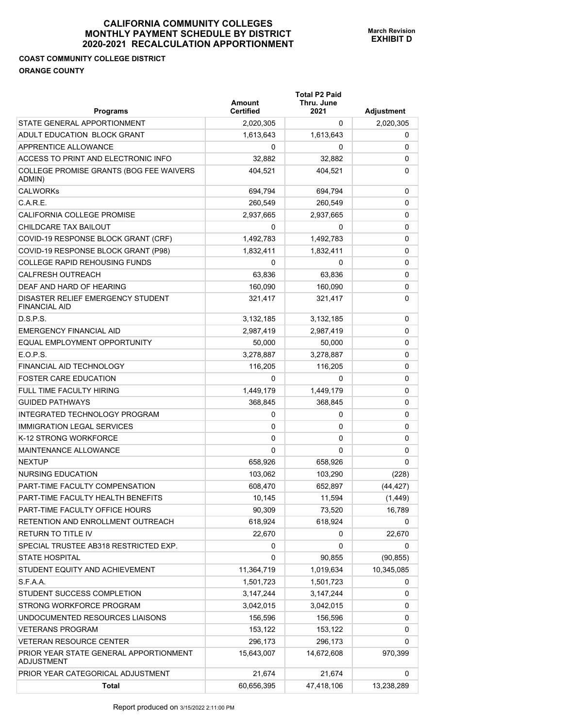## **COAST COMMUNITY COLLEGE DISTRICT ORANGE COUNTY**

| <b>Programs</b>                                           | Amount<br><b>Certified</b> | <b>Total P2 Paid</b><br>Thru. June<br>2021 | Adjustment |
|-----------------------------------------------------------|----------------------------|--------------------------------------------|------------|
| STATE GENERAL APPORTIONMENT                               | 2,020,305                  | 0                                          | 2,020,305  |
| ADULT EDUCATION BLOCK GRANT                               | 1,613,643                  | 1,613,643                                  | 0          |
| APPRENTICE ALLOWANCE                                      | 0                          | 0                                          | 0          |
| ACCESS TO PRINT AND ELECTRONIC INFO                       | 32,882                     | 32,882                                     | 0          |
| COLLEGE PROMISE GRANTS (BOG FEE WAIVERS<br>ADMIN)         | 404,521                    | 404,521                                    | 0          |
| <b>CALWORKs</b>                                           | 694,794                    | 694,794                                    | 0          |
| C.A.R.E.                                                  | 260,549                    | 260,549                                    | 0          |
| CALIFORNIA COLLEGE PROMISE                                | 2,937,665                  | 2,937,665                                  | 0          |
| CHILDCARE TAX BAILOUT                                     | 0                          | 0                                          | 0          |
| COVID-19 RESPONSE BLOCK GRANT (CRF)                       | 1,492,783                  | 1,492,783                                  | 0          |
| COVID-19 RESPONSE BLOCK GRANT (P98)                       | 1,832,411                  | 1,832,411                                  | 0          |
| <b>COLLEGE RAPID REHOUSING FUNDS</b>                      | 0                          | 0                                          | 0          |
| <b>CALFRESH OUTREACH</b>                                  | 63,836                     | 63,836                                     | 0          |
| DEAF AND HARD OF HEARING                                  | 160,090                    | 160,090                                    | 0          |
| DISASTER RELIEF EMERGENCY STUDENT<br><b>FINANCIAL AID</b> | 321,417                    | 321,417                                    | 0          |
| D.S.P.S.                                                  | 3,132,185                  | 3,132,185                                  | 0          |
| <b>EMERGENCY FINANCIAL AID</b>                            | 2,987,419                  | 2,987,419                                  | 0          |
| EQUAL EMPLOYMENT OPPORTUNITY                              | 50,000                     | 50,000                                     | 0          |
| E.O.P.S.                                                  | 3,278,887                  | 3,278,887                                  | 0          |
| FINANCIAL AID TECHNOLOGY                                  | 116,205                    | 116,205                                    | 0          |
| <b>FOSTER CARE EDUCATION</b>                              | 0                          | 0                                          | 0          |
| <b>FULL TIME FACULTY HIRING</b>                           | 1,449,179                  | 1,449,179                                  | 0          |
| <b>GUIDED PATHWAYS</b>                                    | 368,845                    | 368,845                                    | 0          |
| INTEGRATED TECHNOLOGY PROGRAM                             | 0                          | 0                                          | 0          |
| <b>IMMIGRATION LEGAL SERVICES</b>                         | 0                          | 0                                          | 0          |
| K-12 STRONG WORKFORCE                                     | 0                          | 0                                          | 0          |
| <b>MAINTENANCE ALLOWANCE</b>                              | 0                          | 0                                          | 0          |
| <b>NEXTUP</b>                                             | 658,926                    | 658,926                                    | 0          |
| NURSING EDUCATION                                         | 103,062                    | 103,290                                    | (228)      |
| PART-TIME FACULTY COMPENSATION                            | 608,470                    | 652,897                                    | (44, 427)  |
| PART-TIME FACULTY HEALTH BENEFITS                         | 10,145                     | 11,594                                     | (1, 449)   |
| PART-TIME FACULTY OFFICE HOURS                            | 90,309                     | 73,520                                     | 16,789     |
| RETENTION AND ENROLLMENT OUTREACH                         | 618,924                    | 618,924                                    | 0          |
| RETURN TO TITLE IV                                        | 22,670                     | 0                                          | 22,670     |
| SPECIAL TRUSTEE AB318 RESTRICTED EXP.                     | 0                          | 0                                          | 0          |
| <b>STATE HOSPITAL</b>                                     | 0                          | 90,855                                     | (90, 855)  |
| STUDENT EQUITY AND ACHIEVEMENT                            | 11,364,719                 | 1,019,634                                  | 10,345,085 |
| S.F.A.A.                                                  | 1,501,723                  | 1,501,723                                  | 0          |
| STUDENT SUCCESS COMPLETION                                | 3,147,244                  | 3,147,244                                  | 0          |
| STRONG WORKFORCE PROGRAM                                  | 3,042,015                  | 3,042,015                                  | 0          |
| UNDOCUMENTED RESOURCES LIAISONS                           | 156,596                    | 156,596                                    | 0          |
| <b>VETERANS PROGRAM</b>                                   | 153,122                    | 153,122                                    | 0          |
| VETERAN RESOURCE CENTER                                   | 296,173                    | 296,173                                    | 0          |
| PRIOR YEAR STATE GENERAL APPORTIONMENT<br>ADJUSTMENT      | 15,643,007                 | 14,672,608                                 | 970,399    |
| PRIOR YEAR CATEGORICAL ADJUSTMENT                         | 21,674                     | 21,674                                     | 0          |
| <b>Total</b>                                              | 60,656,395                 | 47,418,106                                 | 13,238,289 |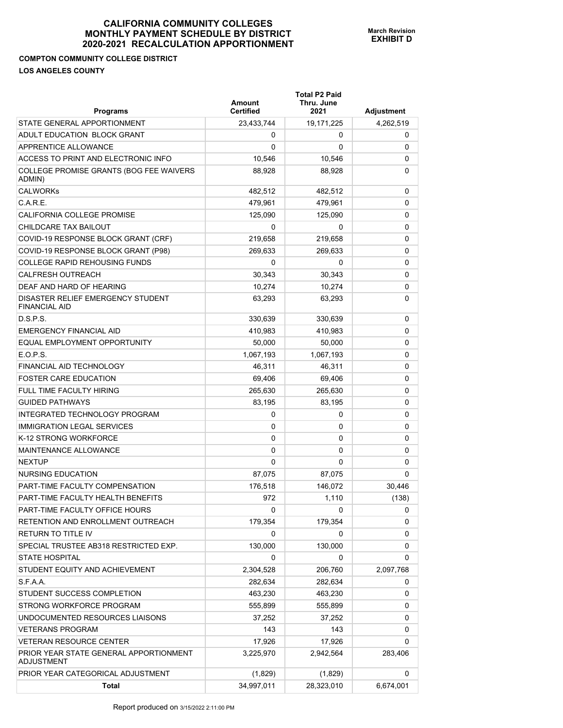# **COMPTON COMMUNITY COLLEGE DISTRICT**

|  | <b>LOS ANGELES COUNTY</b> |  |
|--|---------------------------|--|
|  |                           |  |

| <b>Programs</b>                                             | Amount<br><b>Certified</b> | <b>Total P2 Paid</b><br>Thru. June<br>2021 | Adjustment |
|-------------------------------------------------------------|----------------------------|--------------------------------------------|------------|
| STATE GENERAL APPORTIONMENT                                 | 23,433,744                 | 19,171,225                                 | 4,262,519  |
| ADULT EDUCATION BLOCK GRANT                                 | 0                          | 0                                          | 0          |
| APPRENTICE ALLOWANCE                                        | $\Omega$                   | 0                                          | 0          |
| ACCESS TO PRINT AND ELECTRONIC INFO                         | 10,546                     | 10,546                                     | 0          |
| COLLEGE PROMISE GRANTS (BOG FEE WAIVERS<br>ADMIN)           | 88,928                     | 88,928                                     | 0          |
| <b>CALWORKs</b>                                             | 482.512                    | 482,512                                    | 0          |
| C.A.R.E.                                                    | 479,961                    | 479,961                                    | 0          |
| CALIFORNIA COLLEGE PROMISE                                  | 125,090                    | 125,090                                    | 0          |
| CHILDCARE TAX BAILOUT                                       | 0                          | 0                                          | 0          |
| COVID-19 RESPONSE BLOCK GRANT (CRF)                         | 219,658                    | 219,658                                    | 0          |
| COVID-19 RESPONSE BLOCK GRANT (P98)                         | 269,633                    | 269,633                                    | 0          |
| COLLEGE RAPID REHOUSING FUNDS                               | 0                          | 0                                          | 0          |
| <b>CALFRESH OUTREACH</b>                                    | 30,343                     | 30,343                                     | 0          |
| DEAF AND HARD OF HEARING                                    | 10,274                     | 10,274                                     | 0          |
| DISASTER RELIEF EMERGENCY STUDENT<br><b>FINANCIAL AID</b>   | 63.293                     | 63,293                                     | 0          |
| D.S.P.S.                                                    | 330,639                    | 330,639                                    | 0          |
| <b>EMERGENCY FINANCIAL AID</b>                              | 410.983                    | 410,983                                    | 0          |
| EQUAL EMPLOYMENT OPPORTUNITY                                | 50,000                     | 50,000                                     | 0          |
| FOPS                                                        | 1,067,193                  | 1,067,193                                  | 0          |
| FINANCIAL AID TECHNOLOGY                                    | 46,311                     | 46,311                                     | 0          |
| <b>FOSTER CARE EDUCATION</b>                                | 69,406                     | 69,406                                     | 0          |
| <b>FULL TIME FACULTY HIRING</b>                             | 265,630                    | 265,630                                    | 0          |
| <b>GUIDED PATHWAYS</b>                                      | 83,195                     | 83,195                                     | 0          |
| INTEGRATED TECHNOLOGY PROGRAM                               | 0                          | 0                                          | 0          |
| <b>IMMIGRATION LEGAL SERVICES</b>                           | 0                          | 0                                          | 0          |
| K-12 STRONG WORKFORCE                                       | 0                          | 0                                          | 0          |
| <b>MAINTENANCE ALLOWANCE</b>                                | 0                          | 0                                          | 0          |
| <b>NEXTUP</b>                                               | $\Omega$                   | 0                                          | 0          |
| NURSING EDUCATION                                           | 87,075                     | 87,075                                     | 0          |
| PART-TIME FACULTY COMPENSATION                              | 176,518                    | 146,072                                    | 30,446     |
| PART-TIME FACULTY HEALTH BENEFITS                           | 972                        | 1,110                                      | (138)      |
| PART-TIME FACULTY OFFICE HOURS                              | 0                          | 0                                          | 0          |
| RETENTION AND ENROLLMENT OUTREACH                           | 179,354                    | 179,354                                    | 0          |
| RETURN TO TITLE IV                                          | 0                          | 0                                          | 0          |
| SPECIAL TRUSTEE AB318 RESTRICTED EXP.                       | 130,000                    | 130,000                                    | 0          |
| <b>STATE HOSPITAL</b>                                       | 0                          | 0                                          | 0          |
| STUDENT EQUITY AND ACHIEVEMENT                              | 2,304,528                  | 206,760                                    | 2,097,768  |
| S.F.A.A.                                                    | 282,634                    | 282,634                                    | 0          |
| STUDENT SUCCESS COMPLETION                                  | 463,230                    | 463,230                                    | 0          |
| STRONG WORKFORCE PROGRAM                                    | 555,899                    | 555,899                                    | 0          |
| UNDOCUMENTED RESOURCES LIAISONS                             | 37,252                     | 37,252                                     | 0          |
| <b>VETERANS PROGRAM</b>                                     | 143                        | 143                                        | 0          |
| <b>VETERAN RESOURCE CENTER</b>                              | 17,926                     | 17,926                                     | 0          |
| PRIOR YEAR STATE GENERAL APPORTIONMENT<br><b>ADJUSTMENT</b> | 3,225,970                  | 2,942,564                                  | 283,406    |
| PRIOR YEAR CATEGORICAL ADJUSTMENT                           | (1,829)                    | (1,829)                                    | 0          |
| <b>Total</b>                                                | 34,997,011                 | 28,323,010                                 | 6,674,001  |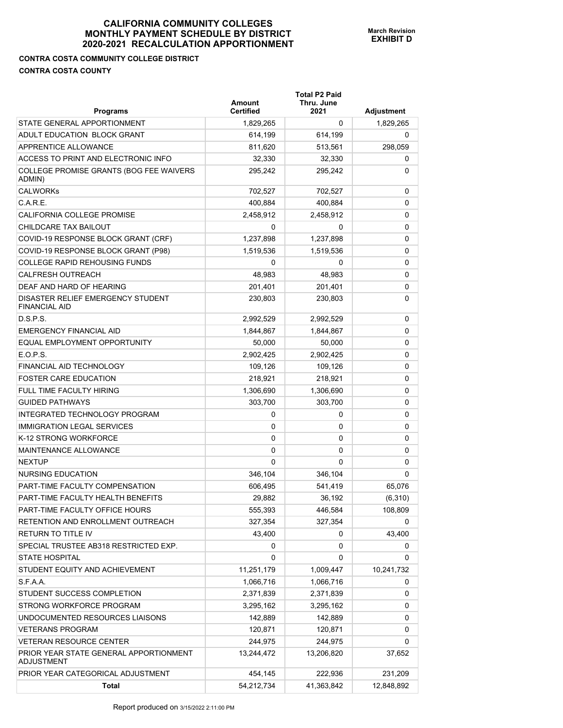# **CONTRA COSTA COMMUNITY COLLEGE DISTRICT CONTRA COSTA COUNTY**

| <b>Programs</b>                                           | <b>Amount</b><br>Certified | <b>Total P2 Paid</b><br>Thru. June<br>2021 | Adjustment |
|-----------------------------------------------------------|----------------------------|--------------------------------------------|------------|
| STATE GENERAL APPORTIONMENT                               | 1,829,265                  | 0                                          | 1,829,265  |
| ADULT EDUCATION BLOCK GRANT                               | 614,199                    | 614,199                                    | 0          |
| APPRENTICE ALLOWANCE                                      | 811,620                    | 513,561                                    | 298,059    |
| ACCESS TO PRINT AND ELECTRONIC INFO                       | 32,330                     | 32,330                                     | 0          |
| COLLEGE PROMISE GRANTS (BOG FEE WAIVERS<br>ADMIN)         | 295,242                    | 295,242                                    | 0          |
| <b>CALWORKs</b>                                           | 702,527                    | 702,527                                    | 0          |
| C.A.R.E.                                                  | 400,884                    | 400,884                                    | 0          |
| CALIFORNIA COLLEGE PROMISE                                | 2,458,912                  | 2,458,912                                  | 0          |
| CHILDCARE TAX BAILOUT                                     | $\Omega$                   | 0                                          | 0          |
| COVID-19 RESPONSE BLOCK GRANT (CRF)                       | 1,237,898                  | 1,237,898                                  | 0          |
| COVID-19 RESPONSE BLOCK GRANT (P98)                       | 1,519,536                  | 1,519,536                                  | 0          |
| <b>COLLEGE RAPID REHOUSING FUNDS</b>                      | 0                          | 0                                          | 0          |
| <b>CALFRESH OUTREACH</b>                                  | 48,983                     | 48,983                                     | 0          |
| DEAF AND HARD OF HEARING                                  | 201,401                    | 201,401                                    | 0          |
| DISASTER RELIEF EMERGENCY STUDENT<br><b>FINANCIAL AID</b> | 230,803                    | 230,803                                    | 0          |
| D.S.P.S.                                                  | 2,992,529                  | 2,992,529                                  | 0          |
| EMERGENCY FINANCIAL AID                                   | 1,844,867                  | 1,844,867                                  | 0          |
| EQUAL EMPLOYMENT OPPORTUNITY                              | 50,000                     | 50,000                                     | 0          |
| E.O.P.S.                                                  | 2,902,425                  | 2,902,425                                  | 0          |
| <b>FINANCIAL AID TECHNOLOGY</b>                           | 109,126                    | 109,126                                    | 0          |
| <b>FOSTER CARE EDUCATION</b>                              | 218,921                    | 218,921                                    | 0          |
| <b>FULL TIME FACULTY HIRING</b>                           | 1,306,690                  | 1,306,690                                  | 0          |
| <b>GUIDED PATHWAYS</b>                                    | 303,700                    | 303,700                                    | 0          |
| INTEGRATED TECHNOLOGY PROGRAM                             | 0                          | 0                                          | 0          |
| <b>IMMIGRATION LEGAL SERVICES</b>                         | 0                          | 0                                          | 0          |
| K-12 STRONG WORKFORCE                                     | 0                          | 0                                          | 0          |
| MAINTENANCE ALLOWANCE                                     | $\Omega$                   | 0                                          | 0          |
| <b>NEXTUP</b>                                             | $\Omega$                   | $\Omega$                                   | 0          |
| NURSING EDUCATION                                         | 346,104                    | 346,104                                    | 0          |
| PART-TIME FACULTY COMPENSATION                            | 606,495                    | 541,419                                    | 65,076     |
| PART-TIME FACULTY HEALTH BENEFITS                         | 29,882                     | 36,192                                     | (6, 310)   |
| PART-TIME FACULTY OFFICE HOURS                            | 555,393                    | 446,584                                    | 108,809    |
| RETENTION AND ENROLLMENT OUTREACH                         | 327,354                    | 327,354                                    | 0          |
| RETURN TO TITLE IV                                        | 43,400                     | 0                                          | 43,400     |
| SPECIAL TRUSTEE AB318 RESTRICTED EXP.                     | 0                          | 0                                          | 0          |
| <b>STATE HOSPITAL</b>                                     | 0                          | 0                                          | 0          |
| STUDENT EQUITY AND ACHIEVEMENT                            | 11,251,179                 | 1,009,447                                  | 10,241,732 |
| S.F.A.A.                                                  | 1,066,716                  | 1,066,716                                  | 0          |
| STUDENT SUCCESS COMPLETION                                | 2,371,839                  | 2,371,839                                  | 0          |
| STRONG WORKFORCE PROGRAM                                  | 3,295,162                  | 3,295,162                                  | 0          |
| UNDOCUMENTED RESOURCES LIAISONS                           | 142,889                    | 142,889                                    | 0          |
| <b>VETERANS PROGRAM</b>                                   | 120,871                    | 120,871                                    | 0          |
| VETERAN RESOURCE CENTER                                   | 244,975                    | 244,975                                    | 0          |
| PRIOR YEAR STATE GENERAL APPORTIONMENT<br>ADJUSTMENT      | 13,244,472                 | 13,206,820                                 | 37,652     |
| PRIOR YEAR CATEGORICAL ADJUSTMENT                         | 454,145                    | 222,936                                    | 231,209    |
| <b>Total</b>                                              | 54,212,734                 | 41,363,842                                 | 12,848,892 |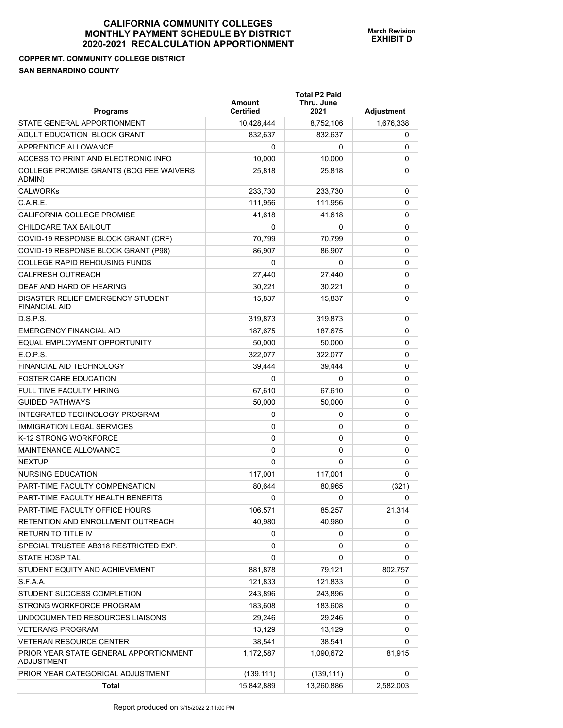## **COPPER MT. COMMUNITY COLLEGE DISTRICT SAN BERNARDINO COUNTY**

| <b>Programs</b>                                             | Amount<br><b>Certified</b> | <b>Total P2 Paid</b><br>Thru. June<br>2021 | Adjustment |
|-------------------------------------------------------------|----------------------------|--------------------------------------------|------------|
| STATE GENERAL APPORTIONMENT                                 | 10,428,444                 | 8,752,106                                  | 1,676,338  |
| ADULT EDUCATION BLOCK GRANT                                 | 832.637                    | 832,637                                    | 0          |
| APPRENTICE ALLOWANCE                                        | 0                          | 0                                          | 0          |
| ACCESS TO PRINT AND ELECTRONIC INFO                         | 10,000                     | 10,000                                     | 0          |
| COLLEGE PROMISE GRANTS (BOG FEE WAIVERS<br>ADMIN)           | 25,818                     | 25,818                                     | 0          |
| <b>CALWORKs</b>                                             | 233,730                    | 233,730                                    | 0          |
| C.A.R.E.                                                    | 111,956                    | 111,956                                    | 0          |
| CALIFORNIA COLLEGE PROMISE                                  | 41,618                     | 41,618                                     | 0          |
| CHILDCARE TAX BAILOUT                                       | 0                          | 0                                          | 0          |
| COVID-19 RESPONSE BLOCK GRANT (CRF)                         | 70,799                     | 70,799                                     | 0          |
| COVID-19 RESPONSE BLOCK GRANT (P98)                         | 86,907                     | 86,907                                     | 0          |
| <b>COLLEGE RAPID REHOUSING FUNDS</b>                        | 0                          | 0                                          | 0          |
| <b>CALFRESH OUTREACH</b>                                    | 27,440                     | 27,440                                     | 0          |
| DEAF AND HARD OF HEARING                                    | 30,221                     | 30,221                                     | 0          |
| DISASTER RELIEF EMERGENCY STUDENT<br><b>FINANCIAL AID</b>   | 15,837                     | 15,837                                     | 0          |
| D.S.P.S.                                                    | 319,873                    | 319,873                                    | 0          |
| <b>EMERGENCY FINANCIAL AID</b>                              | 187,675                    | 187,675                                    | 0          |
| EQUAL EMPLOYMENT OPPORTUNITY                                | 50,000                     | 50,000                                     | 0          |
| E.O.P.S.                                                    | 322,077                    | 322,077                                    | 0          |
| <b>FINANCIAL AID TECHNOLOGY</b>                             | 39,444                     | 39,444                                     | 0          |
| <b>FOSTER CARE EDUCATION</b>                                | 0                          | 0                                          | 0          |
| <b>FULL TIME FACULTY HIRING</b>                             | 67,610                     | 67,610                                     | 0          |
| <b>GUIDED PATHWAYS</b>                                      | 50,000                     | 50,000                                     | 0          |
| INTEGRATED TECHNOLOGY PROGRAM                               | 0                          | 0                                          | 0          |
| <b>IMMIGRATION LEGAL SERVICES</b>                           | 0                          | 0                                          | 0          |
| K-12 STRONG WORKFORCE                                       | 0                          | 0                                          | 0          |
| MAINTENANCE ALLOWANCE                                       | 0                          | 0                                          | 0          |
| <b>NEXTUP</b>                                               | 0                          | 0                                          | 0          |
| <b>NURSING EDUCATION</b>                                    | 117,001                    | 117,001                                    | 0          |
| PART-TIME FACULTY COMPENSATION                              | 80,644                     | 80,965                                     | (321)      |
| PART-TIME FACULTY HEALTH BENEFITS                           | 0                          | 0                                          | 0          |
| PART-TIME FACULTY OFFICE HOURS                              | 106,571                    | 85,257                                     | 21,314     |
| RETENTION AND ENROLLMENT OUTREACH                           | 40,980                     | 40,980                                     | 0          |
| <b>RETURN TO TITLE IV</b>                                   | 0                          | 0                                          | 0          |
| SPECIAL TRUSTEE AB318 RESTRICTED EXP.                       | 0                          | 0                                          | 0          |
| <b>STATE HOSPITAL</b>                                       | 0                          | 0                                          | 0          |
| STUDENT EQUITY AND ACHIEVEMENT                              | 881,878                    | 79,121                                     | 802,757    |
| S.F.A.A.                                                    | 121,833                    | 121,833                                    | 0          |
| STUDENT SUCCESS COMPLETION                                  | 243,896                    | 243,896                                    | 0          |
| STRONG WORKFORCE PROGRAM                                    | 183,608                    | 183,608                                    | 0          |
| UNDOCUMENTED RESOURCES LIAISONS                             | 29,246                     | 29,246                                     | 0          |
| <b>VETERANS PROGRAM</b>                                     | 13,129                     | 13,129                                     | 0          |
| <b>VETERAN RESOURCE CENTER</b>                              | 38,541                     | 38,541                                     | 0          |
| PRIOR YEAR STATE GENERAL APPORTIONMENT<br><b>ADJUSTMENT</b> | 1,172,587                  | 1,090,672                                  | 81,915     |
| PRIOR YEAR CATEGORICAL ADJUSTMENT                           | (139, 111)                 | (139, 111)                                 | 0          |
| Total                                                       | 15,842,889                 | 13,260,886                                 | 2,582,003  |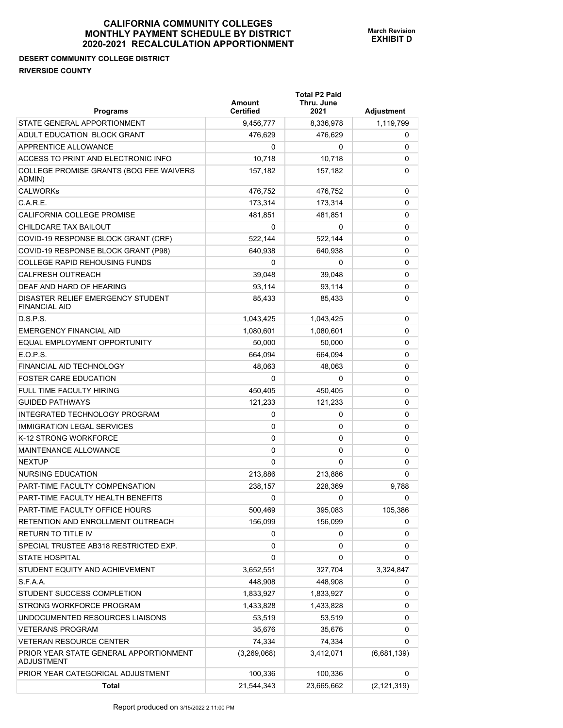## **DESERT COMMUNITY COLLEGE DISTRICT RIVERSIDE COUNTY**

| <b>Programs</b>                                             | Amount<br><b>Certified</b> | <b>Total P2 Paid</b><br>Thru. June<br>2021 | Adjustment    |
|-------------------------------------------------------------|----------------------------|--------------------------------------------|---------------|
| STATE GENERAL APPORTIONMENT                                 | 9,456,777                  | 8,336,978                                  | 1,119,799     |
| ADULT EDUCATION BLOCK GRANT                                 | 476,629                    | 476,629                                    | 0             |
| APPRENTICE ALLOWANCE                                        | 0                          | 0                                          | 0             |
| ACCESS TO PRINT AND ELECTRONIC INFO                         | 10,718                     | 10,718                                     | 0             |
| COLLEGE PROMISE GRANTS (BOG FEE WAIVERS<br>ADMIN)           | 157,182                    | 157,182                                    | 0             |
| <b>CALWORKs</b>                                             | 476,752                    | 476,752                                    | 0             |
| C.A.R.E.                                                    | 173,314                    | 173,314                                    | 0             |
| CALIFORNIA COLLEGE PROMISE                                  | 481,851                    | 481,851                                    | 0             |
| CHILDCARE TAX BAILOUT                                       | 0                          | 0                                          | 0             |
| COVID-19 RESPONSE BLOCK GRANT (CRF)                         | 522,144                    | 522,144                                    | 0             |
| COVID-19 RESPONSE BLOCK GRANT (P98)                         | 640,938                    | 640,938                                    | 0             |
| <b>COLLEGE RAPID REHOUSING FUNDS</b>                        | 0                          | 0                                          | 0             |
| <b>CALFRESH OUTREACH</b>                                    | 39,048                     | 39.048                                     | 0             |
| DEAF AND HARD OF HEARING                                    | 93,114                     | 93,114                                     | 0             |
| DISASTER RELIEF EMERGENCY STUDENT<br><b>FINANCIAL AID</b>   | 85,433                     | 85,433                                     | 0             |
| D.S.P.S.                                                    | 1,043,425                  | 1,043,425                                  | 0             |
| <b>EMERGENCY FINANCIAL AID</b>                              | 1,080,601                  | 1,080,601                                  | 0             |
| EQUAL EMPLOYMENT OPPORTUNITY                                | 50,000                     | 50,000                                     | 0             |
| E.O.P.S.                                                    | 664,094                    | 664,094                                    | 0             |
| FINANCIAL AID TECHNOLOGY                                    | 48,063                     | 48,063                                     | 0             |
| <b>FOSTER CARE EDUCATION</b>                                | 0                          | 0                                          | 0             |
| <b>FULL TIME FACULTY HIRING</b>                             | 450,405                    | 450,405                                    | 0             |
| <b>GUIDED PATHWAYS</b>                                      | 121,233                    | 121,233                                    | 0             |
| INTEGRATED TECHNOLOGY PROGRAM                               | 0                          | 0                                          | 0             |
| <b>IMMIGRATION LEGAL SERVICES</b>                           | 0                          | 0                                          | 0             |
| K-12 STRONG WORKFORCE                                       | 0                          | 0                                          | 0             |
| MAINTENANCE ALLOWANCE                                       | 0                          | 0                                          | 0             |
| <b>NEXTUP</b>                                               | 0                          | 0                                          | 0             |
| <b>NURSING EDUCATION</b>                                    | 213,886                    | 213,886                                    | 0             |
| PART-TIME FACULTY COMPENSATION                              | 238,157                    | 228,369                                    | 9,788         |
| PART-TIME FACULTY HEALTH BENEFITS                           | 0                          | 0                                          | 0             |
| PART-TIME FACULTY OFFICE HOURS                              | 500,469                    | 395,083                                    | 105,386       |
| RETENTION AND ENROLLMENT OUTREACH                           | 156,099                    | 156,099                                    | 0             |
| <b>RETURN TO TITLE IV</b>                                   | 0                          | 0                                          | 0             |
| SPECIAL TRUSTEE AB318 RESTRICTED EXP.                       | 0                          | 0                                          | 0             |
| <b>STATE HOSPITAL</b>                                       | 0                          | 0                                          | 0             |
| STUDENT EQUITY AND ACHIEVEMENT                              | 3,652,551                  | 327,704                                    | 3,324,847     |
| S.F.A.A.                                                    | 448,908                    | 448,908                                    | 0             |
| STUDENT SUCCESS COMPLETION                                  | 1,833,927                  | 1,833,927                                  | 0             |
| STRONG WORKFORCE PROGRAM                                    | 1,433,828                  | 1,433,828                                  | 0             |
| UNDOCUMENTED RESOURCES LIAISONS                             | 53,519                     | 53,519                                     | 0             |
| <b>VETERANS PROGRAM</b>                                     | 35,676                     | 35,676                                     | 0             |
| <b>VETERAN RESOURCE CENTER</b>                              | 74,334                     | 74,334                                     | 0             |
| PRIOR YEAR STATE GENERAL APPORTIONMENT<br><b>ADJUSTMENT</b> | (3,269,068)                | 3,412,071                                  | (6,681,139)   |
| PRIOR YEAR CATEGORICAL ADJUSTMENT                           | 100,336                    | 100,336                                    | 0             |
| Total                                                       | 21,544,343                 | 23,665,662                                 | (2, 121, 319) |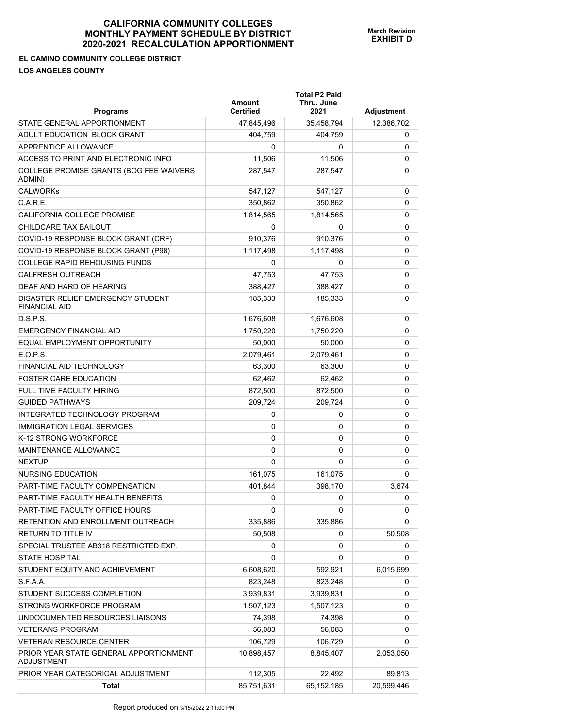**EL CAMINO COMMUNITY COLLEGE DISTRICT** 

**LOS ANGELES COUNTY** 

| <b>Programs</b>                                             | Amount<br><b>Certified</b> | <b>Total P2 Paid</b><br>Thru. June<br>2021 | Adjustment |
|-------------------------------------------------------------|----------------------------|--------------------------------------------|------------|
| STATE GENERAL APPORTIONMENT                                 | 47,845,496                 | 35,458,794                                 | 12,386,702 |
| ADULT EDUCATION BLOCK GRANT                                 | 404.759                    | 404.759                                    | 0          |
| APPRENTICE ALLOWANCE                                        | 0                          | 0                                          | 0          |
| ACCESS TO PRINT AND ELECTRONIC INFO                         | 11,506                     | 11,506                                     | 0          |
| COLLEGE PROMISE GRANTS (BOG FEE WAIVERS<br>ADMIN)           | 287,547                    | 287,547                                    | 0          |
| <b>CALWORKs</b>                                             | 547,127                    | 547,127                                    | 0          |
| C.A.R.E.                                                    | 350,862                    | 350,862                                    | 0          |
| <b>CALIFORNIA COLLEGE PROMISE</b>                           | 1,814,565                  | 1,814,565                                  | 0          |
| CHILDCARE TAX BAILOUT                                       | 0                          | 0                                          | 0          |
| COVID-19 RESPONSE BLOCK GRANT (CRF)                         | 910,376                    | 910,376                                    | 0          |
| COVID-19 RESPONSE BLOCK GRANT (P98)                         | 1,117,498                  | 1,117,498                                  | 0          |
| COLLEGE RAPID REHOUSING FUNDS                               | 0                          | 0                                          | 0          |
| <b>CALFRESH OUTREACH</b>                                    | 47,753                     | 47,753                                     | 0          |
| DEAF AND HARD OF HEARING                                    | 388.427                    | 388,427                                    | 0          |
| DISASTER RELIEF EMERGENCY STUDENT<br><b>FINANCIAL AID</b>   | 185,333                    | 185,333                                    | 0          |
| D.S.P.S.                                                    | 1,676,608                  | 1,676,608                                  | 0          |
| <b>EMERGENCY FINANCIAL AID</b>                              | 1,750,220                  | 1,750,220                                  | 0          |
| EQUAL EMPLOYMENT OPPORTUNITY                                | 50,000                     | 50,000                                     | 0          |
| E.O.P.S.                                                    | 2,079,461                  | 2,079,461                                  | 0          |
| FINANCIAL AID TECHNOLOGY                                    | 63,300                     | 63,300                                     | 0          |
| <b>FOSTER CARE EDUCATION</b>                                | 62,462                     | 62,462                                     | 0          |
| <b>FULL TIME FACULTY HIRING</b>                             | 872,500                    | 872,500                                    | 0          |
| <b>GUIDED PATHWAYS</b>                                      | 209,724                    | 209,724                                    | 0          |
| INTEGRATED TECHNOLOGY PROGRAM                               | 0                          | 0                                          | 0          |
| <b>IMMIGRATION LEGAL SERVICES</b>                           | 0                          | 0                                          | 0          |
| K-12 STRONG WORKFORCE                                       | 0                          | 0                                          | 0          |
| <b>MAINTENANCE ALLOWANCE</b>                                | 0                          | 0                                          | 0          |
| <b>NEXTUP</b>                                               | 0                          | $\Omega$                                   | 0          |
| NURSING EDUCATION                                           | 161,075                    | 161,075                                    | 0          |
| PART-TIME FACULTY COMPENSATION                              | 401,844                    | 398,170                                    | 3,674      |
| PART-TIME FACULTY HEALTH BENEFITS                           | 0                          | 0                                          | 0          |
| PART-TIME FACULTY OFFICE HOURS                              | 0                          | 0                                          | 0          |
| RETENTION AND ENROLLMENT OUTREACH                           | 335,886                    | 335,886                                    | 0          |
| RETURN TO TITLE IV                                          | 50,508                     | 0                                          | 50,508     |
| SPECIAL TRUSTEE AB318 RESTRICTED EXP.                       | 0                          | 0                                          | 0          |
| <b>STATE HOSPITAL</b>                                       | 0                          | 0                                          | 0          |
| STUDENT EQUITY AND ACHIEVEMENT                              | 6,608,620                  | 592,921                                    | 6,015,699  |
| S.F.A.A.                                                    | 823,248                    | 823,248                                    | 0          |
| STUDENT SUCCESS COMPLETION                                  | 3,939,831                  | 3,939,831                                  | 0          |
| STRONG WORKFORCE PROGRAM                                    | 1,507,123                  | 1,507,123                                  | 0          |
| UNDOCUMENTED RESOURCES LIAISONS                             | 74,398                     | 74,398                                     | 0          |
| <b>VETERANS PROGRAM</b>                                     | 56,083                     | 56,083                                     | 0          |
| <b>VETERAN RESOURCE CENTER</b>                              | 106,729                    | 106,729                                    | 0          |
| PRIOR YEAR STATE GENERAL APPORTIONMENT<br><b>ADJUSTMENT</b> | 10,898,457                 | 8,845,407                                  | 2,053,050  |
| PRIOR YEAR CATEGORICAL ADJUSTMENT                           | 112,305                    | 22,492                                     | 89,813     |
| Total                                                       | 85,751,631                 | 65,152,185                                 | 20,599,446 |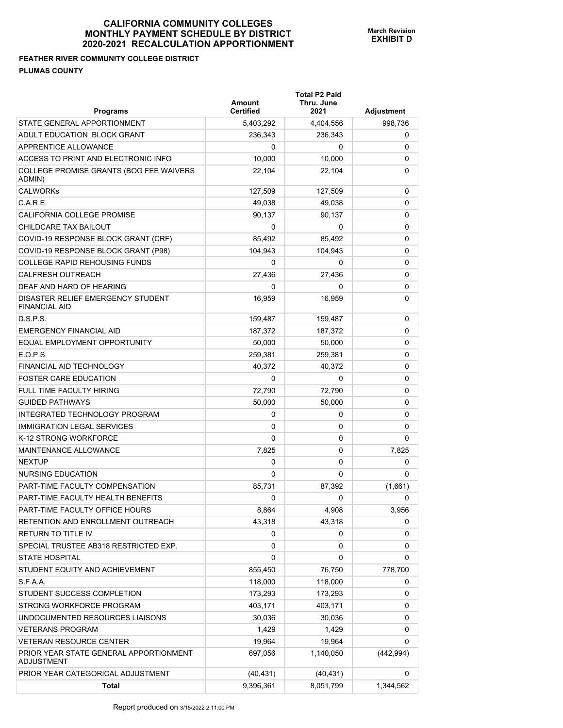**Total P2 Paid** 

## **FEATHER RIVER COMMUNITY COLLEGE DISTRICT PLUMAS COUNTY**

| <b>Programs</b>                                             | Amount<br><b>Certified</b> | Thru. June<br>2021 | Adjustment |
|-------------------------------------------------------------|----------------------------|--------------------|------------|
| STATE GENERAL APPORTIONMENT                                 | 5,403,292                  | 4,404,556          | 998,736    |
| ADULT EDUCATION BLOCK GRANT                                 | 236,343                    | 236,343            | 0          |
| APPRENTICE ALLOWANCE                                        | 0                          | 0                  | 0          |
| ACCESS TO PRINT AND ELECTRONIC INFO                         | 10.000                     | 10,000             | 0          |
| COLLEGE PROMISE GRANTS (BOG FEE WAIVERS<br>ADMIN)           | 22,104                     | 22,104             | 0          |
| <b>CALWORKs</b>                                             | 127,509                    | 127,509            | 0          |
| C.A.R.E.                                                    | 49,038                     | 49,038             | 0          |
| CALIFORNIA COLLEGE PROMISE                                  | 90,137                     | 90,137             | 0          |
| CHILDCARE TAX BAILOUT                                       | 0                          | 0                  | 0          |
| COVID-19 RESPONSE BLOCK GRANT (CRF)                         | 85,492                     | 85,492             | 0          |
| COVID-19 RESPONSE BLOCK GRANT (P98)                         | 104,943                    | 104,943            | 0          |
| <b>COLLEGE RAPID REHOUSING FUNDS</b>                        | 0                          | 0                  | 0          |
| <b>CALFRESH OUTREACH</b>                                    | 27,436                     | 27,436             | 0          |
| DEAF AND HARD OF HEARING                                    | 0                          | 0                  | 0          |
| DISASTER RELIEF EMERGENCY STUDENT<br><b>FINANCIAL AID</b>   | 16,959                     | 16,959             | 0          |
| D.S.P.S.                                                    | 159,487                    | 159,487            | 0          |
| <b>EMERGENCY FINANCIAL AID</b>                              | 187,372                    | 187,372            | 0          |
| EQUAL EMPLOYMENT OPPORTUNITY                                | 50,000                     | 50,000             | 0          |
| E.O.P.S.                                                    | 259,381                    | 259,381            | 0          |
| FINANCIAL AID TECHNOLOGY                                    | 40,372                     | 40,372             | 0          |
| <b>FOSTER CARE EDUCATION</b>                                | 0                          | 0                  | 0          |
| <b>FULL TIME FACULTY HIRING</b>                             | 72,790                     | 72,790             | 0          |
| <b>GUIDED PATHWAYS</b>                                      | 50,000                     | 50,000             | 0          |
| INTEGRATED TECHNOLOGY PROGRAM                               | 0                          | 0                  | 0          |
| <b>IMMIGRATION LEGAL SERVICES</b>                           | 0                          | 0                  | 0          |
| K-12 STRONG WORKFORCE                                       | 0                          | 0                  | 0          |
| MAINTENANCE ALLOWANCE                                       | 7,825                      | 0                  | 7,825      |
| <b>NEXTUP</b>                                               | 0                          | 0                  | 0          |
| <b>NURSING EDUCATION</b>                                    | 0                          | 0                  | 0          |
| PART-TIME FACULTY COMPENSATION                              | 85,731                     | 87,392             | (1,661)    |
| PART-TIME FACULTY HEALTH BENEFITS                           | 0                          | 0                  | 0          |
| PART-TIME FACULTY OFFICE HOURS                              | 8,864                      | 4,908              | 3,956      |
| RETENTION AND ENROLLMENT OUTREACH                           | 43,318                     | 43,318             | 0          |
| RETURN TO TITLE IV                                          | 0                          | 0                  | 0          |
| SPECIAL TRUSTEE AB318 RESTRICTED EXP.                       | 0                          | 0                  | 0          |
| <b>STATE HOSPITAL</b>                                       | 0                          | 0                  | 0          |
| STUDENT EQUITY AND ACHIEVEMENT                              | 855,450                    | 76,750             | 778,700    |
| S.F.A.A.                                                    | 118,000                    | 118,000            | 0          |
| STUDENT SUCCESS COMPLETION                                  | 173,293                    | 173,293            | 0          |
| STRONG WORKFORCE PROGRAM                                    | 403,171                    | 403,171            | 0          |
| UNDOCUMENTED RESOURCES LIAISONS                             | 30,036                     | 30,036             | 0          |
| <b>VETERANS PROGRAM</b>                                     | 1,429                      | 1,429              | 0          |
| <b>VETERAN RESOURCE CENTER</b>                              | 19,964                     | 19,964             | 0          |
| PRIOR YEAR STATE GENERAL APPORTIONMENT<br><b>ADJUSTMENT</b> | 697,056                    | 1,140,050          | (442, 994) |
| PRIOR YEAR CATEGORICAL ADJUSTMENT                           | (40, 431)                  | (40, 431)          | 0          |
| <b>Total</b>                                                | 9,396,361                  | 8,051,799          | 1,344,562  |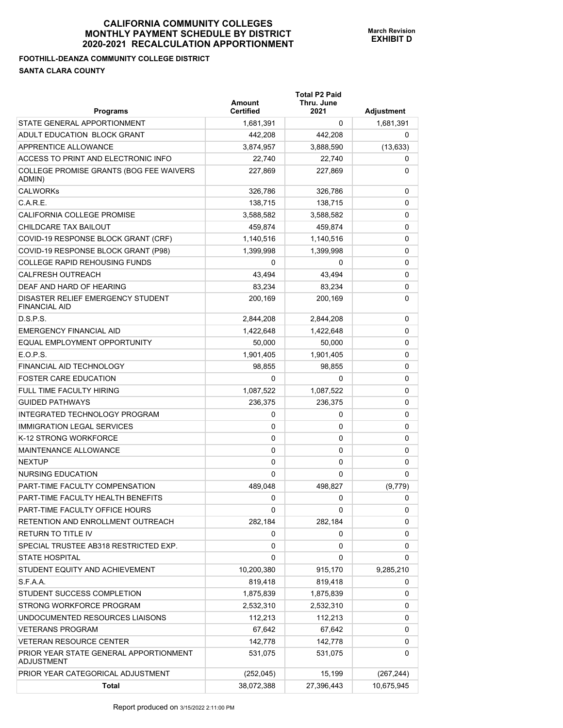## **FOOTHILL-DEANZA COMMUNITY COLLEGE DISTRICT SANTA CLARA COUNTY**

| <b>Programs</b>                                             | Amount<br><b>Certified</b> | <b>Total P2 Paid</b><br>Thru. June<br>2021 | Adjustment |
|-------------------------------------------------------------|----------------------------|--------------------------------------------|------------|
| STATE GENERAL APPORTIONMENT                                 | 1,681,391                  | 0                                          | 1,681,391  |
| ADULT EDUCATION BLOCK GRANT                                 | 442,208                    | 442,208                                    | 0          |
| APPRENTICE ALLOWANCE                                        | 3,874,957                  | 3,888,590                                  | (13, 633)  |
| ACCESS TO PRINT AND ELECTRONIC INFO                         | 22,740                     | 22,740                                     | 0          |
| COLLEGE PROMISE GRANTS (BOG FEE WAIVERS<br>ADMIN)           | 227,869                    | 227,869                                    | 0          |
| <b>CALWORKs</b>                                             | 326,786                    | 326,786                                    | 0          |
| C.A.R.E.                                                    | 138,715                    | 138.715                                    | 0          |
| CALIFORNIA COLLEGE PROMISE                                  | 3,588,582                  | 3,588,582                                  | 0          |
| CHILDCARE TAX BAILOUT                                       | 459,874                    | 459,874                                    | 0          |
| COVID-19 RESPONSE BLOCK GRANT (CRF)                         | 1,140,516                  | 1,140,516                                  | 0          |
| COVID-19 RESPONSE BLOCK GRANT (P98)                         | 1,399,998                  | 1,399,998                                  | 0          |
| <b>COLLEGE RAPID REHOUSING FUNDS</b>                        | 0                          | 0                                          | 0          |
| <b>CALFRESH OUTREACH</b>                                    | 43.494                     | 43,494                                     | 0          |
| DEAF AND HARD OF HEARING                                    | 83,234                     | 83,234                                     | 0          |
| DISASTER RELIEF EMERGENCY STUDENT<br><b>FINANCIAL AID</b>   | 200.169                    | 200,169                                    | 0          |
| D.S.P.S.                                                    | 2,844,208                  | 2,844,208                                  | 0          |
| <b>EMERGENCY FINANCIAL AID</b>                              | 1,422,648                  | 1,422,648                                  | 0          |
| EQUAL EMPLOYMENT OPPORTUNITY                                | 50,000                     | 50,000                                     | 0          |
| E.O.P.S.                                                    | 1,901,405                  | 1,901,405                                  | 0          |
| FINANCIAL AID TECHNOLOGY                                    | 98,855                     | 98,855                                     | 0          |
| <b>FOSTER CARE EDUCATION</b>                                | 0                          | 0                                          | 0          |
| <b>FULL TIME FACULTY HIRING</b>                             | 1,087,522                  | 1,087,522                                  | 0          |
| <b>GUIDED PATHWAYS</b>                                      | 236,375                    | 236,375                                    | 0          |
| INTEGRATED TECHNOLOGY PROGRAM                               | 0                          | 0                                          | 0          |
| <b>IMMIGRATION LEGAL SERVICES</b>                           | 0                          | 0                                          | 0          |
| K-12 STRONG WORKFORCE                                       | 0                          | 0                                          | 0          |
| MAINTENANCE ALLOWANCE                                       | 0                          | 0                                          | 0          |
| <b>NEXTUP</b>                                               | 0                          | 0                                          | 0          |
| NURSING EDUCATION                                           | 0                          | 0                                          | 0          |
| PART-TIME FACULTY COMPENSATION                              | 489,048                    | 498.827                                    | (9,779)    |
| PART-TIME FACULTY HEALTH BENEFITS                           | 0                          | 0                                          | 0          |
| PART-TIME FACULTY OFFICE HOURS                              | 0                          | 0                                          | 0          |
| RETENTION AND ENROLLMENT OUTREACH                           | 282,184                    | 282,184                                    | 0          |
| RETURN TO TITLE IV                                          | 0                          | 0                                          | 0          |
| SPECIAL TRUSTEE AB318 RESTRICTED EXP.                       | 0                          | 0                                          | 0          |
| <b>STATE HOSPITAL</b>                                       | 0                          | 0                                          | 0          |
| STUDENT EQUITY AND ACHIEVEMENT                              | 10,200,380                 | 915,170                                    | 9,285,210  |
| S.F.A.A.                                                    | 819,418                    | 819,418                                    | 0          |
| STUDENT SUCCESS COMPLETION                                  | 1,875,839                  | 1,875,839                                  | 0          |
| STRONG WORKFORCE PROGRAM                                    | 2,532,310                  | 2,532,310                                  | 0          |
| UNDOCUMENTED RESOURCES LIAISONS                             | 112,213                    | 112,213                                    | 0          |
| <b>VETERANS PROGRAM</b>                                     | 67,642                     | 67,642                                     | 0          |
| <b>VETERAN RESOURCE CENTER</b>                              | 142,778                    | 142,778                                    | 0          |
| PRIOR YEAR STATE GENERAL APPORTIONMENT<br><b>ADJUSTMENT</b> | 531,075                    | 531,075                                    | 0          |
| PRIOR YEAR CATEGORICAL ADJUSTMENT                           | (252, 045)                 | 15,199                                     | (267, 244) |
| <b>Total</b>                                                | 38,072,388                 | 27,396,443                                 | 10,675,945 |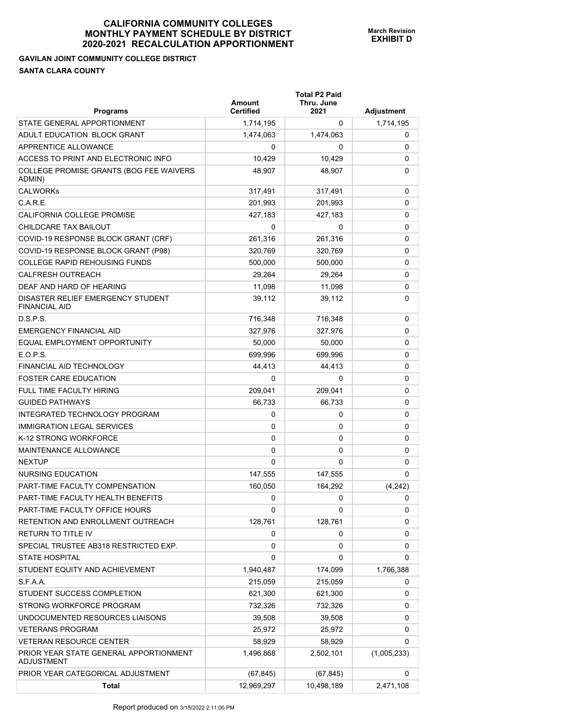## **GAVILAN JOINT COMMUNITY COLLEGE DISTRICT SANTA CLARA COUNTY**

| <b>Programs</b>                                           | <b>Amount</b><br>Certified | <b>Total P2 Paid</b><br>Thru. June<br>2021 | Adjustment  |
|-----------------------------------------------------------|----------------------------|--------------------------------------------|-------------|
| STATE GENERAL APPORTIONMENT                               | 1,714,195                  | 0                                          | 1,714,195   |
| ADULT EDUCATION BLOCK GRANT                               | 1,474,063                  | 1,474,063                                  | 0           |
| <b>APPRENTICE ALLOWANCE</b>                               | 0                          | 0                                          | 0           |
| ACCESS TO PRINT AND ELECTRONIC INFO                       | 10,429                     | 10,429                                     | 0           |
| COLLEGE PROMISE GRANTS (BOG FEE WAIVERS<br>ADMIN)         | 48,907                     | 48,907                                     | 0           |
| <b>CALWORKs</b>                                           | 317,491                    | 317,491                                    | 0           |
| C.A.R.E.                                                  | 201,993                    | 201,993                                    | 0           |
| CALIFORNIA COLLEGE PROMISE                                | 427,183                    | 427,183                                    | 0           |
| CHILDCARE TAX BAILOUT                                     | 0                          | 0                                          | 0           |
| COVID-19 RESPONSE BLOCK GRANT (CRF)                       | 261,316                    | 261,316                                    | 0           |
| COVID-19 RESPONSE BLOCK GRANT (P98)                       | 320,769                    | 320,769                                    | 0           |
| <b>COLLEGE RAPID REHOUSING FUNDS</b>                      | 500,000                    | 500,000                                    | 0           |
| <b>CALFRESH OUTREACH</b>                                  | 29,264                     | 29,264                                     | 0           |
| DEAF AND HARD OF HEARING                                  | 11,098                     | 11,098                                     | 0           |
| DISASTER RELIEF EMERGENCY STUDENT<br><b>FINANCIAL AID</b> | 39,112                     | 39,112                                     | 0           |
| D.S.P.S.                                                  | 716.348                    | 716,348                                    | 0           |
| EMERGENCY FINANCIAL AID                                   | 327,976                    | 327,976                                    | 0           |
| EQUAL EMPLOYMENT OPPORTUNITY                              | 50,000                     | 50,000                                     | 0           |
| E.O.P.S.                                                  | 699.996                    | 699.996                                    | 0           |
| <b>FINANCIAL AID TECHNOLOGY</b>                           | 44,413                     | 44,413                                     | 0           |
| <b>FOSTER CARE EDUCATION</b>                              | $\Omega$                   | 0                                          | 0           |
| <b>FULL TIME FACULTY HIRING</b>                           | 209,041                    | 209,041                                    | 0           |
| <b>GUIDED PATHWAYS</b>                                    | 66,733                     | 66,733                                     | 0           |
| INTEGRATED TECHNOLOGY PROGRAM                             | 0                          | 0                                          | 0           |
| <b>IMMIGRATION LEGAL SERVICES</b>                         | 0                          | 0                                          | 0           |
| K-12 STRONG WORKFORCE                                     | 0                          | 0                                          | 0           |
| <b>MAINTENANCE ALLOWANCE</b>                              | $\Omega$                   | 0                                          | 0           |
| <b>NEXTUP</b>                                             | $\Omega$                   | $\Omega$                                   | 0           |
| <b>NURSING EDUCATION</b>                                  | 147,555                    | 147,555                                    | 0           |
| PART-TIME FACULTY COMPENSATION                            | 160,050                    | 164,292                                    | (4,242)     |
| PART-TIME FACULTY HEALTH BENEFITS                         | 0                          | 0                                          | 0           |
| PART-TIME FACULTY OFFICE HOURS                            | 0                          | 0                                          | 0           |
| RETENTION AND ENROLLMENT OUTREACH                         | 128,761                    | 128,761                                    | 0           |
| RETURN TO TITLE IV                                        | 0                          | 0                                          | 0           |
| SPECIAL TRUSTEE AB318 RESTRICTED EXP.                     | 0                          | 0                                          | 0           |
| <b>STATE HOSPITAL</b>                                     | 0                          | 0                                          | 0           |
| STUDENT EQUITY AND ACHIEVEMENT                            | 1,940,487                  | 174,099                                    | 1,766,388   |
| S.F.A.A.                                                  | 215,059                    | 215,059                                    | 0           |
| STUDENT SUCCESS COMPLETION                                | 621,300                    | 621,300                                    | 0           |
| STRONG WORKFORCE PROGRAM                                  | 732,326                    | 732,326                                    | 0           |
| UNDOCUMENTED RESOURCES LIAISONS                           | 39,508                     | 39,508                                     | 0           |
| <b>VETERANS PROGRAM</b>                                   | 25,972                     | 25,972                                     | 0           |
| VETERAN RESOURCE CENTER                                   | 58,929                     | 58,929                                     | 0           |
| PRIOR YEAR STATE GENERAL APPORTIONMENT<br>ADJUSTMENT      | 1,496,868                  | 2,502,101                                  | (1,005,233) |
| PRIOR YEAR CATEGORICAL ADJUSTMENT                         | (67, 845)                  | (67, 845)                                  | 0           |
| Total                                                     | 12,969,297                 | 10,498,189                                 | 2,471,108   |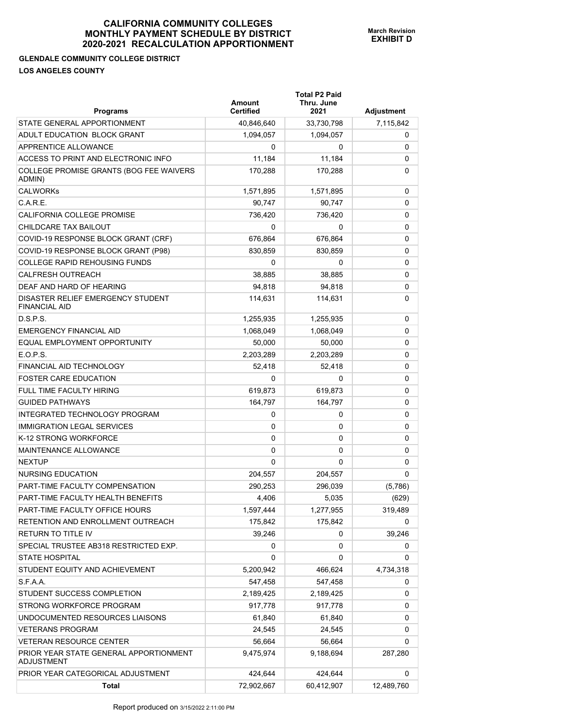## **GLENDALE COMMUNITY COLLEGE DISTRICT LOS ANGELES COUNTY**

| <b>Programs</b>                                           | Amount<br><b>Certified</b> | <b>Total P2 Paid</b><br>Thru. June<br>2021 | Adjustment |
|-----------------------------------------------------------|----------------------------|--------------------------------------------|------------|
| STATE GENERAL APPORTIONMENT                               | 40,846,640                 | 33,730,798                                 | 7,115,842  |
| ADULT EDUCATION BLOCK GRANT                               | 1,094,057                  | 1,094,057                                  | 0          |
| APPRENTICE ALLOWANCE                                      | $\Omega$                   | 0                                          | 0          |
| ACCESS TO PRINT AND ELECTRONIC INFO                       | 11,184                     | 11,184                                     | 0          |
| COLLEGE PROMISE GRANTS (BOG FEE WAIVERS<br>ADMIN)         | 170,288                    | 170,288                                    | 0          |
| <b>CALWORKs</b>                                           | 1,571,895                  | 1,571,895                                  | 0          |
| $C$ A R F                                                 | 90,747                     | 90.747                                     | 0          |
| <b>CALIFORNIA COLLEGE PROMISE</b>                         | 736,420                    | 736,420                                    | 0          |
| CHILDCARE TAX BAILOUT                                     | 0                          | 0                                          | 0          |
| COVID-19 RESPONSE BLOCK GRANT (CRF)                       | 676,864                    | 676,864                                    | 0          |
| COVID-19 RESPONSE BLOCK GRANT (P98)                       | 830,859                    | 830,859                                    | 0          |
| <b>COLLEGE RAPID REHOUSING FUNDS</b>                      | 0                          | 0                                          | 0          |
| <b>CALFRESH OUTREACH</b>                                  | 38,885                     | 38,885                                     | 0          |
| DEAF AND HARD OF HEARING                                  | 94.818                     | 94,818                                     | 0          |
| DISASTER RELIEF EMERGENCY STUDENT<br><b>FINANCIAL AID</b> | 114,631                    | 114,631                                    | 0          |
| D.S.P.S.                                                  | 1,255,935                  | 1,255,935                                  | 0          |
| <b>EMERGENCY FINANCIAL AID</b>                            | 1,068,049                  | 1,068,049                                  | 0          |
| EQUAL EMPLOYMENT OPPORTUNITY                              | 50,000                     | 50,000                                     | 0          |
| E.O.P.S.                                                  | 2,203,289                  | 2,203,289                                  | 0          |
| FINANCIAL AID TECHNOLOGY                                  | 52,418                     | 52,418                                     | 0          |
| <b>FOSTER CARE EDUCATION</b>                              | 0                          | 0                                          | 0          |
| FULL TIME FACULTY HIRING                                  | 619,873                    | 619,873                                    | 0          |
| <b>GUIDED PATHWAYS</b>                                    | 164,797                    | 164,797                                    | 0          |
| INTEGRATED TECHNOLOGY PROGRAM                             | 0                          | 0                                          | 0          |
| <b>IMMIGRATION LEGAL SERVICES</b>                         | 0                          | 0                                          | 0          |
| K-12 STRONG WORKFORCE                                     | 0                          | 0                                          | 0          |
| MAINTENANCE ALLOWANCE                                     | 0                          | 0                                          | 0          |
| <b>NEXTUP</b>                                             | 0                          | 0                                          | 0          |
| NURSING EDUCATION                                         | 204.557                    | 204,557                                    | 0          |
| PART-TIME FACULTY COMPENSATION                            | 290,253                    | 296,039                                    | (5,786)    |
| PART-TIME FACULTY HEALTH BENEFITS                         | 4,406                      | 5,035                                      | (629)      |
| PART-TIME FACULTY OFFICE HOURS                            | 1,597,444                  | 1,277,955                                  | 319,489    |
| RETENTION AND ENROLLMENT OUTREACH                         | 175,842                    | 175,842                                    | 0          |
| RETURN TO TITLE IV                                        | 39,246                     | 0                                          | 39,246     |
| SPECIAL TRUSTEE AB318 RESTRICTED EXP.                     | 0                          | 0                                          | 0          |
| <b>STATE HOSPITAL</b>                                     | 0                          | 0                                          | 0          |
| STUDENT EQUITY AND ACHIEVEMENT                            | 5,200,942                  | 466,624                                    | 4,734,318  |
| S.F.A.A.                                                  | 547,458                    | 547,458                                    | 0          |
| STUDENT SUCCESS COMPLETION                                | 2,189,425                  | 2,189,425                                  | 0          |
| STRONG WORKFORCE PROGRAM                                  | 917,778                    | 917,778                                    | 0          |
| UNDOCUMENTED RESOURCES LIAISONS                           | 61,840                     | 61,840                                     | 0          |
| <b>VETERANS PROGRAM</b>                                   | 24,545                     | 24,545                                     | 0          |
| <b>VETERAN RESOURCE CENTER</b>                            | 56,664                     | 56,664                                     | 0          |
| PRIOR YEAR STATE GENERAL APPORTIONMENT<br>ADJUSTMENT      | 9,475,974                  | 9,188,694                                  | 287,280    |
| PRIOR YEAR CATEGORICAL ADJUSTMENT                         | 424,644                    | 424,644                                    | 0          |
| <b>Total</b>                                              | 72,902,667                 | 60,412,907                                 | 12,489,760 |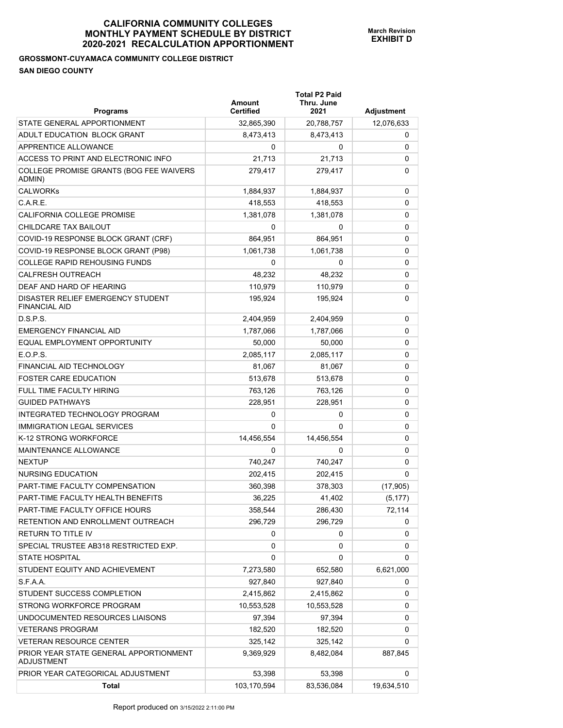## **GROSSMONT-CUYAMACA COMMUNITY COLLEGE DISTRICT SAN DIEGO COUNTY**

| <b>Programs</b>                                           | Amount<br><b>Certified</b> | <b>Total P2 Paid</b><br>Thru. June<br>2021 | Adjustment |
|-----------------------------------------------------------|----------------------------|--------------------------------------------|------------|
| STATE GENERAL APPORTIONMENT                               | 32,865,390                 | 20,788,757                                 | 12,076,633 |
| ADULT EDUCATION BLOCK GRANT                               | 8.473.413                  | 8,473,413                                  | 0          |
| APPRENTICE ALLOWANCE                                      | 0                          | 0                                          | 0          |
| ACCESS TO PRINT AND ELECTRONIC INFO                       | 21,713                     | 21,713                                     | 0          |
| COLLEGE PROMISE GRANTS (BOG FEE WAIVERS<br>ADMIN)         | 279,417                    | 279,417                                    | 0          |
| <b>CALWORKs</b>                                           | 1,884,937                  | 1,884,937                                  | 0          |
| C.A.R.E.                                                  | 418,553                    | 418,553                                    | 0          |
| <b>CALIFORNIA COLLEGE PROMISE</b>                         | 1,381,078                  | 1,381,078                                  | 0          |
| CHILDCARE TAX BAILOUT                                     | 0                          | 0                                          | 0          |
| COVID-19 RESPONSE BLOCK GRANT (CRF)                       | 864,951                    | 864,951                                    | 0          |
| COVID-19 RESPONSE BLOCK GRANT (P98)                       | 1,061,738                  | 1,061,738                                  | 0          |
| COLLEGE RAPID REHOUSING FUNDS                             | 0                          | 0                                          | 0          |
| <b>CALFRESH OUTREACH</b>                                  | 48,232                     | 48,232                                     | 0          |
| DEAF AND HARD OF HEARING                                  | 110,979                    | 110,979                                    | 0          |
| DISASTER RELIEF EMERGENCY STUDENT<br><b>FINANCIAL AID</b> | 195,924                    | 195,924                                    | 0          |
| D.S.P.S.                                                  | 2,404,959                  | 2,404,959                                  | 0          |
| <b>EMERGENCY FINANCIAL AID</b>                            | 1,787,066                  | 1,787,066                                  | 0          |
| EQUAL EMPLOYMENT OPPORTUNITY                              | 50,000                     | 50,000                                     | 0          |
| E.O.P.S.                                                  | 2,085,117                  | 2,085,117                                  | 0          |
| FINANCIAL AID TECHNOLOGY                                  | 81,067                     | 81,067                                     | 0          |
| <b>FOSTER CARE EDUCATION</b>                              | 513,678                    | 513,678                                    | 0          |
| FULL TIME FACULTY HIRING                                  | 763,126                    | 763,126                                    | 0          |
| <b>GUIDED PATHWAYS</b>                                    | 228,951                    | 228,951                                    | 0          |
| INTEGRATED TECHNOLOGY PROGRAM                             | 0                          | 0                                          | 0          |
| <b>IMMIGRATION LEGAL SERVICES</b>                         | $\Omega$                   | 0                                          | 0          |
| K-12 STRONG WORKFORCE                                     | 14,456,554                 | 14,456,554                                 | 0          |
| <b>MAINTENANCE ALLOWANCE</b>                              | 0                          | 0                                          | 0          |
| <b>NEXTUP</b>                                             | 740.247                    | 740,247                                    | 0          |
| NURSING EDUCATION                                         | 202,415                    | 202,415                                    | 0          |
| PART-TIME FACULTY COMPENSATION                            | 360,398                    | 378,303                                    | (17, 905)  |
| PART-TIME FACULTY HEALTH BENEFITS                         | 36,225                     | 41,402                                     | (5, 177)   |
| PART-TIME FACULTY OFFICE HOURS                            | 358,544                    | 286,430                                    | 72,114     |
| RETENTION AND ENROLLMENT OUTREACH                         | 296,729                    | 296,729                                    | 0          |
| <b>RETURN TO TITLE IV</b>                                 | 0                          | 0                                          | 0          |
| SPECIAL TRUSTEE AB318 RESTRICTED EXP.                     | 0                          | 0                                          | 0          |
| <b>STATE HOSPITAL</b>                                     | 0                          | 0                                          | 0          |
| STUDENT EQUITY AND ACHIEVEMENT                            | 7,273,580                  | 652,580                                    | 6,621,000  |
| S.F.A.A.                                                  | 927,840                    | 927,840                                    | 0          |
| STUDENT SUCCESS COMPLETION                                | 2,415,862                  | 2,415,862                                  | 0          |
| STRONG WORKFORCE PROGRAM                                  | 10,553,528                 | 10,553,528                                 | 0          |
| UNDOCUMENTED RESOURCES LIAISONS                           | 97,394                     | 97,394                                     | 0          |
| <b>VETERANS PROGRAM</b>                                   | 182,520                    | 182,520                                    | 0          |
| VETERAN RESOURCE CENTER                                   | 325,142                    | 325,142                                    | 0          |
| PRIOR YEAR STATE GENERAL APPORTIONMENT<br>ADJUSTMENT      | 9,369,929                  | 8,482,084                                  | 887,845    |
| PRIOR YEAR CATEGORICAL ADJUSTMENT                         | 53,398                     | 53,398                                     | 0          |
| <b>Total</b>                                              | 103,170,594                | 83,536,084                                 | 19,634,510 |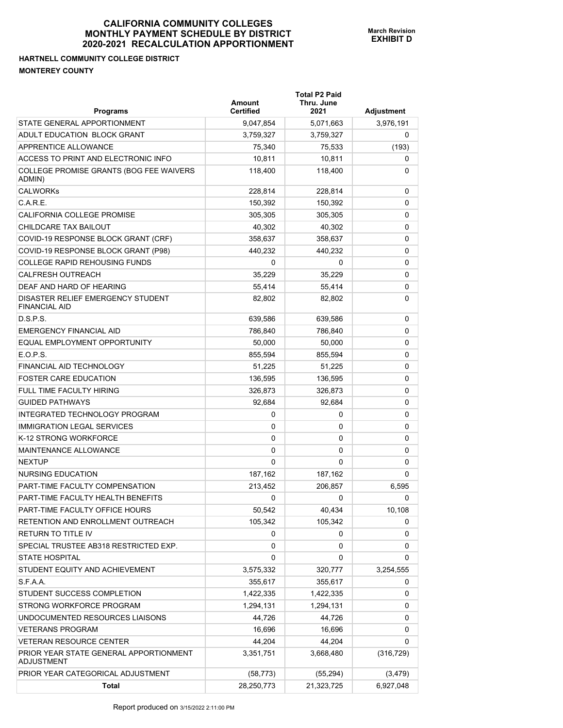## **HARTNELL COMMUNITY COLLEGE DISTRICT MONTEREY COUNTY**

| <b>Programs</b>                                           | Amount<br><b>Certified</b> | <b>Total P2 Paid</b><br>Thru. June<br>2021 | <b>Adjustment</b> |
|-----------------------------------------------------------|----------------------------|--------------------------------------------|-------------------|
| STATE GENERAL APPORTIONMENT                               | 9,047,854                  | 5,071,663                                  | 3,976,191         |
| ADULT EDUCATION BLOCK GRANT                               | 3,759,327                  | 3,759,327                                  | 0                 |
| APPRENTICE ALLOWANCE                                      | 75,340                     | 75,533                                     | (193)             |
| ACCESS TO PRINT AND ELECTRONIC INFO                       | 10,811                     | 10,811                                     | 0                 |
| COLLEGE PROMISE GRANTS (BOG FEE WAIVERS<br>ADMIN)         | 118,400                    | 118,400                                    | 0                 |
| <b>CALWORKs</b>                                           | 228,814                    | 228,814                                    | 0                 |
| C.A.R.E.                                                  | 150,392                    | 150,392                                    | 0                 |
| <b>CALIFORNIA COLLEGE PROMISE</b>                         | 305,305                    | 305.305                                    | 0                 |
| CHILDCARE TAX BAILOUT                                     | 40,302                     | 40,302                                     | 0                 |
| COVID-19 RESPONSE BLOCK GRANT (CRF)                       | 358,637                    | 358,637                                    | 0                 |
| COVID-19 RESPONSE BLOCK GRANT (P98)                       | 440,232                    | 440,232                                    | 0                 |
| <b>COLLEGE RAPID REHOUSING FUNDS</b>                      | 0                          | 0                                          | 0                 |
| <b>CALFRESH OUTREACH</b>                                  | 35.229                     | 35,229                                     | 0                 |
| DEAF AND HARD OF HEARING                                  | 55,414                     | 55.414                                     | 0                 |
| DISASTER RELIEF EMERGENCY STUDENT<br><b>FINANCIAL AID</b> | 82,802                     | 82,802                                     | 0                 |
| D.S.P.S.                                                  | 639,586                    | 639,586                                    | 0                 |
| <b>EMERGENCY FINANCIAL AID</b>                            | 786.840                    | 786,840                                    | 0                 |
| EQUAL EMPLOYMENT OPPORTUNITY                              | 50,000                     | 50,000                                     | 0                 |
| E.O.P.S.                                                  | 855,594                    | 855,594                                    | 0                 |
| <b>FINANCIAL AID TECHNOLOGY</b>                           | 51,225                     | 51,225                                     | 0                 |
| <b>FOSTER CARE EDUCATION</b>                              | 136,595                    | 136,595                                    | 0                 |
| <b>FULL TIME FACULTY HIRING</b>                           | 326,873                    | 326,873                                    | 0                 |
| <b>GUIDED PATHWAYS</b>                                    | 92,684                     | 92,684                                     | 0                 |
| INTEGRATED TECHNOLOGY PROGRAM                             | 0                          | 0                                          | 0                 |
| <b>IMMIGRATION LEGAL SERVICES</b>                         | 0                          | 0                                          | 0                 |
| K-12 STRONG WORKFORCE                                     | 0                          | 0                                          | 0                 |
| <b>MAINTENANCE ALLOWANCE</b>                              | 0                          | 0                                          | 0                 |
| <b>NEXTUP</b>                                             | 0                          | 0                                          | 0                 |
| NURSING EDUCATION                                         | 187,162                    | 187,162                                    | 0                 |
| PART-TIME FACULTY COMPENSATION                            | 213,452                    | 206,857                                    | 6,595             |
| PART-TIME FACULTY HEALTH BENEFITS                         | 0                          | 0                                          | 0                 |
| PART-TIME FACULTY OFFICE HOURS                            | 50,542                     | 40,434                                     | 10,108            |
| RETENTION AND ENROLLMENT OUTREACH                         | 105,342                    | 105,342                                    | 0                 |
| RETURN TO TITLE IV                                        | 0                          | 0                                          | 0                 |
| SPECIAL TRUSTEE AB318 RESTRICTED EXP.                     | 0                          | 0                                          | 0                 |
| <b>STATE HOSPITAL</b>                                     | 0                          | 0                                          | 0                 |
| STUDENT EQUITY AND ACHIEVEMENT                            | 3,575,332                  | 320,777                                    | 3,254,555         |
| S.F.A.A.                                                  | 355,617                    | 355,617                                    | 0                 |
| STUDENT SUCCESS COMPLETION                                | 1,422,335                  | 1,422,335                                  | 0                 |
| STRONG WORKFORCE PROGRAM                                  | 1,294,131                  | 1,294,131                                  | 0                 |
| UNDOCUMENTED RESOURCES LIAISONS                           | 44,726                     | 44,726                                     | 0                 |
| <b>VETERANS PROGRAM</b>                                   | 16,696                     | 16,696                                     | 0                 |
| VETERAN RESOURCE CENTER                                   | 44,204                     | 44,204                                     | 0                 |
| PRIOR YEAR STATE GENERAL APPORTIONMENT<br>ADJUSTMENT      | 3,351,751                  | 3,668,480                                  | (316, 729)        |
| PRIOR YEAR CATEGORICAL ADJUSTMENT                         | (58, 773)                  | (55, 294)                                  | (3, 479)          |
| Total                                                     | 28,250,773                 | 21,323,725                                 | 6,927,048         |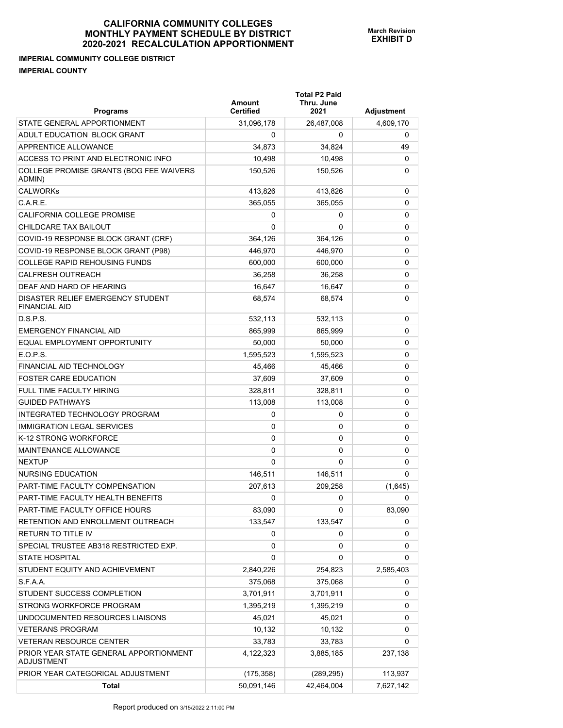**Total P2 Paid** 

**IMPERIAL COMMUNITY COLLEGE DISTRICT IMPERIAL COUNTY** 

| <b>Programs</b>                                             | Amount<br><b>Certified</b> | Thru. June<br>2021 | <b>Adjustment</b> |
|-------------------------------------------------------------|----------------------------|--------------------|-------------------|
| STATE GENERAL APPORTIONMENT                                 | 31,096,178                 | 26,487,008         | 4,609,170         |
| ADULT EDUCATION BLOCK GRANT                                 | 0                          | 0                  | 0                 |
| APPRENTICE ALLOWANCE                                        | 34,873                     | 34,824             | 49                |
| ACCESS TO PRINT AND ELECTRONIC INFO                         | 10,498                     | 10,498             | 0                 |
| COLLEGE PROMISE GRANTS (BOG FEE WAIVERS<br>ADMIN)           | 150,526                    | 150,526            | 0                 |
| <b>CALWORKs</b>                                             | 413,826                    | 413,826            | 0                 |
| C.A.R.E.                                                    | 365,055                    | 365,055            | 0                 |
| CALIFORNIA COLLEGE PROMISE                                  | 0                          | 0                  | 0                 |
| CHILDCARE TAX BAILOUT                                       | 0                          | 0                  | 0                 |
| COVID-19 RESPONSE BLOCK GRANT (CRF)                         | 364,126                    | 364,126            | 0                 |
| COVID-19 RESPONSE BLOCK GRANT (P98)                         | 446,970                    | 446,970            | 0                 |
| <b>COLLEGE RAPID REHOUSING FUNDS</b>                        | 600,000                    | 600,000            | 0                 |
| <b>CALFRESH OUTREACH</b>                                    | 36,258                     | 36,258             | 0                 |
| DEAF AND HARD OF HEARING                                    | 16,647                     | 16,647             | 0                 |
| DISASTER RELIEF EMERGENCY STUDENT<br><b>FINANCIAL AID</b>   | 68,574                     | 68,574             | 0                 |
| D.S.P.S.                                                    | 532,113                    | 532,113            | 0                 |
| <b>EMERGENCY FINANCIAL AID</b>                              | 865,999                    | 865,999            | 0                 |
| EQUAL EMPLOYMENT OPPORTUNITY                                | 50.000                     | 50,000             | 0                 |
| E.O.P.S.                                                    | 1,595,523                  | 1,595,523          | 0                 |
| FINANCIAL AID TECHNOLOGY                                    | 45,466                     | 45,466             | 0                 |
| <b>FOSTER CARE EDUCATION</b>                                | 37,609                     | 37,609             | 0                 |
| FULL TIME FACULTY HIRING                                    | 328,811                    | 328,811            | 0                 |
| <b>GUIDED PATHWAYS</b>                                      | 113,008                    | 113,008            | 0                 |
| INTEGRATED TECHNOLOGY PROGRAM                               | 0                          | 0                  | 0                 |
| <b>IMMIGRATION LEGAL SERVICES</b>                           | 0                          | 0                  | 0                 |
| K-12 STRONG WORKFORCE                                       | 0                          | 0                  | 0                 |
| MAINTENANCE ALLOWANCE                                       | 0                          | 0                  | 0                 |
| <b>NEXTUP</b>                                               | 0                          | 0                  | 0                 |
| <b>NURSING EDUCATION</b>                                    | 146,511                    | 146,511            | 0                 |
| PART-TIME FACULTY COMPENSATION                              | 207,613                    | 209,258            | (1,645)           |
| PART-TIME FACULTY HEALTH BENEFITS                           | 0                          | 0                  | 0                 |
| PART-TIME FACULTY OFFICE HOURS                              | 83,090                     | 0                  | 83,090            |
| RETENTION AND ENROLLMENT OUTREACH                           | 133,547                    | 133,547            | 0                 |
| <b>RETURN TO TITLE IV</b>                                   | 0                          | 0                  | 0                 |
| SPECIAL TRUSTEE AB318 RESTRICTED EXP.                       | 0                          | 0                  | 0                 |
| <b>STATE HOSPITAL</b>                                       | 0                          | 0                  | 0                 |
| STUDENT EQUITY AND ACHIEVEMENT                              | 2,840,226                  | 254,823            | 2,585,403         |
| S.F.A.A.                                                    | 375,068                    | 375,068            | 0                 |
| STUDENT SUCCESS COMPLETION                                  | 3,701,911                  | 3,701,911          | 0                 |
| STRONG WORKFORCE PROGRAM                                    | 1,395,219                  | 1,395,219          | 0                 |
| UNDOCUMENTED RESOURCES LIAISONS                             | 45,021                     | 45,021             | 0                 |
| <b>VETERANS PROGRAM</b>                                     | 10,132                     | 10,132             | 0                 |
| <b>VETERAN RESOURCE CENTER</b>                              | 33,783                     | 33,783             | 0                 |
| PRIOR YEAR STATE GENERAL APPORTIONMENT<br><b>ADJUSTMENT</b> | 4,122,323                  | 3,885,185          | 237,138           |
| PRIOR YEAR CATEGORICAL ADJUSTMENT                           | (175, 358)                 | (289, 295)         | 113,937           |
| Total                                                       | 50,091,146                 | 42,464,004         | 7,627,142         |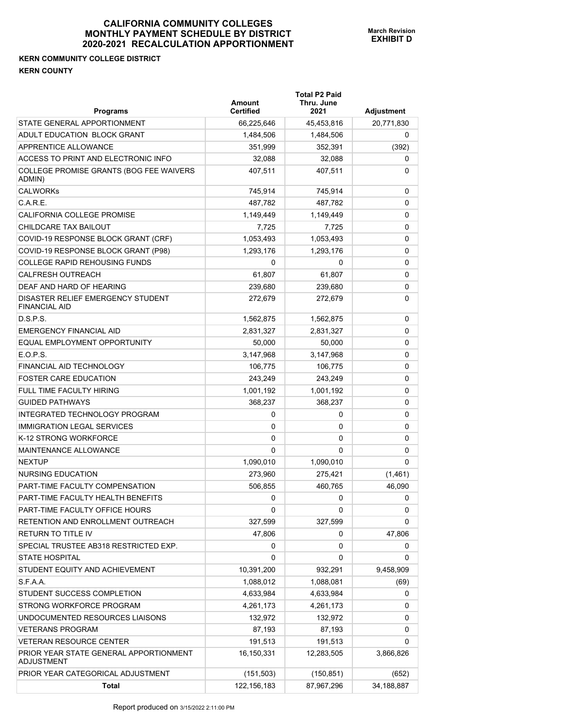## **KERN COMMUNITY COLLEGE DISTRICT KERN COUNTY**

| <b>Programs</b>                                             | Amount<br><b>Certified</b> | <b>Total P2 Paid</b><br>Thru. June<br>2021 | <b>Adjustment</b> |
|-------------------------------------------------------------|----------------------------|--------------------------------------------|-------------------|
| STATE GENERAL APPORTIONMENT                                 | 66,225,646                 | 45,453,816                                 | 20,771,830        |
| ADULT EDUCATION BLOCK GRANT                                 | 1,484,506                  | 1,484,506                                  | 0                 |
| APPRENTICE ALLOWANCE                                        | 351,999                    | 352,391                                    | (392)             |
| ACCESS TO PRINT AND ELECTRONIC INFO                         | 32,088                     | 32,088                                     | 0                 |
| COLLEGE PROMISE GRANTS (BOG FEE WAIVERS<br>ADMIN)           | 407,511                    | 407,511                                    | 0                 |
| <b>CALWORKs</b>                                             | 745,914                    | 745,914                                    | 0                 |
| C.A.R.E.                                                    | 487,782                    | 487,782                                    | 0                 |
| CALIFORNIA COLLEGE PROMISE                                  | 1,149,449                  | 1,149,449                                  | 0                 |
| CHILDCARE TAX BAILOUT                                       | 7,725                      | 7,725                                      | 0                 |
| COVID-19 RESPONSE BLOCK GRANT (CRF)                         | 1,053,493                  | 1,053,493                                  | 0                 |
| COVID-19 RESPONSE BLOCK GRANT (P98)                         | 1,293,176                  | 1,293,176                                  | 0                 |
| <b>COLLEGE RAPID REHOUSING FUNDS</b>                        | 0                          | 0                                          | 0                 |
| <b>CALFRESH OUTREACH</b>                                    | 61,807                     | 61,807                                     | 0                 |
| DEAF AND HARD OF HEARING                                    | 239,680                    | 239,680                                    | 0                 |
| DISASTER RELIEF EMERGENCY STUDENT<br><b>FINANCIAL AID</b>   | 272,679                    | 272,679                                    | 0                 |
| D.S.P.S.                                                    | 1,562,875                  | 1,562,875                                  | 0                 |
| <b>EMERGENCY FINANCIAL AID</b>                              | 2,831,327                  | 2,831,327                                  | 0                 |
| EQUAL EMPLOYMENT OPPORTUNITY                                | 50,000                     | 50,000                                     | 0                 |
| E.O.P.S.                                                    | 3,147,968                  | 3,147,968                                  | 0                 |
| FINANCIAL AID TECHNOLOGY                                    | 106,775                    | 106,775                                    | 0                 |
| <b>FOSTER CARE EDUCATION</b>                                | 243,249                    | 243,249                                    | 0                 |
| <b>FULL TIME FACULTY HIRING</b>                             | 1,001,192                  | 1,001,192                                  | 0                 |
| <b>GUIDED PATHWAYS</b>                                      | 368,237                    | 368,237                                    | 0                 |
| INTEGRATED TECHNOLOGY PROGRAM                               | 0                          | 0                                          | 0                 |
| <b>IMMIGRATION LEGAL SERVICES</b>                           | 0                          | 0                                          | 0                 |
| K-12 STRONG WORKFORCE                                       | 0                          | 0                                          | 0                 |
| MAINTENANCE ALLOWANCE                                       | 0                          | 0                                          | 0                 |
| <b>NEXTUP</b>                                               | 1,090,010                  | 1,090,010                                  | 0                 |
| <b>NURSING EDUCATION</b>                                    | 273,960                    | 275,421                                    | (1,461)           |
| PART-TIME FACULTY COMPENSATION                              | 506,855                    | 460,765                                    | 46,090            |
| PART-TIME FACULTY HEALTH BENEFITS                           | 0                          | 0                                          | 0                 |
| PART-TIME FACULTY OFFICE HOURS                              | 0                          | 0                                          | 0                 |
| RETENTION AND ENROLLMENT OUTREACH                           | 327,599                    | 327,599                                    | 0                 |
| RETURN TO TITLE IV                                          | 47,806                     | 0                                          | 47,806            |
| SPECIAL TRUSTEE AB318 RESTRICTED EXP.                       | 0                          | 0                                          | 0                 |
| <b>STATE HOSPITAL</b>                                       | 0                          | 0                                          | 0                 |
| STUDENT EQUITY AND ACHIEVEMENT                              | 10,391,200                 | 932,291                                    | 9,458,909         |
| S.F.A.A.                                                    | 1,088,012                  | 1,088,081                                  | (69)              |
| STUDENT SUCCESS COMPLETION                                  | 4,633,984                  | 4,633,984                                  | 0                 |
| STRONG WORKFORCE PROGRAM                                    | 4,261,173                  | 4,261,173                                  | 0                 |
| UNDOCUMENTED RESOURCES LIAISONS                             | 132,972                    | 132,972                                    | 0                 |
| <b>VETERANS PROGRAM</b>                                     | 87,193                     | 87,193                                     | 0                 |
| <b>VETERAN RESOURCE CENTER</b>                              | 191,513                    | 191,513                                    | 0                 |
| PRIOR YEAR STATE GENERAL APPORTIONMENT<br><b>ADJUSTMENT</b> | 16,150,331                 | 12,283,505                                 | 3,866,826         |
| PRIOR YEAR CATEGORICAL ADJUSTMENT                           | (151, 503)                 | (150, 851)                                 | (652)             |
| <b>Total</b>                                                | 122, 156, 183              | 87,967,296                                 | 34,188,887        |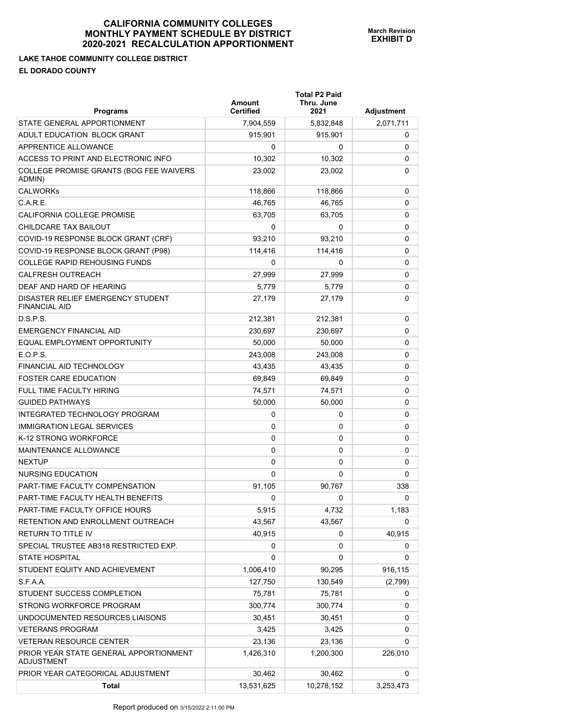#### **LAKE TAHOE COMMUNITY COLLEGE DISTRICT EL DORADO COUNTY**

| <b>Programs</b>                                           | <b>Amount</b><br><b>Certified</b> | <b>Total P2 Paid</b><br>Thru. June<br>2021 | <b>Adjustment</b> |
|-----------------------------------------------------------|-----------------------------------|--------------------------------------------|-------------------|
| STATE GENERAL APPORTIONMENT                               | 7,904,559                         | 5,832,848                                  | 2,071,711         |
| ADULT EDUCATION BLOCK GRANT                               | 915,901                           | 915,901                                    | 0                 |
| APPRENTICE ALLOWANCE                                      | 0                                 | 0                                          | 0                 |
| ACCESS TO PRINT AND ELECTRONIC INFO                       | 10,302                            | 10,302                                     | 0                 |
| COLLEGE PROMISE GRANTS (BOG FEE WAIVERS<br>ADMIN)         | 23,002                            | 23,002                                     | 0                 |
| <b>CALWORKs</b>                                           | 118,866                           | 118,866                                    | 0                 |
| C.A.R.E.                                                  | 46,765                            | 46,765                                     | 0                 |
| CALIFORNIA COLLEGE PROMISE                                | 63,705                            | 63,705                                     | 0                 |
| CHILDCARE TAX BAILOUT                                     | 0                                 | 0                                          | 0                 |
| COVID-19 RESPONSE BLOCK GRANT (CRF)                       | 93,210                            | 93,210                                     | 0                 |
| COVID-19 RESPONSE BLOCK GRANT (P98)                       | 114,416                           | 114,416                                    | 0                 |
| <b>COLLEGE RAPID REHOUSING FUNDS</b>                      | 0                                 | 0                                          | 0                 |
| <b>CALFRESH OUTREACH</b>                                  | 27,999                            | 27,999                                     | 0                 |
| DEAF AND HARD OF HEARING                                  | 5,779                             | 5,779                                      | 0                 |
| DISASTER RELIEF EMERGENCY STUDENT<br><b>FINANCIAL AID</b> | 27,179                            | 27,179                                     | 0                 |
| D.S.P.S.                                                  | 212,381                           | 212,381                                    | 0                 |
| <b>EMERGENCY FINANCIAL AID</b>                            | 230,697                           | 230,697                                    | 0                 |
| EQUAL EMPLOYMENT OPPORTUNITY                              | 50,000                            | 50.000                                     | 0                 |
| E.O.P.S.                                                  | 243,008                           | 243,008                                    | 0                 |
| FINANCIAL AID TECHNOLOGY                                  | 43,435                            | 43,435                                     | 0                 |
| <b>FOSTER CARE EDUCATION</b>                              | 69,849                            | 69,849                                     | 0                 |
| FULL TIME FACULTY HIRING                                  | 74,571                            | 74,571                                     | 0                 |
| <b>GUIDED PATHWAYS</b>                                    | 50,000                            | 50,000                                     | 0                 |
| INTEGRATED TECHNOLOGY PROGRAM                             | 0                                 | 0                                          | 0                 |
| <b>IMMIGRATION LEGAL SERVICES</b>                         | 0                                 | 0                                          | 0                 |
| K-12 STRONG WORKFORCE                                     | 0                                 | 0                                          | 0                 |
| <b>MAINTENANCE ALLOWANCE</b>                              | 0                                 | 0                                          | 0                 |
| <b>NEXTUP</b>                                             | 0                                 | 0                                          | 0                 |
| NURSING EDUCATION                                         | 0                                 | 0                                          | 0                 |
| PART-TIME FACULTY COMPENSATION                            | 91,105                            | 90,767                                     | 338               |
| PART-TIME FACULTY HEALTH BENEFITS                         | 0                                 | 0                                          | 0                 |
| PART-TIME FACULTY OFFICE HOURS                            | 5,915                             | 4,732                                      | 1,183             |
| RETENTION AND ENROLLMENT OUTREACH                         | 43,567                            | 43,567                                     | 0                 |
| RETURN TO TITLE IV                                        | 40,915                            | 0                                          | 40,915            |
| SPECIAL TRUSTEE AB318 RESTRICTED EXP.                     | 0                                 | 0                                          | 0                 |
| <b>STATE HOSPITAL</b>                                     | 0                                 | 0                                          | 0                 |
| STUDENT EQUITY AND ACHIEVEMENT                            | 1,006,410                         | 90,295                                     | 916,115           |
| S.F.A.A.                                                  | 127,750                           | 130,549                                    | (2,799)           |
| STUDENT SUCCESS COMPLETION                                | 75,781                            | 75,781                                     | 0                 |
| STRONG WORKFORCE PROGRAM                                  | 300,774                           | 300,774                                    | 0                 |
| UNDOCUMENTED RESOURCES LIAISONS                           | 30,451                            | 30,451                                     | 0                 |
| <b>VETERANS PROGRAM</b>                                   | 3,425                             | 3,425                                      | 0                 |
| <b>VETERAN RESOURCE CENTER</b>                            | 23,136                            | 23,136                                     | 0                 |

PRIOR YEAR CATEGORICAL ADJUSTMENT 30,462 30,462 30,462 0

**Total** 13,531,625 10,278,152 3,253,473

1,426,310 1,200,300 226,010

PRIOR YEAR STATE GENERAL APPORTIONMENT

ADJUSTMENT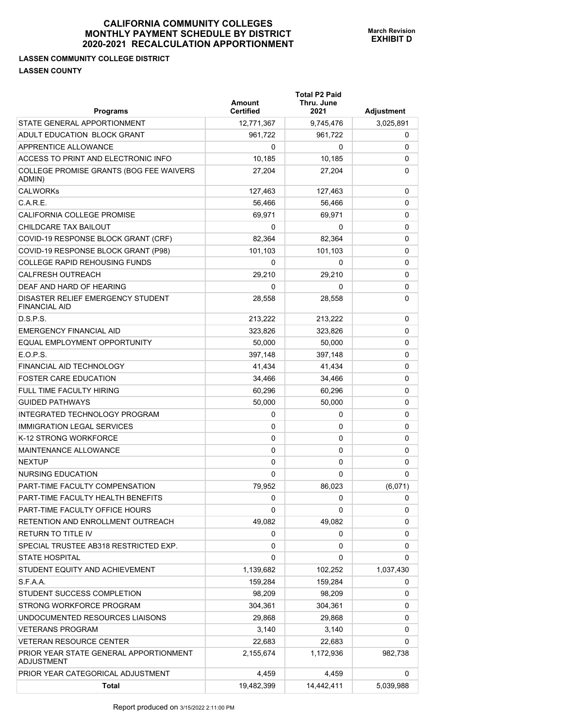## **LASSEN COMMUNITY COLLEGE DISTRICT LASSEN COUNTY**

| <b>Programs</b>                                             | Amount<br><b>Certified</b> | <b>Total P2 Paid</b><br>Thru. June<br>2021 | <b>Adjustment</b> |
|-------------------------------------------------------------|----------------------------|--------------------------------------------|-------------------|
| STATE GENERAL APPORTIONMENT                                 | 12,771,367                 | 9,745,476                                  | 3,025,891         |
| ADULT EDUCATION BLOCK GRANT                                 | 961.722                    | 961,722                                    | 0                 |
| <b>APPRENTICE ALLOWANCE</b>                                 | 0                          | 0                                          | 0                 |
| ACCESS TO PRINT AND ELECTRONIC INFO                         | 10,185                     | 10,185                                     | 0                 |
| COLLEGE PROMISE GRANTS (BOG FEE WAIVERS<br>ADMIN)           | 27,204                     | 27,204                                     | 0                 |
| <b>CALWORKs</b>                                             | 127,463                    | 127,463                                    | 0                 |
| C.A.R.E.                                                    | 56,466                     | 56,466                                     | 0                 |
| <b>CALIFORNIA COLLEGE PROMISE</b>                           | 69.971                     | 69,971                                     | 0                 |
| CHILDCARE TAX BAILOUT                                       | 0                          | 0                                          | 0                 |
| COVID-19 RESPONSE BLOCK GRANT (CRF)                         | 82,364                     | 82,364                                     | 0                 |
| COVID-19 RESPONSE BLOCK GRANT (P98)                         | 101,103                    | 101,103                                    | 0                 |
| <b>COLLEGE RAPID REHOUSING FUNDS</b>                        | 0                          | 0                                          | 0                 |
| <b>CALFRESH OUTREACH</b>                                    | 29,210                     | 29,210                                     | 0                 |
| DEAF AND HARD OF HEARING                                    | 0                          | 0                                          | 0                 |
| DISASTER RELIEF EMERGENCY STUDENT<br><b>FINANCIAL AID</b>   | 28,558                     | 28,558                                     | 0                 |
| D.S.P.S.                                                    | 213,222                    | 213,222                                    | 0                 |
| <b>EMERGENCY FINANCIAL AID</b>                              | 323,826                    | 323,826                                    | 0                 |
| EQUAL EMPLOYMENT OPPORTUNITY                                | 50,000                     | 50,000                                     | 0                 |
| E.O.P.S.                                                    | 397,148                    | 397,148                                    | 0                 |
| FINANCIAL AID TECHNOLOGY                                    | 41,434                     | 41,434                                     | 0                 |
| <b>FOSTER CARE EDUCATION</b>                                | 34,466                     | 34,466                                     | 0                 |
| FULL TIME FACULTY HIRING                                    | 60,296                     | 60,296                                     | 0                 |
| <b>GUIDED PATHWAYS</b>                                      | 50,000                     | 50,000                                     | 0                 |
| INTEGRATED TECHNOLOGY PROGRAM                               | 0                          | 0                                          | 0                 |
| <b>IMMIGRATION LEGAL SERVICES</b>                           | 0                          | 0                                          | 0                 |
| K-12 STRONG WORKFORCE                                       | 0                          | 0                                          | 0                 |
| MAINTENANCE ALLOWANCE                                       | 0                          | 0                                          | 0                 |
| <b>NEXTUP</b>                                               | 0                          | 0                                          | 0                 |
| NURSING EDUCATION                                           | 0                          | 0                                          | 0                 |
| PART-TIME FACULTY COMPENSATION                              | 79,952                     | 86,023                                     | (6,071)           |
| PART-TIME FACULTY HEALTH BENEFITS                           | 0                          | 0                                          | 0                 |
| PART-TIME FACULTY OFFICE HOURS                              | 0                          | 0                                          | 0                 |
| RETENTION AND ENROLLMENT OUTREACH                           | 49,082                     | 49,082                                     | 0                 |
| RETURN TO TITLE IV                                          | 0                          | 0                                          | 0                 |
| SPECIAL TRUSTEE AB318 RESTRICTED EXP.                       | 0                          | 0                                          | 0                 |
| <b>STATE HOSPITAL</b>                                       | 0                          | 0                                          | 0                 |
| STUDENT EQUITY AND ACHIEVEMENT                              | 1,139,682                  | 102,252                                    | 1,037,430         |
| S.F.A.A.                                                    | 159,284                    | 159,284                                    | 0                 |
| STUDENT SUCCESS COMPLETION                                  | 98,209                     | 98,209                                     | 0                 |
| STRONG WORKFORCE PROGRAM                                    | 304,361                    | 304,361                                    | 0                 |
| UNDOCUMENTED RESOURCES LIAISONS                             | 29,868                     | 29,868                                     | 0                 |
| <b>VETERANS PROGRAM</b>                                     | 3,140                      | 3,140                                      | 0                 |
| <b>VETERAN RESOURCE CENTER</b>                              | 22,683                     | 22,683                                     | 0                 |
| PRIOR YEAR STATE GENERAL APPORTIONMENT<br><b>ADJUSTMENT</b> | 2,155,674                  | 1,172,936                                  | 982,738           |
| PRIOR YEAR CATEGORICAL ADJUSTMENT                           | 4,459                      | 4,459                                      | 0                 |
| <b>Total</b>                                                | 19,482,399                 | 14,442,411                                 | 5,039,988         |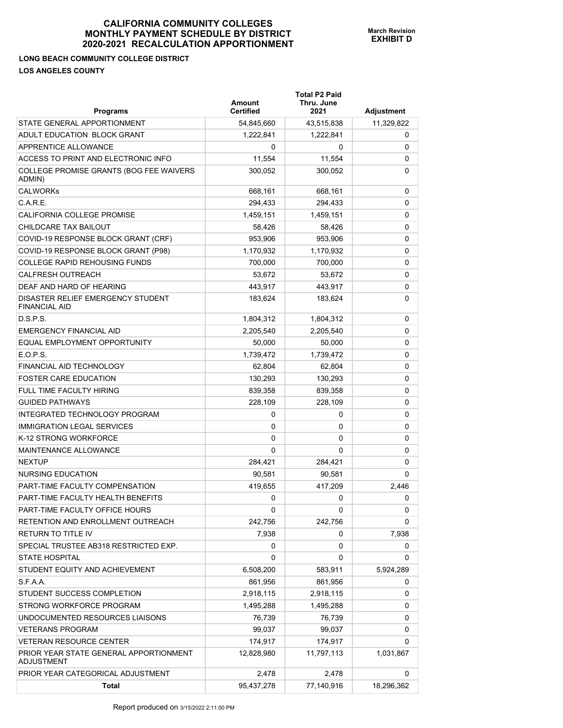## **LONG BEACH COMMUNITY COLLEGE DISTRICT LOS ANGELES COUNTY**

| <b>Programs</b>                                             | Amount<br><b>Certified</b> | <b>Total P2 Paid</b><br>Thru. June<br>2021 | Adjustment |
|-------------------------------------------------------------|----------------------------|--------------------------------------------|------------|
| STATE GENERAL APPORTIONMENT                                 | 54,845,660                 | 43,515,838                                 | 11,329,822 |
| ADULT EDUCATION BLOCK GRANT                                 | 1,222,841                  | 1,222,841                                  | 0          |
| APPRENTICE ALLOWANCE                                        | 0                          | 0                                          | 0          |
| ACCESS TO PRINT AND ELECTRONIC INFO                         | 11,554                     | 11,554                                     | 0          |
| COLLEGE PROMISE GRANTS (BOG FEE WAIVERS<br>ADMIN)           | 300,052                    | 300,052                                    | 0          |
| <b>CALWORKs</b>                                             | 668,161                    | 668,161                                    | 0          |
| C.A.R.E.                                                    | 294,433                    | 294,433                                    | 0          |
| <b>CALIFORNIA COLLEGE PROMISE</b>                           | 1,459,151                  | 1,459,151                                  | 0          |
| CHILDCARE TAX BAILOUT                                       | 58,426                     | 58,426                                     | 0          |
| COVID-19 RESPONSE BLOCK GRANT (CRF)                         | 953,906                    | 953,906                                    | 0          |
| COVID-19 RESPONSE BLOCK GRANT (P98)                         | 1,170,932                  | 1,170,932                                  | 0          |
| <b>COLLEGE RAPID REHOUSING FUNDS</b>                        | 700,000                    | 700,000                                    | 0          |
| <b>CALFRESH OUTREACH</b>                                    | 53.672                     | 53,672                                     | 0          |
| DEAF AND HARD OF HEARING                                    | 443.917                    | 443,917                                    | 0          |
| DISASTER RELIEF EMERGENCY STUDENT<br><b>FINANCIAL AID</b>   | 183,624                    | 183,624                                    | 0          |
| D.S.P.S.                                                    | 1,804,312                  | 1,804,312                                  | 0          |
| <b>EMERGENCY FINANCIAL AID</b>                              | 2,205,540                  | 2,205,540                                  | 0          |
| EQUAL EMPLOYMENT OPPORTUNITY                                | 50,000                     | 50,000                                     | 0          |
| E.O.P.S.                                                    | 1,739,472                  | 1,739,472                                  | 0          |
| FINANCIAL AID TECHNOLOGY                                    | 62,804                     | 62,804                                     | 0          |
| <b>FOSTER CARE EDUCATION</b>                                | 130,293                    | 130,293                                    | 0          |
| FULL TIME FACULTY HIRING                                    | 839,358                    | 839,358                                    | 0          |
| <b>GUIDED PATHWAYS</b>                                      | 228,109                    | 228,109                                    | 0          |
| INTEGRATED TECHNOLOGY PROGRAM                               | 0                          | 0                                          | 0          |
| <b>IMMIGRATION LEGAL SERVICES</b>                           | 0                          | 0                                          | 0          |
| K-12 STRONG WORKFORCE                                       | 0                          | 0                                          | 0          |
| MAINTENANCE ALLOWANCE                                       | $\Omega$                   | 0                                          | 0          |
| <b>NEXTUP</b>                                               | 284,421                    | 284,421                                    | 0          |
| <b>NURSING EDUCATION</b>                                    | 90.581                     | 90,581                                     | 0          |
| PART-TIME FACULTY COMPENSATION                              | 419,655                    | 417,209                                    | 2,446      |
| PART-TIME FACULTY HEALTH BENEFITS                           | 0                          | 0                                          | 0          |
| PART-TIME FACULTY OFFICE HOURS                              | 0                          | 0                                          | 0          |
| RETENTION AND ENROLLMENT OUTREACH                           | 242,756                    | 242,756                                    | 0          |
| <b>RETURN TO TITLE IV</b>                                   | 7,938                      | 0                                          | 7,938      |
| SPECIAL TRUSTEE AB318 RESTRICTED EXP.                       | 0                          | 0                                          | 0          |
| <b>STATE HOSPITAL</b>                                       | 0                          | 0                                          | 0          |
| STUDENT EQUITY AND ACHIEVEMENT                              | 6,508,200                  | 583,911                                    | 5,924,289  |
| S.F.A.A.                                                    | 861,956                    | 861,956                                    | 0          |
| STUDENT SUCCESS COMPLETION                                  | 2,918,115                  | 2,918,115                                  | 0          |
| STRONG WORKFORCE PROGRAM                                    | 1,495,288                  | 1,495,288                                  | 0          |
| UNDOCUMENTED RESOURCES LIAISONS                             | 76,739                     | 76,739                                     | 0          |
| <b>VETERANS PROGRAM</b>                                     | 99,037                     | 99,037                                     | 0          |
| <b>VETERAN RESOURCE CENTER</b>                              | 174,917                    | 174,917                                    | 0          |
| PRIOR YEAR STATE GENERAL APPORTIONMENT<br><b>ADJUSTMENT</b> | 12,828,980                 | 11,797,113                                 | 1,031,867  |
| PRIOR YEAR CATEGORICAL ADJUSTMENT                           | 2,478                      | 2,478                                      | 0          |
| <b>Total</b>                                                | 95,437,278                 | 77,140,916                                 | 18,296,362 |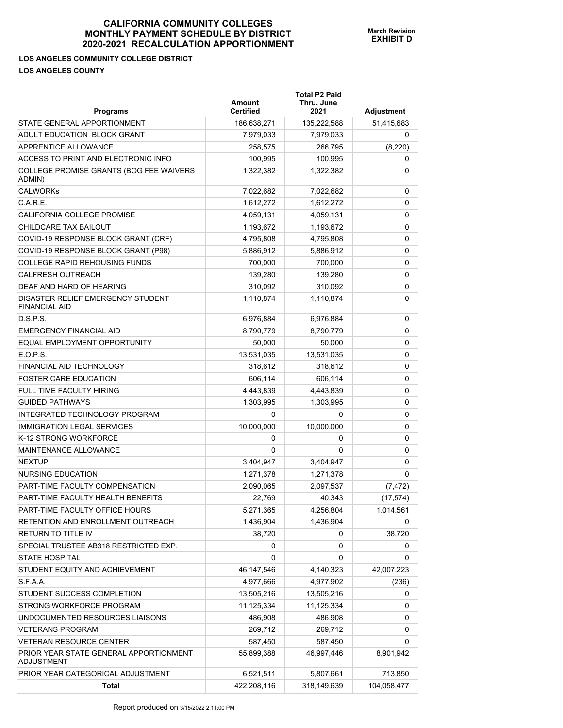## **LOS ANGELES COMMUNITY COLLEGE DISTRICT LOS ANGELES COUNTY**

| <b>Programs</b>                                           | Amount<br><b>Certified</b> | <b>Total P2 Paid</b><br>Thru. June<br>2021 | Adjustment  |
|-----------------------------------------------------------|----------------------------|--------------------------------------------|-------------|
| STATE GENERAL APPORTIONMENT                               | 186,638,271                | 135,222,588                                | 51,415,683  |
| ADULT EDUCATION BLOCK GRANT                               | 7,979,033                  | 7,979,033                                  | 0           |
| APPRENTICE ALLOWANCE                                      | 258,575                    | 266,795                                    | (8, 220)    |
| ACCESS TO PRINT AND ELECTRONIC INFO                       | 100,995                    | 100,995                                    | 0           |
| COLLEGE PROMISE GRANTS (BOG FEE WAIVERS<br>ADMIN)         | 1,322,382                  | 1,322,382                                  | 0           |
| <b>CALWORKs</b>                                           | 7,022,682                  | 7,022,682                                  | 0           |
| C.A.R.E.                                                  | 1,612,272                  | 1,612,272                                  | 0           |
| CALIFORNIA COLLEGE PROMISE                                | 4,059,131                  | 4,059,131                                  | 0           |
| CHILDCARE TAX BAILOUT                                     | 1,193,672                  | 1,193,672                                  | 0           |
| COVID-19 RESPONSE BLOCK GRANT (CRF)                       | 4,795,808                  | 4,795,808                                  | 0           |
| COVID-19 RESPONSE BLOCK GRANT (P98)                       | 5,886,912                  | 5,886,912                                  | 0           |
| <b>COLLEGE RAPID REHOUSING FUNDS</b>                      | 700,000                    | 700,000                                    | 0           |
| <b>CALFRESH OUTREACH</b>                                  | 139,280                    | 139.280                                    | 0           |
| DEAF AND HARD OF HEARING                                  | 310,092                    | 310,092                                    | 0           |
| DISASTER RELIEF EMERGENCY STUDENT<br><b>FINANCIAL AID</b> | 1,110,874                  | 1,110,874                                  | 0           |
| D.S.P.S.                                                  | 6,976,884                  | 6,976,884                                  | 0           |
| <b>EMERGENCY FINANCIAL AID</b>                            | 8,790,779                  | 8,790,779                                  | 0           |
| EQUAL EMPLOYMENT OPPORTUNITY                              | 50,000                     | 50,000                                     | 0           |
| E.O.P.S.                                                  | 13,531,035                 | 13,531,035                                 | 0           |
| FINANCIAL AID TECHNOLOGY                                  | 318,612                    | 318,612                                    | 0           |
| <b>FOSTER CARE EDUCATION</b>                              | 606,114                    | 606,114                                    | 0           |
| FULL TIME FACULTY HIRING                                  | 4,443,839                  | 4,443,839                                  | 0           |
| <b>GUIDED PATHWAYS</b>                                    | 1,303,995                  | 1,303,995                                  | 0           |
| INTEGRATED TECHNOLOGY PROGRAM                             | 0                          | 0                                          | 0           |
| <b>IMMIGRATION LEGAL SERVICES</b>                         | 10,000,000                 | 10,000,000                                 | 0           |
| K-12 STRONG WORKFORCE                                     | 0                          | 0                                          | 0           |
| MAINTENANCE ALLOWANCE                                     | $\Omega$                   | 0                                          | 0           |
| <b>NEXTUP</b>                                             | 3,404,947                  | 3,404,947                                  | 0           |
| NURSING EDUCATION                                         | 1,271,378                  | 1,271,378                                  | 0           |
| PART-TIME FACULTY COMPENSATION                            | 2,090,065                  | 2,097,537                                  | (7, 472)    |
| PART-TIME FACULTY HEALTH BENEFITS                         | 22,769                     | 40,343                                     | (17, 574)   |
| PART-TIME FACULTY OFFICE HOURS                            | 5,271,365                  | 4,256,804                                  | 1,014,561   |
| RETENTION AND ENROLLMENT OUTREACH                         | 1,436,904                  | 1,436,904                                  | 0           |
| RETURN TO TITLE IV                                        | 38,720                     | 0                                          | 38,720      |
| SPECIAL TRUSTEE AB318 RESTRICTED EXP.                     | 0                          | 0                                          | 0           |
| <b>STATE HOSPITAL</b>                                     | 0                          | 0                                          | 0           |
| STUDENT EQUITY AND ACHIEVEMENT                            | 46,147,546                 | 4,140,323                                  | 42,007,223  |
| S.F.A.A.                                                  | 4,977,666                  | 4,977,902                                  | (236)       |
| STUDENT SUCCESS COMPLETION                                | 13,505,216                 | 13,505,216                                 | 0           |
| STRONG WORKFORCE PROGRAM                                  | 11,125,334                 | 11,125,334                                 | 0           |
| UNDOCUMENTED RESOURCES LIAISONS                           | 486,908                    | 486,908                                    | 0           |
| <b>VETERANS PROGRAM</b>                                   | 269,712                    | 269,712                                    | 0           |
| <b>VETERAN RESOURCE CENTER</b>                            | 587,450                    | 587,450                                    | 0           |
| PRIOR YEAR STATE GENERAL APPORTIONMENT<br>ADJUSTMENT      | 55,899,388                 | 46,997,446                                 | 8,901,942   |
| PRIOR YEAR CATEGORICAL ADJUSTMENT                         | 6,521,511                  | 5,807,661                                  | 713,850     |
| <b>Total</b>                                              | 422,208,116                | 318,149,639                                | 104,058,477 |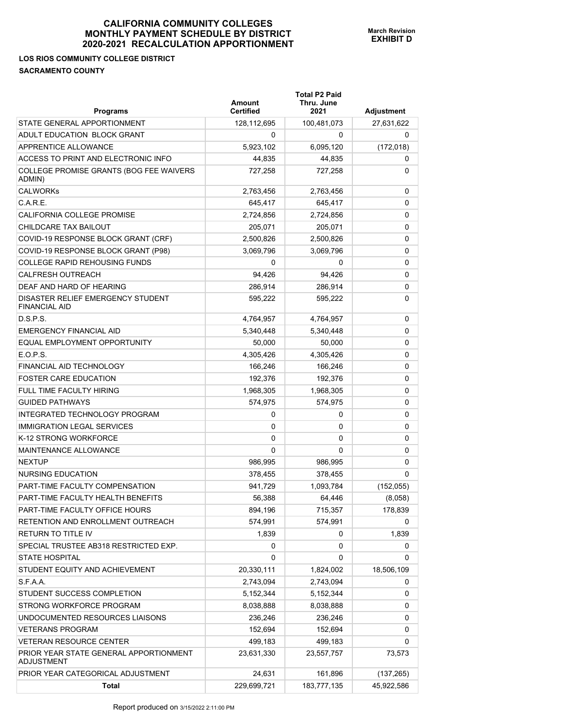## **LOS RIOS COMMUNITY COLLEGE DISTRICT SACRAMENTO COUNTY**

| <b>Programs</b>                                           | Amount<br><b>Certified</b> | <b>Total P2 Paid</b><br>Thru. June<br>2021 | Adjustment |
|-----------------------------------------------------------|----------------------------|--------------------------------------------|------------|
| STATE GENERAL APPORTIONMENT                               | 128,112,695                | 100,481,073                                | 27,631,622 |
| ADULT EDUCATION BLOCK GRANT                               | 0                          | 0                                          | 0          |
| APPRENTICE ALLOWANCE                                      | 5,923,102                  | 6,095,120                                  | (172, 018) |
| ACCESS TO PRINT AND ELECTRONIC INFO                       | 44,835                     | 44,835                                     | 0          |
| COLLEGE PROMISE GRANTS (BOG FEE WAIVERS<br>ADMIN)         | 727,258                    | 727,258                                    | 0          |
| <b>CALWORKs</b>                                           | 2,763,456                  | 2,763,456                                  | 0          |
| C.A.R.E.                                                  | 645.417                    | 645.417                                    | 0          |
| <b>CALIFORNIA COLLEGE PROMISE</b>                         | 2,724,856                  | 2,724,856                                  | 0          |
| CHILDCARE TAX BAILOUT                                     | 205,071                    | 205,071                                    | 0          |
| COVID-19 RESPONSE BLOCK GRANT (CRF)                       | 2,500,826                  | 2,500,826                                  | 0          |
| COVID-19 RESPONSE BLOCK GRANT (P98)                       | 3,069,796                  | 3,069,796                                  | 0          |
| COLLEGE RAPID REHOUSING FUNDS                             | 0                          | 0                                          | 0          |
| <b>CALFRESH OUTREACH</b>                                  | 94,426                     | 94,426                                     | 0          |
| DEAF AND HARD OF HEARING                                  | 286,914                    | 286,914                                    | 0          |
| DISASTER RELIEF EMERGENCY STUDENT<br><b>FINANCIAL AID</b> | 595,222                    | 595,222                                    | 0          |
| D.S.P.S.                                                  | 4,764,957                  | 4,764,957                                  | 0          |
| <b>EMERGENCY FINANCIAL AID</b>                            | 5,340,448                  | 5,340,448                                  | 0          |
| EQUAL EMPLOYMENT OPPORTUNITY                              | 50,000                     | 50,000                                     | 0          |
| E.O.P.S.                                                  | 4,305,426                  | 4,305,426                                  | 0          |
| FINANCIAL AID TECHNOLOGY                                  | 166,246                    | 166,246                                    | 0          |
| <b>FOSTER CARE EDUCATION</b>                              | 192,376                    | 192,376                                    | 0          |
| <b>FULL TIME FACULTY HIRING</b>                           | 1,968,305                  | 1,968,305                                  | 0          |
| <b>GUIDED PATHWAYS</b>                                    | 574,975                    | 574,975                                    | 0          |
| INTEGRATED TECHNOLOGY PROGRAM                             | 0                          | 0                                          | 0          |
| <b>IMMIGRATION LEGAL SERVICES</b>                         | 0                          | 0                                          | 0          |
| K-12 STRONG WORKFORCE                                     | 0                          | 0                                          | 0          |
| <b>MAINTENANCE ALLOWANCE</b>                              | 0                          | 0                                          | 0          |
| <b>NEXTUP</b>                                             | 986,995                    | 986,995                                    | 0          |
| NURSING EDUCATION                                         | 378,455                    | 378,455                                    | 0          |
| PART-TIME FACULTY COMPENSATION                            | 941,729                    | 1,093,784                                  | (152, 055) |
| PART-TIME FACULTY HEALTH BENEFITS                         | 56,388                     | 64,446                                     | (8,058)    |
| PART-TIME FACULTY OFFICE HOURS                            | 894,196                    | 715,357                                    | 178,839    |
| RETENTION AND ENROLLMENT OUTREACH                         | 574,991                    | 574,991                                    | 0          |
| <b>RETURN TO TITLE IV</b>                                 | 1,839                      | 0                                          | 1,839      |
| SPECIAL TRUSTEE AB318 RESTRICTED EXP.                     | 0                          | 0                                          | 0          |
| <b>STATE HOSPITAL</b>                                     | 0                          | 0                                          | 0          |
| STUDENT EQUITY AND ACHIEVEMENT                            | 20,330,111                 | 1,824,002                                  | 18,506,109 |
| S.F.A.A.                                                  | 2,743,094                  | 2,743,094                                  | 0          |
| STUDENT SUCCESS COMPLETION                                | 5,152,344                  | 5,152,344                                  | 0          |
| STRONG WORKFORCE PROGRAM                                  | 8,038,888                  | 8,038,888                                  | 0          |
| UNDOCUMENTED RESOURCES LIAISONS                           | 236,246                    | 236,246                                    | 0          |
| <b>VETERANS PROGRAM</b>                                   | 152,694                    | 152,694                                    | 0          |
| VETERAN RESOURCE CENTER                                   | 499,183                    | 499,183                                    | 0          |
| PRIOR YEAR STATE GENERAL APPORTIONMENT<br>ADJUSTMENT      | 23,631,330                 | 23,557,757                                 | 73,573     |
| PRIOR YEAR CATEGORICAL ADJUSTMENT                         | 24,631                     | 161,896                                    | (137, 265) |
| <b>Total</b>                                              | 229,699,721                | 183,777,135                                | 45,922,586 |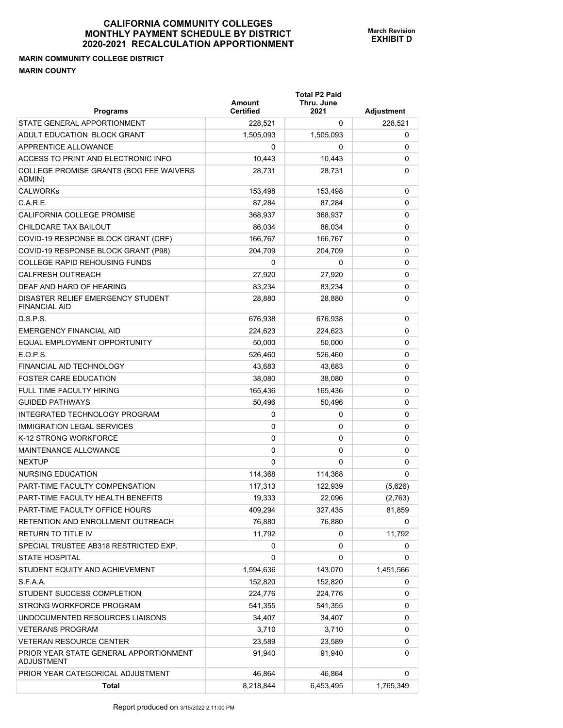## **MARIN COMMUNITY COLLEGE DISTRICT MARIN COUNTY**

| <b>Programs</b>                                             | Amount<br><b>Certified</b> | <b>Total P2 Paid</b><br>Thru. June<br>2021 | Adjustment |
|-------------------------------------------------------------|----------------------------|--------------------------------------------|------------|
| STATE GENERAL APPORTIONMENT                                 | 228,521                    | 0                                          | 228,521    |
| ADULT EDUCATION BLOCK GRANT                                 | 1,505,093                  | 1,505,093                                  | 0          |
| <b>APPRENTICE ALLOWANCE</b>                                 | 0                          | 0                                          | 0          |
| ACCESS TO PRINT AND ELECTRONIC INFO                         | 10,443                     | 10,443                                     | 0          |
| COLLEGE PROMISE GRANTS (BOG FEE WAIVERS<br>ADMIN)           | 28,731                     | 28,731                                     | 0          |
| <b>CALWORKs</b>                                             | 153,498                    | 153,498                                    | 0          |
| C.A.R.E.                                                    | 87,284                     | 87,284                                     | 0          |
| <b>CALIFORNIA COLLEGE PROMISE</b>                           | 368.937                    | 368,937                                    | 0          |
| CHILDCARE TAX BAILOUT                                       | 86,034                     | 86,034                                     | 0          |
| COVID-19 RESPONSE BLOCK GRANT (CRF)                         | 166,767                    | 166,767                                    | 0          |
| COVID-19 RESPONSE BLOCK GRANT (P98)                         | 204,709                    | 204,709                                    | 0          |
| <b>COLLEGE RAPID REHOUSING FUNDS</b>                        | 0                          | 0                                          | 0          |
| <b>CALFRESH OUTREACH</b>                                    | 27,920                     | 27,920                                     | 0          |
| DEAF AND HARD OF HEARING                                    | 83,234                     | 83,234                                     | 0          |
| DISASTER RELIEF EMERGENCY STUDENT<br><b>FINANCIAL AID</b>   | 28,880                     | 28,880                                     | 0          |
| D.S.P.S.                                                    | 676,938                    | 676,938                                    | 0          |
| <b>EMERGENCY FINANCIAL AID</b>                              | 224.623                    | 224,623                                    | 0          |
| EQUAL EMPLOYMENT OPPORTUNITY                                | 50,000                     | 50,000                                     | 0          |
| E.O.P.S.                                                    | 526,460                    | 526,460                                    | 0          |
| FINANCIAL AID TECHNOLOGY                                    | 43,683                     | 43,683                                     | 0          |
| <b>FOSTER CARE EDUCATION</b>                                | 38,080                     | 38,080                                     | 0          |
| FULL TIME FACULTY HIRING                                    | 165,436                    | 165,436                                    | 0          |
| <b>GUIDED PATHWAYS</b>                                      | 50,496                     | 50,496                                     | 0          |
| INTEGRATED TECHNOLOGY PROGRAM                               | 0                          | 0                                          | 0          |
| <b>IMMIGRATION LEGAL SERVICES</b>                           | 0                          | 0                                          | 0          |
| K-12 STRONG WORKFORCE                                       | 0                          | 0                                          | 0          |
| MAINTENANCE ALLOWANCE                                       | 0                          | 0                                          | 0          |
| <b>NEXTUP</b>                                               | 0                          | 0                                          | 0          |
| NURSING EDUCATION                                           | 114,368                    | 114,368                                    | 0          |
| PART-TIME FACULTY COMPENSATION                              | 117,313                    | 122,939                                    | (5,626)    |
| PART-TIME FACULTY HEALTH BENEFITS                           | 19,333                     | 22,096                                     | (2,763)    |
| PART-TIME FACULTY OFFICE HOURS                              | 409,294                    | 327,435                                    | 81,859     |
| RETENTION AND ENROLLMENT OUTREACH                           | 76,880                     | 76,880                                     | 0          |
| <b>RETURN TO TITLE IV</b>                                   | 11,792                     | 0                                          | 11,792     |
| SPECIAL TRUSTEE AB318 RESTRICTED EXP.                       | 0                          | 0                                          | 0          |
| <b>STATE HOSPITAL</b>                                       | 0                          | 0                                          | 0          |
| STUDENT EQUITY AND ACHIEVEMENT                              | 1,594,636                  | 143,070                                    | 1,451,566  |
| S.F.A.A.                                                    | 152,820                    | 152,820                                    | 0          |
| STUDENT SUCCESS COMPLETION                                  | 224,776                    | 224,776                                    | 0          |
| STRONG WORKFORCE PROGRAM                                    | 541,355                    | 541,355                                    | 0          |
| UNDOCUMENTED RESOURCES LIAISONS                             | 34,407                     | 34,407                                     | 0          |
| <b>VETERANS PROGRAM</b>                                     | 3,710                      | 3,710                                      | 0          |
| <b>VETERAN RESOURCE CENTER</b>                              | 23,589                     | 23,589                                     | 0          |
| PRIOR YEAR STATE GENERAL APPORTIONMENT<br><b>ADJUSTMENT</b> | 91,940                     | 91,940                                     | 0          |
| PRIOR YEAR CATEGORICAL ADJUSTMENT                           | 46,864                     | 46,864                                     | 0          |
| <b>Total</b>                                                | 8,218,844                  | 6,453,495                                  | 1,765,349  |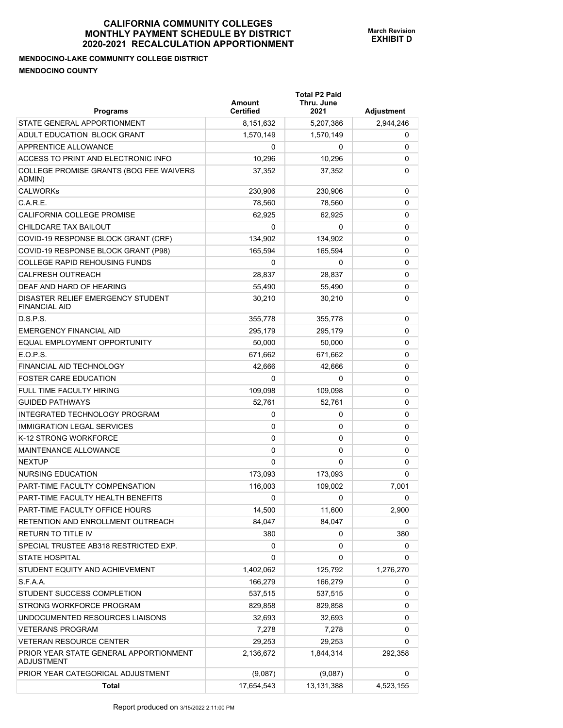## **MENDOCINO-LAKE COMMUNITY COLLEGE DISTRICT MENDOCINO COUNTY**

| <b>Programs</b>                                           | <b>Amount</b><br>Certified | <b>Total P2 Paid</b><br>Thru. June<br>2021 | Adjustment |
|-----------------------------------------------------------|----------------------------|--------------------------------------------|------------|
| STATE GENERAL APPORTIONMENT                               | 8,151,632                  | 5,207,386                                  | 2,944,246  |
| ADULT EDUCATION BLOCK GRANT                               | 1,570,149                  | 1,570,149                                  | 0          |
| <b>APPRENTICE ALLOWANCE</b>                               | 0                          | 0                                          | 0          |
| ACCESS TO PRINT AND ELECTRONIC INFO                       | 10,296                     | 10,296                                     | 0          |
| COLLEGE PROMISE GRANTS (BOG FEE WAIVERS<br>ADMIN)         | 37,352                     | 37,352                                     | 0          |
| <b>CALWORKs</b>                                           | 230,906                    | 230,906                                    | 0          |
| C.A.R.E.                                                  | 78,560                     | 78,560                                     | 0          |
| CALIFORNIA COLLEGE PROMISE                                | 62,925                     | 62.925                                     | 0          |
| CHILDCARE TAX BAILOUT                                     | 0                          | 0                                          | 0          |
| COVID-19 RESPONSE BLOCK GRANT (CRF)                       | 134,902                    | 134,902                                    | 0          |
| COVID-19 RESPONSE BLOCK GRANT (P98)                       | 165,594                    | 165,594                                    | 0          |
| <b>COLLEGE RAPID REHOUSING FUNDS</b>                      | 0                          | 0                                          | 0          |
| <b>CALFRESH OUTREACH</b>                                  | 28,837                     | 28,837                                     | 0          |
| DEAF AND HARD OF HEARING                                  | 55,490                     | 55,490                                     | 0          |
| DISASTER RELIEF EMERGENCY STUDENT<br><b>FINANCIAL AID</b> | 30,210                     | 30,210                                     | 0          |
| D.S.P.S.                                                  | 355,778                    | 355,778                                    | 0          |
| EMERGENCY FINANCIAL AID                                   | 295,179                    | 295,179                                    | 0          |
| EQUAL EMPLOYMENT OPPORTUNITY                              | 50,000                     | 50,000                                     | 0          |
| E.O.P.S.                                                  | 671,662                    | 671,662                                    | 0          |
| <b>FINANCIAL AID TECHNOLOGY</b>                           | 42,666                     | 42,666                                     | 0          |
| <b>FOSTER CARE EDUCATION</b>                              | 0                          | 0                                          | 0          |
| <b>FULL TIME FACULTY HIRING</b>                           | 109,098                    | 109,098                                    | 0          |
| <b>GUIDED PATHWAYS</b>                                    | 52,761                     | 52,761                                     | 0          |
| INTEGRATED TECHNOLOGY PROGRAM                             | 0                          | 0                                          | 0          |
| <b>IMMIGRATION LEGAL SERVICES</b>                         | 0                          | 0                                          | 0          |
| K-12 STRONG WORKFORCE                                     | 0                          | 0                                          | 0          |
| MAINTENANCE ALLOWANCE                                     | $\Omega$                   | 0                                          | 0          |
| <b>NEXTUP</b>                                             | $\Omega$                   | $\Omega$                                   | 0          |
| <b>NURSING EDUCATION</b>                                  | 173,093                    | 173,093                                    | 0          |
| PART-TIME FACULTY COMPENSATION                            | 116,003                    | 109,002                                    | 7,001      |
| PART-TIME FACULTY HEALTH BENEFITS                         | 0                          | 0                                          | 0          |
| PART-TIME FACULTY OFFICE HOURS                            | 14,500                     | 11,600                                     | 2,900      |
| RETENTION AND ENROLLMENT OUTREACH                         | 84,047                     | 84.047                                     | 0          |
| RETURN TO TITLE IV                                        | 380                        | 0                                          | 380        |
| SPECIAL TRUSTEE AB318 RESTRICTED EXP.                     | 0                          | 0                                          | 0          |
| <b>STATE HOSPITAL</b>                                     | 0                          | 0                                          | 0          |
| STUDENT EQUITY AND ACHIEVEMENT                            | 1,402,062                  | 125,792                                    | 1,276,270  |
| S.F.A.A.                                                  | 166,279                    | 166,279                                    | 0          |
| STUDENT SUCCESS COMPLETION                                | 537,515                    | 537,515                                    | 0          |
| STRONG WORKFORCE PROGRAM                                  | 829,858                    | 829,858                                    | 0          |
| UNDOCUMENTED RESOURCES LIAISONS                           | 32,693                     | 32,693                                     | 0          |
| <b>VETERANS PROGRAM</b>                                   | 7,278                      | 7,278                                      | 0          |
| VETERAN RESOURCE CENTER                                   | 29,253                     | 29,253                                     | 0          |
| PRIOR YEAR STATE GENERAL APPORTIONMENT<br>ADJUSTMENT      | 2,136,672                  | 1,844,314                                  | 292,358    |
| PRIOR YEAR CATEGORICAL ADJUSTMENT                         | (9,087)                    | (9,087)                                    | 0          |
| Total                                                     | 17,654,543                 | 13,131,388                                 | 4,523,155  |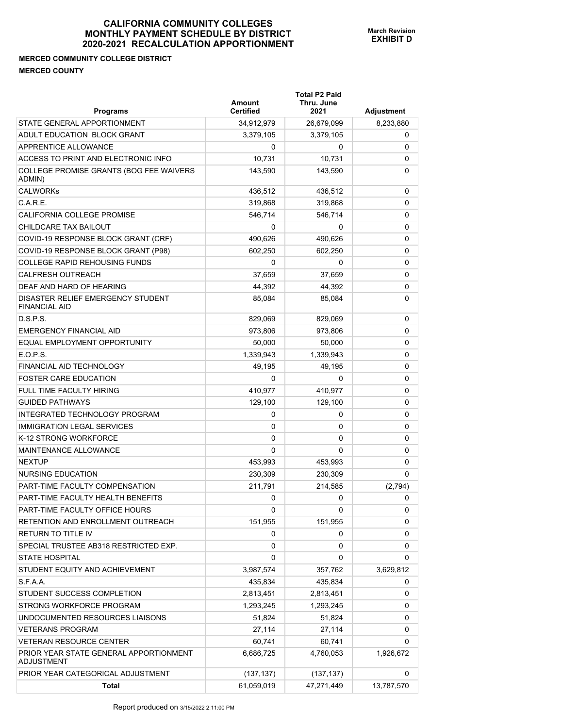## **MERCED COMMUNITY COLLEGE DISTRICT MERCED COUNTY**

| <b>Programs</b>                                           | Amount<br><b>Certified</b> | <b>Total P2 Paid</b><br>Thru. June<br>2021 | Adjustment |
|-----------------------------------------------------------|----------------------------|--------------------------------------------|------------|
| STATE GENERAL APPORTIONMENT                               | 34,912,979                 | 26,679,099                                 | 8,233,880  |
| ADULT EDUCATION BLOCK GRANT                               | 3,379,105                  | 3,379,105                                  | 0          |
| APPRENTICE ALLOWANCE                                      | 0                          | 0                                          | 0          |
| ACCESS TO PRINT AND ELECTRONIC INFO                       | 10,731                     | 10,731                                     | 0          |
| COLLEGE PROMISE GRANTS (BOG FEE WAIVERS<br>ADMIN)         | 143,590                    | 143,590                                    | 0          |
| <b>CALWORKs</b>                                           | 436,512                    | 436,512                                    | 0          |
| C.A.R.E.                                                  | 319,868                    | 319,868                                    | 0          |
| CALIFORNIA COLLEGE PROMISE                                | 546,714                    | 546,714                                    | 0          |
| CHILDCARE TAX BAILOUT                                     | 0                          | 0                                          | 0          |
| COVID-19 RESPONSE BLOCK GRANT (CRF)                       | 490,626                    | 490,626                                    | 0          |
| COVID-19 RESPONSE BLOCK GRANT (P98)                       | 602,250                    | 602,250                                    | 0          |
| <b>COLLEGE RAPID REHOUSING FUNDS</b>                      | 0                          | 0                                          | 0          |
| <b>CALFRESH OUTREACH</b>                                  | 37,659                     | 37,659                                     | 0          |
| DEAF AND HARD OF HEARING                                  | 44,392                     | 44,392                                     | 0          |
| DISASTER RELIEF EMERGENCY STUDENT<br><b>FINANCIAL AID</b> | 85.084                     | 85,084                                     | 0          |
| D.S.P.S.                                                  | 829,069                    | 829,069                                    | 0          |
| <b>EMERGENCY FINANCIAL AID</b>                            | 973,806                    | 973,806                                    | 0          |
| EQUAL EMPLOYMENT OPPORTUNITY                              | 50,000                     | 50,000                                     | 0          |
| E.O.P.S.                                                  | 1,339,943                  | 1,339,943                                  | 0          |
| <b>FINANCIAL AID TECHNOLOGY</b>                           | 49,195                     | 49,195                                     | 0          |
| <b>FOSTER CARE EDUCATION</b>                              | 0                          | 0                                          | 0          |
| <b>FULL TIME FACULTY HIRING</b>                           | 410,977                    | 410,977                                    | 0          |
| <b>GUIDED PATHWAYS</b>                                    | 129,100                    | 129,100                                    | 0          |
| INTEGRATED TECHNOLOGY PROGRAM                             | 0                          | 0                                          | 0          |
| <b>IMMIGRATION LEGAL SERVICES</b>                         | 0                          | 0                                          | 0          |
| K-12 STRONG WORKFORCE                                     | 0                          | 0                                          | 0          |
| <b>MAINTENANCE ALLOWANCE</b>                              | 0                          | 0                                          | 0          |
| <b>NEXTUP</b>                                             | 453,993                    | 453,993                                    | 0          |
| NURSING EDUCATION                                         | 230,309                    | 230,309                                    | 0          |
| PART-TIME FACULTY COMPENSATION                            | 211,791                    | 214,585                                    | (2,794)    |
| PART-TIME FACULTY HEALTH BENEFITS                         | 0                          | 0                                          | 0          |
| PART-TIME FACULTY OFFICE HOURS                            | 0                          | 0                                          | 0          |
| RETENTION AND ENROLLMENT OUTREACH                         | 151,955                    | 151,955                                    | 0          |
| RETURN TO TITLE IV                                        | 0                          | 0                                          | 0          |
| SPECIAL TRUSTEE AB318 RESTRICTED EXP.                     | 0                          | 0                                          | 0          |
| <b>STATE HOSPITAL</b>                                     | 0                          | 0                                          | 0          |
| STUDENT EQUITY AND ACHIEVEMENT                            | 3,987,574                  | 357,762                                    | 3,629,812  |
| S.F.A.A.                                                  | 435,834                    | 435,834                                    | 0          |
| STUDENT SUCCESS COMPLETION                                | 2,813,451                  | 2,813,451                                  | 0          |
| STRONG WORKFORCE PROGRAM                                  | 1,293,245                  | 1,293,245                                  | 0          |
| UNDOCUMENTED RESOURCES LIAISONS                           | 51,824                     | 51,824                                     | 0          |
| <b>VETERANS PROGRAM</b>                                   | 27,114                     | 27,114                                     | 0          |
| VETERAN RESOURCE CENTER                                   | 60,741                     | 60,741                                     | 0          |
| PRIOR YEAR STATE GENERAL APPORTIONMENT<br>ADJUSTMENT      | 6,686,725                  | 4,760,053                                  | 1,926,672  |
| PRIOR YEAR CATEGORICAL ADJUSTMENT                         | (137, 137)                 | (137, 137)                                 | 0          |
| Total                                                     | 61,059,019                 | 47,271,449                                 | 13,787,570 |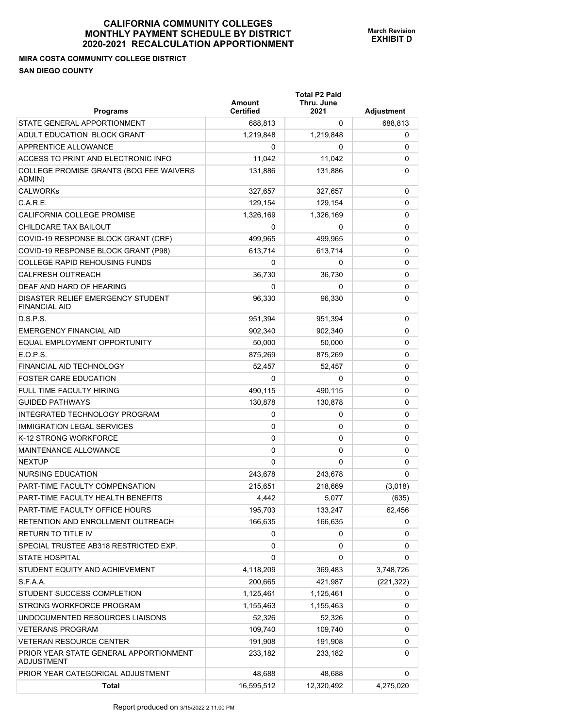## **MIRA COSTA COMMUNITY COLLEGE DISTRICT SAN DIEGO COUNTY**

| <b>Programs</b>                                           | Amount<br><b>Certified</b> | <b>Total P2 Paid</b><br>Thru. June<br>2021 | Adjustment |
|-----------------------------------------------------------|----------------------------|--------------------------------------------|------------|
| STATE GENERAL APPORTIONMENT                               | 688,813                    | 0                                          | 688,813    |
| ADULT EDUCATION BLOCK GRANT                               | 1,219,848                  | 1,219,848                                  | 0          |
| APPRENTICE ALLOWANCE                                      | 0                          | 0                                          | 0          |
| ACCESS TO PRINT AND ELECTRONIC INFO                       | 11,042                     | 11,042                                     | 0          |
| COLLEGE PROMISE GRANTS (BOG FEE WAIVERS<br>ADMIN)         | 131,886                    | 131,886                                    | 0          |
| <b>CALWORKs</b>                                           | 327,657                    | 327,657                                    | 0          |
| C.A.R.E.                                                  | 129,154                    | 129.154                                    | 0          |
| CALIFORNIA COLLEGE PROMISE                                | 1,326,169                  | 1,326,169                                  | 0          |
| CHILDCARE TAX BAILOUT                                     | 0                          | 0                                          | 0          |
| COVID-19 RESPONSE BLOCK GRANT (CRF)                       | 499,965                    | 499,965                                    | 0          |
| COVID-19 RESPONSE BLOCK GRANT (P98)                       | 613,714                    | 613,714                                    | 0          |
| <b>COLLEGE RAPID REHOUSING FUNDS</b>                      | 0                          | 0                                          | 0          |
| <b>CALFRESH OUTREACH</b>                                  | 36,730                     | 36,730                                     | 0          |
| DEAF AND HARD OF HEARING                                  | 0                          | 0                                          | 0          |
| DISASTER RELIEF EMERGENCY STUDENT<br><b>FINANCIAL AID</b> | 96,330                     | 96,330                                     | 0          |
| D.S.P.S.                                                  | 951,394                    | 951,394                                    | 0          |
| <b>EMERGENCY FINANCIAL AID</b>                            | 902,340                    | 902,340                                    | 0          |
| EQUAL EMPLOYMENT OPPORTUNITY                              | 50.000                     | 50,000                                     | 0          |
| E.O.P.S.                                                  | 875,269                    | 875,269                                    | 0          |
| FINANCIAL AID TECHNOLOGY                                  | 52,457                     | 52,457                                     | 0          |
| <b>FOSTER CARE EDUCATION</b>                              | 0                          | 0                                          | 0          |
| <b>FULL TIME FACULTY HIRING</b>                           | 490,115                    | 490,115                                    | 0          |
| <b>GUIDED PATHWAYS</b>                                    | 130,878                    | 130,878                                    | 0          |
| INTEGRATED TECHNOLOGY PROGRAM                             | 0                          | 0                                          | 0          |
| <b>IMMIGRATION LEGAL SERVICES</b>                         | 0                          | 0                                          | 0          |
| K-12 STRONG WORKFORCE                                     | 0                          | 0                                          | 0          |
| MAINTENANCE ALLOWANCE                                     | 0                          | 0                                          | 0          |
| <b>NEXTUP</b>                                             | 0                          | 0                                          | 0          |
| NURSING EDUCATION                                         | 243,678                    | 243,678                                    | 0          |
| PART-TIME FACULTY COMPENSATION                            | 215,651                    | 218,669                                    | (3,018)    |
| PART-TIME FACULTY HEALTH BENEFITS                         | 4,442                      | 5,077                                      | (635)      |
| PART-TIME FACULTY OFFICE HOURS                            | 195,703                    | 133,247                                    | 62,456     |
| RETENTION AND ENROLLMENT OUTREACH                         | 166,635                    | 166,635                                    | 0          |
| RETURN TO TITLE IV                                        | 0                          | 0                                          | 0          |
| SPECIAL TRUSTEE AB318 RESTRICTED EXP.                     | 0                          | 0                                          | 0          |
| <b>STATE HOSPITAL</b>                                     | 0                          | 0                                          | 0          |
| STUDENT EQUITY AND ACHIEVEMENT                            | 4,118,209                  | 369,483                                    | 3,748,726  |
| S.F.A.A.                                                  | 200,665                    | 421,987                                    | (221, 322) |
| STUDENT SUCCESS COMPLETION                                | 1,125,461                  | 1,125,461                                  | 0          |
| STRONG WORKFORCE PROGRAM                                  | 1,155,463                  | 1,155,463                                  | 0          |
| UNDOCUMENTED RESOURCES LIAISONS                           | 52,326                     | 52,326                                     | 0          |
| <b>VETERANS PROGRAM</b>                                   | 109,740                    | 109,740                                    | 0          |
| <b>VETERAN RESOURCE CENTER</b>                            | 191,908                    | 191,908                                    | 0          |
| PRIOR YEAR STATE GENERAL APPORTIONMENT<br>ADJUSTMENT      | 233,182                    | 233,182                                    | 0          |
| PRIOR YEAR CATEGORICAL ADJUSTMENT                         | 48,688                     | 48,688                                     | 0          |
| <b>Total</b>                                              | 16,595,512                 | 12,320,492                                 | 4,275,020  |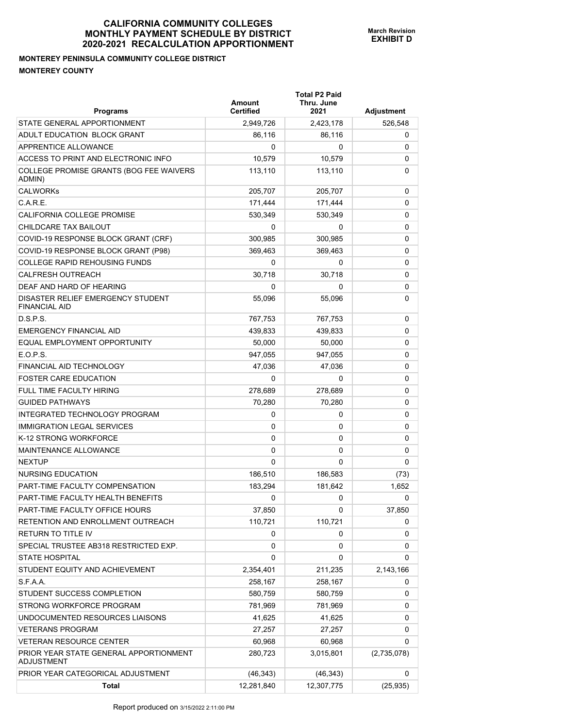## **MONTEREY PENINSULA COMMUNITY COLLEGE DISTRICT MONTEREY COUNTY**

| <b>Programs</b>                                             | Amount<br><b>Certified</b> | <b>Total P2 Paid</b><br>Thru. June<br>2021 | <b>Adjustment</b> |
|-------------------------------------------------------------|----------------------------|--------------------------------------------|-------------------|
| STATE GENERAL APPORTIONMENT                                 | 2,949,726                  | 2,423,178                                  | 526,548           |
| ADULT EDUCATION BLOCK GRANT                                 | 86,116                     | 86,116                                     | 0                 |
| APPRENTICE ALLOWANCE                                        | 0                          | 0                                          | 0                 |
| ACCESS TO PRINT AND ELECTRONIC INFO                         | 10,579                     | 10,579                                     | 0                 |
| COLLEGE PROMISE GRANTS (BOG FEE WAIVERS<br>ADMIN)           | 113,110                    | 113,110                                    | 0                 |
| <b>CALWORKs</b>                                             | 205,707                    | 205,707                                    | 0                 |
| C.A.R.E.                                                    | 171,444                    | 171,444                                    | 0                 |
| CALIFORNIA COLLEGE PROMISE                                  | 530,349                    | 530.349                                    | 0                 |
| CHILDCARE TAX BAILOUT                                       | 0                          | 0                                          | 0                 |
| COVID-19 RESPONSE BLOCK GRANT (CRF)                         | 300,985                    | 300,985                                    | 0                 |
| COVID-19 RESPONSE BLOCK GRANT (P98)                         | 369,463                    | 369,463                                    | 0                 |
| <b>COLLEGE RAPID REHOUSING FUNDS</b>                        | 0                          | 0                                          | 0                 |
| <b>CALFRESH OUTREACH</b>                                    | 30,718                     | 30,718                                     | 0                 |
| DEAF AND HARD OF HEARING                                    | 0                          | 0                                          | 0                 |
| DISASTER RELIEF EMERGENCY STUDENT<br><b>FINANCIAL AID</b>   | 55,096                     | 55,096                                     | 0                 |
| D.S.P.S.                                                    | 767,753                    | 767,753                                    | 0                 |
| <b>EMERGENCY FINANCIAL AID</b>                              | 439,833                    | 439.833                                    | 0                 |
| EQUAL EMPLOYMENT OPPORTUNITY                                | 50,000                     | 50,000                                     | 0                 |
| E.O.P.S.                                                    | 947,055                    | 947,055                                    | 0                 |
| <b>FINANCIAL AID TECHNOLOGY</b>                             | 47,036                     | 47,036                                     | 0                 |
| <b>FOSTER CARE EDUCATION</b>                                | 0                          | 0                                          | 0                 |
| <b>FULL TIME FACULTY HIRING</b>                             | 278,689                    | 278,689                                    | 0                 |
| <b>GUIDED PATHWAYS</b>                                      | 70,280                     | 70,280                                     | 0                 |
| INTEGRATED TECHNOLOGY PROGRAM                               | 0                          | 0                                          | 0                 |
| <b>IMMIGRATION LEGAL SERVICES</b>                           | 0                          | 0                                          | 0                 |
| K-12 STRONG WORKFORCE                                       | 0                          | 0                                          | 0                 |
| MAINTENANCE ALLOWANCE                                       | 0                          | 0                                          | 0                 |
| <b>NEXTUP</b>                                               | 0                          | 0                                          | 0                 |
| <b>NURSING EDUCATION</b>                                    | 186,510                    | 186,583                                    | (73)              |
| PART-TIME FACULTY COMPENSATION                              | 183,294                    | 181,642                                    | 1,652             |
| PART-TIME FACULTY HEALTH BENEFITS                           | 0                          | 0                                          | 0                 |
| PART-TIME FACULTY OFFICE HOURS                              | 37,850                     | 0                                          | 37,850            |
| RETENTION AND ENROLLMENT OUTREACH                           | 110,721                    | 110,721                                    | 0                 |
| RETURN TO TITLE IV                                          | 0                          | 0                                          | 0                 |
| SPECIAL TRUSTEE AB318 RESTRICTED EXP.                       | 0                          | 0                                          | 0                 |
| <b>STATE HOSPITAL</b>                                       | 0                          | 0                                          | 0                 |
| STUDENT EQUITY AND ACHIEVEMENT                              | 2,354,401                  | 211,235                                    | 2,143,166         |
| S.F.A.A.                                                    | 258,167                    | 258,167                                    | 0                 |
| STUDENT SUCCESS COMPLETION                                  | 580,759                    | 580,759                                    | 0                 |
| STRONG WORKFORCE PROGRAM                                    | 781,969                    | 781,969                                    | 0                 |
| UNDOCUMENTED RESOURCES LIAISONS                             | 41,625                     | 41,625                                     | 0                 |
| <b>VETERANS PROGRAM</b>                                     | 27,257                     | 27,257                                     | 0                 |
| <b>VETERAN RESOURCE CENTER</b>                              | 60,968                     | 60,968                                     | 0                 |
| PRIOR YEAR STATE GENERAL APPORTIONMENT<br><b>ADJUSTMENT</b> | 280,723                    | 3,015,801                                  | (2,735,078)       |
| PRIOR YEAR CATEGORICAL ADJUSTMENT                           | (46, 343)                  | (46, 343)                                  | 0                 |
| <b>Total</b>                                                | 12,281,840                 | 12,307,775                                 | (25, 935)         |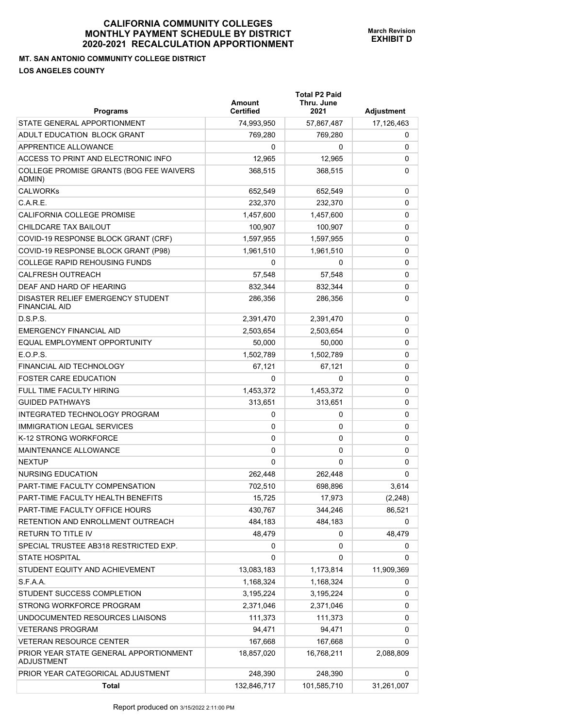## **MT. SAN ANTONIO COMMUNITY COLLEGE DISTRICT LOS ANGELES COUNTY**

| <b>Programs</b>                                           | Amount<br><b>Certified</b> | <b>Total P2 Paid</b><br>Thru. June<br>2021 | Adjustment |
|-----------------------------------------------------------|----------------------------|--------------------------------------------|------------|
| STATE GENERAL APPORTIONMENT                               | 74,993,950                 | 57,867,487                                 | 17,126,463 |
| ADULT EDUCATION BLOCK GRANT                               | 769,280                    | 769,280                                    | 0          |
| APPRENTICE ALLOWANCE                                      | 0                          | 0                                          | 0          |
| ACCESS TO PRINT AND ELECTRONIC INFO                       | 12,965                     | 12,965                                     | 0          |
| COLLEGE PROMISE GRANTS (BOG FEE WAIVERS<br>ADMIN)         | 368,515                    | 368,515                                    | 0          |
| <b>CALWORKs</b>                                           | 652.549                    | 652,549                                    | 0          |
| C.A.R.E.                                                  | 232,370                    | 232.370                                    | 0          |
| CALIFORNIA COLLEGE PROMISE                                | 1,457,600                  | 1,457,600                                  | 0          |
| CHILDCARE TAX BAILOUT                                     | 100,907                    | 100,907                                    | 0          |
| COVID-19 RESPONSE BLOCK GRANT (CRF)                       | 1,597,955                  | 1,597,955                                  | 0          |
| COVID-19 RESPONSE BLOCK GRANT (P98)                       | 1,961,510                  | 1,961,510                                  | 0          |
| COLLEGE RAPID REHOUSING FUNDS                             | 0                          | 0                                          | 0          |
| <b>CALFRESH OUTREACH</b>                                  | 57,548                     | 57,548                                     | 0          |
| DEAF AND HARD OF HEARING                                  | 832.344                    | 832.344                                    | 0          |
| DISASTER RELIEF EMERGENCY STUDENT<br><b>FINANCIAL AID</b> | 286,356                    | 286,356                                    | 0          |
| D.S.P.S.                                                  | 2,391,470                  | 2,391,470                                  | 0          |
| <b>EMERGENCY FINANCIAL AID</b>                            | 2,503,654                  | 2,503,654                                  | 0          |
| EQUAL EMPLOYMENT OPPORTUNITY                              | 50,000                     | 50,000                                     | 0          |
| FOPS                                                      | 1,502,789                  | 1,502,789                                  | 0          |
| <b>FINANCIAL AID TECHNOLOGY</b>                           | 67,121                     | 67,121                                     | 0          |
| <b>FOSTER CARE EDUCATION</b>                              | $\Omega$                   | 0                                          | 0          |
| <b>FULL TIME FACULTY HIRING</b>                           | 1,453,372                  | 1,453,372                                  | 0          |
| <b>GUIDED PATHWAYS</b>                                    | 313,651                    | 313,651                                    | 0          |
| INTEGRATED TECHNOLOGY PROGRAM                             | 0                          | 0                                          | 0          |
| <b>IMMIGRATION LEGAL SERVICES</b>                         | 0                          | 0                                          | 0          |
| K-12 STRONG WORKFORCE                                     | 0                          | 0                                          | 0          |
| <b>MAINTENANCE ALLOWANCE</b>                              | 0                          | 0                                          | 0          |
| <b>NEXTUP</b>                                             | $\Omega$                   | 0                                          | 0          |
| NURSING EDUCATION                                         | 262,448                    | 262,448                                    | 0          |
| PART-TIME FACULTY COMPENSATION                            | 702,510                    | 698,896                                    | 3,614      |
| PART-TIME FACULTY HEALTH BENEFITS                         | 15,725                     | 17,973                                     | (2, 248)   |
| PART-TIME FACULTY OFFICE HOURS                            | 430,767                    | 344,246                                    | 86,521     |
| RETENTION AND ENROLLMENT OUTREACH                         | 484,183                    | 484,183                                    | 0          |
| <b>RETURN TO TITLE IV</b>                                 | 48,479                     | 0                                          | 48,479     |
| SPECIAL TRUSTEE AB318 RESTRICTED EXP.                     | 0                          | 0                                          | 0          |
| <b>STATE HOSPITAL</b>                                     | 0                          | 0                                          | 0          |
| STUDENT EQUITY AND ACHIEVEMENT                            | 13,083,183                 | 1,173,814                                  | 11,909,369 |
| S.F.A.A.                                                  | 1,168,324                  | 1,168,324                                  | 0          |
| STUDENT SUCCESS COMPLETION                                | 3,195,224                  | 3,195,224                                  | 0          |
| STRONG WORKFORCE PROGRAM                                  | 2,371,046                  | 2,371,046                                  | 0          |
| UNDOCUMENTED RESOURCES LIAISONS                           | 111,373                    | 111,373                                    | 0          |
| <b>VETERANS PROGRAM</b>                                   | 94,471                     | 94,471                                     | 0          |
| <b>VETERAN RESOURCE CENTER</b>                            | 167,668                    | 167,668                                    | 0          |
| PRIOR YEAR STATE GENERAL APPORTIONMENT<br>ADJUSTMENT      | 18,857,020                 | 16,768,211                                 | 2,088,809  |
| PRIOR YEAR CATEGORICAL ADJUSTMENT                         | 248,390                    | 248,390                                    | 0          |
| <b>Total</b>                                              | 132,846,717                | 101,585,710                                | 31,261,007 |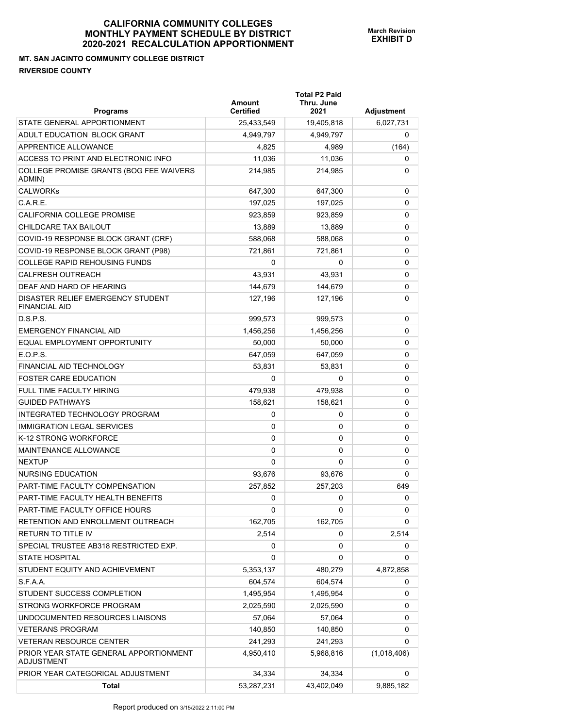## **MT. SAN JACINTO COMMUNITY COLLEGE DISTRICT RIVERSIDE COUNTY**

| <b>Programs</b>                                             | Amount<br><b>Certified</b> | <b>Total P2 Paid</b><br>Thru. June<br>2021 | Adjustment  |
|-------------------------------------------------------------|----------------------------|--------------------------------------------|-------------|
| STATE GENERAL APPORTIONMENT                                 | 25,433,549                 | 19,405,818                                 | 6,027,731   |
| ADULT EDUCATION BLOCK GRANT                                 | 4,949,797                  | 4,949,797                                  | 0           |
| APPRENTICE ALLOWANCE                                        | 4,825                      | 4,989                                      | (164)       |
| ACCESS TO PRINT AND ELECTRONIC INFO                         | 11,036                     | 11,036                                     | 0           |
| COLLEGE PROMISE GRANTS (BOG FEE WAIVERS<br>ADMIN)           | 214,985                    | 214,985                                    | 0           |
| <b>CALWORKs</b>                                             | 647,300                    | 647,300                                    | 0           |
| C.A.R.E.                                                    | 197,025                    | 197,025                                    | 0           |
| <b>CALIFORNIA COLLEGE PROMISE</b>                           | 923.859                    | 923,859                                    | 0           |
| CHILDCARE TAX BAILOUT                                       | 13,889                     | 13,889                                     | 0           |
| COVID-19 RESPONSE BLOCK GRANT (CRF)                         | 588,068                    | 588,068                                    | 0           |
| COVID-19 RESPONSE BLOCK GRANT (P98)                         | 721,861                    | 721,861                                    | 0           |
| <b>COLLEGE RAPID REHOUSING FUNDS</b>                        | 0                          | 0                                          | 0           |
| <b>CALFRESH OUTREACH</b>                                    | 43.931                     | 43,931                                     | 0           |
| DEAF AND HARD OF HEARING                                    | 144,679                    | 144,679                                    | 0           |
| DISASTER RELIEF EMERGENCY STUDENT<br><b>FINANCIAL AID</b>   | 127,196                    | 127,196                                    | 0           |
| D.S.P.S.                                                    | 999,573                    | 999,573                                    | 0           |
| <b>EMERGENCY FINANCIAL AID</b>                              | 1,456,256                  | 1,456,256                                  | 0           |
| EQUAL EMPLOYMENT OPPORTUNITY                                | 50,000                     | 50,000                                     | 0           |
| E.O.P.S.                                                    | 647,059                    | 647,059                                    | 0           |
| <b>FINANCIAL AID TECHNOLOGY</b>                             | 53,831                     | 53,831                                     | 0           |
| <b>FOSTER CARE EDUCATION</b>                                | $\Omega$                   | 0                                          | 0           |
| FULL TIME FACULTY HIRING                                    | 479,938                    | 479,938                                    | 0           |
| <b>GUIDED PATHWAYS</b>                                      | 158,621                    | 158,621                                    | 0           |
| INTEGRATED TECHNOLOGY PROGRAM                               | 0                          | 0                                          | 0           |
| <b>IMMIGRATION LEGAL SERVICES</b>                           | 0                          | 0                                          | 0           |
| K-12 STRONG WORKFORCE                                       | 0                          | 0                                          | 0           |
| MAINTENANCE ALLOWANCE                                       | $\Omega$                   | 0                                          | 0           |
| <b>NEXTUP</b>                                               | $\Omega$                   | $\Omega$                                   | 0           |
| <b>NURSING EDUCATION</b>                                    | 93,676                     | 93,676                                     | 0           |
| PART-TIME FACULTY COMPENSATION                              | 257,852                    | 257,203                                    | 649         |
| PART-TIME FACULTY HEALTH BENEFITS                           | 0                          | 0                                          | 0           |
| PART-TIME FACULTY OFFICE HOURS                              | 0                          | 0                                          | 0           |
| RETENTION AND ENROLLMENT OUTREACH                           | 162,705                    | 162,705                                    | 0           |
| <b>RETURN TO TITLE IV</b>                                   | 2,514                      | 0                                          | 2,514       |
| SPECIAL TRUSTEE AB318 RESTRICTED EXP.                       | 0                          | 0                                          | 0           |
| <b>STATE HOSPITAL</b>                                       | 0                          | 0                                          | 0           |
| STUDENT EQUITY AND ACHIEVEMENT                              | 5,353,137                  | 480,279                                    | 4,872,858   |
| S.F.A.A.                                                    | 604,574                    | 604,574                                    | 0           |
| STUDENT SUCCESS COMPLETION                                  | 1,495,954                  | 1,495,954                                  | 0           |
| STRONG WORKFORCE PROGRAM                                    | 2,025,590                  | 2,025,590                                  | 0           |
| UNDOCUMENTED RESOURCES LIAISONS                             | 57,064                     | 57,064                                     | 0           |
| <b>VETERANS PROGRAM</b>                                     | 140,850                    | 140,850                                    | 0           |
| <b>VETERAN RESOURCE CENTER</b>                              | 241,293                    | 241,293                                    | 0           |
| PRIOR YEAR STATE GENERAL APPORTIONMENT<br><b>ADJUSTMENT</b> | 4,950,410                  | 5,968,816                                  | (1,018,406) |
| PRIOR YEAR CATEGORICAL ADJUSTMENT                           | 34,334                     | 34,334                                     | 0           |
| <b>Total</b>                                                | 53,287,231                 | 43,402,049                                 | 9,885,182   |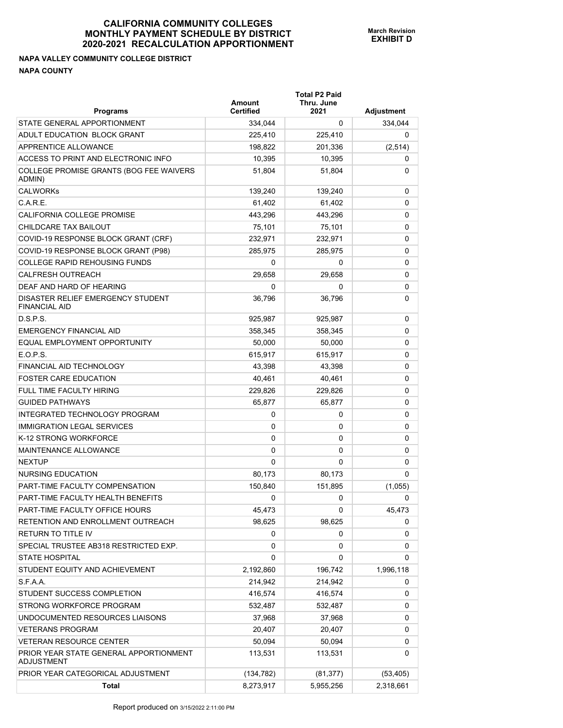## **NAPA VALLEY COMMUNITY COLLEGE DISTRICT NAPA COUNTY**

| <b>Programs</b>                                             | Amount<br><b>Certified</b> | <b>Total P2 Paid</b><br>Thru. June<br>2021 | <b>Adjustment</b> |
|-------------------------------------------------------------|----------------------------|--------------------------------------------|-------------------|
| STATE GENERAL APPORTIONMENT                                 | 334,044                    | 0                                          | 334,044           |
| ADULT EDUCATION BLOCK GRANT                                 | 225.410                    | 225,410                                    | 0                 |
| APPRENTICE ALLOWANCE                                        | 198,822                    | 201,336                                    | (2,514)           |
| ACCESS TO PRINT AND ELECTRONIC INFO                         | 10,395                     | 10,395                                     | 0                 |
| COLLEGE PROMISE GRANTS (BOG FEE WAIVERS<br>ADMIN)           | 51,804                     | 51,804                                     | 0                 |
| <b>CALWORKs</b>                                             | 139,240                    | 139,240                                    | 0                 |
| C.A.R.E.                                                    | 61,402                     | 61,402                                     | 0                 |
| CALIFORNIA COLLEGE PROMISE                                  | 443,296                    | 443,296                                    | 0                 |
| CHILDCARE TAX BAILOUT                                       | 75,101                     | 75,101                                     | 0                 |
| COVID-19 RESPONSE BLOCK GRANT (CRF)                         | 232,971                    | 232,971                                    | 0                 |
| COVID-19 RESPONSE BLOCK GRANT (P98)                         | 285,975                    | 285,975                                    | 0                 |
| <b>COLLEGE RAPID REHOUSING FUNDS</b>                        | 0                          | 0                                          | 0                 |
| <b>CALFRESH OUTREACH</b>                                    | 29.658                     | 29,658                                     | 0                 |
| DEAF AND HARD OF HEARING                                    | 0                          | 0                                          | 0                 |
| DISASTER RELIEF EMERGENCY STUDENT<br><b>FINANCIAL AID</b>   | 36,796                     | 36,796                                     | 0                 |
| D.S.P.S.                                                    | 925,987                    | 925,987                                    | 0                 |
| <b>EMERGENCY FINANCIAL AID</b>                              | 358,345                    | 358,345                                    | 0                 |
| EQUAL EMPLOYMENT OPPORTUNITY                                | 50,000                     | 50,000                                     | 0                 |
| E.O.P.S.                                                    | 615,917                    | 615,917                                    | 0                 |
| FINANCIAL AID TECHNOLOGY                                    | 43,398                     | 43,398                                     | 0                 |
| <b>FOSTER CARE EDUCATION</b>                                | 40,461                     | 40,461                                     | 0                 |
| FULL TIME FACULTY HIRING                                    | 229,826                    | 229,826                                    | 0                 |
| <b>GUIDED PATHWAYS</b>                                      | 65,877                     | 65,877                                     | 0                 |
| INTEGRATED TECHNOLOGY PROGRAM                               | 0                          | 0                                          | 0                 |
| <b>IMMIGRATION LEGAL SERVICES</b>                           | 0                          | 0                                          | 0                 |
| K-12 STRONG WORKFORCE                                       | 0                          | 0                                          | 0                 |
| MAINTENANCE ALLOWANCE                                       | 0                          | 0                                          | 0                 |
| <b>NEXTUP</b>                                               | 0                          | 0                                          | 0                 |
| NURSING EDUCATION                                           | 80,173                     | 80,173                                     | 0                 |
| PART-TIME FACULTY COMPENSATION                              | 150,840                    | 151,895                                    | (1,055)           |
| PART-TIME FACULTY HEALTH BENEFITS                           | 0                          | 0                                          | 0                 |
| PART-TIME FACULTY OFFICE HOURS                              | 45,473                     | 0                                          | 45,473            |
| RETENTION AND ENROLLMENT OUTREACH.                          | 98,625                     | 98,625                                     | 0                 |
| RETURN TO TITLE IV                                          | 0                          | 0                                          | 0                 |
| SPECIAL TRUSTEE AB318 RESTRICTED EXP.                       | 0                          | 0                                          | 0                 |
| <b>STATE HOSPITAL</b>                                       | 0                          | 0                                          | 0                 |
| STUDENT EQUITY AND ACHIEVEMENT                              | 2,192,860                  | 196,742                                    | 1,996,118         |
| S.F.A.A.                                                    | 214,942                    | 214,942                                    | 0                 |
| STUDENT SUCCESS COMPLETION                                  | 416,574                    | 416,574                                    | 0                 |
| STRONG WORKFORCE PROGRAM                                    | 532,487                    | 532,487                                    | 0                 |
| UNDOCUMENTED RESOURCES LIAISONS                             | 37,968                     | 37,968                                     | 0                 |
| <b>VETERANS PROGRAM</b>                                     | 20,407                     | 20,407                                     | 0                 |
| <b>VETERAN RESOURCE CENTER</b>                              | 50,094                     | 50,094                                     | 0                 |
| PRIOR YEAR STATE GENERAL APPORTIONMENT<br><b>ADJUSTMENT</b> | 113,531                    | 113,531                                    | 0                 |
| PRIOR YEAR CATEGORICAL ADJUSTMENT                           | (134, 782)                 | (81, 377)                                  | (53, 405)         |
| Total                                                       | 8,273,917                  | 5,955,256                                  | 2,318,661         |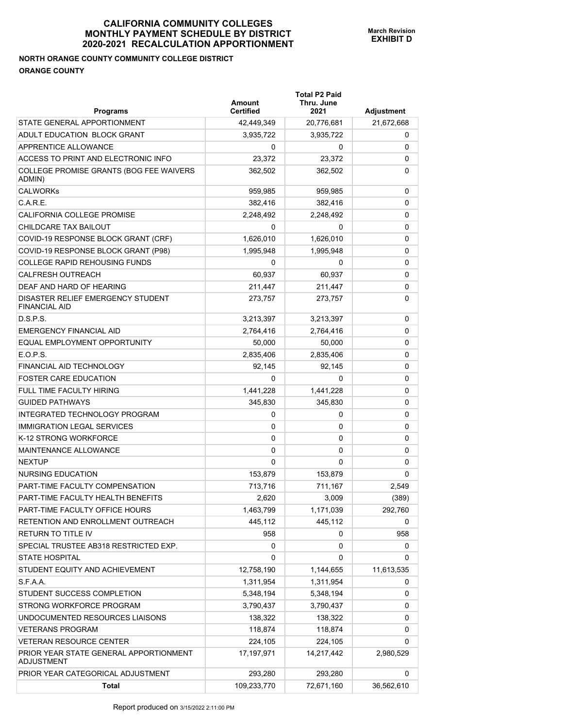# **NORTH ORANGE COUNTY COMMUNITY COLLEGE DISTRICT ORANGE COUNTY**

| <b>Programs</b>                                           | Amount<br><b>Certified</b> | <b>Total P2 Paid</b><br>Thru. June<br>2021 | Adjustment |
|-----------------------------------------------------------|----------------------------|--------------------------------------------|------------|
| STATE GENERAL APPORTIONMENT                               | 42,449,349                 | 20,776,681                                 | 21,672,668 |
| ADULT EDUCATION BLOCK GRANT                               | 3,935,722                  | 3,935,722                                  | 0          |
| APPRENTICE ALLOWANCE                                      | 0                          | 0                                          | 0          |
| ACCESS TO PRINT AND ELECTRONIC INFO                       | 23,372                     | 23,372                                     | 0          |
| COLLEGE PROMISE GRANTS (BOG FEE WAIVERS<br>ADMIN)         | 362,502                    | 362,502                                    | 0          |
| <b>CALWORKs</b>                                           | 959,985                    | 959,985                                    | 0          |
| C.A.R.E.                                                  | 382,416                    | 382,416                                    | 0          |
| CALIFORNIA COLLEGE PROMISE                                | 2,248,492                  | 2,248,492                                  | 0          |
| CHILDCARE TAX BAILOUT                                     | 0                          | 0                                          | 0          |
| COVID-19 RESPONSE BLOCK GRANT (CRF)                       | 1,626,010                  | 1,626,010                                  | 0          |
| COVID-19 RESPONSE BLOCK GRANT (P98)                       | 1,995,948                  | 1,995,948                                  | 0          |
| <b>COLLEGE RAPID REHOUSING FUNDS</b>                      | 0                          | 0                                          | 0          |
| <b>CALFRESH OUTREACH</b>                                  | 60.937                     | 60.937                                     | 0          |
| DEAF AND HARD OF HEARING                                  | 211,447                    | 211,447                                    | 0          |
| DISASTER RELIEF EMERGENCY STUDENT<br><b>FINANCIAL AID</b> | 273,757                    | 273,757                                    | 0          |
| D.S.P.S.                                                  | 3,213,397                  | 3,213,397                                  | 0          |
| <b>EMERGENCY FINANCIAL AID</b>                            | 2,764,416                  | 2,764,416                                  | 0          |
| <b>EQUAL EMPLOYMENT OPPORTUNITY</b>                       | 50,000                     | 50,000                                     | 0          |
| E.O.P.S.                                                  | 2,835,406                  | 2,835,406                                  | 0          |
| <b>FINANCIAL AID TECHNOLOGY</b>                           | 92,145                     | 92,145                                     | 0          |
| <b>FOSTER CARE EDUCATION</b>                              | 0                          | 0                                          | 0          |
| <b>FULL TIME FACULTY HIRING</b>                           | 1,441,228                  | 1,441,228                                  | 0          |
| <b>GUIDED PATHWAYS</b>                                    | 345,830                    | 345,830                                    | 0          |
| INTEGRATED TECHNOLOGY PROGRAM                             | 0                          | 0                                          | 0          |
| <b>IMMIGRATION LEGAL SERVICES</b>                         | 0                          | 0                                          | 0          |
| K-12 STRONG WORKFORCE                                     | 0                          | 0                                          | 0          |
| <b>MAINTENANCE ALLOWANCE</b>                              | 0                          | 0                                          | 0          |
| <b>NEXTUP</b>                                             | 0                          | 0                                          | 0          |
| NURSING EDUCATION                                         | 153,879                    | 153.879                                    | 0          |
| PART-TIME FACULTY COMPENSATION                            | 713,716                    | 711,167                                    | 2,549      |
| PART-TIME FACULTY HEALTH BENEFITS                         | 2,620                      | 3,009                                      | (389)      |
| PART-TIME FACULTY OFFICE HOURS                            | 1,463,799                  | 1,171,039                                  | 292,760    |
| RETENTION AND ENROLLMENT OUTREACH                         | 445,112                    | 445,112                                    | 0          |
| <b>RETURN TO TITLE IV</b>                                 | 958                        | 0                                          | 958        |
| SPECIAL TRUSTEE AB318 RESTRICTED EXP.                     | 0                          | 0                                          | 0          |
| <b>STATE HOSPITAL</b>                                     | 0                          | 0                                          | 0          |
| STUDENT EQUITY AND ACHIEVEMENT                            | 12,758,190                 | 1,144,655                                  | 11,613,535 |
| S.F.A.A.                                                  | 1,311,954                  | 1,311,954                                  | 0          |
| STUDENT SUCCESS COMPLETION                                | 5,348,194                  | 5,348,194                                  | 0          |
| STRONG WORKFORCE PROGRAM                                  | 3,790,437                  | 3,790,437                                  | 0          |
| UNDOCUMENTED RESOURCES LIAISONS                           | 138,322                    | 138,322                                    | 0          |
| <b>VETERANS PROGRAM</b>                                   | 118,874                    | 118,874                                    | 0          |
| VETERAN RESOURCE CENTER                                   | 224,105                    | 224,105                                    | 0          |
| PRIOR YEAR STATE GENERAL APPORTIONMENT<br>ADJUSTMENT      | 17, 197, 971               | 14,217,442                                 | 2,980,529  |
| PRIOR YEAR CATEGORICAL ADJUSTMENT                         | 293,280                    | 293,280                                    | 0          |
| <b>Total</b>                                              | 109,233,770                | 72,671,160                                 | 36,562,610 |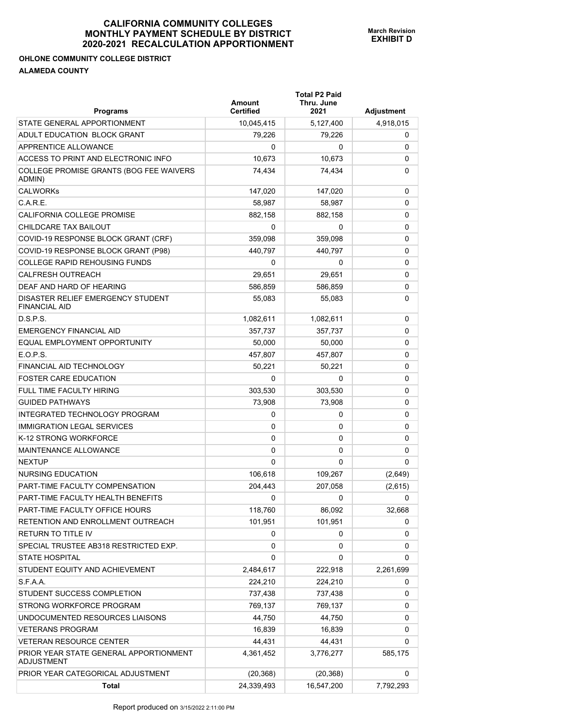## **OHLONE COMMUNITY COLLEGE DISTRICT ALAMEDA COUNTY**

| <b>Programs</b>                                             | Amount<br><b>Certified</b> | <b>Total P2 Paid</b><br>Thru. June<br>2021 | Adjustment |
|-------------------------------------------------------------|----------------------------|--------------------------------------------|------------|
| STATE GENERAL APPORTIONMENT                                 | 10,045,415                 | 5,127,400                                  | 4,918,015  |
| ADULT EDUCATION BLOCK GRANT                                 | 79,226                     | 79.226                                     | 0          |
| APPRENTICE ALLOWANCE                                        | 0                          | 0                                          | 0          |
| ACCESS TO PRINT AND ELECTRONIC INFO                         | 10,673                     | 10,673                                     | 0          |
| COLLEGE PROMISE GRANTS (BOG FEE WAIVERS<br>ADMIN)           | 74,434                     | 74,434                                     | 0          |
| <b>CALWORKs</b>                                             | 147,020                    | 147,020                                    | 0          |
| C.A.R.E.                                                    | 58,987                     | 58,987                                     | 0          |
| CALIFORNIA COLLEGE PROMISE                                  | 882.158                    | 882,158                                    | 0          |
| CHILDCARE TAX BAILOUT                                       | 0                          | 0                                          | 0          |
| COVID-19 RESPONSE BLOCK GRANT (CRF)                         | 359,098                    | 359,098                                    | 0          |
| COVID-19 RESPONSE BLOCK GRANT (P98)                         | 440,797                    | 440,797                                    | 0          |
| <b>COLLEGE RAPID REHOUSING FUNDS</b>                        | 0                          | 0                                          | 0          |
| <b>CALFRESH OUTREACH</b>                                    | 29,651                     | 29.651                                     | 0          |
| DEAF AND HARD OF HEARING                                    | 586,859                    | 586,859                                    | 0          |
| DISASTER RELIEF EMERGENCY STUDENT<br><b>FINANCIAL AID</b>   | 55,083                     | 55,083                                     | 0          |
| D.S.P.S.                                                    | 1,082,611                  | 1,082,611                                  | 0          |
| <b>EMERGENCY FINANCIAL AID</b>                              | 357,737                    | 357,737                                    | 0          |
| EQUAL EMPLOYMENT OPPORTUNITY                                | 50,000                     | 50,000                                     | 0          |
| E.O.P.S.                                                    | 457,807                    | 457,807                                    | 0          |
| FINANCIAL AID TECHNOLOGY                                    | 50,221                     | 50,221                                     | 0          |
| <b>FOSTER CARE EDUCATION</b>                                | 0                          | 0                                          | 0          |
| FULL TIME FACULTY HIRING                                    | 303,530                    | 303,530                                    | 0          |
| <b>GUIDED PATHWAYS</b>                                      | 73,908                     | 73,908                                     | 0          |
| INTEGRATED TECHNOLOGY PROGRAM                               | 0                          | 0                                          | 0          |
| <b>IMMIGRATION LEGAL SERVICES</b>                           | 0                          | 0                                          | 0          |
| K-12 STRONG WORKFORCE                                       | 0                          | 0                                          | 0          |
| MAINTENANCE ALLOWANCE                                       | 0                          | 0                                          | 0          |
| <b>NEXTUP</b>                                               | 0                          | 0                                          | 0          |
| NURSING EDUCATION                                           | 106,618                    | 109.267                                    | (2,649)    |
| PART-TIME FACULTY COMPENSATION                              | 204,443                    | 207,058                                    | (2,615)    |
| PART-TIME FACULTY HEALTH BENEFITS                           | 0                          | 0                                          | 0          |
| PART-TIME FACULTY OFFICE HOURS                              | 118,760                    | 86,092                                     | 32,668     |
| RETENTION AND ENROLLMENT OUTREACH                           | 101,951                    | 101,951                                    | 0          |
| RETURN TO TITLE IV                                          | 0                          | 0                                          | 0          |
| SPECIAL TRUSTEE AB318 RESTRICTED EXP.                       | 0                          | 0                                          | 0          |
| <b>STATE HOSPITAL</b>                                       | 0                          | 0                                          | 0          |
| STUDENT EQUITY AND ACHIEVEMENT                              | 2,484,617                  | 222,918                                    | 2,261,699  |
| S.F.A.A.                                                    | 224,210                    | 224,210                                    | 0          |
| STUDENT SUCCESS COMPLETION                                  | 737,438                    | 737,438                                    | 0          |
| STRONG WORKFORCE PROGRAM                                    | 769,137                    | 769,137                                    | 0          |
| UNDOCUMENTED RESOURCES LIAISONS                             | 44,750                     | 44,750                                     | 0          |
| <b>VETERANS PROGRAM</b>                                     | 16,839                     | 16,839                                     | 0          |
| <b>VETERAN RESOURCE CENTER</b>                              | 44,431                     | 44,431                                     | 0          |
| PRIOR YEAR STATE GENERAL APPORTIONMENT<br><b>ADJUSTMENT</b> | 4,361,452                  | 3,776,277                                  | 585,175    |
| PRIOR YEAR CATEGORICAL ADJUSTMENT                           | (20, 368)                  | (20, 368)                                  | 0          |
| <b>Total</b>                                                | 24,339,493                 | 16,547,200                                 | 7,792,293  |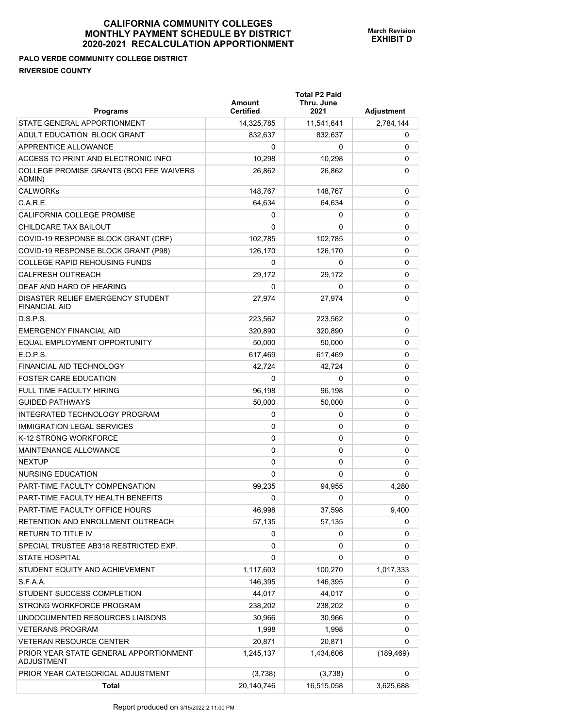# **PALO VERDE COMMUNITY COLLEGE DISTRICT RIVERSIDE COUNTY**

| <b>Programs</b>                                             | Amount<br><b>Certified</b> | <b>Total P2 Paid</b><br>Thru. June<br>2021 | Adjustment |
|-------------------------------------------------------------|----------------------------|--------------------------------------------|------------|
| STATE GENERAL APPORTIONMENT                                 | 14,325,785                 | 11,541,641                                 | 2,784,144  |
| ADULT EDUCATION BLOCK GRANT                                 | 832,637                    | 832,637                                    | 0          |
| APPRENTICE ALLOWANCE                                        | 0                          | 0                                          | 0          |
| ACCESS TO PRINT AND ELECTRONIC INFO                         | 10,298                     | 10,298                                     | 0          |
| COLLEGE PROMISE GRANTS (BOG FEE WAIVERS<br>ADMIN)           | 26,862                     | 26,862                                     | 0          |
| <b>CALWORKs</b>                                             | 148,767                    | 148,767                                    | 0          |
| C.A.R.E.                                                    | 64,634                     | 64,634                                     | 0          |
| CALIFORNIA COLLEGE PROMISE                                  | 0                          | 0                                          | 0          |
| CHILDCARE TAX BAILOUT                                       | 0                          | 0                                          | 0          |
| COVID-19 RESPONSE BLOCK GRANT (CRF)                         | 102,785                    | 102,785                                    | 0          |
| COVID-19 RESPONSE BLOCK GRANT (P98)                         | 126,170                    | 126,170                                    | 0          |
| <b>COLLEGE RAPID REHOUSING FUNDS</b>                        | 0                          | 0                                          | 0          |
| <b>CALFRESH OUTREACH</b>                                    | 29,172                     | 29,172                                     | 0          |
| DEAF AND HARD OF HEARING                                    | 0                          | 0                                          | 0          |
| DISASTER RELIEF EMERGENCY STUDENT<br><b>FINANCIAL AID</b>   | 27,974                     | 27,974                                     | 0          |
| D.S.P.S.                                                    | 223.562                    | 223,562                                    | 0          |
| <b>EMERGENCY FINANCIAL AID</b>                              | 320.890                    | 320,890                                    | 0          |
| EQUAL EMPLOYMENT OPPORTUNITY                                | 50,000                     | 50,000                                     | 0          |
| E.O.P.S.                                                    | 617,469                    | 617,469                                    | 0          |
| FINANCIAL AID TECHNOLOGY                                    | 42,724                     | 42,724                                     | 0          |
| <b>FOSTER CARE EDUCATION</b>                                | 0                          | 0                                          | 0          |
| <b>FULL TIME FACULTY HIRING</b>                             | 96,198                     | 96,198                                     | 0          |
| <b>GUIDED PATHWAYS</b>                                      | 50,000                     | 50,000                                     | 0          |
| INTEGRATED TECHNOLOGY PROGRAM                               | 0                          | 0                                          | 0          |
| <b>IMMIGRATION LEGAL SERVICES</b>                           | 0                          | 0                                          | 0          |
| K-12 STRONG WORKFORCE                                       | 0                          | 0                                          | 0          |
| MAINTENANCE ALLOWANCE                                       | 0                          | 0                                          | 0          |
| <b>NEXTUP</b>                                               | 0                          | 0                                          | 0          |
| NURSING EDUCATION                                           | 0                          | 0                                          | 0          |
| PART-TIME FACULTY COMPENSATION                              | 99,235                     | 94,955                                     | 4,280      |
| PART-TIME FACULTY HEALTH BENEFITS                           | 0                          | 0                                          | 0          |
| PART-TIME FACULTY OFFICE HOURS                              | 46,998                     | 37,598                                     | 9,400      |
| RETENTION AND ENROLLMENT OUTREACH                           | 57,135                     | 57,135                                     | 0          |
| RETURN TO TITLE IV                                          | 0                          | 0                                          | 0          |
| SPECIAL TRUSTEE AB318 RESTRICTED EXP.                       | 0                          | 0                                          | 0          |
| <b>STATE HOSPITAL</b>                                       | 0                          | 0                                          | 0          |
| STUDENT EQUITY AND ACHIEVEMENT                              | 1,117,603                  | 100,270                                    | 1,017,333  |
| S.F.A.A.                                                    | 146,395                    | 146,395                                    | 0          |
| STUDENT SUCCESS COMPLETION                                  | 44,017                     | 44,017                                     | 0          |
| STRONG WORKFORCE PROGRAM                                    | 238,202                    | 238,202                                    | 0          |
| UNDOCUMENTED RESOURCES LIAISONS                             | 30,966                     | 30,966                                     | 0          |
| <b>VETERANS PROGRAM</b>                                     | 1,998                      | 1,998                                      | 0          |
| <b>VETERAN RESOURCE CENTER</b>                              | 20,871                     | 20,871                                     | 0          |
| PRIOR YEAR STATE GENERAL APPORTIONMENT<br><b>ADJUSTMENT</b> | 1,245,137                  | 1,434,606                                  | (189, 469) |
| PRIOR YEAR CATEGORICAL ADJUSTMENT                           | (3,738)                    | (3,738)                                    | 0          |
| Total                                                       | 20,140,746                 | 16,515,058                                 | 3,625,688  |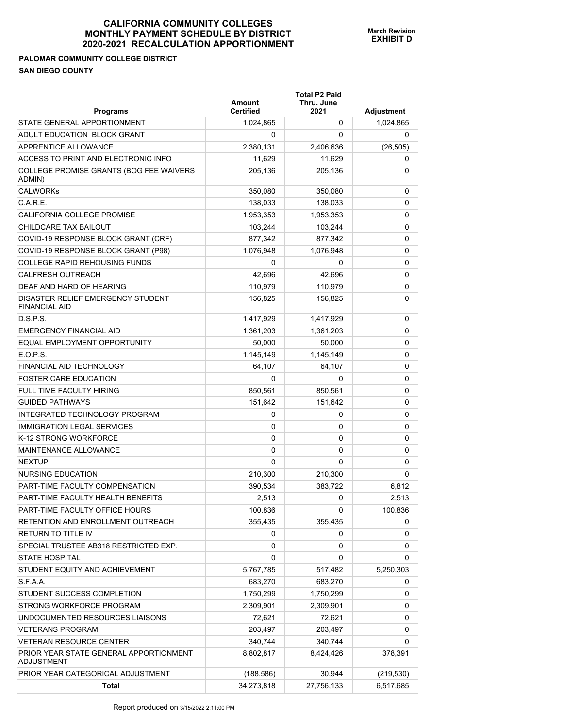# **PALOMAR COMMUNITY COLLEGE DISTRICT**

**SAN DIEGO COUNTY** 

|                                                             | <b>Total P2 Paid</b><br>Thru. June<br>Amount |            |            |
|-------------------------------------------------------------|----------------------------------------------|------------|------------|
| <b>Programs</b>                                             | <b>Certified</b>                             | 2021       | Adjustment |
| STATE GENERAL APPORTIONMENT                                 | 1,024,865                                    | 0          | 1,024,865  |
| ADULT EDUCATION BLOCK GRANT                                 | 0                                            | 0          | 0          |
| APPRENTICE ALLOWANCE                                        | 2,380,131                                    | 2.406.636  | (26, 505)  |
| ACCESS TO PRINT AND ELECTRONIC INFO                         | 11,629                                       | 11,629     | 0          |
| COLLEGE PROMISE GRANTS (BOG FEE WAIVERS<br>ADMIN)           | 205,136                                      | 205,136    | 0          |
| <b>CALWORKs</b>                                             | 350,080                                      | 350,080    | 0          |
| $C$ A R F                                                   | 138,033                                      | 138,033    | 0          |
| CALIFORNIA COLLEGE PROMISE                                  | 1,953,353                                    | 1,953,353  | 0          |
| CHILDCARE TAX BAILOUT                                       | 103,244                                      | 103,244    | 0          |
| COVID-19 RESPONSE BLOCK GRANT (CRF)                         | 877,342                                      | 877,342    | 0          |
| COVID-19 RESPONSE BLOCK GRANT (P98)                         | 1,076,948                                    | 1,076,948  | 0          |
| <b>COLLEGE RAPID REHOUSING FUNDS</b>                        | 0                                            | 0          | 0          |
| <b>CALFRESH OUTREACH</b>                                    | 42,696                                       | 42,696     | 0          |
| DEAF AND HARD OF HEARING                                    | 110,979                                      | 110,979    | 0          |
| DISASTER RELIEF EMERGENCY STUDENT<br><b>FINANCIAL AID</b>   | 156,825                                      | 156,825    | 0          |
| DSPS                                                        | 1,417,929                                    | 1,417,929  | 0          |
| <b>EMERGENCY FINANCIAL AID</b>                              | 1,361,203                                    | 1,361,203  | 0          |
| EQUAL EMPLOYMENT OPPORTUNITY                                | 50,000                                       | 50,000     | 0          |
| E.O.P.S.                                                    | 1,145,149                                    | 1,145,149  | 0          |
| FINANCIAL AID TECHNOLOGY                                    | 64,107                                       | 64,107     | 0          |
| <b>FOSTER CARE EDUCATION</b>                                | $\Omega$                                     | 0          | 0          |
| <b>FULL TIME FACULTY HIRING</b>                             | 850,561                                      | 850,561    | 0          |
| <b>GUIDED PATHWAYS</b>                                      | 151,642                                      | 151,642    | 0          |
| INTEGRATED TECHNOLOGY PROGRAM                               | 0                                            | 0          | 0          |
| <b>IMMIGRATION LEGAL SERVICES</b>                           | 0                                            | 0          | 0          |
| K-12 STRONG WORKFORCE                                       | 0                                            | 0          | 0          |
| <b>MAINTENANCE ALLOWANCE</b>                                | 0                                            | 0          | 0          |
| <b>NEXTUP</b>                                               | $\Omega$                                     | 0          | 0          |
| <b>NURSING EDUCATION</b>                                    | 210,300                                      | 210,300    | 0          |
| PART-TIME FACULTY COMPENSATION                              | 390,534                                      | 383,722    | 6.812      |
| PART-TIME FACULTY HEALTH BENEFITS                           | 2.513                                        | 0          | 2.513      |
| PART-TIME FACULTY OFFICE HOURS                              | 100,836                                      | 0          | 100,836    |
| RETENTION AND ENROLLMENT OUTREACH                           | 355,435                                      | 355,435    | 0          |
| <b>RETURN TO TITLE IV</b>                                   | 0                                            | 0          | 0          |
| SPECIAL TRUSTEE AB318 RESTRICTED EXP.                       | 0                                            | 0          | 0          |
| <b>STATE HOSPITAL</b>                                       | 0                                            | 0          | 0          |
| STUDENT EQUITY AND ACHIEVEMENT                              | 5,767,785                                    | 517,482    | 5,250,303  |
| S.F.A.A.                                                    | 683,270                                      | 683,270    | 0          |
| STUDENT SUCCESS COMPLETION                                  | 1,750,299                                    | 1,750,299  | 0          |
| STRONG WORKFORCE PROGRAM                                    | 2,309,901                                    | 2,309,901  | 0          |
| UNDOCUMENTED RESOURCES LIAISONS                             | 72,621                                       | 72,621     | 0          |
| <b>VETERANS PROGRAM</b>                                     | 203,497                                      | 203,497    | 0          |
| <b>VETERAN RESOURCE CENTER</b>                              | 340,744                                      | 340,744    | 0          |
| PRIOR YEAR STATE GENERAL APPORTIONMENT<br><b>ADJUSTMENT</b> | 8,802,817                                    | 8,424,426  | 378,391    |
| PRIOR YEAR CATEGORICAL ADJUSTMENT                           | (188, 586)                                   | 30,944     | (219, 530) |
| Total                                                       | 34,273,818                                   | 27,756,133 | 6,517,685  |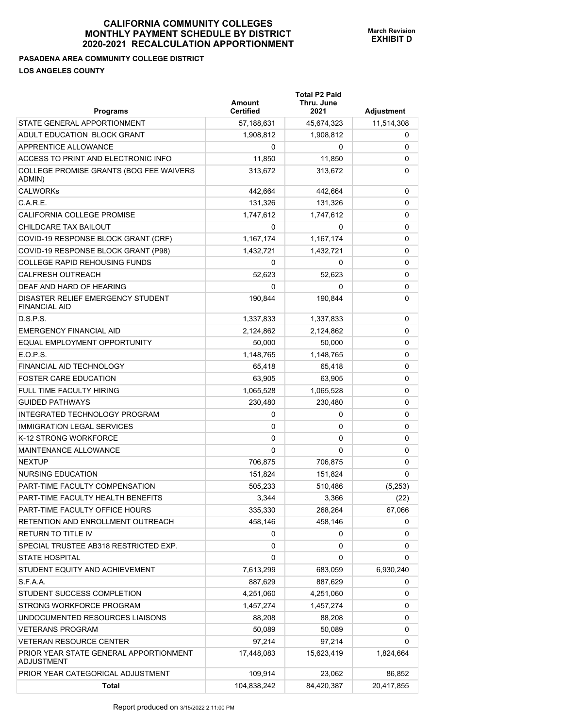#### **PASADENA AREA COMMUNITY COLLEGE DISTRICT LOS ANGELES COUNTY**

| <b>Programs</b>                                             | Amount<br><b>Certified</b> | <b>Total P2 Paid</b><br>Thru. June<br>2021 | Adjustment |
|-------------------------------------------------------------|----------------------------|--------------------------------------------|------------|
| STATE GENERAL APPORTIONMENT                                 | 57,188,631                 | 45,674,323                                 | 11,514,308 |
| ADULT EDUCATION BLOCK GRANT                                 | 1,908,812                  | 1,908,812                                  | 0          |
| APPRENTICE ALLOWANCE                                        | 0                          | 0                                          | 0          |
| ACCESS TO PRINT AND ELECTRONIC INFO                         | 11,850                     | 11,850                                     | 0          |
| COLLEGE PROMISE GRANTS (BOG FEE WAIVERS<br>ADMIN)           | 313,672                    | 313,672                                    | 0          |
| <b>CALWORKs</b>                                             | 442,664                    | 442,664                                    | 0          |
| C.A.R.E.                                                    | 131,326                    | 131,326                                    | 0          |
| CALIFORNIA COLLEGE PROMISE                                  | 1,747,612                  | 1,747,612                                  | 0          |
| CHILDCARE TAX BAILOUT                                       | 0                          | 0                                          | 0          |
| COVID-19 RESPONSE BLOCK GRANT (CRF)                         | 1,167,174                  | 1,167,174                                  | 0          |
| COVID-19 RESPONSE BLOCK GRANT (P98)                         | 1,432,721                  | 1,432,721                                  | 0          |
| <b>COLLEGE RAPID REHOUSING FUNDS</b>                        | 0                          | 0                                          | 0          |
| <b>CALFRESH OUTREACH</b>                                    | 52,623                     | 52,623                                     | 0          |
| DEAF AND HARD OF HEARING                                    | 0                          | 0                                          | 0          |
| DISASTER RELIEF EMERGENCY STUDENT<br><b>FINANCIAL AID</b>   | 190,844                    | 190,844                                    | 0          |
| D.S.P.S.                                                    | 1,337,833                  | 1,337,833                                  | 0          |
| <b>EMERGENCY FINANCIAL AID</b>                              | 2,124,862                  | 2,124,862                                  | 0          |
| EQUAL EMPLOYMENT OPPORTUNITY                                | 50,000                     | 50,000                                     | 0          |
| E.O.P.S.                                                    | 1,148,765                  | 1,148,765                                  | 0          |
| FINANCIAL AID TECHNOLOGY                                    | 65,418                     | 65,418                                     | 0          |
| <b>FOSTER CARE EDUCATION</b>                                | 63,905                     | 63,905                                     | 0          |
| <b>FULL TIME FACULTY HIRING</b>                             | 1,065,528                  | 1,065,528                                  | 0          |
| <b>GUIDED PATHWAYS</b>                                      | 230,480                    | 230,480                                    | 0          |
| INTEGRATED TECHNOLOGY PROGRAM                               | 0                          | 0                                          | 0          |
| <b>IMMIGRATION LEGAL SERVICES</b>                           | 0                          | 0                                          | 0          |
| K-12 STRONG WORKFORCE                                       | 0                          | 0                                          | 0          |
| MAINTENANCE ALLOWANCE                                       | 0                          | 0                                          | 0          |
| <b>NEXTUP</b>                                               | 706,875                    | 706,875                                    | 0          |
| NURSING EDUCATION                                           | 151,824                    | 151,824                                    | 0          |
| PART-TIME FACULTY COMPENSATION                              | 505,233                    | 510,486                                    | (5,253)    |
| PART-TIME FACULTY HEALTH BENEFITS                           | 3,344                      | 3,366                                      | (22)       |
| PART-TIME FACULTY OFFICE HOURS                              | 335,330                    | 268,264                                    | 67,066     |
| RETENTION AND ENROLLMENT OUTREACH                           | 458,146                    | 458,146                                    | 0          |
| <b>RETURN TO TITLE IV</b>                                   | 0                          | 0                                          | 0          |
| SPECIAL TRUSTEE AB318 RESTRICTED EXP.                       | 0                          | 0                                          | 0          |
| <b>STATE HOSPITAL</b>                                       | 0                          | 0                                          | 0          |
| STUDENT EQUITY AND ACHIEVEMENT                              | 7,613,299                  | 683,059                                    | 6,930,240  |
| S.F.A.A.                                                    | 887,629                    | 887,629                                    | 0          |
| STUDENT SUCCESS COMPLETION                                  | 4,251,060                  | 4,251,060                                  | 0          |
| STRONG WORKFORCE PROGRAM                                    | 1,457,274                  | 1,457,274                                  | 0          |
| UNDOCUMENTED RESOURCES LIAISONS                             | 88,208                     | 88,208                                     | 0          |
| <b>VETERANS PROGRAM</b>                                     | 50,089                     | 50,089                                     | 0          |
| <b>VETERAN RESOURCE CENTER</b>                              | 97,214                     | 97,214                                     | 0          |
| PRIOR YEAR STATE GENERAL APPORTIONMENT<br><b>ADJUSTMENT</b> | 17,448,083                 | 15,623,419                                 | 1,824,664  |
| PRIOR YEAR CATEGORICAL ADJUSTMENT                           | 109,914                    | 23,062                                     | 86,852     |
| <b>Total</b>                                                | 104,838,242                | 84,420,387                                 | 20,417,855 |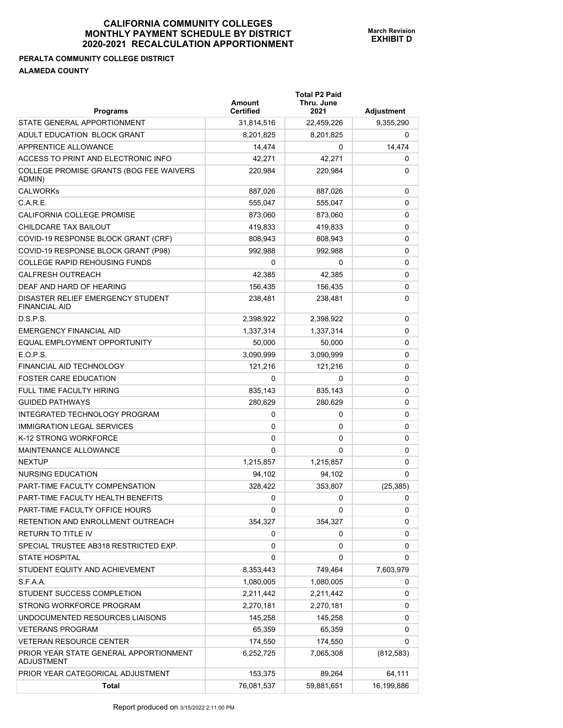#### **PERALTA COMMUNITY COLLEGE DISTRICT ALAMEDA COUNTY**

| <b>Programs</b>                                             | Amount<br><b>Certified</b> | <b>Total P2 Paid</b><br>Thru. June<br>2021 | <b>Adjustment</b> |
|-------------------------------------------------------------|----------------------------|--------------------------------------------|-------------------|
| STATE GENERAL APPORTIONMENT                                 | 31,814,516                 | 22,459,226                                 | 9,355,290         |
| ADULT EDUCATION BLOCK GRANT                                 | 8,201,825                  | 8,201,825                                  | 0                 |
| APPRENTICE ALLOWANCE                                        | 14,474                     | 0                                          | 14,474            |
| ACCESS TO PRINT AND ELECTRONIC INFO                         | 42,271                     | 42,271                                     | 0                 |
| COLLEGE PROMISE GRANTS (BOG FEE WAIVERS<br>ADMIN)           | 220,984                    | 220,984                                    | 0                 |
| <b>CALWORKs</b>                                             | 887,026                    | 887,026                                    | 0                 |
| C.A.R.E.                                                    | 555.047                    | 555,047                                    | 0                 |
| CALIFORNIA COLLEGE PROMISE                                  | 873,060                    | 873,060                                    | 0                 |
| CHILDCARE TAX BAILOUT                                       | 419,833                    | 419,833                                    | 0                 |
| COVID-19 RESPONSE BLOCK GRANT (CRF)                         | 808,943                    | 808,943                                    | 0                 |
| COVID-19 RESPONSE BLOCK GRANT (P98)                         | 992,988                    | 992,988                                    | 0                 |
| <b>COLLEGE RAPID REHOUSING FUNDS</b>                        | 0                          | 0                                          | 0                 |
| <b>CALFRESH OUTREACH</b>                                    | 42,385                     | 42,385                                     | 0                 |
| DEAF AND HARD OF HEARING                                    | 156,435                    | 156,435                                    | 0                 |
| DISASTER RELIEF EMERGENCY STUDENT<br><b>FINANCIAL AID</b>   | 238,481                    | 238,481                                    | 0                 |
| D.S.P.S.                                                    | 2,398,922                  | 2,398,922                                  | 0                 |
| <b>EMERGENCY FINANCIAL AID</b>                              | 1,337,314                  | 1,337,314                                  | 0                 |
| EQUAL EMPLOYMENT OPPORTUNITY                                | 50,000                     | 50,000                                     | 0                 |
| E.O.P.S.                                                    | 3,090,999                  | 3,090,999                                  | 0                 |
| FINANCIAL AID TECHNOLOGY                                    | 121,216                    | 121,216                                    | 0                 |
| <b>FOSTER CARE EDUCATION</b>                                | 0                          | 0                                          | 0                 |
| FULL TIME FACULTY HIRING                                    | 835,143                    | 835,143                                    | 0                 |
| <b>GUIDED PATHWAYS</b>                                      | 280,629                    | 280,629                                    | 0                 |
| INTEGRATED TECHNOLOGY PROGRAM                               | 0                          | 0                                          | 0                 |
| <b>IMMIGRATION LEGAL SERVICES</b>                           | 0                          | 0                                          | 0                 |
| K-12 STRONG WORKFORCE                                       | 0                          | 0                                          | 0                 |
| MAINTENANCE ALLOWANCE                                       | 0                          | 0                                          | 0                 |
| <b>NEXTUP</b>                                               | 1,215,857                  | 1,215,857                                  | 0                 |
| NURSING EDUCATION                                           | 94,102                     | 94,102                                     | 0                 |
| PART-TIME FACULTY COMPENSATION                              | 328,422                    | 353,807                                    | (25, 385)         |
| PART-TIME FACULTY HEALTH BENEFITS                           | 0                          | 0                                          | 0                 |
| PART-TIME FACULTY OFFICE HOURS                              | 0                          | 0                                          | 0                 |
| RETENTION AND ENROLLMENT OUTREACH                           | 354,327                    | 354,327                                    | 0                 |
| RETURN TO TITLE IV                                          | 0                          | 0                                          | 0                 |
| SPECIAL TRUSTEE AB318 RESTRICTED EXP.                       | 0                          | 0                                          | 0                 |
| <b>STATE HOSPITAL</b>                                       | 0                          | 0                                          | 0                 |
| STUDENT EQUITY AND ACHIEVEMENT                              | 8,353,443                  | 749,464                                    | 7,603,979         |
| S.F.A.A.                                                    | 1,080,005                  | 1,080,005                                  | 0                 |
| STUDENT SUCCESS COMPLETION                                  | 2,211,442                  | 2,211,442                                  | 0                 |
| STRONG WORKFORCE PROGRAM                                    | 2,270,181                  | 2,270,181                                  | 0                 |
| UNDOCUMENTED RESOURCES LIAISONS                             | 145,258                    | 145,258                                    | 0                 |
| <b>VETERANS PROGRAM</b>                                     | 65,359                     | 65,359                                     | 0                 |
| <b>VETERAN RESOURCE CENTER</b>                              | 174,550                    | 174,550                                    | 0                 |
| PRIOR YEAR STATE GENERAL APPORTIONMENT<br><b>ADJUSTMENT</b> | 6,252,725                  | 7,065,308                                  | (812, 583)        |
| PRIOR YEAR CATEGORICAL ADJUSTMENT                           | 153,375                    | 89,264                                     | 64,111            |
| <b>Total</b>                                                | 76,081,537                 | 59,881,651                                 | 16,199,886        |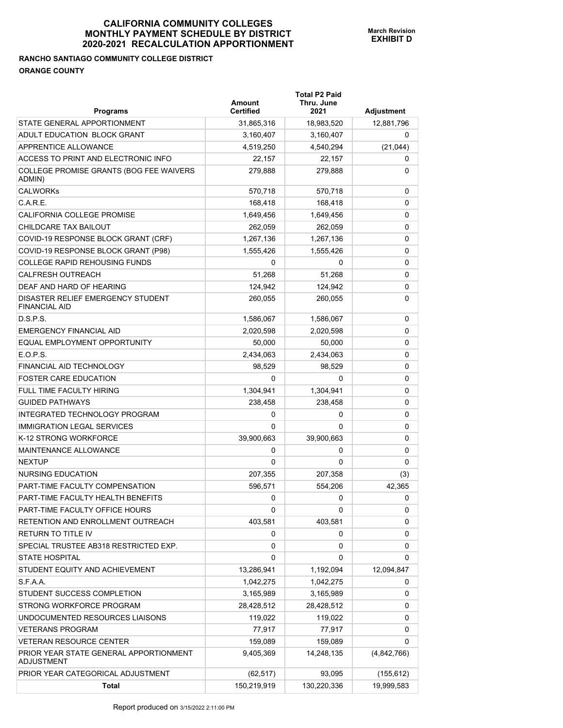# **RANCHO SANTIAGO COMMUNITY COLLEGE DISTRICT ORANGE COUNTY**

| <b>Programs</b>                                           | Amount<br><b>Certified</b> | <b>Total P2 Paid</b><br>Thru. June<br>2021 | <b>Adjustment</b> |
|-----------------------------------------------------------|----------------------------|--------------------------------------------|-------------------|
| STATE GENERAL APPORTIONMENT                               | 31,865,316                 | 18,983,520                                 | 12,881,796        |
| ADULT EDUCATION BLOCK GRANT                               | 3,160,407                  | 3,160,407                                  | 0                 |
| APPRENTICE ALLOWANCE                                      | 4,519,250                  | 4,540,294                                  | (21, 044)         |
| ACCESS TO PRINT AND ELECTRONIC INFO                       | 22,157                     | 22,157                                     | 0                 |
| COLLEGE PROMISE GRANTS (BOG FEE WAIVERS<br>ADMIN)         | 279,888                    | 279,888                                    | 0                 |
| <b>CALWORKs</b>                                           | 570,718                    | 570,718                                    | 0                 |
| C.A.R.E.                                                  | 168,418                    | 168,418                                    | 0                 |
| CALIFORNIA COLLEGE PROMISE                                | 1,649,456                  | 1,649,456                                  | 0                 |
| CHILDCARE TAX BAILOUT                                     | 262,059                    | 262,059                                    | 0                 |
| COVID-19 RESPONSE BLOCK GRANT (CRF)                       | 1,267,136                  | 1,267,136                                  | 0                 |
| COVID-19 RESPONSE BLOCK GRANT (P98)                       | 1,555,426                  | 1,555,426                                  | 0                 |
| <b>COLLEGE RAPID REHOUSING FUNDS</b>                      | 0                          | 0                                          | 0                 |
| <b>CALFRESH OUTREACH</b>                                  | 51.268                     | 51,268                                     | 0                 |
| DEAF AND HARD OF HEARING                                  | 124,942                    | 124,942                                    | 0                 |
| DISASTER RELIEF EMERGENCY STUDENT<br><b>FINANCIAL AID</b> | 260,055                    | 260,055                                    | 0                 |
| D.S.P.S.                                                  | 1,586,067                  | 1,586,067                                  | 0                 |
| <b>EMERGENCY FINANCIAL AID</b>                            | 2,020,598                  | 2,020,598                                  | 0                 |
| EQUAL EMPLOYMENT OPPORTUNITY                              | 50,000                     | 50,000                                     | 0                 |
| E.O.P.S.                                                  | 2,434,063                  | 2,434,063                                  | 0                 |
| <b>FINANCIAL AID TECHNOLOGY</b>                           | 98,529                     | 98,529                                     | 0                 |
| <b>FOSTER CARE EDUCATION</b>                              | 0                          | 0                                          | 0                 |
| <b>FULL TIME FACULTY HIRING</b>                           | 1,304,941                  | 1,304,941                                  | 0                 |
| <b>GUIDED PATHWAYS</b>                                    | 238,458                    | 238,458                                    | 0                 |
| INTEGRATED TECHNOLOGY PROGRAM                             | 0                          | 0                                          | 0                 |
| <b>IMMIGRATION LEGAL SERVICES</b>                         | $\Omega$                   | 0                                          | 0                 |
| K-12 STRONG WORKFORCE                                     | 39,900,663                 | 39,900,663                                 | 0                 |
| <b>MAINTENANCE ALLOWANCE</b>                              | 0                          | 0                                          | 0                 |
| <b>NEXTUP</b>                                             | 0                          | 0                                          | 0                 |
| NURSING EDUCATION                                         | 207,355                    | 207,358                                    | (3)               |
| PART-TIME FACULTY COMPENSATION                            | 596,571                    | 554,206                                    | 42,365            |
| PART-TIME FACULTY HEALTH BENEFITS                         | 0                          | 0                                          | 0                 |
| PART-TIME FACULTY OFFICE HOURS                            | 0                          | 0                                          | 0                 |
| RETENTION AND ENROLLMENT OUTREACH                         | 403,581                    | 403,581                                    | 0                 |
| RETURN TO TITLE IV                                        | 0                          | 0                                          | 0                 |
| SPECIAL TRUSTEE AB318 RESTRICTED EXP.                     | 0                          | 0                                          | 0                 |
| <b>STATE HOSPITAL</b>                                     | 0                          | 0                                          | 0                 |
| STUDENT EQUITY AND ACHIEVEMENT                            | 13,286,941                 | 1,192,094                                  | 12,094,847        |
| S.F.A.A.                                                  | 1,042,275                  | 1,042,275                                  | 0                 |
| STUDENT SUCCESS COMPLETION                                | 3,165,989                  | 3,165,989                                  | 0                 |
| STRONG WORKFORCE PROGRAM                                  | 28,428,512                 | 28,428,512                                 | 0                 |
| UNDOCUMENTED RESOURCES LIAISONS                           | 119,022                    | 119,022                                    | 0                 |
| <b>VETERANS PROGRAM</b>                                   | 77,917                     | 77,917                                     | 0                 |
| VETERAN RESOURCE CENTER                                   | 159,089                    | 159,089                                    | 0                 |
| PRIOR YEAR STATE GENERAL APPORTIONMENT<br>ADJUSTMENT      | 9,405,369                  | 14,248,135                                 | (4,842,766)       |
| PRIOR YEAR CATEGORICAL ADJUSTMENT                         | (62, 517)                  | 93,095                                     | (155, 612)        |
| <b>Total</b>                                              | 150,219,919                | 130,220,336                                | 19,999,583        |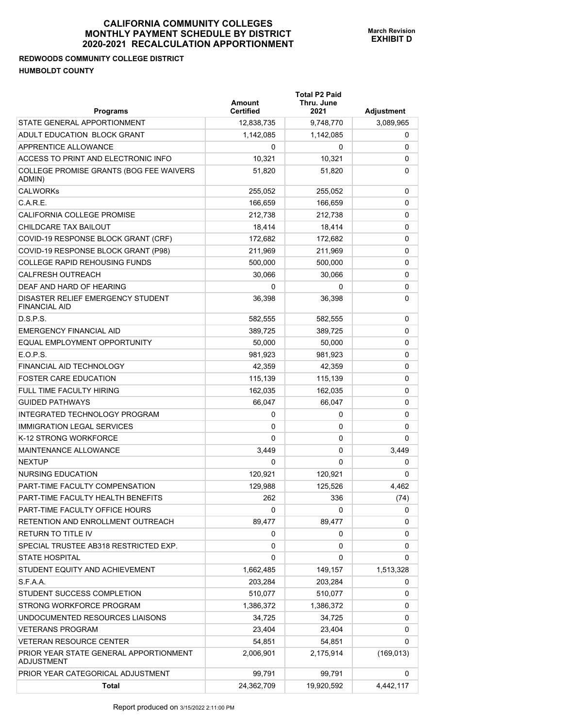# **REDWOODS COMMUNITY COLLEGE DISTRICT HUMBOLDT COUNTY**

| <b>Programs</b>                                             | Amount<br><b>Certified</b> | <b>Total P2 Paid</b><br>Thru. June<br>2021 | Adjustment |
|-------------------------------------------------------------|----------------------------|--------------------------------------------|------------|
| STATE GENERAL APPORTIONMENT                                 | 12,838,735                 | 9,748,770                                  | 3,089,965  |
| ADULT EDUCATION BLOCK GRANT                                 | 1,142,085                  | 1,142,085                                  | 0          |
| APPRENTICE ALLOWANCE                                        | 0                          | 0                                          | 0          |
| ACCESS TO PRINT AND ELECTRONIC INFO                         | 10,321                     | 10,321                                     | 0          |
| COLLEGE PROMISE GRANTS (BOG FEE WAIVERS<br>ADMIN)           | 51,820                     | 51,820                                     | 0          |
| <b>CALWORKs</b>                                             | 255,052                    | 255,052                                    | 0          |
| C.A.R.E.                                                    | 166,659                    | 166.659                                    | 0          |
| <b>CALIFORNIA COLLEGE PROMISE</b>                           | 212,738                    | 212.738                                    | 0          |
| CHILDCARE TAX BAILOUT                                       | 18,414                     | 18,414                                     | 0          |
| COVID-19 RESPONSE BLOCK GRANT (CRF)                         | 172,682                    | 172,682                                    | 0          |
| COVID-19 RESPONSE BLOCK GRANT (P98)                         | 211,969                    | 211,969                                    | 0          |
| <b>COLLEGE RAPID REHOUSING FUNDS</b>                        | 500,000                    | 500,000                                    | 0          |
| <b>CALFRESH OUTREACH</b>                                    | 30,066                     | 30,066                                     | 0          |
| DEAF AND HARD OF HEARING                                    | 0                          | 0                                          | 0          |
| DISASTER RELIEF EMERGENCY STUDENT<br><b>FINANCIAL AID</b>   | 36,398                     | 36,398                                     | 0          |
| D.S.P.S.                                                    | 582,555                    | 582,555                                    | 0          |
| <b>EMERGENCY FINANCIAL AID</b>                              | 389,725                    | 389,725                                    | 0          |
| EQUAL EMPLOYMENT OPPORTUNITY                                | 50,000                     | 50,000                                     | 0          |
| E.O.P.S.                                                    | 981,923                    | 981,923                                    | 0          |
| FINANCIAL AID TECHNOLOGY                                    | 42,359                     | 42,359                                     | 0          |
| <b>FOSTER CARE EDUCATION</b>                                | 115,139                    | 115,139                                    | 0          |
| <b>FULL TIME FACULTY HIRING</b>                             | 162,035                    | 162,035                                    | 0          |
| <b>GUIDED PATHWAYS</b>                                      | 66,047                     | 66,047                                     | 0          |
| INTEGRATED TECHNOLOGY PROGRAM                               | 0                          | 0                                          | 0          |
| <b>IMMIGRATION LEGAL SERVICES</b>                           | 0                          | 0                                          | 0          |
| K-12 STRONG WORKFORCE                                       | 0                          | 0                                          | 0          |
| MAINTENANCE ALLOWANCE                                       | 3,449                      | 0                                          | 3,449      |
| <b>NEXTUP</b>                                               | 0                          | $\Omega$                                   | 0          |
| NURSING EDUCATION                                           | 120,921                    | 120,921                                    | 0          |
| PART-TIME FACULTY COMPENSATION                              | 129,988                    | 125,526                                    | 4,462      |
| PART-TIME FACULTY HEALTH BENEFITS                           | 262                        | 336                                        | (74)       |
| PART-TIME FACULTY OFFICE HOURS                              | 0                          | 0                                          | 0          |
| RETENTION AND ENROLLMENT OUTREACH                           | 89,477                     | 89,477                                     | 0          |
| <b>RETURN TO TITLE IV</b>                                   | 0                          | 0                                          | 0          |
| SPECIAL TRUSTEE AB318 RESTRICTED EXP.                       | 0                          | 0                                          | 0          |
| <b>STATE HOSPITAL</b>                                       | 0                          | 0                                          | 0          |
| STUDENT EQUITY AND ACHIEVEMENT                              | 1,662,485                  | 149,157                                    | 1,513,328  |
| S.F.A.A.                                                    | 203,284                    | 203,284                                    | 0          |
| STUDENT SUCCESS COMPLETION                                  | 510,077                    | 510,077                                    | 0          |
| STRONG WORKFORCE PROGRAM                                    | 1,386,372                  | 1,386,372                                  | 0          |
| UNDOCUMENTED RESOURCES LIAISONS                             | 34,725                     | 34,725                                     | 0          |
| <b>VETERANS PROGRAM</b>                                     | 23,404                     | 23,404                                     | 0          |
| <b>VETERAN RESOURCE CENTER</b>                              | 54,851                     | 54,851                                     | 0          |
| PRIOR YEAR STATE GENERAL APPORTIONMENT<br><b>ADJUSTMENT</b> | 2,006,901                  | 2,175,914                                  | (169, 013) |
| PRIOR YEAR CATEGORICAL ADJUSTMENT                           | 99,791                     | 99,791                                     | 0          |
| <b>Total</b>                                                | 24,362,709                 | 19,920,592                                 | 4,442,117  |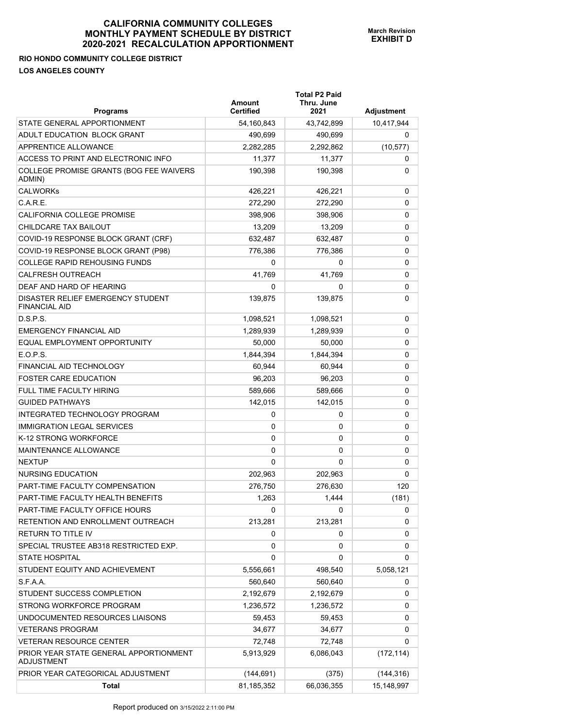## **RIO HONDO COMMUNITY COLLEGE DISTRICT LOS ANGELES COUNTY**

| <b>Programs</b>                                             | Amount<br><b>Certified</b> | <b>Total P2 Paid</b><br>Thru. June<br>2021 | Adjustment |
|-------------------------------------------------------------|----------------------------|--------------------------------------------|------------|
| STATE GENERAL APPORTIONMENT                                 | 54,160,843                 | 43,742,899                                 | 10,417,944 |
| ADULT EDUCATION BLOCK GRANT                                 | 490,699                    | 490,699                                    | 0          |
| APPRENTICE ALLOWANCE                                        | 2,282,285                  | 2,292,862                                  | (10, 577)  |
| ACCESS TO PRINT AND ELECTRONIC INFO                         | 11,377                     | 11,377                                     | 0          |
| COLLEGE PROMISE GRANTS (BOG FEE WAIVERS<br>ADMIN)           | 190,398                    | 190,398                                    | 0          |
| <b>CALWORKs</b>                                             | 426,221                    | 426,221                                    | 0          |
| C.A.R.E.                                                    | 272,290                    | 272.290                                    | 0          |
| <b>CALIFORNIA COLLEGE PROMISE</b>                           | 398,906                    | 398,906                                    | 0          |
| CHILDCARE TAX BAILOUT                                       | 13,209                     | 13,209                                     | 0          |
| COVID-19 RESPONSE BLOCK GRANT (CRF)                         | 632,487                    | 632,487                                    | 0          |
| COVID-19 RESPONSE BLOCK GRANT (P98)                         | 776,386                    | 776,386                                    | 0          |
| <b>COLLEGE RAPID REHOUSING FUNDS</b>                        | 0                          | 0                                          | 0          |
| <b>CALFRESH OUTREACH</b>                                    | 41,769                     | 41,769                                     | 0          |
| DEAF AND HARD OF HEARING                                    | 0                          | 0                                          | 0          |
| DISASTER RELIEF EMERGENCY STUDENT<br><b>FINANCIAL AID</b>   | 139,875                    | 139,875                                    | 0          |
| D.S.P.S.                                                    | 1,098,521                  | 1,098,521                                  | 0          |
| <b>EMERGENCY FINANCIAL AID</b>                              | 1,289,939                  | 1,289,939                                  | 0          |
| EQUAL EMPLOYMENT OPPORTUNITY                                | 50,000                     | 50,000                                     | 0          |
| E.O.P.S.                                                    | 1,844,394                  | 1,844,394                                  | 0          |
| <b>FINANCIAL AID TECHNOLOGY</b>                             | 60,944                     | 60,944                                     | 0          |
| <b>FOSTER CARE EDUCATION</b>                                | 96,203                     | 96,203                                     | 0          |
| <b>FULL TIME FACULTY HIRING</b>                             | 589,666                    | 589,666                                    | 0          |
| <b>GUIDED PATHWAYS</b>                                      | 142,015                    | 142,015                                    | 0          |
| INTEGRATED TECHNOLOGY PROGRAM                               | 0                          | 0                                          | 0          |
| <b>IMMIGRATION LEGAL SERVICES</b>                           | 0                          | 0                                          | 0          |
| K-12 STRONG WORKFORCE                                       | 0                          | 0                                          | 0          |
| MAINTENANCE ALLOWANCE                                       | 0                          | 0                                          | 0          |
| <b>NEXTUP</b>                                               | 0                          | 0                                          | 0          |
| <b>NURSING EDUCATION</b>                                    | 202,963                    | 202,963                                    | 0          |
| PART-TIME FACULTY COMPENSATION                              | 276,750                    | 276,630                                    | 120        |
| PART-TIME FACULTY HEALTH BENEFITS                           | 1,263                      | 1,444                                      | (181)      |
| PART-TIME FACULTY OFFICE HOURS                              | 0                          | 0                                          | 0          |
| RETENTION AND ENROLLMENT OUTREACH                           | 213,281                    | 213,281                                    | 0          |
| <b>RETURN TO TITLE IV</b>                                   | 0                          | 0                                          | 0          |
| SPECIAL TRUSTEE AB318 RESTRICTED EXP.                       | 0                          | 0                                          | 0          |
| <b>STATE HOSPITAL</b>                                       | 0                          | 0                                          | 0          |
| STUDENT EQUITY AND ACHIEVEMENT                              | 5,556,661                  | 498,540                                    | 5,058,121  |
| S.F.A.A.                                                    | 560,640                    | 560,640                                    | 0          |
| STUDENT SUCCESS COMPLETION                                  | 2,192,679                  | 2,192,679                                  | 0          |
| STRONG WORKFORCE PROGRAM                                    | 1,236,572                  | 1,236,572                                  | 0          |
| UNDOCUMENTED RESOURCES LIAISONS                             | 59,453                     | 59,453                                     | 0          |
| <b>VETERANS PROGRAM</b>                                     | 34,677                     | 34,677                                     | 0          |
| <b>VETERAN RESOURCE CENTER</b>                              | 72,748                     | 72,748                                     | 0          |
| PRIOR YEAR STATE GENERAL APPORTIONMENT<br><b>ADJUSTMENT</b> | 5,913,929                  | 6,086,043                                  | (172, 114) |
| PRIOR YEAR CATEGORICAL ADJUSTMENT                           | (144, 691)                 | (375)                                      | (144, 316) |
| <b>Total</b>                                                | 81,185,352                 | 66,036,355                                 | 15,148,997 |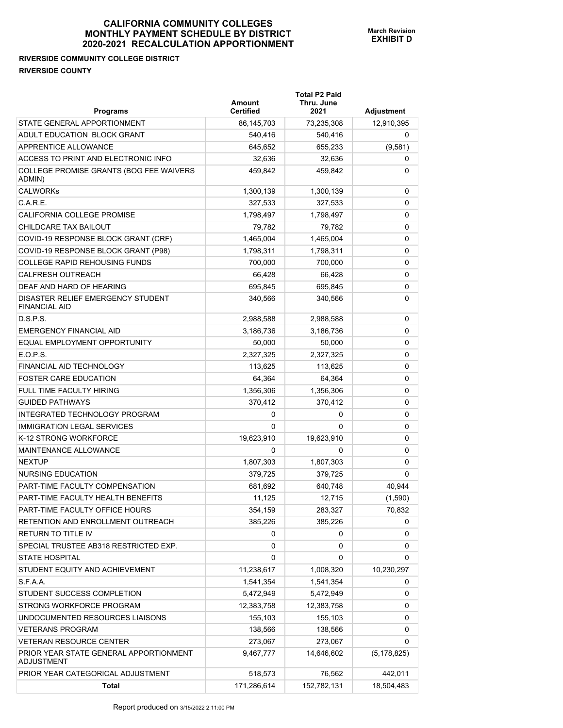**Total P2 Paid** 

**RIVERSIDE COMMUNITY COLLEGE DISTRICT RIVERSIDE COUNTY** 

| <b>Programs</b>                                             | Amount<br><b>Certified</b> | Thru. June<br>2021 | <b>Adjustment</b> |
|-------------------------------------------------------------|----------------------------|--------------------|-------------------|
| STATE GENERAL APPORTIONMENT                                 | 86,145,703                 | 73,235,308         | 12,910,395        |
| ADULT EDUCATION BLOCK GRANT                                 | 540,416                    | 540,416            | 0                 |
| APPRENTICE ALLOWANCE                                        | 645,652                    | 655,233            | (9,581)           |
| ACCESS TO PRINT AND ELECTRONIC INFO                         | 32,636                     | 32.636             | 0                 |
| COLLEGE PROMISE GRANTS (BOG FEE WAIVERS<br>ADMIN)           | 459,842                    | 459,842            | 0                 |
| <b>CALWORKs</b>                                             | 1,300,139                  | 1,300,139          | 0                 |
| C.A.R.E.                                                    | 327,533                    | 327,533            | 0                 |
| CALIFORNIA COLLEGE PROMISE                                  | 1,798,497                  | 1,798,497          | 0                 |
| CHILDCARE TAX BAILOUT                                       | 79,782                     | 79,782             | 0                 |
| COVID-19 RESPONSE BLOCK GRANT (CRF)                         | 1,465,004                  | 1,465,004          | 0                 |
| COVID-19 RESPONSE BLOCK GRANT (P98)                         | 1,798,311                  | 1,798,311          | 0                 |
| <b>COLLEGE RAPID REHOUSING FUNDS</b>                        | 700,000                    | 700,000            | 0                 |
| <b>CALFRESH OUTREACH</b>                                    | 66,428                     | 66,428             | 0                 |
| DEAF AND HARD OF HEARING                                    | 695,845                    | 695,845            | 0                 |
| DISASTER RELIEF EMERGENCY STUDENT<br><b>FINANCIAL AID</b>   | 340,566                    | 340,566            | 0                 |
| D.S.P.S.                                                    | 2,988,588                  | 2,988,588          | 0                 |
| <b>EMERGENCY FINANCIAL AID</b>                              | 3,186,736                  | 3,186,736          | 0                 |
| EQUAL EMPLOYMENT OPPORTUNITY                                | 50,000                     | 50,000             | 0                 |
| E.O.P.S.                                                    | 2,327,325                  | 2,327,325          | 0                 |
| FINANCIAL AID TECHNOLOGY                                    | 113,625                    | 113,625            | 0                 |
| <b>FOSTER CARE EDUCATION</b>                                | 64,364                     | 64,364             | 0                 |
| FULL TIME FACULTY HIRING                                    | 1,356,306                  | 1,356,306          | 0                 |
| <b>GUIDED PATHWAYS</b>                                      | 370,412                    | 370,412            | 0                 |
| INTEGRATED TECHNOLOGY PROGRAM                               | 0                          | 0                  | 0                 |
| <b>IMMIGRATION LEGAL SERVICES</b>                           | 0                          | 0                  | 0                 |
| K-12 STRONG WORKFORCE                                       | 19,623,910                 | 19,623,910         | 0                 |
| MAINTENANCE ALLOWANCE                                       | 0                          | 0                  | 0                 |
| <b>NEXTUP</b>                                               | 1,807,303                  | 1,807,303          | 0                 |
| <b>NURSING EDUCATION</b>                                    | 379,725                    | 379,725            | 0                 |
| PART-TIME FACULTY COMPENSATION                              | 681,692                    | 640,748            | 40,944            |
| PART-TIME FACULTY HEALTH BENEFITS                           | 11,125                     | 12,715             | (1,590)           |
| PART-TIME FACULTY OFFICE HOURS                              | 354,159                    | 283,327            | 70,832            |
| RETENTION AND ENROLLMENT OUTREACH                           | 385,226                    | 385,226            | 0                 |
| RETURN TO TITLE IV                                          | 0                          | 0                  | 0                 |
| SPECIAL TRUSTEE AB318 RESTRICTED EXP.                       | 0                          | 0                  | 0                 |
| <b>STATE HOSPITAL</b>                                       | 0                          | 0                  | 0                 |
| STUDENT EQUITY AND ACHIEVEMENT                              | 11,238,617                 | 1,008,320          | 10,230,297        |
| S.F.A.A.                                                    | 1,541,354                  | 1,541,354          | 0                 |
| STUDENT SUCCESS COMPLETION                                  | 5,472,949                  | 5,472,949          | 0                 |
| STRONG WORKFORCE PROGRAM                                    | 12,383,758                 | 12,383,758         | 0                 |
| UNDOCUMENTED RESOURCES LIAISONS                             | 155,103                    | 155,103            | 0                 |
| <b>VETERANS PROGRAM</b>                                     | 138,566                    | 138,566            | 0                 |
| <b>VETERAN RESOURCE CENTER</b>                              | 273,067                    | 273,067            | 0                 |
| PRIOR YEAR STATE GENERAL APPORTIONMENT<br><b>ADJUSTMENT</b> | 9,467,777                  | 14,646,602         | (5, 178, 825)     |
| PRIOR YEAR CATEGORICAL ADJUSTMENT                           | 518,573                    | 76,562             | 442,011           |
| Total                                                       | 171,286,614                | 152,782,131        | 18,504,483        |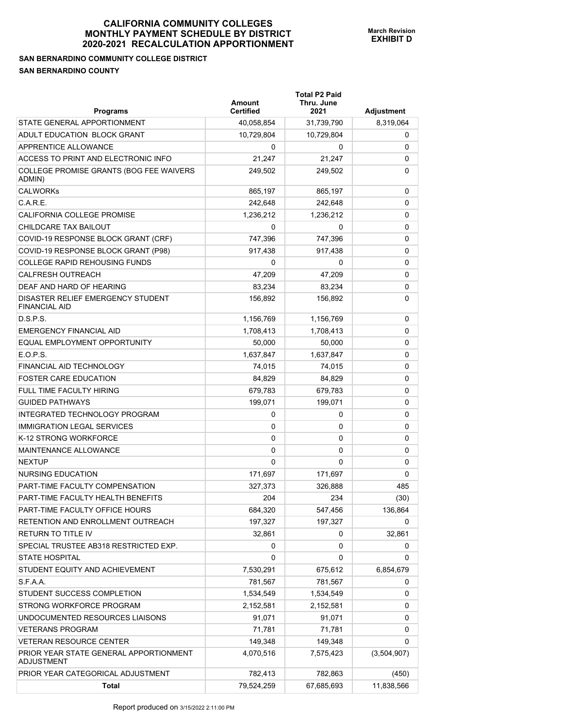## **SAN BERNARDINO COMMUNITY COLLEGE DISTRICT SAN BERNARDINO COUNTY**

| <b>Programs</b>                                             | Amount<br><b>Certified</b> | <b>Total P2 Paid</b><br>Thru. June<br>2021 | Adjustment  |
|-------------------------------------------------------------|----------------------------|--------------------------------------------|-------------|
| STATE GENERAL APPORTIONMENT                                 | 40,058,854                 | 31,739,790                                 | 8,319,064   |
| ADULT EDUCATION BLOCK GRANT                                 | 10,729,804                 | 10,729,804                                 | 0           |
| APPRENTICE ALLOWANCE                                        | 0                          | 0                                          | 0           |
| ACCESS TO PRINT AND ELECTRONIC INFO                         | 21,247                     | 21,247                                     | 0           |
| COLLEGE PROMISE GRANTS (BOG FEE WAIVERS<br>ADMIN)           | 249,502                    | 249,502                                    | 0           |
| <b>CALWORKs</b>                                             | 865,197                    | 865,197                                    | 0           |
| C.A.R.E.                                                    | 242,648                    | 242,648                                    | 0           |
| CALIFORNIA COLLEGE PROMISE                                  | 1,236,212                  | 1,236,212                                  | 0           |
| CHILDCARE TAX BAILOUT                                       | 0                          | 0                                          | 0           |
| COVID-19 RESPONSE BLOCK GRANT (CRF)                         | 747,396                    | 747,396                                    | 0           |
| COVID-19 RESPONSE BLOCK GRANT (P98)                         | 917,438                    | 917,438                                    | 0           |
| <b>COLLEGE RAPID REHOUSING FUNDS</b>                        | 0                          | 0                                          | 0           |
| <b>CALFRESH OUTREACH</b>                                    | 47,209                     | 47.209                                     | 0           |
| DEAF AND HARD OF HEARING                                    | 83,234                     | 83,234                                     | 0           |
| DISASTER RELIEF EMERGENCY STUDENT<br><b>FINANCIAL AID</b>   | 156,892                    | 156,892                                    | 0           |
| D.S.P.S.                                                    | 1,156,769                  | 1,156,769                                  | 0           |
| <b>EMERGENCY FINANCIAL AID</b>                              | 1,708,413                  | 1,708,413                                  | 0           |
| EQUAL EMPLOYMENT OPPORTUNITY                                | 50,000                     | 50,000                                     | 0           |
| E.O.P.S.                                                    | 1,637,847                  | 1,637,847                                  | 0           |
| FINANCIAL AID TECHNOLOGY                                    | 74,015                     | 74,015                                     | 0           |
| <b>FOSTER CARE EDUCATION</b>                                | 84,829                     | 84,829                                     | 0           |
| <b>FULL TIME FACULTY HIRING</b>                             | 679,783                    | 679,783                                    | 0           |
| <b>GUIDED PATHWAYS</b>                                      | 199,071                    | 199,071                                    | 0           |
| INTEGRATED TECHNOLOGY PROGRAM                               | 0                          | 0                                          | 0           |
| <b>IMMIGRATION LEGAL SERVICES</b>                           | 0                          | 0                                          | 0           |
| K-12 STRONG WORKFORCE                                       | 0                          | 0                                          | 0           |
| MAINTENANCE ALLOWANCE                                       | 0                          | 0                                          | 0           |
| <b>NEXTUP</b>                                               | 0                          | 0                                          | 0           |
| NURSING EDUCATION                                           | 171,697                    | 171,697                                    | 0           |
| PART-TIME FACULTY COMPENSATION                              | 327,373                    | 326,888                                    | 485         |
| PART-TIME FACULTY HEALTH BENEFITS                           | 204                        | 234                                        | (30)        |
| PART-TIME FACULTY OFFICE HOURS                              | 684,320                    | 547,456                                    | 136,864     |
| RETENTION AND ENROLLMENT OUTREACH                           | 197,327                    | 197,327                                    | 0           |
| <b>RETURN TO TITLE IV</b>                                   | 32,861                     | 0                                          | 32,861      |
| SPECIAL TRUSTEE AB318 RESTRICTED EXP.                       | 0                          | 0                                          | 0           |
| <b>STATE HOSPITAL</b>                                       | 0                          | 0                                          | 0           |
| STUDENT EQUITY AND ACHIEVEMENT                              | 7,530,291                  | 675,612                                    | 6,854,679   |
| S.F.A.A.                                                    | 781,567                    | 781,567                                    | 0           |
| STUDENT SUCCESS COMPLETION                                  | 1,534,549                  | 1,534,549                                  | 0           |
| STRONG WORKFORCE PROGRAM                                    | 2,152,581                  | 2,152,581                                  | 0           |
| UNDOCUMENTED RESOURCES LIAISONS                             | 91,071                     | 91,071                                     | 0           |
| <b>VETERANS PROGRAM</b>                                     | 71,781                     | 71,781                                     | 0           |
| <b>VETERAN RESOURCE CENTER</b>                              | 149,348                    | 149,348                                    | 0           |
| PRIOR YEAR STATE GENERAL APPORTIONMENT<br><b>ADJUSTMENT</b> | 4,070,516                  | 7,575,423                                  | (3,504,907) |
| PRIOR YEAR CATEGORICAL ADJUSTMENT                           | 782,413                    | 782,863                                    | (450)       |
| <b>Total</b>                                                | 79,524,259                 | 67,685,693                                 | 11,838,566  |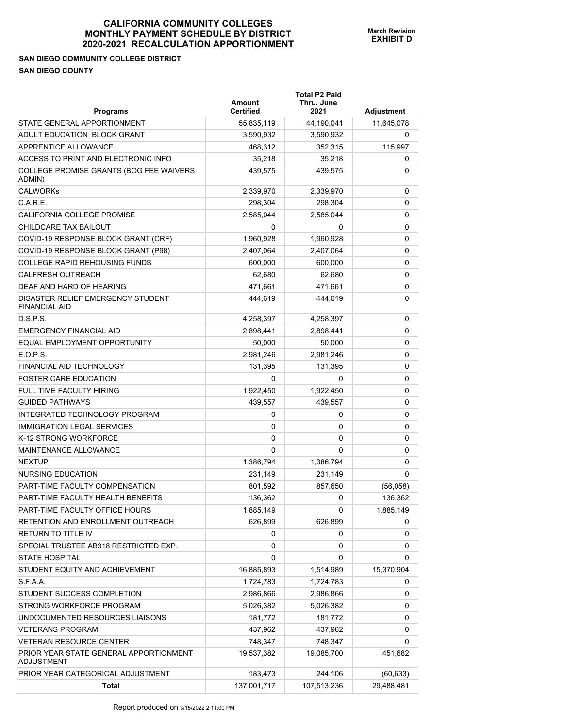**SAN DIEGO COMMUNITY COLLEGE DISTRICT SAN DIEGO COUNTY** 

| <b>Programs</b>                                             | <b>Amount</b><br><b>Certified</b> | <b>Total P2 Paid</b><br>Thru. June<br>2021 | <b>Adjustment</b> |
|-------------------------------------------------------------|-----------------------------------|--------------------------------------------|-------------------|
| STATE GENERAL APPORTIONMENT                                 | 55,835,119                        | 44,190,041                                 | 11,645,078        |
| ADULT EDUCATION BLOCK GRANT                                 | 3,590,932                         | 3,590,932                                  | 0                 |
| APPRENTICE ALLOWANCE                                        | 468,312                           | 352,315                                    | 115,997           |
| ACCESS TO PRINT AND ELECTRONIC INFO                         | 35,218                            | 35,218                                     | 0                 |
| COLLEGE PROMISE GRANTS (BOG FEE WAIVERS<br>ADMIN)           | 439,575                           | 439,575                                    | 0                 |
| <b>CALWORKs</b>                                             | 2,339,970                         | 2,339,970                                  | 0                 |
| C.A.R.E.                                                    | 298.304                           | 298,304                                    | 0                 |
| CALIFORNIA COLLEGE PROMISE                                  | 2,585,044                         | 2,585,044                                  | 0                 |
| CHILDCARE TAX BAILOUT                                       | 0                                 | 0                                          | 0                 |
| COVID-19 RESPONSE BLOCK GRANT (CRF)                         | 1,960,928                         | 1,960,928                                  | 0                 |
| COVID-19 RESPONSE BLOCK GRANT (P98)                         | 2,407,064                         | 2,407,064                                  | 0                 |
| <b>COLLEGE RAPID REHOUSING FUNDS</b>                        | 600,000                           | 600,000                                    | 0                 |
| <b>CALFRESH OUTREACH</b>                                    | 62.680                            | 62,680                                     | 0                 |
| DEAF AND HARD OF HEARING                                    | 471.661                           | 471,661                                    | 0                 |
| DISASTER RELIEF EMERGENCY STUDENT<br><b>FINANCIAL AID</b>   | 444,619                           | 444,619                                    | 0                 |
| D.S.P.S.                                                    | 4,258,397                         | 4,258,397                                  | 0                 |
| <b>EMERGENCY FINANCIAL AID</b>                              | 2,898,441                         | 2,898,441                                  | 0                 |
| EQUAL EMPLOYMENT OPPORTUNITY                                | 50,000                            | 50,000                                     | 0                 |
| E.O.P.S.                                                    | 2,981,246                         | 2,981,246                                  | 0                 |
| FINANCIAL AID TECHNOLOGY                                    | 131,395                           | 131,395                                    | 0                 |
| <b>FOSTER CARE EDUCATION</b>                                | 0                                 | 0                                          | 0                 |
| <b>FULL TIME FACULTY HIRING</b>                             | 1,922,450                         | 1,922,450                                  | 0                 |
| <b>GUIDED PATHWAYS</b>                                      | 439,557                           | 439,557                                    | 0                 |
| INTEGRATED TECHNOLOGY PROGRAM                               | 0                                 | 0                                          | 0                 |
| <b>IMMIGRATION LEGAL SERVICES</b>                           | 0                                 | 0                                          | 0                 |
| K-12 STRONG WORKFORCE                                       | 0                                 | 0                                          | 0                 |
| <b>MAINTENANCE ALLOWANCE</b>                                | 0                                 | 0                                          | 0                 |
| <b>NEXTUP</b>                                               | 1,386,794                         | 1,386,794                                  | 0                 |
| <b>NURSING EDUCATION</b>                                    | 231,149                           | 231,149                                    | 0                 |
| PART-TIME FACULTY COMPENSATION                              | 801.592                           | 857,650                                    | (56,058)          |
| PART-TIME FACULTY HEALTH BENEFITS                           | 136.362                           | 0                                          | 136,362           |
| PART-TIME FACULTY OFFICE HOURS                              | 1,885,149                         | 0                                          | 1,885,149         |
| RETENTION AND ENROLLMENT OUTREACH                           | 626,899                           | 626,899                                    | 0                 |
| <b>RETURN TO TITLE IV</b>                                   | 0                                 | 0                                          | 0                 |
| SPECIAL TRUSTEE AB318 RESTRICTED EXP.                       | 0                                 | 0                                          | 0                 |
| <b>STATE HOSPITAL</b>                                       | 0                                 | 0                                          | 0                 |
| STUDENT EQUITY AND ACHIEVEMENT                              | 16,885,893                        | 1,514,989                                  | 15,370,904        |
| S.F.A.A.                                                    | 1,724,783                         | 1,724,783                                  | 0                 |
| STUDENT SUCCESS COMPLETION                                  | 2,986,866                         | 2,986,866                                  | 0                 |
| STRONG WORKFORCE PROGRAM                                    | 5,026,382                         | 5,026,382                                  | 0                 |
| UNDOCUMENTED RESOURCES LIAISONS                             | 181,772                           | 181,772                                    | 0                 |
| <b>VETERANS PROGRAM</b>                                     | 437,962                           | 437,962                                    | 0                 |
| <b>VETERAN RESOURCE CENTER</b>                              | 748,347                           | 748,347                                    | 0                 |
| PRIOR YEAR STATE GENERAL APPORTIONMENT<br><b>ADJUSTMENT</b> | 19,537,382                        | 19,085,700                                 | 451,682           |
| PRIOR YEAR CATEGORICAL ADJUSTMENT                           | 183,473                           | 244,106                                    | (60, 633)         |
| Total                                                       | 137,001,717                       | 107,513,236                                | 29,488,481        |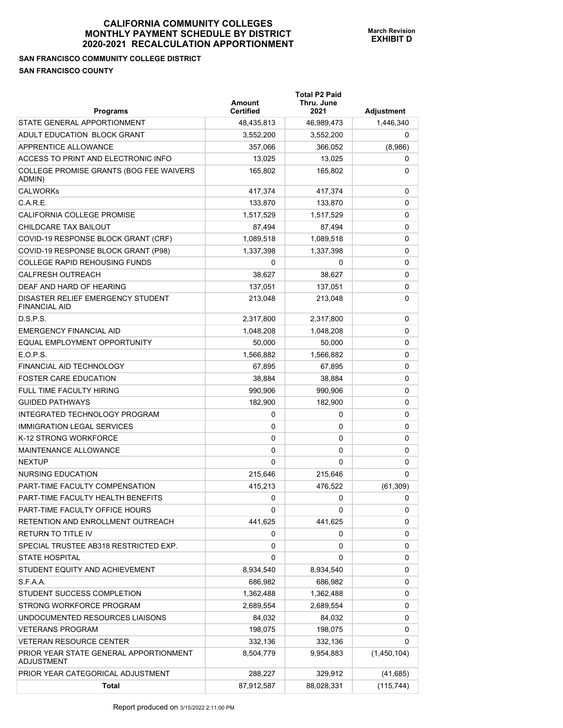# **SAN FRANCISCO COMMUNITY COLLEGE DISTRICT SAN FRANCISCO COUNTY**

| <b>Programs</b>                                             | Amount<br><b>Certified</b> | <b>Total P2 Paid</b><br>Thru. June<br>2021 | Adjustment  |
|-------------------------------------------------------------|----------------------------|--------------------------------------------|-------------|
| STATE GENERAL APPORTIONMENT                                 | 48,435,813                 | 46,989,473                                 | 1,446,340   |
| ADULT EDUCATION BLOCK GRANT                                 | 3,552,200                  | 3,552,200                                  | 0           |
| <b>APPRENTICE ALLOWANCE</b>                                 | 357,066                    | 366,052                                    | (8,986)     |
| ACCESS TO PRINT AND ELECTRONIC INFO                         | 13,025                     | 13,025                                     | 0           |
| COLLEGE PROMISE GRANTS (BOG FEE WAIVERS<br>ADMIN)           | 165,802                    | 165,802                                    | 0           |
| <b>CALWORKs</b>                                             | 417,374                    | 417,374                                    | 0           |
| C.A.R.E.                                                    | 133.870                    | 133,870                                    | 0           |
| <b>CALIFORNIA COLLEGE PROMISE</b>                           | 1,517,529                  | 1,517,529                                  | 0           |
| CHILDCARE TAX BAILOUT                                       | 87,494                     | 87,494                                     | 0           |
| COVID-19 RESPONSE BLOCK GRANT (CRF)                         | 1,089,518                  | 1,089,518                                  | 0           |
| COVID-19 RESPONSE BLOCK GRANT (P98)                         | 1,337,398                  | 1,337,398                                  | 0           |
| <b>COLLEGE RAPID REHOUSING FUNDS</b>                        | 0                          | 0                                          | 0           |
| <b>CALFRESH OUTREACH</b>                                    | 38,627                     | 38.627                                     | 0           |
| DEAF AND HARD OF HEARING                                    | 137,051                    | 137,051                                    | 0           |
| DISASTER RELIEF EMERGENCY STUDENT<br><b>FINANCIAL AID</b>   | 213,048                    | 213,048                                    | 0           |
| D.S.P.S.                                                    | 2,317,800                  | 2,317,800                                  | 0           |
| <b>EMERGENCY FINANCIAL AID</b>                              | 1,048,208                  | 1,048,208                                  | 0           |
| EQUAL EMPLOYMENT OPPORTUNITY                                | 50,000                     | 50,000                                     | 0           |
| E.O.P.S.                                                    | 1,566,882                  | 1,566,882                                  | 0           |
| FINANCIAL AID TECHNOLOGY                                    | 67,895                     | 67,895                                     | 0           |
| <b>FOSTER CARE EDUCATION</b>                                | 38,884                     | 38,884                                     | 0           |
| FULL TIME FACULTY HIRING                                    | 990,906                    | 990,906                                    | 0           |
| <b>GUIDED PATHWAYS</b>                                      | 182,900                    | 182,900                                    | 0           |
| INTEGRATED TECHNOLOGY PROGRAM                               | 0                          | 0                                          | 0           |
| <b>IMMIGRATION LEGAL SERVICES</b>                           | 0                          | 0                                          | 0           |
| K-12 STRONG WORKFORCE                                       | 0                          | 0                                          | 0           |
| <b>MAINTENANCE ALLOWANCE</b>                                | $\Omega$                   | 0                                          | 0           |
| <b>NEXTUP</b>                                               | $\Omega$                   | $\Omega$                                   | 0           |
| <b>NURSING EDUCATION</b>                                    | 215,646                    | 215,646                                    | 0           |
| PART-TIME FACULTY COMPENSATION                              | 415,213                    | 476,522                                    | (61, 309)   |
| PART-TIME FACULTY HEALTH BENEFITS                           | 0                          | 0                                          | 0           |
| PART-TIME FACULTY OFFICE HOURS                              | 0                          | 0                                          | 0           |
| RETENTION AND ENROLLMENT OUTREACH                           | 441,625                    | 441,625                                    | 0           |
| RETURN TO TITLE IV                                          | 0                          | 0                                          | 0           |
| SPECIAL TRUSTEE AB318 RESTRICTED EXP.                       | 0                          | 0                                          | 0           |
| <b>STATE HOSPITAL</b>                                       | 0                          | 0                                          | 0           |
| STUDENT EQUITY AND ACHIEVEMENT                              | 8,934,540                  | 8,934,540                                  | 0           |
| S.F.A.A.                                                    | 686,982                    | 686,982                                    | 0           |
| STUDENT SUCCESS COMPLETION                                  | 1,362,488                  | 1,362,488                                  | 0           |
| STRONG WORKFORCE PROGRAM                                    | 2,689,554                  | 2,689,554                                  | 0           |
| UNDOCUMENTED RESOURCES LIAISONS                             | 84,032                     | 84,032                                     | 0           |
| <b>VETERANS PROGRAM</b>                                     | 198,075                    | 198,075                                    | 0           |
| <b>VETERAN RESOURCE CENTER</b>                              | 332,136                    | 332,136                                    | 0           |
| PRIOR YEAR STATE GENERAL APPORTIONMENT<br><b>ADJUSTMENT</b> | 8,504,779                  | 9,954,883                                  | (1,450,104) |
| PRIOR YEAR CATEGORICAL ADJUSTMENT                           | 288,227                    | 329,912                                    | (41, 685)   |
| <b>Total</b>                                                | 87,912,587                 | 88,028,331                                 | (115, 744)  |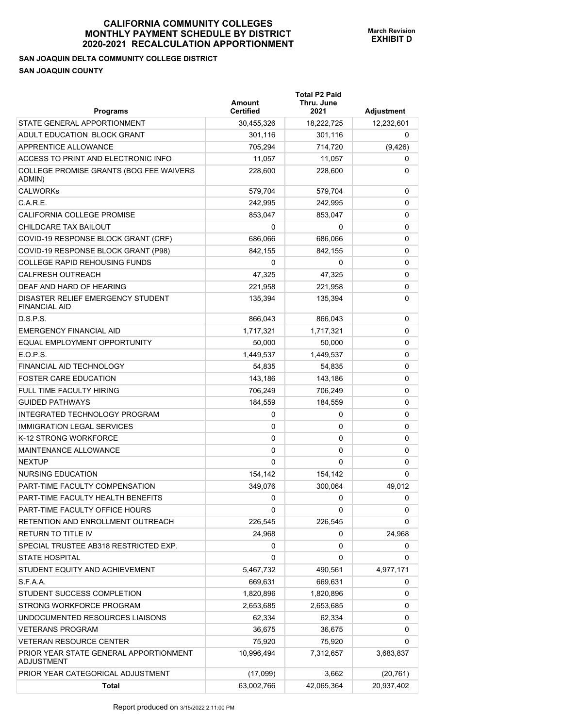# **SAN JOAQUIN DELTA COMMUNITY COLLEGE DISTRICT SAN JOAQUIN COUNTY**

| <b>Programs</b>                                             | Amount<br><b>Certified</b> | <b>Total P2 Paid</b><br>Thru. June<br>2021 | Adjustment |
|-------------------------------------------------------------|----------------------------|--------------------------------------------|------------|
| STATE GENERAL APPORTIONMENT                                 | 30,455,326                 | 18,222,725                                 | 12,232,601 |
| ADULT EDUCATION BLOCK GRANT                                 | 301,116                    | 301,116                                    | 0          |
| <b>APPRENTICE ALLOWANCE</b>                                 | 705,294                    | 714,720                                    | (9, 426)   |
| ACCESS TO PRINT AND ELECTRONIC INFO                         | 11,057                     | 11,057                                     | 0          |
| COLLEGE PROMISE GRANTS (BOG FEE WAIVERS<br>ADMIN)           | 228,600                    | 228,600                                    | 0          |
| <b>CALWORKs</b>                                             | 579,704                    | 579,704                                    | 0          |
| C.A.R.E.                                                    | 242,995                    | 242.995                                    | 0          |
| CALIFORNIA COLLEGE PROMISE                                  | 853,047                    | 853,047                                    | 0          |
| CHILDCARE TAX BAILOUT                                       | 0                          | 0                                          | 0          |
| COVID-19 RESPONSE BLOCK GRANT (CRF)                         | 686,066                    | 686,066                                    | 0          |
| COVID-19 RESPONSE BLOCK GRANT (P98)                         | 842,155                    | 842,155                                    | 0          |
| <b>COLLEGE RAPID REHOUSING FUNDS</b>                        | 0                          | 0                                          | 0          |
| <b>CALFRESH OUTREACH</b>                                    | 47,325                     | 47,325                                     | 0          |
| DEAF AND HARD OF HEARING                                    | 221,958                    | 221,958                                    | 0          |
| DISASTER RELIEF EMERGENCY STUDENT<br><b>FINANCIAL AID</b>   | 135,394                    | 135,394                                    | 0          |
| D.S.P.S.                                                    | 866.043                    | 866,043                                    | 0          |
| <b>EMERGENCY FINANCIAL AID</b>                              | 1,717,321                  | 1,717,321                                  | 0          |
| EQUAL EMPLOYMENT OPPORTUNITY                                | 50,000                     | 50,000                                     | 0          |
| E.O.P.S.                                                    | 1,449,537                  | 1,449,537                                  | 0          |
| FINANCIAL AID TECHNOLOGY                                    | 54,835                     | 54,835                                     | 0          |
| <b>FOSTER CARE EDUCATION</b>                                | 143,186                    | 143,186                                    | 0          |
| FULL TIME FACULTY HIRING                                    | 706,249                    | 706,249                                    | 0          |
| <b>GUIDED PATHWAYS</b>                                      | 184,559                    | 184,559                                    | 0          |
| INTEGRATED TECHNOLOGY PROGRAM                               | 0                          | 0                                          | 0          |
| <b>IMMIGRATION LEGAL SERVICES</b>                           | 0                          | 0                                          | 0          |
| K-12 STRONG WORKFORCE                                       | 0                          | 0                                          | 0          |
| MAINTENANCE ALLOWANCE                                       | $\Omega$                   | 0                                          | 0          |
| <b>NEXTUP</b>                                               | $\Omega$                   | $\Omega$                                   | 0          |
| <b>NURSING EDUCATION</b>                                    | 154,142                    | 154,142                                    | 0          |
| PART-TIME FACULTY COMPENSATION                              | 349,076                    | 300,064                                    | 49,012     |
| PART-TIME FACULTY HEALTH BENEFITS                           | 0                          | 0                                          | 0          |
| PART-TIME FACULTY OFFICE HOURS                              | 0                          | 0                                          | 0          |
| RETENTION AND ENROLLMENT OUTREACH                           | 226,545                    | 226,545                                    | 0          |
| <b>RETURN TO TITLE IV</b>                                   | 24,968                     | 0                                          | 24,968     |
| SPECIAL TRUSTEE AB318 RESTRICTED EXP.                       | 0                          | 0                                          | 0          |
| <b>STATE HOSPITAL</b>                                       | 0                          | 0                                          | 0          |
| STUDENT EQUITY AND ACHIEVEMENT                              | 5,467,732                  | 490,561                                    | 4,977,171  |
| S.F.A.A.                                                    | 669,631                    | 669,631                                    | 0          |
| STUDENT SUCCESS COMPLETION                                  | 1,820,896                  | 1,820,896                                  | 0          |
| STRONG WORKFORCE PROGRAM                                    | 2,653,685                  | 2,653,685                                  | 0          |
| UNDOCUMENTED RESOURCES LIAISONS                             | 62,334                     | 62,334                                     | 0          |
| <b>VETERANS PROGRAM</b>                                     | 36,675                     | 36,675                                     | 0          |
| <b>VETERAN RESOURCE CENTER</b>                              | 75,920                     | 75,920                                     | 0          |
| PRIOR YEAR STATE GENERAL APPORTIONMENT<br><b>ADJUSTMENT</b> | 10,996,494                 | 7,312,657                                  | 3,683,837  |
| PRIOR YEAR CATEGORICAL ADJUSTMENT                           | (17,099)                   | 3,662                                      | (20, 761)  |
| <b>Total</b>                                                | 63,002,766                 | 42,065,364                                 | 20,937,402 |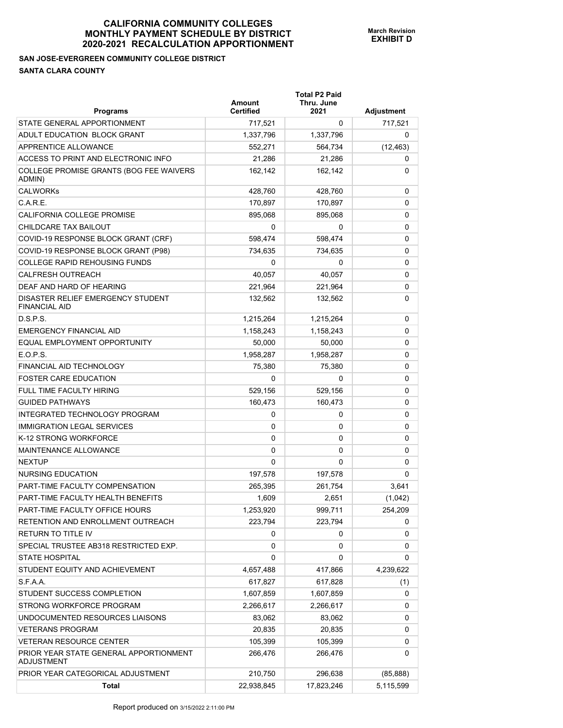## **SAN JOSE-EVERGREEN COMMUNITY COLLEGE DISTRICT SANTA CLARA COUNTY**

| <b>Programs</b>                                             | Amount<br><b>Certified</b> | <b>Total P2 Paid</b><br>Thru. June<br>2021 | Adjustment |
|-------------------------------------------------------------|----------------------------|--------------------------------------------|------------|
| STATE GENERAL APPORTIONMENT                                 | 717,521                    | 0                                          | 717,521    |
| ADULT EDUCATION BLOCK GRANT                                 | 1,337,796                  | 1,337,796                                  | 0          |
| APPRENTICE ALLOWANCE                                        | 552,271                    | 564,734                                    | (12, 463)  |
| ACCESS TO PRINT AND ELECTRONIC INFO                         | 21,286                     | 21,286                                     | 0          |
| COLLEGE PROMISE GRANTS (BOG FEE WAIVERS<br>ADMIN)           | 162,142                    | 162,142                                    | 0          |
| <b>CALWORKs</b>                                             | 428.760                    | 428,760                                    | 0          |
| C.A.R.E.                                                    | 170,897                    | 170,897                                    | 0          |
| CALIFORNIA COLLEGE PROMISE                                  | 895,068                    | 895,068                                    | 0          |
| CHILDCARE TAX BAILOUT                                       | 0                          | 0                                          | 0          |
| COVID-19 RESPONSE BLOCK GRANT (CRF)                         | 598,474                    | 598,474                                    | 0          |
| COVID-19 RESPONSE BLOCK GRANT (P98)                         | 734,635                    | 734,635                                    | 0          |
| <b>COLLEGE RAPID REHOUSING FUNDS</b>                        | 0                          | 0                                          | 0          |
| <b>CALFRESH OUTREACH</b>                                    | 40,057                     | 40,057                                     | 0          |
| DEAF AND HARD OF HEARING                                    | 221,964                    | 221,964                                    | 0          |
| DISASTER RELIEF EMERGENCY STUDENT<br><b>FINANCIAL AID</b>   | 132,562                    | 132,562                                    | 0          |
| D.S.P.S.                                                    | 1,215,264                  | 1,215,264                                  | 0          |
| <b>EMERGENCY FINANCIAL AID</b>                              | 1,158,243                  | 1,158,243                                  | 0          |
| EQUAL EMPLOYMENT OPPORTUNITY                                | 50,000                     | 50,000                                     | 0          |
| E.O.P.S.                                                    | 1,958,287                  | 1,958,287                                  | 0          |
| FINANCIAL AID TECHNOLOGY                                    | 75,380                     | 75,380                                     | 0          |
| <b>FOSTER CARE EDUCATION</b>                                | 0                          | 0                                          | 0          |
| <b>FULL TIME FACULTY HIRING</b>                             | 529,156                    | 529,156                                    | 0          |
| <b>GUIDED PATHWAYS</b>                                      | 160,473                    | 160,473                                    | 0          |
| INTEGRATED TECHNOLOGY PROGRAM                               | 0                          | 0                                          | 0          |
| <b>IMMIGRATION LEGAL SERVICES</b>                           | 0                          | 0                                          | 0          |
| K-12 STRONG WORKFORCE                                       | 0                          | 0                                          | 0          |
| MAINTENANCE ALLOWANCE                                       | 0                          | 0                                          | 0          |
| <b>NEXTUP</b>                                               | 0                          | 0                                          | 0          |
| NURSING EDUCATION                                           | 197,578                    | 197,578                                    | 0          |
| PART-TIME FACULTY COMPENSATION                              | 265,395                    | 261,754                                    | 3,641      |
| PART-TIME FACULTY HEALTH BENEFITS                           | 1,609                      | 2,651                                      | (1,042)    |
| PART-TIME FACULTY OFFICE HOURS                              | 1,253,920                  | 999,711                                    | 254,209    |
| RETENTION AND ENROLLMENT OUTREACH                           | 223,794                    | 223,794                                    | 0          |
| RETURN TO TITLE IV                                          | 0                          | 0                                          | 0          |
| SPECIAL TRUSTEE AB318 RESTRICTED EXP.                       | 0                          | 0                                          | 0          |
| <b>STATE HOSPITAL</b>                                       | 0                          | 0                                          | 0          |
| STUDENT EQUITY AND ACHIEVEMENT                              | 4,657,488                  | 417,866                                    | 4,239,622  |
| S.F.A.A.                                                    | 617,827                    | 617,828                                    | (1)        |
| STUDENT SUCCESS COMPLETION                                  | 1,607,859                  | 1,607,859                                  | 0          |
| STRONG WORKFORCE PROGRAM                                    | 2,266,617                  | 2,266,617                                  | 0          |
| UNDOCUMENTED RESOURCES LIAISONS                             | 83,062                     | 83,062                                     | 0          |
| <b>VETERANS PROGRAM</b>                                     | 20,835                     | 20,835                                     | 0          |
| <b>VETERAN RESOURCE CENTER</b>                              | 105,399                    | 105,399                                    | 0          |
| PRIOR YEAR STATE GENERAL APPORTIONMENT<br><b>ADJUSTMENT</b> | 266,476                    | 266,476                                    | 0          |
| PRIOR YEAR CATEGORICAL ADJUSTMENT                           | 210,750                    | 296,638                                    | (85, 888)  |
| <b>Total</b>                                                | 22,938,845                 | 17,823,246                                 | 5,115,599  |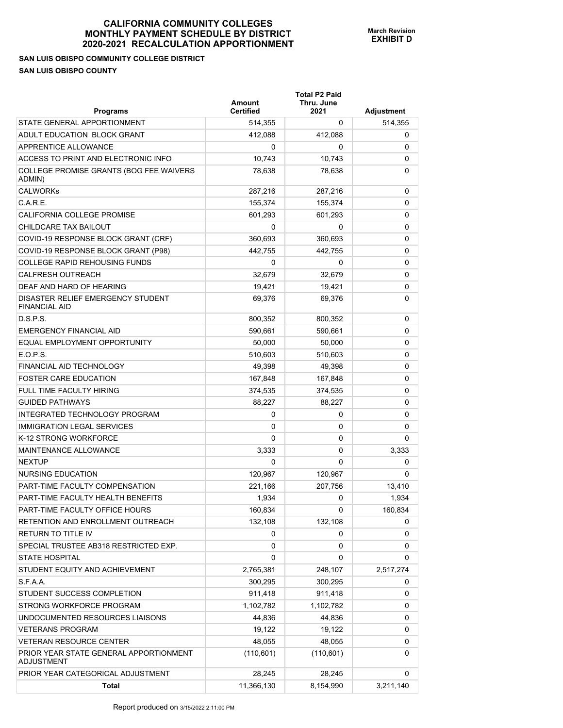# **SAN LUIS OBISPO COMMUNITY COLLEGE DISTRICT SAN LUIS OBISPO COUNTY**

| <b>Programs</b>                                             | Amount<br><b>Certified</b> | <b>Total P2 Paid</b><br>Thru. June<br>2021 | Adjustment |
|-------------------------------------------------------------|----------------------------|--------------------------------------------|------------|
| STATE GENERAL APPORTIONMENT                                 | 514,355                    | 0                                          | 514,355    |
| ADULT EDUCATION BLOCK GRANT                                 | 412,088                    | 412,088                                    | 0          |
| APPRENTICE ALLOWANCE                                        | 0                          | 0                                          | 0          |
| ACCESS TO PRINT AND ELECTRONIC INFO                         | 10,743                     | 10,743                                     | 0          |
| COLLEGE PROMISE GRANTS (BOG FEE WAIVERS<br>ADMIN)           | 78,638                     | 78,638                                     | 0          |
| <b>CALWORKs</b>                                             | 287,216                    | 287,216                                    | 0          |
| C.A.R.E.                                                    | 155,374                    | 155,374                                    | 0          |
| CALIFORNIA COLLEGE PROMISE                                  | 601,293                    | 601,293                                    | 0          |
| CHILDCARE TAX BAILOUT                                       | 0                          | 0                                          | 0          |
| COVID-19 RESPONSE BLOCK GRANT (CRF)                         | 360,693                    | 360,693                                    | 0          |
| COVID-19 RESPONSE BLOCK GRANT (P98)                         | 442,755                    | 442,755                                    | 0          |
| <b>COLLEGE RAPID REHOUSING FUNDS</b>                        | 0                          | 0                                          | 0          |
| <b>CALFRESH OUTREACH</b>                                    | 32,679                     | 32,679                                     | 0          |
| DEAF AND HARD OF HEARING                                    | 19.421                     | 19,421                                     | 0          |
| DISASTER RELIEF EMERGENCY STUDENT<br><b>FINANCIAL AID</b>   | 69,376                     | 69,376                                     | 0          |
| D.S.P.S.                                                    | 800,352                    | 800,352                                    | 0          |
| <b>EMERGENCY FINANCIAL AID</b>                              | 590.661                    | 590,661                                    | 0          |
| EQUAL EMPLOYMENT OPPORTUNITY                                | 50,000                     | 50,000                                     | 0          |
| E.O.P.S.                                                    | 510,603                    | 510,603                                    | 0          |
| FINANCIAL AID TECHNOLOGY                                    | 49,398                     | 49,398                                     | 0          |
| <b>FOSTER CARE EDUCATION</b>                                | 167,848                    | 167,848                                    | 0          |
| <b>FULL TIME FACULTY HIRING</b>                             | 374,535                    | 374,535                                    | 0          |
| <b>GUIDED PATHWAYS</b>                                      | 88,227                     | 88,227                                     | 0          |
| INTEGRATED TECHNOLOGY PROGRAM                               | 0                          | 0                                          | 0          |
| <b>IMMIGRATION LEGAL SERVICES</b>                           | 0                          | 0                                          | 0          |
| K-12 STRONG WORKFORCE                                       | 0                          | 0                                          | 0          |
| MAINTENANCE ALLOWANCE                                       | 3,333                      | 0                                          | 3,333      |
| <b>NEXTUP</b>                                               | 0                          | 0                                          | 0          |
| NURSING EDUCATION                                           | 120,967                    | 120,967                                    | 0          |
| PART-TIME FACULTY COMPENSATION                              | 221,166                    | 207,756                                    | 13,410     |
| PART-TIME FACULTY HEALTH BENEFITS                           | 1,934                      | 0                                          | 1,934      |
| PART-TIME FACULTY OFFICE HOURS                              | 160,834                    | 0                                          | 160,834    |
| RETENTION AND ENROLLMENT OUTREACH                           | 132,108                    | 132,108                                    | 0          |
| RETURN TO TITLE IV                                          | 0                          | 0                                          | 0          |
| SPECIAL TRUSTEE AB318 RESTRICTED EXP.                       | 0                          | 0                                          | 0          |
| <b>STATE HOSPITAL</b>                                       | 0                          | 0                                          | 0          |
| STUDENT EQUITY AND ACHIEVEMENT                              | 2,765,381                  | 248,107                                    | 2,517,274  |
| S.F.A.A.                                                    | 300,295                    | 300,295                                    | 0          |
| STUDENT SUCCESS COMPLETION                                  | 911,418                    | 911,418                                    | 0          |
| STRONG WORKFORCE PROGRAM                                    | 1,102,782                  | 1,102,782                                  | 0          |
| UNDOCUMENTED RESOURCES LIAISONS                             | 44,836                     | 44,836                                     | 0          |
| <b>VETERANS PROGRAM</b>                                     | 19,122                     | 19,122                                     | 0          |
| <b>VETERAN RESOURCE CENTER</b>                              | 48,055                     | 48,055                                     | 0          |
| PRIOR YEAR STATE GENERAL APPORTIONMENT<br><b>ADJUSTMENT</b> | (110, 601)                 | (110, 601)                                 | 0          |
| PRIOR YEAR CATEGORICAL ADJUSTMENT                           | 28,245                     | 28,245                                     | 0          |
| <b>Total</b>                                                | 11,366,130                 | 8,154,990                                  | 3,211,140  |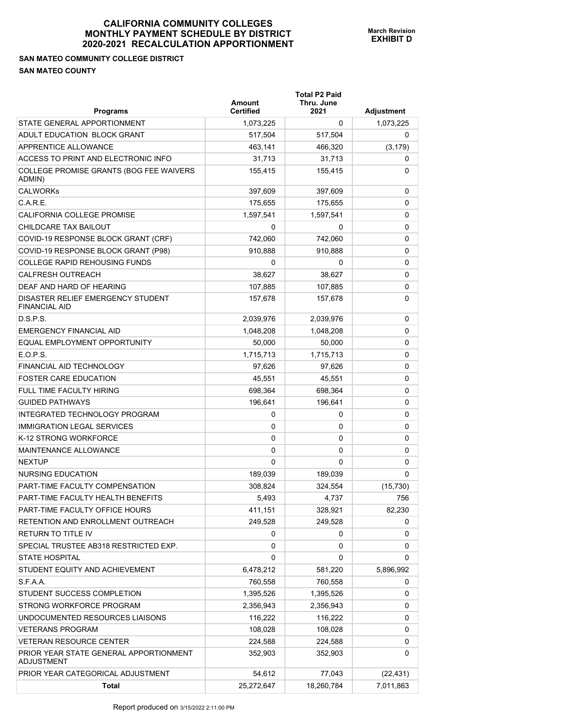#### **SAN MATEO COMMUNITY COLLEGE DISTRICT SAN MATEO COUNTY**

| <b>Programs</b>                                           | <b>Amount</b><br><b>Certified</b> | <b>Total P2 Paid</b><br>Thru. June<br>2021 | <b>Adjustment</b> |
|-----------------------------------------------------------|-----------------------------------|--------------------------------------------|-------------------|
| STATE GENERAL APPORTIONMENT                               | 1,073,225                         | 0                                          | 1,073,225         |
| ADULT EDUCATION BLOCK GRANT                               | 517,504                           | 517,504                                    | 0                 |
| APPRENTICE ALLOWANCE                                      | 463,141                           | 466,320                                    | (3, 179)          |
| ACCESS TO PRINT AND ELECTRONIC INFO                       | 31,713                            | 31,713                                     | 0                 |
| COLLEGE PROMISE GRANTS (BOG FEE WAIVERS<br>ADMIN)         | 155,415                           | 155,415                                    | 0                 |
| <b>CALWORKs</b>                                           | 397,609                           | 397,609                                    | 0                 |
| C.A.R.E.                                                  | 175,655                           | 175,655                                    | 0                 |
| CALIFORNIA COLLEGE PROMISE                                | 1,597,541                         | 1,597,541                                  | 0                 |
| CHILDCARE TAX BAILOUT                                     | 0                                 | 0                                          | 0                 |
| COVID-19 RESPONSE BLOCK GRANT (CRF)                       | 742,060                           | 742,060                                    | 0                 |
| COVID-19 RESPONSE BLOCK GRANT (P98)                       | 910,888                           | 910,888                                    | 0                 |
| <b>COLLEGE RAPID REHOUSING FUNDS</b>                      | 0                                 | 0                                          | 0                 |
| <b>CALFRESH OUTREACH</b>                                  | 38,627                            | 38,627                                     | 0                 |
| DEAF AND HARD OF HEARING                                  | 107,885                           | 107,885                                    | 0                 |
| DISASTER RELIEF EMERGENCY STUDENT<br><b>FINANCIAL AID</b> | 157,678                           | 157,678                                    | 0                 |
| D.S.P.S.                                                  | 2,039,976                         | 2,039,976                                  | 0                 |
| <b>EMERGENCY FINANCIAL AID</b>                            | 1,048,208                         | 1,048,208                                  | 0                 |
| EQUAL EMPLOYMENT OPPORTUNITY                              | 50,000                            | 50,000                                     | 0                 |
| E.O.P.S.                                                  | 1,715,713                         | 1,715,713                                  | 0                 |
| FINANCIAL AID TECHNOLOGY                                  | 97,626                            | 97,626                                     | 0                 |
| <b>FOSTER CARE EDUCATION</b>                              | 45,551                            | 45,551                                     | 0                 |
| FULL TIME FACULTY HIRING                                  | 698,364                           | 698,364                                    | 0                 |
| <b>GUIDED PATHWAYS</b>                                    | 196,641                           | 196,641                                    | 0                 |
| INTEGRATED TECHNOLOGY PROGRAM                             | 0                                 | 0                                          | 0                 |
| <b>IMMIGRATION LEGAL SERVICES</b>                         | 0                                 | 0                                          | 0                 |
| K-12 STRONG WORKFORCE                                     | 0                                 | 0                                          | 0                 |
| MAINTENANCE ALLOWANCE                                     | 0                                 | 0                                          | 0                 |
| <b>NEXTUP</b>                                             | 0                                 | 0                                          | 0                 |
| NURSING EDUCATION                                         | 189,039                           | 189,039                                    | 0                 |
| PART-TIME FACULTY COMPENSATION                            | 308,824                           | 324,554                                    | (15, 730)         |
| PART-TIME FACULTY HEALTH BENEFITS                         | 5,493                             | 4,737                                      | 756               |
| PART-TIME FACULTY OFFICE HOURS                            | 411,151                           | 328,921                                    | 82,230            |
| RETENTION AND ENROLLMENT OUTREACH                         | 249,528                           | 249,528                                    | 0                 |
| RETURN TO TITLE IV                                        | 0                                 | 0                                          | 0                 |
| SPECIAL TRUSTEE AB318 RESTRICTED EXP.                     | 0                                 | 0                                          | 0                 |
| <b>STATE HOSPITAL</b>                                     | 0                                 | 0                                          | 0                 |
| STUDENT EQUITY AND ACHIEVEMENT                            | 6,478,212                         | 581,220                                    | 5,896,992         |
| S.F.A.A.                                                  | 760,558                           | 760,558                                    | 0                 |
| STUDENT SUCCESS COMPLETION                                | 1,395,526                         | 1,395,526                                  | 0                 |
| STRONG WORKFORCE PROGRAM                                  | 2,356,943                         | 2,356,943                                  | 0                 |
| UNDOCUMENTED RESOURCES LIAISONS                           | 116,222                           | 116,222                                    | 0                 |
| <b>VETERANS PROGRAM</b>                                   | 108,028                           | 108,028                                    | 0                 |
| <b>VETERAN RESOURCE CENTER</b>                            | 224,588                           | 224,588                                    | 0                 |
| PRIOR YEAR STATE GENERAL APPORTIONMENT<br>ADJUSTMENT      | 352,903                           | 352,903                                    | 0                 |
| PRIOR YEAR CATEGORICAL ADJUSTMENT                         | 54,612                            | 77,043                                     | (22, 431)         |
| <b>Total</b>                                              | 25,272,647                        | 18,260,784                                 | 7,011,863         |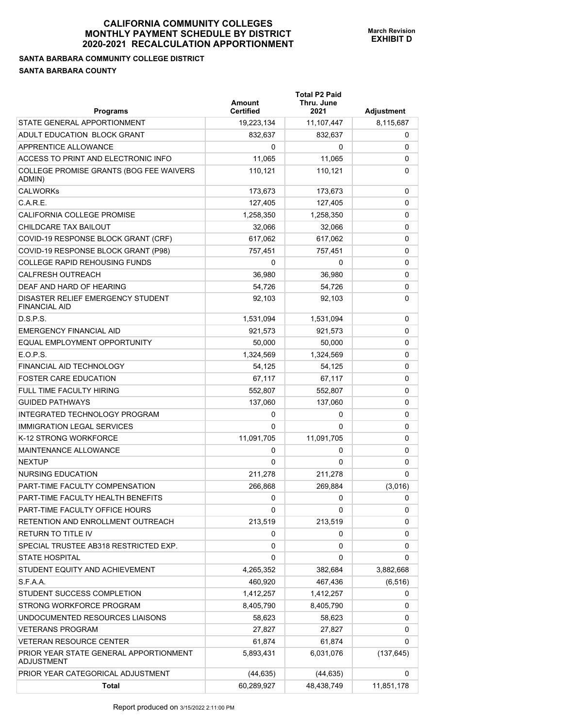## **SANTA BARBARA COMMUNITY COLLEGE DISTRICT SANTA BARBARA COUNTY**

| <b>Programs</b>                                             | Amount<br><b>Certified</b> | <b>Total P2 Paid</b><br>Thru. June<br>2021 | Adjustment |
|-------------------------------------------------------------|----------------------------|--------------------------------------------|------------|
| STATE GENERAL APPORTIONMENT                                 | 19,223,134                 | 11,107,447                                 | 8,115,687  |
| ADULT EDUCATION BLOCK GRANT                                 | 832,637                    | 832,637                                    | 0          |
| <b>APPRENTICE ALLOWANCE</b>                                 | $\Omega$                   | 0                                          | 0          |
| ACCESS TO PRINT AND ELECTRONIC INFO                         | 11,065                     | 11,065                                     | 0          |
| COLLEGE PROMISE GRANTS (BOG FEE WAIVERS<br>ADMIN)           | 110,121                    | 110,121                                    | 0          |
| <b>CALWORKs</b>                                             | 173,673                    | 173,673                                    | 0          |
| C.A.R.E.                                                    | 127,405                    | 127,405                                    | 0          |
| CALIFORNIA COLLEGE PROMISE                                  | 1,258,350                  | 1,258,350                                  | 0          |
| CHILDCARE TAX BAILOUT                                       | 32,066                     | 32,066                                     | 0          |
| COVID-19 RESPONSE BLOCK GRANT (CRF)                         | 617,062                    | 617,062                                    | 0          |
| COVID-19 RESPONSE BLOCK GRANT (P98)                         | 757,451                    | 757,451                                    | 0          |
| <b>COLLEGE RAPID REHOUSING FUNDS</b>                        | 0                          | 0                                          | 0          |
| <b>CALFRESH OUTREACH</b>                                    | 36.980                     | 36,980                                     | 0          |
| DEAF AND HARD OF HEARING                                    | 54,726                     | 54,726                                     | 0          |
| DISASTER RELIEF EMERGENCY STUDENT<br><b>FINANCIAL AID</b>   | 92,103                     | 92,103                                     | 0          |
| D.S.P.S.                                                    | 1,531,094                  | 1,531,094                                  | 0          |
| <b>EMERGENCY FINANCIAL AID</b>                              | 921.573                    | 921,573                                    | 0          |
| EQUAL EMPLOYMENT OPPORTUNITY                                | 50,000                     | 50,000                                     | 0          |
| E.O.P.S.                                                    | 1,324,569                  | 1,324,569                                  | 0          |
| FINANCIAL AID TECHNOLOGY                                    | 54,125                     | 54,125                                     | 0          |
| <b>FOSTER CARE EDUCATION</b>                                | 67,117                     | 67,117                                     | 0          |
| FULL TIME FACULTY HIRING                                    | 552,807                    | 552,807                                    | 0          |
| <b>GUIDED PATHWAYS</b>                                      | 137,060                    | 137,060                                    | 0          |
| INTEGRATED TECHNOLOGY PROGRAM                               | 0                          | 0                                          | 0          |
| <b>IMMIGRATION LEGAL SERVICES</b>                           | $\Omega$                   | 0                                          | 0          |
| K-12 STRONG WORKFORCE                                       | 11,091,705                 | 11,091,705                                 | 0          |
| <b>MAINTENANCE ALLOWANCE</b>                                | 0                          | 0                                          | 0          |
| <b>NEXTUP</b>                                               | 0                          | 0                                          | 0          |
| <b>NURSING EDUCATION</b>                                    | 211,278                    | 211,278                                    | 0          |
| PART-TIME FACULTY COMPENSATION                              | 266,868                    | 269,884                                    | (3,016)    |
| PART-TIME FACULTY HEALTH BENEFITS                           | 0                          | 0                                          | 0          |
| PART-TIME FACULTY OFFICE HOURS                              | 0                          | 0                                          | 0          |
| RETENTION AND ENROLLMENT OUTREACH                           | 213,519                    | 213,519                                    | 0          |
| RETURN TO TITLE IV                                          | 0                          | 0                                          | 0          |
| SPECIAL TRUSTEE AB318 RESTRICTED EXP.                       | 0                          | 0                                          | 0          |
| <b>STATE HOSPITAL</b>                                       | 0                          | 0                                          | 0          |
| STUDENT EQUITY AND ACHIEVEMENT                              | 4,265,352                  | 382,684                                    | 3,882,668  |
| S.F.A.A.                                                    | 460,920                    | 467,436                                    | (6, 516)   |
| STUDENT SUCCESS COMPLETION                                  | 1,412,257                  | 1,412,257                                  | 0          |
| STRONG WORKFORCE PROGRAM                                    | 8,405,790                  | 8,405,790                                  | 0          |
| UNDOCUMENTED RESOURCES LIAISONS                             | 58,623                     | 58,623                                     | 0          |
| <b>VETERANS PROGRAM</b>                                     | 27,827                     | 27,827                                     | 0          |
| <b>VETERAN RESOURCE CENTER</b>                              | 61,874                     | 61,874                                     | 0          |
| PRIOR YEAR STATE GENERAL APPORTIONMENT<br><b>ADJUSTMENT</b> | 5,893,431                  | 6,031,076                                  | (137, 645) |
| PRIOR YEAR CATEGORICAL ADJUSTMENT                           | (44, 635)                  | (44, 635)                                  | 0          |
| <b>Total</b>                                                | 60,289,927                 | 48,438,749                                 | 11,851,178 |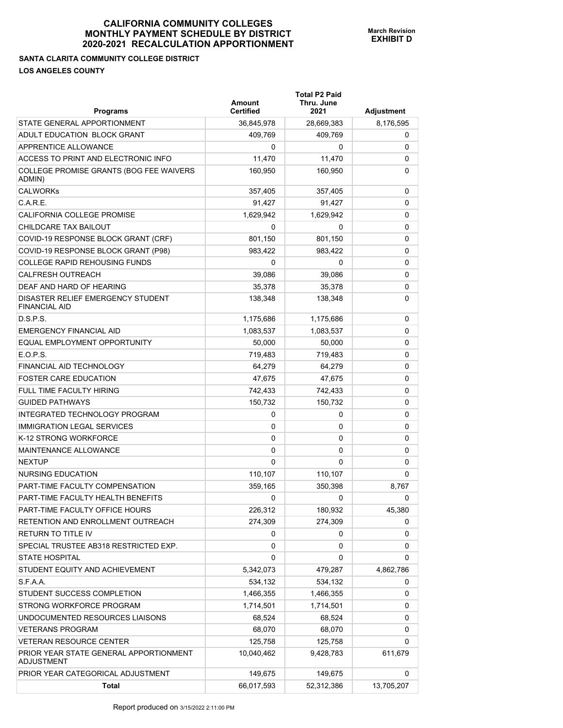# **SANTA CLARITA COMMUNITY COLLEGE DISTRICT LOS ANGELES COUNTY**

| <b>Programs</b>                                             | Amount<br><b>Certified</b> | <b>Total P2 Paid</b><br>Thru. June<br>2021 | Adjustment |
|-------------------------------------------------------------|----------------------------|--------------------------------------------|------------|
| STATE GENERAL APPORTIONMENT                                 | 36,845,978                 | 28,669,383                                 | 8,176,595  |
| ADULT EDUCATION BLOCK GRANT                                 | 409,769                    | 409.769                                    | 0          |
| <b>APPRENTICE ALLOWANCE</b>                                 | 0                          | 0                                          | 0          |
| ACCESS TO PRINT AND ELECTRONIC INFO                         | 11,470                     | 11,470                                     | 0          |
| COLLEGE PROMISE GRANTS (BOG FEE WAIVERS<br>ADMIN)           | 160,950                    | 160,950                                    | 0          |
| <b>CALWORKs</b>                                             | 357,405                    | 357,405                                    | 0          |
| C.A.R.E.                                                    | 91,427                     | 91,427                                     | 0          |
| CALIFORNIA COLLEGE PROMISE                                  | 1,629,942                  | 1,629,942                                  | 0          |
| CHILDCARE TAX BAILOUT                                       | $\Omega$                   | 0                                          | 0          |
| COVID-19 RESPONSE BLOCK GRANT (CRF)                         | 801,150                    | 801,150                                    | 0          |
| COVID-19 RESPONSE BLOCK GRANT (P98)                         | 983,422                    | 983,422                                    | 0          |
| <b>COLLEGE RAPID REHOUSING FUNDS</b>                        | 0                          | 0                                          | 0          |
| <b>CALFRESH OUTREACH</b>                                    | 39,086                     | 39,086                                     | 0          |
| DEAF AND HARD OF HEARING                                    | 35,378                     | 35,378                                     | 0          |
| DISASTER RELIEF EMERGENCY STUDENT<br><b>FINANCIAL AID</b>   | 138,348                    | 138,348                                    | 0          |
| D.S.P.S.                                                    | 1,175,686                  | 1,175,686                                  | 0          |
| <b>EMERGENCY FINANCIAL AID</b>                              | 1,083,537                  | 1,083,537                                  | 0          |
| EQUAL EMPLOYMENT OPPORTUNITY                                | 50,000                     | 50,000                                     | 0          |
| E.O.P.S.                                                    | 719,483                    | 719,483                                    | 0          |
| FINANCIAL AID TECHNOLOGY                                    | 64,279                     | 64,279                                     | 0          |
| <b>FOSTER CARE EDUCATION</b>                                | 47,675                     | 47,675                                     | 0          |
| FULL TIME FACULTY HIRING                                    | 742,433                    | 742,433                                    | 0          |
| <b>GUIDED PATHWAYS</b>                                      | 150,732                    | 150,732                                    | 0          |
| INTEGRATED TECHNOLOGY PROGRAM                               | 0                          | 0                                          | 0          |
| <b>IMMIGRATION LEGAL SERVICES</b>                           | 0                          | 0                                          | 0          |
| K-12 STRONG WORKFORCE                                       | 0                          | 0                                          | 0          |
| MAINTENANCE ALLOWANCE                                       | $\Omega$                   | 0                                          | 0          |
| <b>NEXTUP</b>                                               | $\Omega$                   | $\Omega$                                   | 0          |
| <b>NURSING EDUCATION</b>                                    | 110,107                    | 110,107                                    | 0          |
| PART-TIME FACULTY COMPENSATION                              | 359,165                    | 350,398                                    | 8,767      |
| PART-TIME FACULTY HEALTH BENEFITS                           | 0                          | 0                                          | 0          |
| PART-TIME FACULTY OFFICE HOURS                              | 226,312                    | 180,932                                    | 45,380     |
| RETENTION AND ENROLLMENT OUTREACH                           | 274,309                    | 274,309                                    | 0          |
| <b>RETURN TO TITLE IV</b>                                   | 0                          | 0                                          | 0          |
| SPECIAL TRUSTEE AB318 RESTRICTED EXP.                       | 0                          | 0                                          | 0          |
| <b>STATE HOSPITAL</b>                                       | 0                          | 0                                          | 0          |
| STUDENT EQUITY AND ACHIEVEMENT                              | 5,342,073                  | 479,287                                    | 4,862,786  |
| S.F.A.A.                                                    | 534,132                    | 534,132                                    | 0          |
| STUDENT SUCCESS COMPLETION                                  | 1,466,355                  | 1,466,355                                  | 0          |
| STRONG WORKFORCE PROGRAM                                    | 1,714,501                  | 1,714,501                                  | 0          |
| UNDOCUMENTED RESOURCES LIAISONS                             | 68,524                     | 68,524                                     | 0          |
| <b>VETERANS PROGRAM</b>                                     | 68,070                     | 68,070                                     | 0          |
| <b>VETERAN RESOURCE CENTER</b>                              | 125,758                    | 125,758                                    | 0          |
| PRIOR YEAR STATE GENERAL APPORTIONMENT<br><b>ADJUSTMENT</b> | 10,040,462                 | 9,428,783                                  | 611,679    |
| PRIOR YEAR CATEGORICAL ADJUSTMENT                           | 149,675                    | 149,675                                    | 0          |
| <b>Total</b>                                                | 66,017,593                 | 52,312,386                                 | 13,705,207 |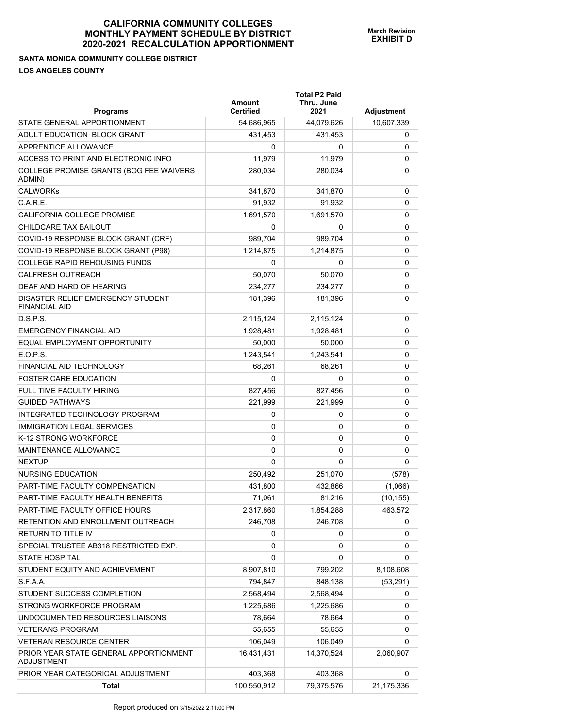## **SANTA MONICA COMMUNITY COLLEGE DISTRICT LOS ANGELES COUNTY**

| <b>Programs</b>                                             | Amount<br>Certified | <b>Total P2 Paid</b><br>Thru. June<br>2021 | <b>Adjustment</b> |
|-------------------------------------------------------------|---------------------|--------------------------------------------|-------------------|
| STATE GENERAL APPORTIONMENT                                 | 54,686,965          | 44,079,626                                 | 10,607,339        |
| ADULT EDUCATION BLOCK GRANT                                 | 431,453             | 431,453                                    | 0                 |
| APPRENTICE ALLOWANCE                                        | 0                   | 0                                          | 0                 |
| ACCESS TO PRINT AND ELECTRONIC INFO                         | 11,979              | 11,979                                     | 0                 |
| COLLEGE PROMISE GRANTS (BOG FEE WAIVERS<br>ADMIN)           | 280,034             | 280,034                                    | 0                 |
| <b>CALWORKs</b>                                             | 341,870             | 341,870                                    | 0                 |
| C.A.R.E.                                                    | 91,932              | 91.932                                     | 0                 |
| <b>CALIFORNIA COLLEGE PROMISE</b>                           | 1,691,570           | 1,691,570                                  | 0                 |
| CHILDCARE TAX BAILOUT                                       | 0                   | 0                                          | 0                 |
| COVID-19 RESPONSE BLOCK GRANT (CRF)                         | 989,704             | 989,704                                    | 0                 |
| COVID-19 RESPONSE BLOCK GRANT (P98)                         | 1,214,875           | 1,214,875                                  | 0                 |
| <b>COLLEGE RAPID REHOUSING FUNDS</b>                        | 0                   | 0                                          | 0                 |
| <b>CALFRESH OUTREACH</b>                                    | 50,070              | 50,070                                     | 0                 |
| DEAF AND HARD OF HEARING                                    | 234,277             | 234,277                                    | 0                 |
| DISASTER RELIEF EMERGENCY STUDENT<br><b>FINANCIAL AID</b>   | 181,396             | 181,396                                    | 0                 |
| D.S.P.S.                                                    | 2,115,124           | 2,115,124                                  | 0                 |
| <b>EMERGENCY FINANCIAL AID</b>                              | 1,928,481           | 1,928,481                                  | 0                 |
| EQUAL EMPLOYMENT OPPORTUNITY                                | 50,000              | 50,000                                     | 0                 |
| E.O.P.S.                                                    | 1,243,541           | 1,243,541                                  | 0                 |
| FINANCIAL AID TECHNOLOGY                                    | 68,261              | 68,261                                     | 0                 |
| <b>FOSTER CARE EDUCATION</b>                                | $\Omega$            | 0                                          | 0                 |
| <b>FULL TIME FACULTY HIRING</b>                             | 827,456             | 827,456                                    | 0                 |
| <b>GUIDED PATHWAYS</b>                                      | 221,999             | 221,999                                    | 0                 |
| INTEGRATED TECHNOLOGY PROGRAM                               | 0                   | 0                                          | 0                 |
| <b>IMMIGRATION LEGAL SERVICES</b>                           | 0                   | 0                                          | 0                 |
| K-12 STRONG WORKFORCE                                       | 0                   | 0                                          | 0                 |
| MAINTENANCE ALLOWANCE                                       | 0                   | 0                                          | 0                 |
| <b>NEXTUP</b>                                               | 0                   | 0                                          | 0                 |
| NURSING EDUCATION                                           | 250.492             | 251,070                                    | (578)             |
| PART-TIME FACULTY COMPENSATION                              | 431,800             | 432,866                                    | (1,066)           |
| PART-TIME FACULTY HEALTH BENEFITS                           | 71,061              | 81,216                                     | (10, 155)         |
| PART-TIME FACULTY OFFICE HOURS                              | 2,317,860           | 1,854,288                                  | 463,572           |
| RETENTION AND ENROLLMENT OUTREACH                           | 246,708             | 246,708                                    | 0                 |
| RETURN TO TITLE IV                                          | 0                   | 0                                          | 0                 |
| SPECIAL TRUSTEE AB318 RESTRICTED EXP.                       | 0                   | 0                                          | 0                 |
| <b>STATE HOSPITAL</b>                                       | 0                   | 0                                          | 0                 |
| STUDENT EQUITY AND ACHIEVEMENT                              | 8,907,810           | 799,202                                    | 8,108,608         |
| S.F.A.A.                                                    | 794,847             | 848,138                                    | (53, 291)         |
| STUDENT SUCCESS COMPLETION                                  | 2,568,494           | 2,568,494                                  | 0                 |
| STRONG WORKFORCE PROGRAM                                    | 1,225,686           | 1,225,686                                  | 0                 |
| UNDOCUMENTED RESOURCES LIAISONS                             | 78,664              | 78,664                                     | 0                 |
| <b>VETERANS PROGRAM</b>                                     | 55,655              | 55,655                                     | 0                 |
| <b>VETERAN RESOURCE CENTER</b>                              | 106,049             | 106,049                                    | 0                 |
| PRIOR YEAR STATE GENERAL APPORTIONMENT<br><b>ADJUSTMENT</b> | 16,431,431          | 14,370,524                                 | 2,060,907         |
| PRIOR YEAR CATEGORICAL ADJUSTMENT                           | 403,368             | 403,368                                    | 0                 |
| <b>Total</b>                                                | 100,550,912         | 79,375,576                                 | 21,175,336        |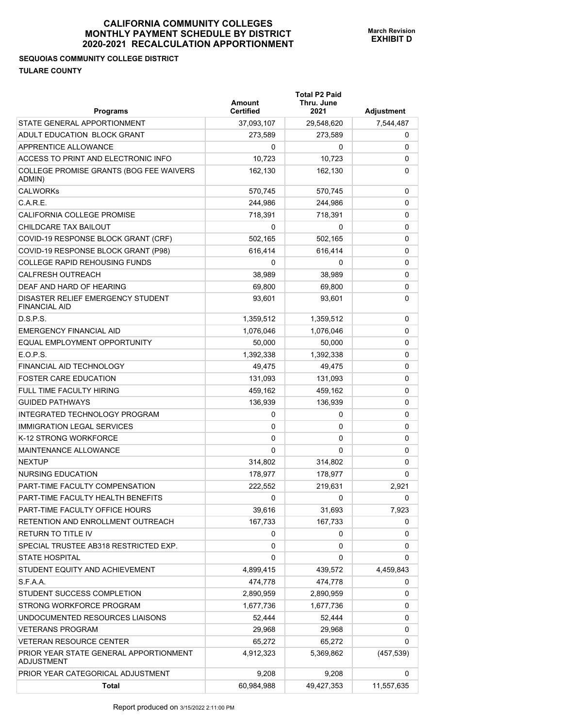**Total P2 Paid** 

**SEQUOIAS COMMUNITY COLLEGE DISTRICT TULARE COUNTY** 

| Programs                                                    | Amount<br><b>Certified</b> | Thru. June<br>2021 | Adjustment |
|-------------------------------------------------------------|----------------------------|--------------------|------------|
| STATE GENERAL APPORTIONMENT                                 | 37,093,107                 | 29,548,620         | 7,544,487  |
| ADULT EDUCATION BLOCK GRANT                                 | 273,589                    | 273,589            | 0          |
| APPRENTICE ALLOWANCE                                        | 0                          | 0                  | 0          |
| ACCESS TO PRINT AND ELECTRONIC INFO                         | 10,723                     | 10,723             | 0          |
| COLLEGE PROMISE GRANTS (BOG FEE WAIVERS<br>ADMIN)           | 162,130                    | 162,130            | 0          |
| <b>CALWORKs</b>                                             | 570.745                    | 570,745            | 0          |
| C.A.R.E.                                                    | 244.986                    | 244,986            | 0          |
| CALIFORNIA COLLEGE PROMISE                                  | 718,391                    | 718,391            | 0          |
| CHILDCARE TAX BAILOUT                                       | 0                          | 0                  | 0          |
| COVID-19 RESPONSE BLOCK GRANT (CRF)                         | 502,165                    | 502,165            | 0          |
| COVID-19 RESPONSE BLOCK GRANT (P98)                         | 616,414                    | 616,414            | 0          |
| <b>COLLEGE RAPID REHOUSING FUNDS</b>                        | 0                          | 0                  | 0          |
| <b>CALFRESH OUTREACH</b>                                    | 38,989                     | 38,989             | 0          |
| DEAF AND HARD OF HEARING                                    | 69,800                     | 69,800             | 0          |
| DISASTER RELIEF EMERGENCY STUDENT<br><b>FINANCIAL AID</b>   | 93,601                     | 93,601             | 0          |
| D.S.P.S.                                                    | 1,359,512                  | 1,359,512          | 0          |
| <b>EMERGENCY FINANCIAL AID</b>                              | 1,076,046                  | 1,076,046          | 0          |
| EQUAL EMPLOYMENT OPPORTUNITY                                | 50,000                     | 50,000             | 0          |
| E.O.P.S.                                                    | 1,392,338                  | 1,392,338          | 0          |
| FINANCIAL AID TECHNOLOGY                                    | 49,475                     | 49,475             | 0          |
| <b>FOSTER CARE EDUCATION</b>                                | 131,093                    | 131,093            | 0          |
| FULL TIME FACULTY HIRING                                    | 459,162                    | 459,162            | 0          |
| <b>GUIDED PATHWAYS</b>                                      | 136,939                    | 136,939            | 0          |
| INTEGRATED TECHNOLOGY PROGRAM                               | 0                          | 0                  | 0          |
| <b>IMMIGRATION LEGAL SERVICES</b>                           | 0                          | 0                  | 0          |
| K-12 STRONG WORKFORCE                                       | 0                          | 0                  | 0          |
| MAINTENANCE ALLOWANCE                                       | 0                          | 0                  | 0          |
| <b>NEXTUP</b>                                               | 314,802                    | 314,802            | 0          |
| <b>NURSING EDUCATION</b>                                    | 178,977                    | 178,977            | 0          |
| PART-TIME FACULTY COMPENSATION                              | 222,552                    | 219,631            | 2,921      |
| PART-TIME FACULTY HEALTH BENEFITS                           | 0                          | 0                  | 0          |
| PART-TIME FACULTY OFFICE HOURS                              | 39,616                     | 31,693             | 7,923      |
| RETENTION AND ENROLLMENT OUTREACH                           | 167,733                    | 167,733            | 0          |
| RETURN TO TITLE IV                                          | 0                          | 0                  | 0          |
| SPECIAL TRUSTEE AB318 RESTRICTED EXP.                       | 0                          | 0                  | 0          |
| <b>STATE HOSPITAL</b>                                       | 0                          | 0                  | 0          |
| STUDENT EQUITY AND ACHIEVEMENT                              | 4,899,415                  | 439,572            | 4,459,843  |
| S.F.A.A.                                                    | 474,778                    | 474,778            | 0          |
| STUDENT SUCCESS COMPLETION                                  | 2,890,959                  | 2,890,959          | 0          |
| STRONG WORKFORCE PROGRAM                                    | 1,677,736                  | 1,677,736          | 0          |
| UNDOCUMENTED RESOURCES LIAISONS                             | 52,444                     | 52,444             | 0          |
| <b>VETERANS PROGRAM</b>                                     | 29,968                     | 29,968             | 0          |
| <b>VETERAN RESOURCE CENTER</b>                              | 65,272                     | 65,272             | 0          |
| PRIOR YEAR STATE GENERAL APPORTIONMENT<br><b>ADJUSTMENT</b> | 4,912,323                  | 5,369,862          | (457, 539) |
| PRIOR YEAR CATEGORICAL ADJUSTMENT                           | 9,208                      | 9,208              | 0          |
| Total                                                       | 60,984,988                 | 49,427,353         | 11,557,635 |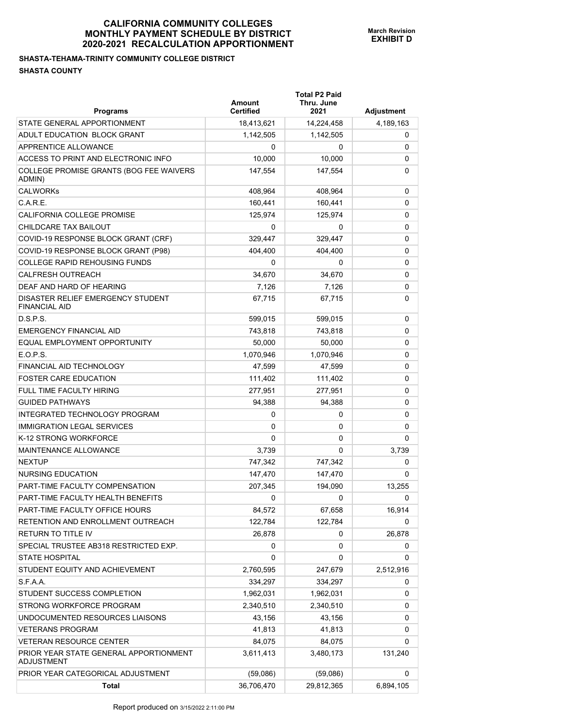## **SHASTA-TEHAMA-TRINITY COMMUNITY COLLEGE DISTRICT SHASTA COUNTY**

| <b>Programs</b>                                             | Amount<br><b>Certified</b> | <b>Total P2 Paid</b><br>Thru. June<br>2021 | Adjustment |
|-------------------------------------------------------------|----------------------------|--------------------------------------------|------------|
| STATE GENERAL APPORTIONMENT                                 | 18,413,621                 | 14,224,458                                 | 4,189,163  |
| ADULT EDUCATION BLOCK GRANT                                 | 1,142,505                  | 1,142,505                                  | 0          |
| APPRENTICE ALLOWANCE                                        | 0                          | 0                                          | 0          |
| ACCESS TO PRINT AND ELECTRONIC INFO                         | 10,000                     | 10,000                                     | 0          |
| COLLEGE PROMISE GRANTS (BOG FEE WAIVERS<br>ADMIN)           | 147,554                    | 147,554                                    | 0          |
| <b>CALWORKs</b>                                             | 408,964                    | 408,964                                    | 0          |
| C.A.R.E.                                                    | 160,441                    | 160,441                                    | 0          |
| CALIFORNIA COLLEGE PROMISE                                  | 125,974                    | 125,974                                    | 0          |
| CHILDCARE TAX BAILOUT                                       | 0                          | 0                                          | 0          |
| COVID-19 RESPONSE BLOCK GRANT (CRF)                         | 329,447                    | 329,447                                    | 0          |
| COVID-19 RESPONSE BLOCK GRANT (P98)                         | 404,400                    | 404,400                                    | 0          |
| <b>COLLEGE RAPID REHOUSING FUNDS</b>                        | 0                          | 0                                          | 0          |
| <b>CALFRESH OUTREACH</b>                                    | 34,670                     | 34.670                                     | 0          |
| DEAF AND HARD OF HEARING                                    | 7,126                      | 7,126                                      | 0          |
| DISASTER RELIEF EMERGENCY STUDENT<br><b>FINANCIAL AID</b>   | 67,715                     | 67,715                                     | 0          |
| D.S.P.S.                                                    | 599,015                    | 599,015                                    | 0          |
| <b>EMERGENCY FINANCIAL AID</b>                              | 743,818                    | 743.818                                    | 0          |
| EQUAL EMPLOYMENT OPPORTUNITY                                | 50,000                     | 50,000                                     | 0          |
| E.O.P.S.                                                    | 1,070,946                  | 1,070,946                                  | 0          |
| <b>FINANCIAL AID TECHNOLOGY</b>                             | 47,599                     | 47,599                                     | 0          |
| <b>FOSTER CARE EDUCATION</b>                                | 111,402                    | 111,402                                    | 0          |
| FULL TIME FACULTY HIRING                                    | 277,951                    | 277,951                                    | 0          |
| <b>GUIDED PATHWAYS</b>                                      | 94,388                     | 94,388                                     | 0          |
| INTEGRATED TECHNOLOGY PROGRAM                               | 0                          | 0                                          | 0          |
| <b>IMMIGRATION LEGAL SERVICES</b>                           | 0                          | 0                                          | 0          |
| K-12 STRONG WORKFORCE                                       | 0                          | 0                                          | 0          |
| <b>MAINTENANCE ALLOWANCE</b>                                | 3,739                      | 0                                          | 3,739      |
| <b>NEXTUP</b>                                               | 747,342                    | 747,342                                    | 0          |
| NURSING EDUCATION                                           | 147,470                    | 147,470                                    | 0          |
| PART-TIME FACULTY COMPENSATION                              | 207,345                    | 194,090                                    | 13.255     |
| PART-TIME FACULTY HEALTH BENEFITS                           | 0                          | 0                                          | 0          |
| PART-TIME FACULTY OFFICE HOURS                              | 84,572                     | 67,658                                     | 16,914     |
| RETENTION AND ENROLLMENT OUTREACH                           | 122,784                    | 122,784                                    | 0          |
| RETURN TO TITLE IV                                          | 26,878                     | 0                                          | 26,878     |
| SPECIAL TRUSTEE AB318 RESTRICTED EXP.                       | 0                          | 0                                          | 0          |
| <b>STATE HOSPITAL</b>                                       | 0                          | 0                                          | 0          |
| STUDENT EQUITY AND ACHIEVEMENT                              | 2,760,595                  | 247,679                                    | 2,512,916  |
| S.F.A.A.                                                    | 334,297                    | 334,297                                    | 0          |
| STUDENT SUCCESS COMPLETION                                  | 1,962,031                  | 1,962,031                                  | 0          |
| STRONG WORKFORCE PROGRAM                                    | 2,340,510                  | 2,340,510                                  | 0          |
| UNDOCUMENTED RESOURCES LIAISONS                             | 43,156                     | 43,156                                     | 0          |
| <b>VETERANS PROGRAM</b>                                     | 41,813                     | 41,813                                     | 0          |
| <b>VETERAN RESOURCE CENTER</b>                              | 84,075                     | 84,075                                     | 0          |
| PRIOR YEAR STATE GENERAL APPORTIONMENT<br><b>ADJUSTMENT</b> | 3,611,413                  | 3,480,173                                  | 131,240    |
| PRIOR YEAR CATEGORICAL ADJUSTMENT                           | (59,086)                   | (59,086)                                   | 0          |
| <b>Total</b>                                                | 36,706,470                 | 29,812,365                                 | 6,894,105  |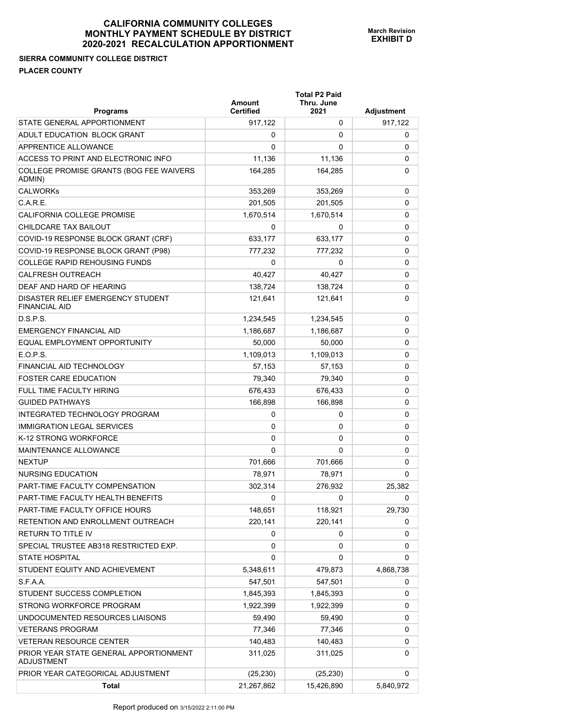## **SIERRA COMMUNITY COLLEGE DISTRICT PLACER COUNTY**

| <b>Programs</b>                                             | Amount<br><b>Certified</b> | <b>Total P2 Paid</b><br>Thru. June<br>2021 | Adjustment |
|-------------------------------------------------------------|----------------------------|--------------------------------------------|------------|
| STATE GENERAL APPORTIONMENT                                 | 917,122                    | 0                                          | 917,122    |
| ADULT EDUCATION BLOCK GRANT                                 | 0                          | 0                                          | 0          |
| APPRENTICE ALLOWANCE                                        | 0                          | 0                                          | 0          |
| ACCESS TO PRINT AND ELECTRONIC INFO                         | 11,136                     | 11,136                                     | 0          |
| COLLEGE PROMISE GRANTS (BOG FEE WAIVERS<br>ADMIN)           | 164,285                    | 164,285                                    | 0          |
| <b>CALWORKs</b>                                             | 353,269                    | 353,269                                    | 0          |
| C.A.R.E.                                                    | 201,505                    | 201,505                                    | 0          |
| CALIFORNIA COLLEGE PROMISE                                  | 1,670,514                  | 1,670,514                                  | 0          |
| CHILDCARE TAX BAILOUT                                       | 0                          | 0                                          | 0          |
| COVID-19 RESPONSE BLOCK GRANT (CRF)                         | 633,177                    | 633,177                                    | 0          |
| COVID-19 RESPONSE BLOCK GRANT (P98)                         | 777,232                    | 777,232                                    | 0          |
| <b>COLLEGE RAPID REHOUSING FUNDS</b>                        | 0                          | 0                                          | 0          |
| <b>CALFRESH OUTREACH</b>                                    | 40,427                     | 40,427                                     | 0          |
| DEAF AND HARD OF HEARING                                    | 138,724                    | 138,724                                    | 0          |
| DISASTER RELIEF EMERGENCY STUDENT<br><b>FINANCIAL AID</b>   | 121,641                    | 121,641                                    | 0          |
| D.S.P.S.                                                    | 1,234,545                  | 1,234,545                                  | 0          |
| <b>EMERGENCY FINANCIAL AID</b>                              | 1,186,687                  | 1,186,687                                  | 0          |
| EQUAL EMPLOYMENT OPPORTUNITY                                | 50,000                     | 50,000                                     | 0          |
| E.O.P.S.                                                    | 1,109,013                  | 1,109,013                                  | 0          |
| FINANCIAL AID TECHNOLOGY                                    | 57,153                     | 57,153                                     | 0          |
| <b>FOSTER CARE EDUCATION</b>                                | 79,340                     | 79,340                                     | 0          |
| FULL TIME FACULTY HIRING                                    | 676,433                    | 676,433                                    | 0          |
| <b>GUIDED PATHWAYS</b>                                      | 166,898                    | 166,898                                    | 0          |
| INTEGRATED TECHNOLOGY PROGRAM                               | 0                          | 0                                          | 0          |
| <b>IMMIGRATION LEGAL SERVICES</b>                           | 0                          | 0                                          | 0          |
| K-12 STRONG WORKFORCE                                       | 0                          | 0                                          | 0          |
| MAINTENANCE ALLOWANCE                                       | 0                          | 0                                          | 0          |
| <b>NEXTUP</b>                                               | 701,666                    | 701,666                                    | 0          |
| NURSING EDUCATION                                           | 78,971                     | 78,971                                     | 0          |
| PART-TIME FACULTY COMPENSATION                              | 302,314                    | 276,932                                    | 25,382     |
| PART-TIME FACULTY HEALTH BENEFITS                           | 0                          | 0                                          | 0          |
| PART-TIME FACULTY OFFICE HOURS                              | 148,651                    | 118,921                                    | 29,730     |
| RETENTION AND ENROLLMENT OUTREACH                           | 220,141                    | 220,141                                    | 0          |
| RETURN TO TITLE IV                                          | 0                          | 0                                          | 0          |
| SPECIAL TRUSTEE AB318 RESTRICTED EXP.                       | 0                          | 0                                          | 0          |
| <b>STATE HOSPITAL</b>                                       | 0                          | 0                                          | 0          |
| STUDENT EQUITY AND ACHIEVEMENT                              | 5,348,611                  | 479,873                                    | 4,868,738  |
| S.F.A.A.                                                    | 547,501                    | 547,501                                    | 0          |
| STUDENT SUCCESS COMPLETION                                  | 1,845,393                  | 1,845,393                                  | 0          |
| STRONG WORKFORCE PROGRAM                                    | 1,922,399                  | 1,922,399                                  | 0          |
| UNDOCUMENTED RESOURCES LIAISONS                             | 59,490                     | 59,490                                     | 0          |
| <b>VETERANS PROGRAM</b>                                     | 77,346                     | 77,346                                     | 0          |
| <b>VETERAN RESOURCE CENTER</b>                              | 140,483                    | 140,483                                    | 0          |
| PRIOR YEAR STATE GENERAL APPORTIONMENT<br><b>ADJUSTMENT</b> | 311,025                    | 311,025                                    | 0          |
| PRIOR YEAR CATEGORICAL ADJUSTMENT                           | (25, 230)                  | (25, 230)                                  | 0          |
| <b>Total</b>                                                | 21,267,862                 | 15,426,890                                 | 5,840,972  |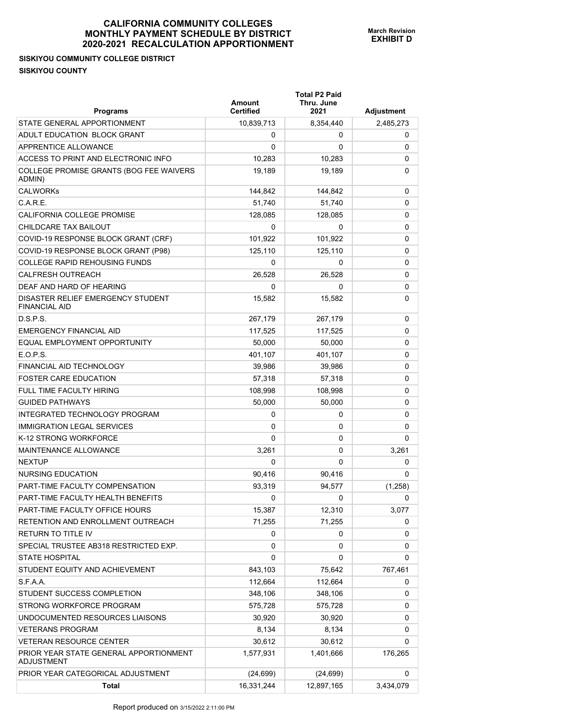**SISKIYOU COMMUNITY COLLEGE DISTRICT SISKIYOU COUNTY** 

|                                                             |                  | <b>Total P2 Paid</b><br>Thru. June<br>Amount |            |
|-------------------------------------------------------------|------------------|----------------------------------------------|------------|
| <b>Programs</b>                                             | <b>Certified</b> | 2021                                         | Adjustment |
| STATE GENERAL APPORTIONMENT                                 | 10,839,713       | 8,354,440                                    | 2,485,273  |
| ADULT EDUCATION BLOCK GRANT                                 | 0                | 0                                            | 0          |
| APPRENTICE ALLOWANCE                                        | 0                | 0                                            | 0          |
| ACCESS TO PRINT AND ELECTRONIC INFO                         | 10,283           | 10,283                                       | 0          |
| COLLEGE PROMISE GRANTS (BOG FEE WAIVERS<br>ADMIN)           | 19,189           | 19,189                                       | 0          |
| CAI WORKS                                                   | 144,842          | 144,842                                      | 0          |
| C.A.R.E.                                                    | 51,740           | 51,740                                       | 0          |
| CALIFORNIA COLLEGE PROMISE                                  | 128,085          | 128,085                                      | 0          |
| CHILDCARE TAX BAILOUT                                       | 0                | 0                                            | 0          |
| COVID-19 RESPONSE BLOCK GRANT (CRF)                         | 101,922          | 101,922                                      | 0          |
| COVID-19 RESPONSE BLOCK GRANT (P98)                         | 125,110          | 125,110                                      | 0          |
| <b>COLLEGE RAPID REHOUSING FUNDS</b>                        | 0                | 0                                            | 0          |
| <b>CALFRESH OUTREACH</b>                                    | 26,528           | 26.528                                       | 0          |
| DEAF AND HARD OF HEARING                                    | 0                | 0                                            | 0          |
| DISASTER RELIEF EMERGENCY STUDENT<br><b>FINANCIAL AID</b>   | 15,582           | 15,582                                       | 0          |
| D.S.P.S.                                                    | 267,179          | 267,179                                      | 0          |
| <b>EMERGENCY FINANCIAL AID</b>                              | 117,525          | 117,525                                      | 0          |
| EQUAL EMPLOYMENT OPPORTUNITY                                | 50,000           | 50,000                                       | 0          |
| E.O.P.S.                                                    | 401.107          | 401,107                                      | 0          |
| <b>FINANCIAL AID TECHNOLOGY</b>                             | 39,986           | 39,986                                       | 0          |
| <b>FOSTER CARE EDUCATION</b>                                | 57,318           | 57,318                                       | 0          |
| <b>FULL TIME FACULTY HIRING</b>                             | 108,998          | 108,998                                      | 0          |
| <b>GUIDED PATHWAYS</b>                                      | 50,000           | 50,000                                       | 0          |
| INTEGRATED TECHNOLOGY PROGRAM                               | 0                | 0                                            | 0          |
| <b>IMMIGRATION LEGAL SERVICES</b>                           | 0                | 0                                            | 0          |
| K-12 STRONG WORKFORCE                                       | 0                | 0                                            | 0          |
| <b>MAINTENANCE ALLOWANCE</b>                                | 3,261            | 0                                            | 3,261      |
| <b>NEXTUP</b>                                               | 0                | 0                                            | 0          |
| NURSING EDUCATION                                           | 90,416           | 90,416                                       | 0          |
| PART-TIME FACULTY COMPENSATION                              | 93,319           | 94,577                                       | (1, 258)   |
| PART-TIME FACULTY HEALTH BENEFITS                           | 0                | 0                                            | 0          |
| PART-TIME FACULTY OFFICE HOURS                              | 15,387           | 12,310                                       | 3,077      |
| RETENTION AND ENROLLMENT OUTREACH                           | 71,255           | 71,255                                       | 0          |
| RETURN TO TITLE IV                                          | 0                | 0                                            | 0          |
| SPECIAL TRUSTEE AB318 RESTRICTED EXP.                       | 0                | 0                                            | 0          |
| <b>STATE HOSPITAL</b>                                       | 0                | 0                                            | 0          |
| STUDENT EQUITY AND ACHIEVEMENT                              | 843,103          | 75,642                                       | 767,461    |
| S.F.A.A.                                                    | 112,664          | 112,664                                      | 0          |
| STUDENT SUCCESS COMPLETION                                  | 348,106          | 348,106                                      | 0          |
| STRONG WORKFORCE PROGRAM                                    | 575,728          | 575,728                                      | 0          |
| UNDOCUMENTED RESOURCES LIAISONS                             | 30,920           | 30,920                                       | 0          |
| <b>VETERANS PROGRAM</b>                                     | 8,134            | 8,134                                        | 0          |
| <b>VETERAN RESOURCE CENTER</b>                              | 30,612           | 30,612                                       | 0          |
| PRIOR YEAR STATE GENERAL APPORTIONMENT<br><b>ADJUSTMENT</b> | 1,577,931        | 1,401,666                                    | 176,265    |
| PRIOR YEAR CATEGORICAL ADJUSTMENT                           | (24, 699)        | (24, 699)                                    | 0          |
| Total                                                       | 16,331,244       | 12,897,165                                   | 3,434,079  |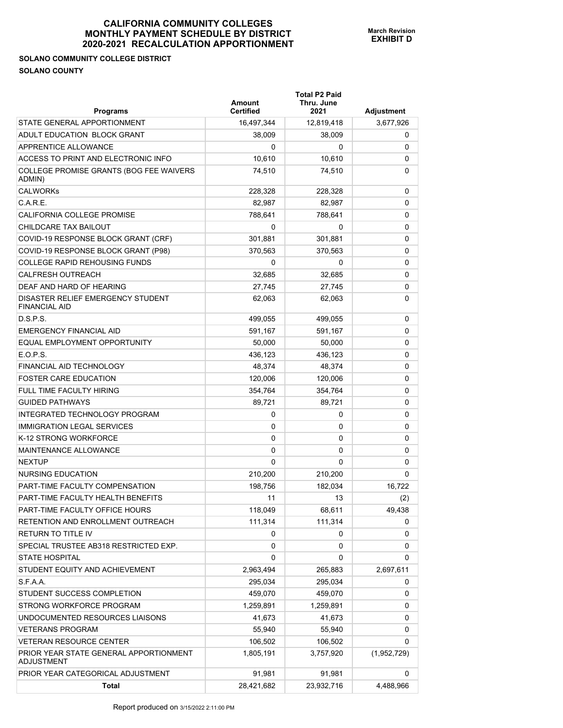## **SOLANO COMMUNITY COLLEGE DISTRICT SOLANO COUNTY**

| <b>Programs</b>                                             | Amount<br><b>Certified</b> | <b>Total P2 Paid</b><br>Thru. June<br>2021 | Adjustment  |
|-------------------------------------------------------------|----------------------------|--------------------------------------------|-------------|
| STATE GENERAL APPORTIONMENT                                 | 16,497,344                 | 12,819,418                                 | 3,677,926   |
| ADULT EDUCATION BLOCK GRANT                                 | 38,009                     | 38,009                                     | 0           |
| APPRENTICE ALLOWANCE                                        | 0                          | 0                                          | 0           |
| ACCESS TO PRINT AND ELECTRONIC INFO                         | 10,610                     | 10,610                                     | 0           |
| COLLEGE PROMISE GRANTS (BOG FEE WAIVERS<br>ADMIN)           | 74,510                     | 74,510                                     | 0           |
| <b>CALWORKs</b>                                             | 228,328                    | 228,328                                    | 0           |
| C.A.R.E.                                                    | 82,987                     | 82,987                                     | 0           |
| CALIFORNIA COLLEGE PROMISE                                  | 788,641                    | 788,641                                    | 0           |
| CHILDCARE TAX BAILOUT                                       | 0                          | 0                                          | 0           |
| COVID-19 RESPONSE BLOCK GRANT (CRF)                         | 301,881                    | 301,881                                    | 0           |
| COVID-19 RESPONSE BLOCK GRANT (P98)                         | 370,563                    | 370,563                                    | 0           |
| <b>COLLEGE RAPID REHOUSING FUNDS</b>                        | 0                          | 0                                          | 0           |
| <b>CALFRESH OUTREACH</b>                                    | 32,685                     | 32,685                                     | 0           |
| DEAF AND HARD OF HEARING                                    | 27,745                     | 27,745                                     | 0           |
| DISASTER RELIEF EMERGENCY STUDENT<br><b>FINANCIAL AID</b>   | 62.063                     | 62,063                                     | 0           |
| D.S.P.S.                                                    | 499,055                    | 499,055                                    | 0           |
| <b>EMERGENCY FINANCIAL AID</b>                              | 591,167                    | 591,167                                    | 0           |
| EQUAL EMPLOYMENT OPPORTUNITY                                | 50,000                     | 50,000                                     | 0           |
| E.O.P.S.                                                    | 436.123                    | 436,123                                    | 0           |
| FINANCIAL AID TECHNOLOGY                                    | 48,374                     | 48,374                                     | 0           |
| <b>FOSTER CARE EDUCATION</b>                                | 120,006                    | 120,006                                    | 0           |
| <b>FULL TIME FACULTY HIRING</b>                             | 354,764                    | 354,764                                    | 0           |
| <b>GUIDED PATHWAYS</b>                                      | 89,721                     | 89,721                                     | 0           |
| INTEGRATED TECHNOLOGY PROGRAM                               | 0                          | 0                                          | 0           |
| <b>IMMIGRATION LEGAL SERVICES</b>                           | 0                          | 0                                          | 0           |
| K-12 STRONG WORKFORCE                                       | 0                          | 0                                          | 0           |
| MAINTENANCE ALLOWANCE                                       | 0                          | 0                                          | 0           |
| <b>NEXTUP</b>                                               | 0                          | 0                                          | 0           |
| NURSING EDUCATION                                           | 210,200                    | 210,200                                    | 0           |
| PART-TIME FACULTY COMPENSATION                              | 198,756                    | 182,034                                    | 16,722      |
| PART-TIME FACULTY HEALTH BENEFITS                           | 11                         | 13                                         | (2)         |
| PART-TIME FACULTY OFFICE HOURS                              | 118,049                    | 68,611                                     | 49,438      |
| RETENTION AND ENROLLMENT OUTREACH                           | 111,314                    | 111,314                                    | 0           |
| <b>RETURN TO TITLE IV</b>                                   | 0                          | 0                                          | 0           |
| SPECIAL TRUSTEE AB318 RESTRICTED EXP.                       | 0                          | 0                                          | 0           |
| <b>STATE HOSPITAL</b>                                       | 0                          | 0                                          | 0           |
| STUDENT EQUITY AND ACHIEVEMENT                              | 2,963,494                  | 265,883                                    | 2,697,611   |
| S.F.A.A.                                                    | 295,034                    | 295,034                                    | 0           |
| STUDENT SUCCESS COMPLETION                                  | 459,070                    | 459,070                                    | 0           |
| STRONG WORKFORCE PROGRAM                                    | 1,259,891                  | 1,259,891                                  | 0           |
| UNDOCUMENTED RESOURCES LIAISONS                             | 41,673                     | 41,673                                     | 0           |
| <b>VETERANS PROGRAM</b>                                     | 55,940                     | 55,940                                     | 0           |
| <b>VETERAN RESOURCE CENTER</b>                              | 106,502                    | 106,502                                    | 0           |
| PRIOR YEAR STATE GENERAL APPORTIONMENT<br><b>ADJUSTMENT</b> | 1,805,191                  | 3,757,920                                  | (1,952,729) |
| PRIOR YEAR CATEGORICAL ADJUSTMENT                           | 91,981                     | 91,981                                     | 0           |
| <b>Total</b>                                                | 28,421,682                 | 23,932,716                                 | 4,488,966   |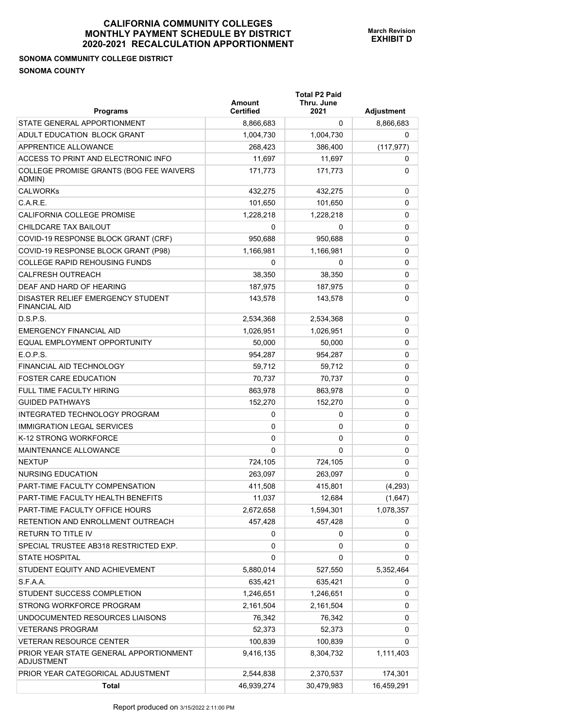# **SONOMA COMMUNITY COLLEGE DISTRICT SONOMA COUNTY**

| <b>Programs</b>                                           | Amount<br><b>Certified</b> | <b>Total P2 Paid</b><br>Thru. June<br>2021 | Adjustment |
|-----------------------------------------------------------|----------------------------|--------------------------------------------|------------|
| STATE GENERAL APPORTIONMENT                               | 8,866,683                  | 0                                          | 8,866,683  |
| ADULT EDUCATION BLOCK GRANT                               | 1,004,730                  | 1,004,730                                  | 0          |
| APPRENTICE ALLOWANCE                                      | 268,423                    | 386,400                                    | (117, 977) |
| ACCESS TO PRINT AND ELECTRONIC INFO                       | 11,697                     | 11,697                                     | 0          |
| COLLEGE PROMISE GRANTS (BOG FEE WAIVERS<br>ADMIN)         | 171,773                    | 171,773                                    | 0          |
| <b>CALWORKs</b>                                           | 432,275                    | 432,275                                    | 0          |
| C.A.R.E.                                                  | 101,650                    | 101,650                                    | 0          |
| CALIFORNIA COLLEGE PROMISE                                | 1,228,218                  | 1,228,218                                  | 0          |
| CHILDCARE TAX BAILOUT                                     | $\Omega$                   | 0                                          | 0          |
| COVID-19 RESPONSE BLOCK GRANT (CRF)                       | 950,688                    | 950,688                                    | 0          |
| COVID-19 RESPONSE BLOCK GRANT (P98)                       | 1,166,981                  | 1,166,981                                  | 0          |
| <b>COLLEGE RAPID REHOUSING FUNDS</b>                      | 0                          | 0                                          | 0          |
| <b>CALFRESH OUTREACH</b>                                  | 38.350                     | 38,350                                     | 0          |
| DEAF AND HARD OF HEARING                                  | 187,975                    | 187,975                                    | 0          |
| DISASTER RELIEF EMERGENCY STUDENT<br><b>FINANCIAL AID</b> | 143,578                    | 143,578                                    | 0          |
| D.S.P.S.                                                  | 2,534,368                  | 2,534,368                                  | 0          |
| <b>EMERGENCY FINANCIAL AID</b>                            | 1,026,951                  | 1,026,951                                  | 0          |
| EQUAL EMPLOYMENT OPPORTUNITY                              | 50,000                     | 50,000                                     | 0          |
| E.O.P.S.                                                  | 954.287                    | 954,287                                    | 0          |
| FINANCIAL AID TECHNOLOGY                                  | 59,712                     | 59,712                                     | 0          |
| <b>FOSTER CARE EDUCATION</b>                              | 70,737                     | 70,737                                     | 0          |
| FULL TIME FACULTY HIRING                                  | 863,978                    | 863,978                                    | 0          |
| <b>GUIDED PATHWAYS</b>                                    | 152,270                    | 152,270                                    | 0          |
| INTEGRATED TECHNOLOGY PROGRAM                             | 0                          | 0                                          | 0          |
| <b>IMMIGRATION LEGAL SERVICES</b>                         | 0                          | 0                                          | 0          |
| K-12 STRONG WORKFORCE                                     | 0                          | 0                                          | 0          |
| <b>MAINTENANCE ALLOWANCE</b>                              | $\Omega$                   | $\Omega$                                   | 0          |
| <b>NEXTUP</b>                                             | 724,105                    | 724,105                                    | 0          |
| NURSING EDUCATION                                         | 263.097                    | 263,097                                    | 0          |
| PART-TIME FACULTY COMPENSATION                            | 411,508                    | 415,801                                    | (4,293)    |
| PART-TIME FACULTY HEALTH BENEFITS                         | 11,037                     | 12,684                                     | (1,647)    |
| PART-TIME FACULTY OFFICE HOURS                            | 2,672,658                  | 1,594,301                                  | 1,078,357  |
| RETENTION AND ENROLLMENT OUTREACH                         | 457,428                    | 457,428                                    | 0          |
| RETURN TO TITLE IV                                        | 0                          | 0                                          | 0          |
| SPECIAL TRUSTEE AB318 RESTRICTED EXP.                     | 0                          | 0                                          | 0          |
| <b>STATE HOSPITAL</b>                                     | 0                          | 0                                          | 0          |
| STUDENT EQUITY AND ACHIEVEMENT                            | 5,880,014                  | 527,550                                    | 5,352,464  |
| S.F.A.A.                                                  | 635,421                    | 635,421                                    | 0          |
| STUDENT SUCCESS COMPLETION                                | 1,246,651                  | 1,246,651                                  | 0          |
| STRONG WORKFORCE PROGRAM                                  | 2,161,504                  | 2,161,504                                  | 0          |
| UNDOCUMENTED RESOURCES LIAISONS                           | 76,342                     | 76,342                                     | 0          |
| <b>VETERANS PROGRAM</b>                                   | 52,373                     | 52,373                                     | 0          |
| <b>VETERAN RESOURCE CENTER</b>                            | 100,839                    | 100,839                                    | 0          |
| PRIOR YEAR STATE GENERAL APPORTIONMENT<br>ADJUSTMENT      | 9,416,135                  | 8,304,732                                  | 1,111,403  |
| PRIOR YEAR CATEGORICAL ADJUSTMENT                         | 2,544,838                  | 2,370,537                                  | 174,301    |
| <b>Total</b>                                              | 46,939,274                 | 30,479,983                                 | 16,459,291 |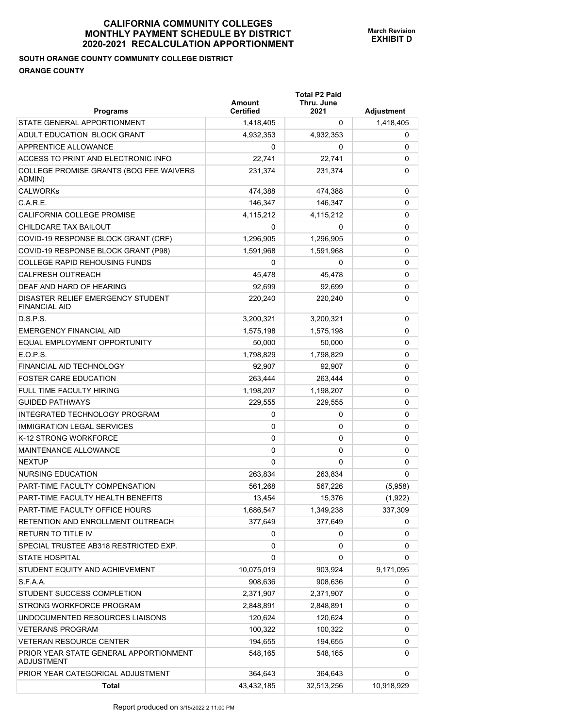# **SOUTH ORANGE COUNTY COMMUNITY COLLEGE DISTRICT ORANGE COUNTY**

| <b>Programs</b>                                           | Amount<br><b>Certified</b> | <b>Total P2 Paid</b><br>Thru. June<br>2021 | Adjustment |
|-----------------------------------------------------------|----------------------------|--------------------------------------------|------------|
| STATE GENERAL APPORTIONMENT                               | 1,418,405                  | 0                                          | 1,418,405  |
| ADULT EDUCATION BLOCK GRANT                               | 4,932,353                  | 4,932,353                                  | 0          |
| APPRENTICE ALLOWANCE                                      | 0                          | 0                                          | 0          |
| ACCESS TO PRINT AND ELECTRONIC INFO                       | 22,741                     | 22,741                                     | 0          |
| COLLEGE PROMISE GRANTS (BOG FEE WAIVERS<br>ADMIN)         | 231,374                    | 231,374                                    | 0          |
| <b>CALWORKs</b>                                           | 474,388                    | 474,388                                    | 0          |
| C.A.R.E.                                                  | 146,347                    | 146,347                                    | 0          |
| CALIFORNIA COLLEGE PROMISE                                | 4,115,212                  | 4,115,212                                  | 0          |
| CHILDCARE TAX BAILOUT                                     | 0                          | 0                                          | 0          |
| COVID-19 RESPONSE BLOCK GRANT (CRF)                       | 1,296,905                  | 1,296,905                                  | 0          |
| COVID-19 RESPONSE BLOCK GRANT (P98)                       | 1,591,968                  | 1,591,968                                  | 0          |
| <b>COLLEGE RAPID REHOUSING FUNDS</b>                      | 0                          | 0                                          | 0          |
| <b>CALFRESH OUTREACH</b>                                  | 45,478                     | 45.478                                     | 0          |
| DEAF AND HARD OF HEARING                                  | 92,699                     | 92.699                                     | 0          |
| DISASTER RELIEF EMERGENCY STUDENT<br><b>FINANCIAL AID</b> | 220,240                    | 220,240                                    | 0          |
| D.S.P.S.                                                  | 3,200,321                  | 3,200,321                                  | 0          |
| <b>EMERGENCY FINANCIAL AID</b>                            | 1,575,198                  | 1,575,198                                  | 0          |
| EQUAL EMPLOYMENT OPPORTUNITY                              | 50,000                     | 50,000                                     | 0          |
| E.O.P.S.                                                  | 1,798,829                  | 1,798,829                                  | 0          |
| FINANCIAL AID TECHNOLOGY                                  | 92,907                     | 92,907                                     | 0          |
| <b>FOSTER CARE EDUCATION</b>                              | 263,444                    | 263,444                                    | 0          |
| <b>FULL TIME FACULTY HIRING</b>                           | 1,198,207                  | 1,198,207                                  | 0          |
| <b>GUIDED PATHWAYS</b>                                    | 229,555                    | 229,555                                    | 0          |
| INTEGRATED TECHNOLOGY PROGRAM                             | 0                          | 0                                          | 0          |
| <b>IMMIGRATION LEGAL SERVICES</b>                         | 0                          | 0                                          | 0          |
| K-12 STRONG WORKFORCE                                     | 0                          | 0                                          | 0          |
| <b>MAINTENANCE ALLOWANCE</b>                              | 0                          | 0                                          | 0          |
| <b>NEXTUP</b>                                             | 0                          | 0                                          | 0          |
| NURSING EDUCATION                                         | 263,834                    | 263,834                                    | 0          |
| PART-TIME FACULTY COMPENSATION                            | 561,268                    | 567,226                                    | (5,958)    |
| PART-TIME FACULTY HEALTH BENEFITS                         | 13,454                     | 15,376                                     | (1,922)    |
| PART-TIME FACULTY OFFICE HOURS                            | 1,686,547                  | 1,349,238                                  | 337,309    |
| RETENTION AND ENROLLMENT OUTREACH                         | 377,649                    | 377,649                                    | 0          |
| <b>RETURN TO TITLE IV</b>                                 | 0                          | 0                                          | 0          |
| SPECIAL TRUSTEE AB318 RESTRICTED EXP.                     | 0                          | 0                                          | 0          |
| <b>STATE HOSPITAL</b>                                     | 0                          | 0                                          | 0          |
| STUDENT EQUITY AND ACHIEVEMENT                            | 10,075,019                 | 903,924                                    | 9,171,095  |
| S.F.A.A.                                                  | 908,636                    | 908,636                                    | 0          |
| STUDENT SUCCESS COMPLETION                                | 2,371,907                  | 2,371,907                                  | 0          |
| STRONG WORKFORCE PROGRAM                                  | 2,848,891                  | 2,848,891                                  | 0          |
| UNDOCUMENTED RESOURCES LIAISONS                           | 120,624                    | 120,624                                    | 0          |
| <b>VETERANS PROGRAM</b>                                   | 100,322                    | 100,322                                    | 0          |
| VETERAN RESOURCE CENTER                                   | 194,655                    | 194,655                                    | 0          |
| PRIOR YEAR STATE GENERAL APPORTIONMENT<br>ADJUSTMENT      | 548,165                    | 548,165                                    | 0          |
| PRIOR YEAR CATEGORICAL ADJUSTMENT                         | 364,643                    | 364,643                                    | 0          |
| <b>Total</b>                                              | 43,432,185                 | 32,513,256                                 | 10,918,929 |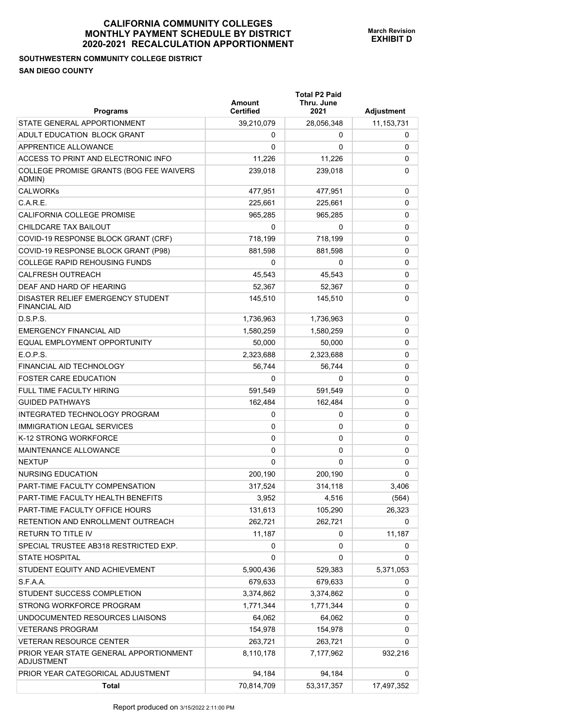## **SOUTHWESTERN COMMUNITY COLLEGE DISTRICT SAN DIEGO COUNTY**

| <b>Programs</b>                                             | Amount<br><b>Certified</b> | <b>Total P2 Paid</b><br>Thru. June<br>2021 | Adjustment |
|-------------------------------------------------------------|----------------------------|--------------------------------------------|------------|
| STATE GENERAL APPORTIONMENT                                 | 39,210,079                 | 28,056,348                                 | 11,153,731 |
| ADULT EDUCATION BLOCK GRANT                                 | 0                          | 0                                          | 0          |
| APPRENTICE ALLOWANCE                                        | 0                          | 0                                          | 0          |
| ACCESS TO PRINT AND ELECTRONIC INFO                         | 11,226                     | 11,226                                     | 0          |
| COLLEGE PROMISE GRANTS (BOG FEE WAIVERS<br>ADMIN)           | 239,018                    | 239,018                                    | 0          |
| <b>CALWORKs</b>                                             | 477,951                    | 477,951                                    | 0          |
| C.A.R.E.                                                    | 225,661                    | 225,661                                    | 0          |
| CALIFORNIA COLLEGE PROMISE                                  | 965,285                    | 965,285                                    | 0          |
| CHILDCARE TAX BAILOUT                                       | 0                          | 0                                          | 0          |
| COVID-19 RESPONSE BLOCK GRANT (CRF)                         | 718,199                    | 718,199                                    | 0          |
| COVID-19 RESPONSE BLOCK GRANT (P98)                         | 881,598                    | 881,598                                    | 0          |
| <b>COLLEGE RAPID REHOUSING FUNDS</b>                        | 0                          | 0                                          | 0          |
| <b>CALFRESH OUTREACH</b>                                    | 45,543                     | 45,543                                     | 0          |
| DEAF AND HARD OF HEARING                                    | 52,367                     | 52,367                                     | 0          |
| DISASTER RELIEF EMERGENCY STUDENT<br><b>FINANCIAL AID</b>   | 145,510                    | 145,510                                    | 0          |
| D.S.P.S.                                                    | 1,736,963                  | 1,736,963                                  | 0          |
| <b>EMERGENCY FINANCIAL AID</b>                              | 1,580,259                  | 1,580,259                                  | 0          |
| EQUAL EMPLOYMENT OPPORTUNITY                                | 50,000                     | 50,000                                     | 0          |
| E.O.P.S.                                                    | 2,323,688                  | 2,323,688                                  | 0          |
| FINANCIAL AID TECHNOLOGY                                    | 56,744                     | 56,744                                     | 0          |
| <b>FOSTER CARE EDUCATION</b>                                | 0                          | 0                                          | 0          |
| <b>FULL TIME FACULTY HIRING</b>                             | 591,549                    | 591,549                                    | 0          |
| <b>GUIDED PATHWAYS</b>                                      | 162,484                    | 162,484                                    | 0          |
| INTEGRATED TECHNOLOGY PROGRAM                               | 0                          | 0                                          | 0          |
| <b>IMMIGRATION LEGAL SERVICES</b>                           | 0                          | 0                                          | 0          |
| K-12 STRONG WORKFORCE                                       | 0                          | 0                                          | 0          |
| MAINTENANCE ALLOWANCE                                       | 0                          | 0                                          | 0          |
| <b>NEXTUP</b>                                               | 0                          | 0                                          | 0          |
| NURSING EDUCATION                                           | 200,190                    | 200,190                                    | 0          |
| PART-TIME FACULTY COMPENSATION                              | 317,524                    | 314,118                                    | 3,406      |
| PART-TIME FACULTY HEALTH BENEFITS                           | 3,952                      | 4,516                                      | (564)      |
| PART-TIME FACULTY OFFICE HOURS                              | 131,613                    | 105,290                                    | 26,323     |
| RETENTION AND ENROLLMENT OUTREACH                           | 262,721                    | 262,721                                    | 0          |
| RETURN TO TITLE IV                                          | 11,187                     | 0                                          | 11,187     |
| SPECIAL TRUSTEE AB318 RESTRICTED EXP.                       | 0                          | 0                                          | 0          |
| <b>STATE HOSPITAL</b>                                       | 0                          | 0                                          | 0          |
| STUDENT EQUITY AND ACHIEVEMENT                              | 5,900,436                  | 529,383                                    | 5,371,053  |
| S.F.A.A.                                                    | 679,633                    | 679,633                                    | 0          |
| STUDENT SUCCESS COMPLETION                                  | 3,374,862                  | 3,374,862                                  | 0          |
| STRONG WORKFORCE PROGRAM                                    | 1,771,344                  | 1,771,344                                  | 0          |
| UNDOCUMENTED RESOURCES LIAISONS                             | 64,062                     | 64,062                                     | 0          |
| <b>VETERANS PROGRAM</b>                                     | 154,978                    | 154,978                                    | 0          |
| <b>VETERAN RESOURCE CENTER</b>                              | 263,721                    | 263,721                                    | 0          |
| PRIOR YEAR STATE GENERAL APPORTIONMENT<br><b>ADJUSTMENT</b> | 8,110,178                  | 7,177,962                                  | 932,216    |
| PRIOR YEAR CATEGORICAL ADJUSTMENT                           | 94,184                     | 94,184                                     | 0          |
| <b>Total</b>                                                | 70,814,709                 | 53,317,357                                 | 17,497,352 |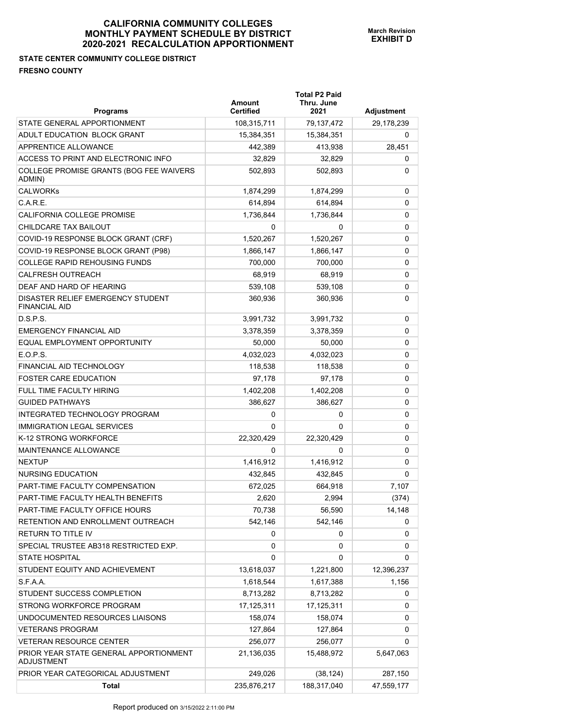## **STATE CENTER COMMUNITY COLLEGE DISTRICT FRESNO COUNTY**

| <b>Programs</b>                                             | Amount<br><b>Certified</b> | <b>Total P2 Paid</b><br>Thru. June<br>2021 | Adjustment |
|-------------------------------------------------------------|----------------------------|--------------------------------------------|------------|
| STATE GENERAL APPORTIONMENT                                 | 108,315,711                | 79,137,472                                 | 29,178,239 |
| ADULT EDUCATION BLOCK GRANT                                 | 15,384,351                 | 15,384,351                                 | 0          |
| <b>APPRENTICE ALLOWANCE</b>                                 | 442,389                    | 413,938                                    | 28,451     |
| ACCESS TO PRINT AND ELECTRONIC INFO                         | 32,829                     | 32,829                                     | 0          |
| COLLEGE PROMISE GRANTS (BOG FEE WAIVERS<br>ADMIN)           | 502,893                    | 502,893                                    | 0          |
| <b>CALWORKs</b>                                             | 1,874,299                  | 1,874,299                                  | 0          |
| C.A.R.E.                                                    | 614,894                    | 614,894                                    | 0          |
| CALIFORNIA COLLEGE PROMISE                                  | 1,736,844                  | 1,736,844                                  | 0          |
| CHILDCARE TAX BAILOUT                                       | 0                          | 0                                          | 0          |
| COVID-19 RESPONSE BLOCK GRANT (CRF)                         | 1,520,267                  | 1,520,267                                  | 0          |
| COVID-19 RESPONSE BLOCK GRANT (P98)                         | 1,866,147                  | 1,866,147                                  | 0          |
| <b>COLLEGE RAPID REHOUSING FUNDS</b>                        | 700,000                    | 700,000                                    | 0          |
| <b>CALFRESH OUTREACH</b>                                    | 68,919                     | 68,919                                     | 0          |
| DEAF AND HARD OF HEARING                                    | 539,108                    | 539,108                                    | 0          |
| DISASTER RELIEF EMERGENCY STUDENT<br><b>FINANCIAL AID</b>   | 360,936                    | 360,936                                    | 0          |
| D.S.P.S.                                                    | 3,991,732                  | 3,991,732                                  | 0          |
| <b>EMERGENCY FINANCIAL AID</b>                              | 3,378,359                  | 3,378,359                                  | 0          |
| EQUAL EMPLOYMENT OPPORTUNITY                                | 50,000                     | 50,000                                     | 0          |
| E.O.P.S.                                                    | 4,032,023                  | 4,032,023                                  | 0          |
| FINANCIAL AID TECHNOLOGY                                    | 118,538                    | 118,538                                    | 0          |
| <b>FOSTER CARE EDUCATION</b>                                | 97,178                     | 97,178                                     | 0          |
| FULL TIME FACULTY HIRING                                    | 1,402,208                  | 1,402,208                                  | 0          |
| <b>GUIDED PATHWAYS</b>                                      | 386,627                    | 386,627                                    | 0          |
| INTEGRATED TECHNOLOGY PROGRAM                               | 0                          | 0                                          | 0          |
| <b>IMMIGRATION LEGAL SERVICES</b>                           | $\Omega$                   | 0                                          | 0          |
| K-12 STRONG WORKFORCE                                       | 22,320,429                 | 22,320,429                                 | 0          |
| MAINTENANCE ALLOWANCE                                       | 0                          | 0                                          | 0          |
| <b>NEXTUP</b>                                               | 1,416,912                  | 1,416,912                                  | 0          |
| NURSING EDUCATION                                           | 432,845                    | 432,845                                    | 0          |
| PART-TIME FACULTY COMPENSATION                              | 672,025                    | 664,918                                    | 7,107      |
| PART-TIME FACULTY HEALTH BENEFITS                           | 2,620                      | 2,994                                      | (374)      |
| PART-TIME FACULTY OFFICE HOURS                              | 70,738                     | 56,590                                     | 14,148     |
| RETENTION AND ENROLLMENT OUTREACH                           | 542,146                    | 542,146                                    | 0          |
| RETURN TO TITLE IV                                          | 0                          | 0                                          | 0          |
| SPECIAL TRUSTEE AB318 RESTRICTED EXP.                       | 0                          | 0                                          | 0          |
| <b>STATE HOSPITAL</b>                                       | 0                          | 0                                          | 0          |
| STUDENT EQUITY AND ACHIEVEMENT                              | 13,618,037                 | 1,221,800                                  | 12,396,237 |
| S.F.A.A.                                                    | 1,618,544                  | 1,617,388                                  | 1,156      |
| STUDENT SUCCESS COMPLETION                                  | 8,713,282                  | 8,713,282                                  | 0          |
| STRONG WORKFORCE PROGRAM                                    | 17,125,311                 | 17,125,311                                 | 0          |
| UNDOCUMENTED RESOURCES LIAISONS                             | 158,074                    | 158,074                                    | 0          |
| <b>VETERANS PROGRAM</b>                                     | 127,864                    | 127,864                                    | 0          |
| <b>VETERAN RESOURCE CENTER</b>                              | 256,077                    | 256,077                                    | 0          |
| PRIOR YEAR STATE GENERAL APPORTIONMENT<br><b>ADJUSTMENT</b> | 21,136,035                 | 15,488,972                                 | 5,647,063  |
| PRIOR YEAR CATEGORICAL ADJUSTMENT                           | 249,026                    | (38, 124)                                  | 287,150    |
| <b>Total</b>                                                | 235,876,217                | 188,317,040                                | 47,559,177 |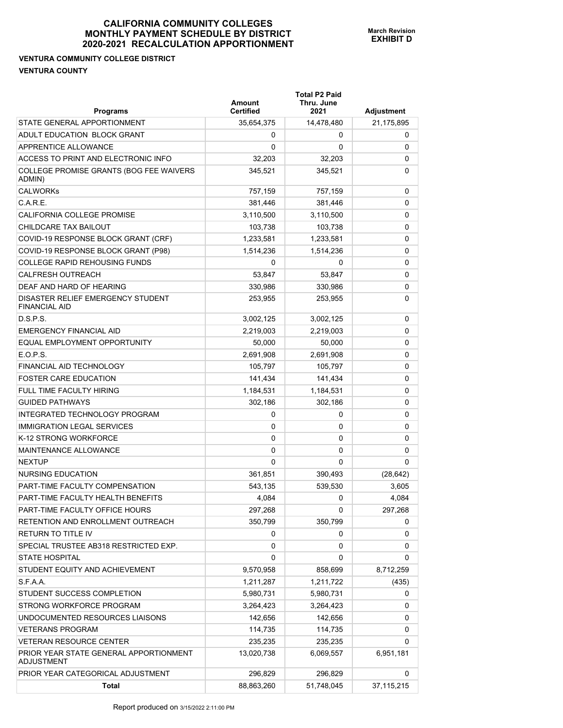## **VENTURA COMMUNITY COLLEGE DISTRICT VENTURA COUNTY**

| <b>Programs</b>                                             | Amount<br><b>Certified</b> | <b>Total P2 Paid</b><br>Thru. June<br>2021 | Adjustment   |
|-------------------------------------------------------------|----------------------------|--------------------------------------------|--------------|
| STATE GENERAL APPORTIONMENT                                 | 35,654,375                 | 14,478,480                                 | 21,175,895   |
| ADULT EDUCATION BLOCK GRANT                                 | 0                          | 0                                          | 0            |
| APPRENTICE ALLOWANCE                                        | 0                          | 0                                          | 0            |
| ACCESS TO PRINT AND ELECTRONIC INFO                         | 32,203                     | 32,203                                     | 0            |
| COLLEGE PROMISE GRANTS (BOG FEE WAIVERS<br>ADMIN)           | 345,521                    | 345,521                                    | 0            |
| <b>CALWORKs</b>                                             | 757,159                    | 757,159                                    | 0            |
| $C$ A R F                                                   | 381.446                    | 381,446                                    | 0            |
| CALIFORNIA COLLEGE PROMISE                                  | 3,110,500                  | 3,110,500                                  | 0            |
| CHILDCARE TAX BAILOUT                                       | 103,738                    | 103,738                                    | 0            |
| COVID-19 RESPONSE BLOCK GRANT (CRF)                         | 1,233,581                  | 1,233,581                                  | 0            |
| COVID-19 RESPONSE BLOCK GRANT (P98)                         | 1,514,236                  | 1,514,236                                  | 0            |
| <b>COLLEGE RAPID REHOUSING FUNDS</b>                        | 0                          | 0                                          | 0            |
| <b>CALFRESH OUTREACH</b>                                    | 53,847                     | 53,847                                     | 0            |
| DEAF AND HARD OF HEARING                                    | 330,986                    | 330,986                                    | 0            |
| DISASTER RELIEF EMERGENCY STUDENT<br><b>FINANCIAL AID</b>   | 253,955                    | 253,955                                    | 0            |
| D.S.P.S.                                                    | 3,002,125                  | 3,002,125                                  | 0            |
| <b>EMERGENCY FINANCIAL AID</b>                              | 2,219,003                  | 2,219,003                                  | 0            |
| EQUAL EMPLOYMENT OPPORTUNITY                                | 50,000                     | 50,000                                     | 0            |
| E.O.P.S.                                                    | 2,691,908                  | 2,691,908                                  | 0            |
| FINANCIAL AID TECHNOLOGY                                    | 105,797                    | 105,797                                    | 0            |
| <b>FOSTER CARE EDUCATION</b>                                | 141,434                    | 141,434                                    | 0            |
| <b>FULL TIME FACULTY HIRING</b>                             | 1,184,531                  | 1,184,531                                  | 0            |
| <b>GUIDED PATHWAYS</b>                                      | 302,186                    | 302,186                                    | 0            |
| INTEGRATED TECHNOLOGY PROGRAM                               | 0                          | 0                                          | 0            |
| <b>IMMIGRATION LEGAL SERVICES</b>                           | 0                          | 0                                          | 0            |
| K-12 STRONG WORKFORCE                                       | 0                          | 0                                          | 0            |
| MAINTENANCE ALLOWANCE                                       | 0                          | 0                                          | 0            |
| <b>NEXTUP</b>                                               | 0                          | 0                                          | 0            |
| NURSING EDUCATION                                           | 361,851                    | 390,493                                    | (28, 642)    |
| PART-TIME FACULTY COMPENSATION                              | 543,135                    | 539,530                                    | 3,605        |
| PART-TIME FACULTY HEALTH BENEFITS                           | 4,084                      | 0                                          | 4,084        |
| PART-TIME FACULTY OFFICE HOURS                              | 297,268                    | 0                                          | 297,268      |
| RETENTION AND ENROLLMENT OUTREACH                           | 350,799                    | 350,799                                    | 0            |
| RETURN TO TITLE IV                                          | 0                          | 0                                          | 0            |
| SPECIAL TRUSTEE AB318 RESTRICTED EXP.                       | 0                          | 0                                          | 0            |
| <b>STATE HOSPITAL</b>                                       | 0                          | 0                                          | 0            |
| STUDENT EQUITY AND ACHIEVEMENT                              | 9,570,958                  | 858,699                                    | 8,712,259    |
| S.F.A.A.                                                    | 1,211,287                  | 1,211,722                                  | (435)        |
| STUDENT SUCCESS COMPLETION                                  | 5,980,731                  | 5,980,731                                  | 0            |
| STRONG WORKFORCE PROGRAM                                    | 3,264,423                  | 3,264,423                                  | 0            |
| UNDOCUMENTED RESOURCES LIAISONS                             | 142,656                    | 142,656                                    | 0            |
| <b>VETERANS PROGRAM</b>                                     | 114,735                    | 114,735                                    | 0            |
| <b>VETERAN RESOURCE CENTER</b>                              | 235,235                    | 235,235                                    | 0            |
| PRIOR YEAR STATE GENERAL APPORTIONMENT<br><b>ADJUSTMENT</b> | 13,020,738                 | 6,069,557                                  | 6,951,181    |
| PRIOR YEAR CATEGORICAL ADJUSTMENT                           | 296,829                    | 296,829                                    | 0            |
| <b>Total</b>                                                | 88,863,260                 | 51,748,045                                 | 37, 115, 215 |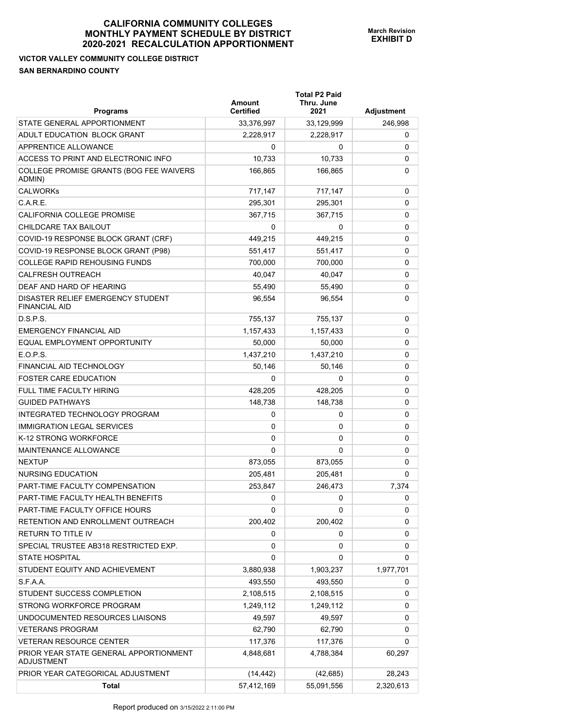# **VICTOR VALLEY COMMUNITY COLLEGE DISTRICT SAN BERNARDINO COUNTY**

| <b>Programs</b>                                             | Amount<br><b>Certified</b> | <b>Total P2 Paid</b><br>Thru. June<br>2021 | Adjustment |
|-------------------------------------------------------------|----------------------------|--------------------------------------------|------------|
| STATE GENERAL APPORTIONMENT                                 | 33,376,997                 | 33,129,999                                 | 246,998    |
| ADULT EDUCATION BLOCK GRANT                                 | 2,228,917                  | 2,228,917                                  | 0          |
| <b>APPRENTICE ALLOWANCE</b>                                 | 0                          | 0                                          | 0          |
| ACCESS TO PRINT AND ELECTRONIC INFO                         | 10,733                     | 10,733                                     | 0          |
| COLLEGE PROMISE GRANTS (BOG FEE WAIVERS<br>ADMIN)           | 166,865                    | 166,865                                    | 0          |
| <b>CALWORKs</b>                                             | 717,147                    | 717,147                                    | 0          |
| C.A.R.E.                                                    | 295.301                    | 295,301                                    | 0          |
| CALIFORNIA COLLEGE PROMISE                                  | 367,715                    | 367,715                                    | 0          |
| CHILDCARE TAX BAILOUT                                       | 0                          | 0                                          | 0          |
| COVID-19 RESPONSE BLOCK GRANT (CRF)                         | 449,215                    | 449,215                                    | 0          |
| COVID-19 RESPONSE BLOCK GRANT (P98)                         | 551,417                    | 551,417                                    | 0          |
| <b>COLLEGE RAPID REHOUSING FUNDS</b>                        | 700,000                    | 700,000                                    | 0          |
| <b>CALFRESH OUTREACH</b>                                    | 40.047                     | 40.047                                     | 0          |
| DEAF AND HARD OF HEARING                                    | 55,490                     | 55,490                                     | 0          |
| DISASTER RELIEF EMERGENCY STUDENT<br><b>FINANCIAL AID</b>   | 96,554                     | 96,554                                     | 0          |
| D.S.P.S.                                                    | 755,137                    | 755,137                                    | 0          |
| <b>EMERGENCY FINANCIAL AID</b>                              | 1,157,433                  | 1,157,433                                  | 0          |
| EQUAL EMPLOYMENT OPPORTUNITY                                | 50,000                     | 50,000                                     | 0          |
| E.O.P.S.                                                    | 1,437,210                  | 1,437,210                                  | 0          |
| FINANCIAL AID TECHNOLOGY                                    | 50,146                     | 50,146                                     | 0          |
| <b>FOSTER CARE EDUCATION</b>                                | 0                          | 0                                          | 0          |
| FULL TIME FACULTY HIRING                                    | 428,205                    | 428,205                                    | 0          |
| <b>GUIDED PATHWAYS</b>                                      | 148,738                    | 148,738                                    | 0          |
| INTEGRATED TECHNOLOGY PROGRAM                               | 0                          | 0                                          | 0          |
| <b>IMMIGRATION LEGAL SERVICES</b>                           | 0                          | 0                                          | 0          |
| K-12 STRONG WORKFORCE                                       | 0                          | 0                                          | 0          |
| MAINTENANCE ALLOWANCE                                       | $\Omega$                   | $\Omega$                                   | 0          |
| <b>NEXTUP</b>                                               | 873,055                    | 873,055                                    | 0          |
| NURSING EDUCATION                                           | 205,481                    | 205,481                                    | 0          |
| PART-TIME FACULTY COMPENSATION                              | 253,847                    | 246,473                                    | 7,374      |
| PART-TIME FACULTY HEALTH BENEFITS                           | 0                          | 0                                          | 0          |
| PART-TIME FACULTY OFFICE HOURS                              | 0                          | 0                                          | 0          |
| RETENTION AND ENROLLMENT OUTREACH                           | 200,402                    | 200,402                                    | 0          |
| RETURN TO TITLE IV                                          | 0                          | 0                                          | 0          |
| SPECIAL TRUSTEE AB318 RESTRICTED EXP.                       | 0                          | 0                                          | 0          |
| <b>STATE HOSPITAL</b>                                       | 0                          | 0                                          | 0          |
| STUDENT EQUITY AND ACHIEVEMENT                              | 3,880,938                  | 1,903,237                                  | 1,977,701  |
| S.F.A.A.                                                    | 493,550                    | 493,550                                    | 0          |
| STUDENT SUCCESS COMPLETION                                  | 2,108,515                  | 2,108,515                                  | 0          |
| STRONG WORKFORCE PROGRAM                                    | 1,249,112                  | 1,249,112                                  | 0          |
| UNDOCUMENTED RESOURCES LIAISONS                             | 49,597                     | 49,597                                     | 0          |
| <b>VETERANS PROGRAM</b>                                     | 62,790                     | 62,790                                     | 0          |
| <b>VETERAN RESOURCE CENTER</b>                              | 117,376                    | 117,376                                    | 0          |
| PRIOR YEAR STATE GENERAL APPORTIONMENT<br><b>ADJUSTMENT</b> | 4,848,681                  | 4,788,384                                  | 60,297     |
| PRIOR YEAR CATEGORICAL ADJUSTMENT                           | (14, 442)                  | (42, 685)                                  | 28,243     |
| Total                                                       | 57,412,169                 | 55,091,556                                 | 2,320,613  |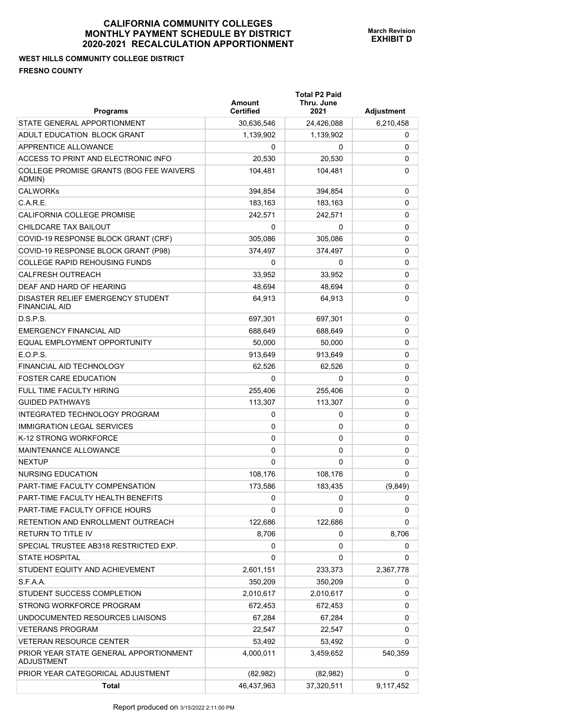**Total P2 Paid** 

**WEST HILLS COMMUNITY COLLEGE DISTRICT FRESNO COUNTY** 

| <b>Programs</b>                                           | Amount<br><b>Certified</b> | Thru. June<br>2021 | Adjustment |
|-----------------------------------------------------------|----------------------------|--------------------|------------|
| STATE GENERAL APPORTIONMENT                               | 30,636,546                 | 24,426,088         | 6,210,458  |
| ADULT EDUCATION BLOCK GRANT                               | 1,139,902                  | 1,139,902          | 0          |
| APPRENTICE ALLOWANCE                                      | 0                          | 0                  | 0          |
| ACCESS TO PRINT AND ELECTRONIC INFO                       | 20,530                     | 20,530             | 0          |
| COLLEGE PROMISE GRANTS (BOG FEE WAIVERS<br>ADMIN)         | 104,481                    | 104,481            | 0          |
| <b>CALWORKs</b>                                           | 394,854                    | 394,854            | 0          |
| C.A.R.E.                                                  | 183,163                    | 183,163            | 0          |
| <b>CALIFORNIA COLLEGE PROMISE</b>                         | 242,571                    | 242,571            | 0          |
| CHILDCARE TAX BAILOUT                                     | 0                          | 0                  | 0          |
| COVID-19 RESPONSE BLOCK GRANT (CRF)                       | 305,086                    | 305,086            | 0          |
| COVID-19 RESPONSE BLOCK GRANT (P98)                       | 374,497                    | 374,497            | 0          |
| <b>COLLEGE RAPID REHOUSING FUNDS</b>                      | 0                          | 0                  | 0          |
| <b>CALFRESH OUTREACH</b>                                  | 33,952                     | 33,952             | 0          |
| DEAF AND HARD OF HEARING                                  | 48,694                     | 48,694             | 0          |
| DISASTER RELIEF EMERGENCY STUDENT<br><b>FINANCIAL AID</b> | 64,913                     | 64,913             | 0          |
| D.S.P.S.                                                  | 697,301                    | 697,301            | 0          |
| <b>EMERGENCY FINANCIAL AID</b>                            | 688,649                    | 688,649            | 0          |
| EQUAL EMPLOYMENT OPPORTUNITY                              | 50,000                     | 50,000             | 0          |
| E.O.P.S.                                                  | 913,649                    | 913,649            | 0          |
| FINANCIAL AID TECHNOLOGY                                  | 62,526                     | 62,526             | 0          |
| <b>FOSTER CARE EDUCATION</b>                              | 0                          | 0                  | 0          |
| FULL TIME FACULTY HIRING                                  | 255,406                    | 255,406            | 0          |
| <b>GUIDED PATHWAYS</b>                                    | 113,307                    | 113,307            | 0          |
| INTEGRATED TECHNOLOGY PROGRAM                             | 0                          | 0                  | 0          |
| <b>IMMIGRATION LEGAL SERVICES</b>                         | 0                          | 0                  | 0          |
| K-12 STRONG WORKFORCE                                     | 0                          | 0                  | 0          |
| MAINTENANCE ALLOWANCE                                     | 0                          | 0                  | 0          |
| <b>NEXTUP</b>                                             | 0                          | 0                  | 0          |
| <b>NURSING EDUCATION</b>                                  | 108,176                    | 108,176            | 0          |
| PART-TIME FACULTY COMPENSATION                            | 173,586                    | 183,435            | (9,849)    |
| PART-TIME FACULTY HEALTH BENEFITS                         | 0                          | 0                  | 0          |
| PART-TIME FACULTY OFFICE HOURS                            | 0                          | 0                  | 0          |
| RETENTION AND ENROLLMENT OUTREACH                         | 122,686                    | 122,686            | 0          |
| RETURN TO TITLE IV                                        | 8,706                      | 0                  | 8,706      |
| SPECIAL TRUSTEE AB318 RESTRICTED EXP.                     | 0                          | 0                  | 0          |
| <b>STATE HOSPITAL</b>                                     | 0                          | 0                  | 0          |
| STUDENT EQUITY AND ACHIEVEMENT                            | 2,601,151                  | 233,373            | 2,367,778  |
| S.F.A.A.                                                  | 350,209                    | 350,209            | 0          |
| STUDENT SUCCESS COMPLETION                                | 2,010,617                  | 2,010,617          | 0          |
| STRONG WORKFORCE PROGRAM                                  | 672,453                    | 672,453            | 0          |
| UNDOCUMENTED RESOURCES LIAISONS                           | 67,284                     | 67,284             | 0          |
| <b>VETERANS PROGRAM</b>                                   | 22,547                     | 22,547             | 0          |
| <b>VETERAN RESOURCE CENTER</b>                            | 53,492                     | 53,492             | 0          |
| PRIOR YEAR STATE GENERAL APPORTIONMENT<br>ADJUSTMENT      | 4,000,011                  | 3,459,652          | 540,359    |
| PRIOR YEAR CATEGORICAL ADJUSTMENT                         | (82, 982)                  | (82, 982)          | 0          |
| Total                                                     | 46,437,963                 | 37,320,511         | 9,117,452  |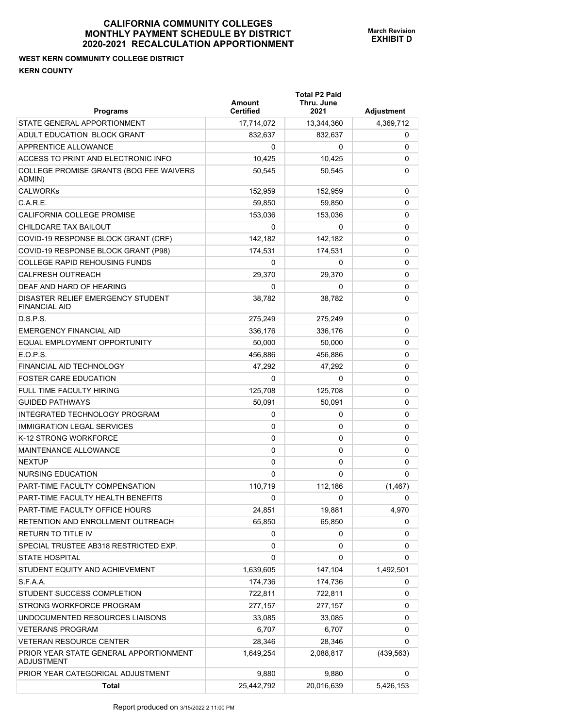**WEST KERN COMMUNITY COLLEGE DISTRICT KERN COUNTY** 

| <b>Programs</b>                                             | <b>Amount</b><br><b>Certified</b> | <b>Total P2 Paid</b><br>Thru. June<br>2021 | Adjustment |
|-------------------------------------------------------------|-----------------------------------|--------------------------------------------|------------|
| STATE GENERAL APPORTIONMENT                                 | 17,714,072                        | 13,344,360                                 | 4,369,712  |
| ADULT EDUCATION BLOCK GRANT                                 | 832,637                           | 832,637                                    | 0          |
| APPRENTICE ALLOWANCE                                        | 0                                 | 0                                          | 0          |
| ACCESS TO PRINT AND ELECTRONIC INFO                         | 10,425                            | 10,425                                     | 0          |
| COLLEGE PROMISE GRANTS (BOG FEE WAIVERS<br>ADMIN)           | 50,545                            | 50,545                                     | 0          |
| <b>CALWORKs</b>                                             | 152,959                           | 152,959                                    | 0          |
| $C$ A R F                                                   | 59,850                            | 59.850                                     | 0          |
| CALIFORNIA COLLEGE PROMISE                                  | 153,036                           | 153,036                                    | 0          |
| CHILDCARE TAX BAILOUT                                       | 0                                 | 0                                          | 0          |
| COVID-19 RESPONSE BLOCK GRANT (CRF)                         | 142,182                           | 142,182                                    | 0          |
| COVID-19 RESPONSE BLOCK GRANT (P98)                         | 174,531                           | 174,531                                    | 0          |
| COLLEGE RAPID REHOUSING FUNDS                               | 0                                 | 0                                          | 0          |
| <b>CALFRESH OUTREACH</b>                                    | 29,370                            | 29,370                                     | 0          |
| DEAF AND HARD OF HEARING                                    | 0                                 | 0                                          | 0          |
| DISASTER RELIEF EMERGENCY STUDENT<br><b>FINANCIAL AID</b>   | 38.782                            | 38,782                                     | 0          |
| DSPS                                                        | 275,249                           | 275,249                                    | 0          |
| <b>EMERGENCY FINANCIAL AID</b>                              | 336,176                           | 336,176                                    | 0          |
| EQUAL EMPLOYMENT OPPORTUNITY                                | 50,000                            | 50,000                                     | 0          |
| E.O.P.S.                                                    | 456,886                           | 456,886                                    | 0          |
| FINANCIAL AID TECHNOLOGY                                    | 47,292                            | 47,292                                     | 0          |
| <b>FOSTER CARE EDUCATION</b>                                | 0                                 | 0                                          | 0          |
| <b>FULL TIME FACULTY HIRING</b>                             | 125,708                           | 125,708                                    | 0          |
| <b>GUIDED PATHWAYS</b>                                      | 50,091                            | 50,091                                     | 0          |
| INTEGRATED TECHNOLOGY PROGRAM                               | 0                                 | 0                                          | 0          |
| <b>IMMIGRATION LEGAL SERVICES</b>                           | 0                                 | 0                                          | 0          |
| K-12 STRONG WORKFORCE                                       | 0                                 | 0                                          | 0          |
| <b>MAINTENANCE ALLOWANCE</b>                                | 0                                 | 0                                          | 0          |
| <b>NEXTUP</b>                                               | 0                                 | 0                                          | 0          |
| NURSING EDUCATION                                           | $\Omega$                          | 0                                          | 0          |
| PART-TIME FACULTY COMPENSATION                              | 110,719                           | 112,186                                    | (1, 467)   |
| PART-TIME FACULTY HEALTH BENEFITS                           | 0                                 | 0                                          | 0          |
| PART-TIME FACULTY OFFICE HOURS                              | 24,851                            | 19,881                                     | 4,970      |
| RETENTION AND ENROLLMENT OUTREACH                           | 65,850                            | 65,850                                     | 0          |
| RETURN TO TITLE IV                                          | 0                                 | 0                                          | 0          |
| SPECIAL TRUSTEE AB318 RESTRICTED EXP.                       | 0                                 | 0                                          | 0          |
| <b>STATE HOSPITAL</b>                                       | 0                                 | $\Omega$                                   | 0          |
| STUDENT EQUITY AND ACHIEVEMENT                              | 1,639,605                         | 147,104                                    | 1,492,501  |
| S.F.A.A.                                                    | 174,736                           | 174,736                                    | 0          |
| STUDENT SUCCESS COMPLETION                                  | 722,811                           | 722,811                                    | 0          |
| STRONG WORKFORCE PROGRAM                                    | 277,157                           | 277,157                                    | 0          |
| UNDOCUMENTED RESOURCES LIAISONS                             | 33,085                            | 33,085                                     | 0          |
| <b>VETERANS PROGRAM</b>                                     | 6,707                             | 6,707                                      | 0          |
| <b>VETERAN RESOURCE CENTER</b>                              | 28,346                            | 28,346                                     | 0          |
| PRIOR YEAR STATE GENERAL APPORTIONMENT<br><b>ADJUSTMENT</b> | 1,649,254                         | 2,088,817                                  | (439, 563) |
| PRIOR YEAR CATEGORICAL ADJUSTMENT                           | 9,880                             | 9,880                                      | 0          |
| <b>Total</b>                                                | 25,442,792                        | 20,016,639                                 | 5,426,153  |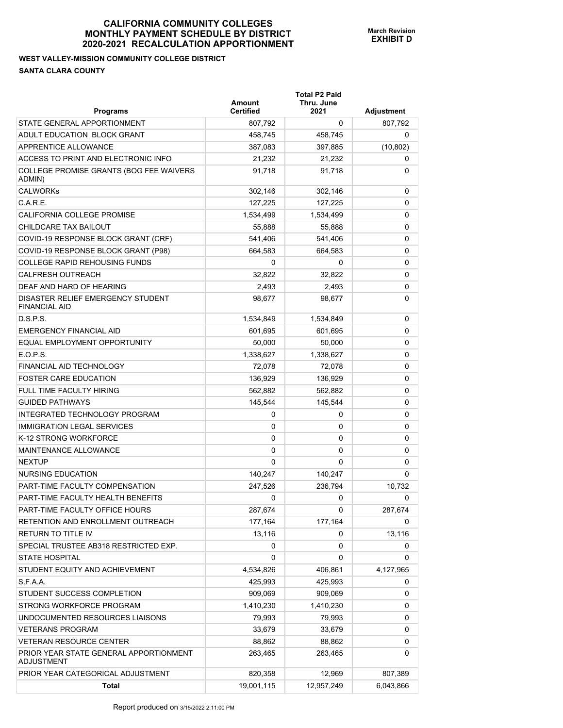## **WEST VALLEY-MISSION COMMUNITY COLLEGE DISTRICT SANTA CLARA COUNTY**

| <b>Programs</b>                                             | Amount<br><b>Certified</b> | <b>Total P2 Paid</b><br>Thru. June<br>2021 | <b>Adjustment</b> |
|-------------------------------------------------------------|----------------------------|--------------------------------------------|-------------------|
| STATE GENERAL APPORTIONMENT                                 | 807,792                    | 0                                          | 807,792           |
| ADULT EDUCATION BLOCK GRANT                                 | 458,745                    | 458,745                                    | 0                 |
| APPRENTICE ALLOWANCE                                        | 387,083                    | 397,885                                    | (10, 802)         |
| ACCESS TO PRINT AND ELECTRONIC INFO                         | 21,232                     | 21,232                                     | 0                 |
| COLLEGE PROMISE GRANTS (BOG FEE WAIVERS<br>ADMIN)           | 91,718                     | 91,718                                     | 0                 |
| <b>CALWORKs</b>                                             | 302,146                    | 302,146                                    | 0                 |
| C.A.R.E.                                                    | 127.225                    | 127,225                                    | 0                 |
| CALIFORNIA COLLEGE PROMISE                                  | 1,534,499                  | 1,534,499                                  | 0                 |
| CHILDCARE TAX BAILOUT                                       | 55,888                     | 55,888                                     | 0                 |
| COVID-19 RESPONSE BLOCK GRANT (CRF)                         | 541,406                    | 541,406                                    | 0                 |
| COVID-19 RESPONSE BLOCK GRANT (P98)                         | 664,583                    | 664,583                                    | 0                 |
| <b>COLLEGE RAPID REHOUSING FUNDS</b>                        | 0                          | 0                                          | 0                 |
| <b>CALFRESH OUTREACH</b>                                    | 32,822                     | 32,822                                     | 0                 |
| DEAF AND HARD OF HEARING                                    | 2,493                      | 2,493                                      | 0                 |
| DISASTER RELIEF EMERGENCY STUDENT<br><b>FINANCIAL AID</b>   | 98,677                     | 98,677                                     | 0                 |
| D.S.P.S.                                                    | 1,534,849                  | 1,534,849                                  | 0                 |
| <b>EMERGENCY FINANCIAL AID</b>                              | 601.695                    | 601,695                                    | 0                 |
| EQUAL EMPLOYMENT OPPORTUNITY                                | 50,000                     | 50,000                                     | 0                 |
| E.O.P.S.                                                    | 1,338,627                  | 1,338,627                                  | 0                 |
| <b>FINANCIAL AID TECHNOLOGY</b>                             | 72,078                     | 72,078                                     | 0                 |
| <b>FOSTER CARE EDUCATION</b>                                | 136,929                    | 136,929                                    | 0                 |
| <b>FULL TIME FACULTY HIRING</b>                             | 562,882                    | 562,882                                    | 0                 |
| <b>GUIDED PATHWAYS</b>                                      | 145,544                    | 145,544                                    | 0                 |
| INTEGRATED TECHNOLOGY PROGRAM                               | 0                          | 0                                          | 0                 |
| <b>IMMIGRATION LEGAL SERVICES</b>                           | 0                          | 0                                          | 0                 |
| K-12 STRONG WORKFORCE                                       | 0                          | 0                                          | 0                 |
| <b>MAINTENANCE ALLOWANCE</b>                                | 0                          | 0                                          | 0                 |
| <b>NEXTUP</b>                                               | 0                          | 0                                          | 0                 |
| <b>NURSING EDUCATION</b>                                    | 140,247                    | 140,247                                    | 0                 |
| PART-TIME FACULTY COMPENSATION                              | 247,526                    | 236,794                                    | 10,732            |
| PART-TIME FACULTY HEALTH BENEFITS                           | 0                          | 0                                          | 0                 |
| PART-TIME FACULTY OFFICE HOURS                              | 287,674                    | 0                                          | 287,674           |
| RETENTION AND ENROLLMENT OUTREACH                           | 177,164                    | 177,164                                    | 0                 |
| RETURN TO TITLE IV                                          | 13,116                     | 0                                          | 13,116            |
| SPECIAL TRUSTEE AB318 RESTRICTED EXP.                       | 0                          | 0                                          | 0                 |
| <b>STATE HOSPITAL</b>                                       | 0                          | 0                                          | 0                 |
| STUDENT EQUITY AND ACHIEVEMENT                              | 4,534,826                  | 406,861                                    | 4,127,965         |
| S.F.A.A.                                                    | 425,993                    | 425,993                                    | 0                 |
| STUDENT SUCCESS COMPLETION                                  | 909,069                    | 909,069                                    | 0                 |
| STRONG WORKFORCE PROGRAM                                    | 1,410,230                  | 1,410,230                                  | 0                 |
| UNDOCUMENTED RESOURCES LIAISONS                             | 79,993                     | 79,993                                     | 0                 |
| <b>VETERANS PROGRAM</b>                                     | 33,679                     | 33,679                                     | 0                 |
| <b>VETERAN RESOURCE CENTER</b>                              | 88,862                     | 88,862                                     | 0                 |
| PRIOR YEAR STATE GENERAL APPORTIONMENT<br><b>ADJUSTMENT</b> | 263,465                    | 263,465                                    | 0                 |
| PRIOR YEAR CATEGORICAL ADJUSTMENT                           | 820,358                    | 12,969                                     | 807,389           |
| <b>Total</b>                                                | 19,001,115                 | 12,957,249                                 | 6,043,866         |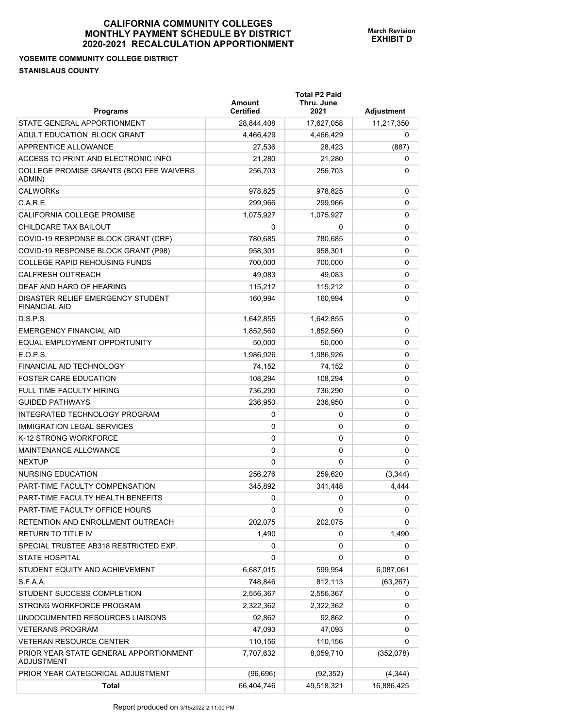#### **YOSEMITE COMMUNITY COLLEGE DISTRICT STANISLAUS COUNTY**

| Programs                                                    | Amount<br><b>Certified</b> | <b>Total P2 Paid</b><br>Thru. June<br>2021 | Adjustment |
|-------------------------------------------------------------|----------------------------|--------------------------------------------|------------|
| STATE GENERAL APPORTIONMENT                                 | 28,844,408                 | 17,627,058                                 | 11,217,350 |
| ADULT EDUCATION BLOCK GRANT                                 | 4,466,429                  | 4,466,429                                  | 0          |
| APPRENTICE ALLOWANCE                                        | 27,536                     | 28,423                                     | (887)      |
| ACCESS TO PRINT AND ELECTRONIC INFO                         | 21,280                     | 21,280                                     | 0          |
| COLLEGE PROMISE GRANTS (BOG FEE WAIVERS<br>ADMIN)           | 256,703                    | 256,703                                    | 0          |
| <b>CALWORKs</b>                                             | 978,825                    | 978,825                                    | 0          |
| C.A.R.E.                                                    | 299,966                    | 299,966                                    | 0          |
| CALIFORNIA COLLEGE PROMISE                                  | 1,075,927                  | 1,075,927                                  | 0          |
| CHILDCARE TAX BAILOUT                                       | 0                          | 0                                          | 0          |
| COVID-19 RESPONSE BLOCK GRANT (CRF)                         | 780,685                    | 780,685                                    | 0          |
| COVID-19 RESPONSE BLOCK GRANT (P98)                         | 958,301                    | 958,301                                    | 0          |
| <b>COLLEGE RAPID REHOUSING FUNDS</b>                        | 700,000                    | 700,000                                    | 0          |
| <b>CALFRESH OUTREACH</b>                                    | 49,083                     | 49,083                                     | 0          |
| DEAF AND HARD OF HEARING                                    | 115,212                    | 115,212                                    | 0          |
| DISASTER RELIEF EMERGENCY STUDENT<br><b>FINANCIAL AID</b>   | 160,994                    | 160,994                                    | 0          |
| D.S.P.S.                                                    | 1,642,855                  | 1,642,855                                  | 0          |
| <b>EMERGENCY FINANCIAL AID</b>                              | 1,852,560                  | 1,852,560                                  | 0          |
| EQUAL EMPLOYMENT OPPORTUNITY                                | 50,000                     | 50,000                                     | 0          |
| E.O.P.S.                                                    | 1,986,926                  | 1,986,926                                  | 0          |
| <b>FINANCIAL AID TECHNOLOGY</b>                             | 74,152                     | 74,152                                     | 0          |
| <b>FOSTER CARE EDUCATION</b>                                | 108,294                    | 108,294                                    | 0          |
| <b>FULL TIME FACULTY HIRING</b>                             | 736,290                    | 736,290                                    | 0          |
| <b>GUIDED PATHWAYS</b>                                      | 236,950                    | 236,950                                    | 0          |
| INTEGRATED TECHNOLOGY PROGRAM                               | 0                          | 0                                          | 0          |
| <b>IMMIGRATION LEGAL SERVICES</b>                           | 0                          | 0                                          | 0          |
| K-12 STRONG WORKFORCE                                       | 0                          | 0                                          | 0          |
| <b>MAINTENANCE ALLOWANCE</b>                                | 0                          | 0                                          | 0          |
| <b>NEXTUP</b>                                               | 0                          | 0                                          | 0          |
| NURSING EDUCATION                                           | 256,276                    | 259,620                                    | (3,344)    |
| PART-TIME FACULTY COMPENSATION                              | 345,892                    | 341,448                                    | 4,444      |
| PART-TIME FACULTY HEALTH BENEFITS                           | 0                          | 0                                          | 0          |
| PART-TIME FACULTY OFFICE HOURS                              | 0                          | 0                                          | 0          |
| RETENTION AND ENROLLMENT OUTREACH                           | 202,075                    | 202,075                                    | 0          |
| RETURN TO TITLE IV                                          | 1,490                      | 0                                          | 1,490      |
| SPECIAL TRUSTEE AB318 RESTRICTED EXP.                       | 0                          | 0                                          | 0          |
| <b>STATE HOSPITAL</b>                                       | 0                          | 0                                          | 0          |
| STUDENT EQUITY AND ACHIEVEMENT                              | 6,687,015                  | 599,954                                    | 6,087,061  |
| S.F.A.A.                                                    | 748,846                    | 812,113                                    | (63, 267)  |
| STUDENT SUCCESS COMPLETION                                  | 2,556,367                  | 2,556,367                                  | 0          |
| STRONG WORKFORCE PROGRAM                                    | 2,322,362                  | 2,322,362                                  | 0          |
| UNDOCUMENTED RESOURCES LIAISONS                             | 92,862                     | 92,862                                     | 0          |
| <b>VETERANS PROGRAM</b>                                     | 47,093                     | 47,093                                     | 0          |
| <b>VETERAN RESOURCE CENTER</b>                              | 110,156                    | 110,156                                    | 0          |
| PRIOR YEAR STATE GENERAL APPORTIONMENT<br><b>ADJUSTMENT</b> | 7,707,632                  | 8,059,710                                  | (352,078)  |
| PRIOR YEAR CATEGORICAL ADJUSTMENT                           | (96, 696)                  | (92, 352)                                  | (4, 344)   |
| Total                                                       | 66,404,746                 | 49,518,321                                 | 16,886,425 |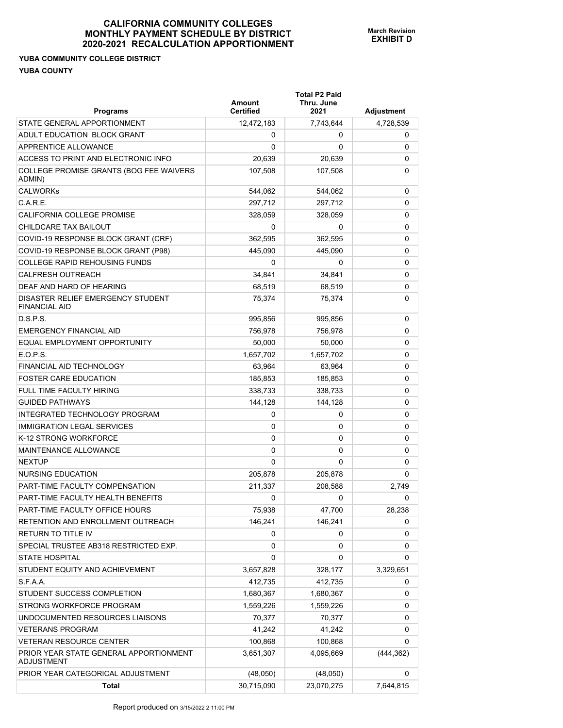**Total P2 Paid** 

#### **YUBA COMMUNITY COLLEGE DISTRICT YUBA COUNTY**

| <b>Programs</b>                                           | Amount<br><b>Certified</b> | Thru. June<br>2021 | Adjustment |
|-----------------------------------------------------------|----------------------------|--------------------|------------|
| STATE GENERAL APPORTIONMENT                               | 12,472,183                 | 7,743,644          | 4,728,539  |
| ADULT EDUCATION BLOCK GRANT                               | 0                          | 0                  | 0          |
| APPRENTICE ALLOWANCE                                      | 0                          | 0                  | 0          |
| ACCESS TO PRINT AND ELECTRONIC INFO                       | 20,639                     | 20,639             | 0          |
| COLLEGE PROMISE GRANTS (BOG FEE WAIVERS<br>ADMIN)         | 107,508                    | 107,508            | 0          |
| <b>CALWORKs</b>                                           | 544,062                    | 544,062            | 0          |
| C.A.R.E.                                                  | 297,712                    | 297,712            | 0          |
| CALIFORNIA COLLEGE PROMISE                                | 328,059                    | 328,059            | 0          |
| CHILDCARE TAX BAILOUT                                     | 0                          | 0                  | 0          |
| COVID-19 RESPONSE BLOCK GRANT (CRF)                       | 362,595                    | 362,595            | 0          |
| COVID-19 RESPONSE BLOCK GRANT (P98)                       | 445,090                    | 445,090            | 0          |
| <b>COLLEGE RAPID REHOUSING FUNDS</b>                      | 0                          | 0                  | 0          |
| <b>CALFRESH OUTREACH</b>                                  | 34,841                     | 34,841             | 0          |
| DEAF AND HARD OF HEARING                                  | 68,519                     | 68,519             | 0          |
| DISASTER RELIEF EMERGENCY STUDENT<br><b>FINANCIAL AID</b> | 75,374                     | 75.374             | 0          |
| D.S.P.S.                                                  | 995,856                    | 995,856            | 0          |
| <b>EMERGENCY FINANCIAL AID</b>                            | 756,978                    | 756,978            | 0          |
| EQUAL EMPLOYMENT OPPORTUNITY                              | 50,000                     | 50,000             | 0          |
| E.O.P.S.                                                  | 1,657,702                  | 1,657,702          | 0          |
| FINANCIAL AID TECHNOLOGY                                  | 63,964                     | 63,964             | 0          |
| <b>FOSTER CARE EDUCATION</b>                              | 185,853                    | 185,853            | 0          |
| FULL TIME FACULTY HIRING                                  | 338,733                    | 338,733            | 0          |
| <b>GUIDED PATHWAYS</b>                                    | 144,128                    | 144,128            | 0          |
| INTEGRATED TECHNOLOGY PROGRAM                             | 0                          | 0                  | 0          |
| <b>IMMIGRATION LEGAL SERVICES</b>                         | 0                          | 0                  | 0          |
| K-12 STRONG WORKFORCE                                     | 0                          | 0                  | 0          |
| <b>MAINTENANCE ALLOWANCE</b>                              | 0                          | 0                  | 0          |
| <b>NEXTUP</b>                                             | 0                          | 0                  | 0          |
| <b>NURSING EDUCATION</b>                                  | 205,878                    | 205,878            | 0          |
| PART-TIME FACULTY COMPENSATION                            | 211,337                    | 208,588            | 2,749      |
| PART-TIME FACULTY HEALTH BENEFITS                         | 0                          | 0                  | 0          |
| PART-TIME FACULTY OFFICE HOURS                            | 75,938                     | 47,700             | 28,238     |
| RETENTION AND ENROLLMENT OUTREACH                         | 146,241                    | 146,241            | 0          |
| RETURN TO TITLE IV                                        | 0                          | 0                  | 0          |
| SPECIAL TRUSTEE AB318 RESTRICTED EXP.                     | 0                          | 0                  | 0          |
| <b>STATE HOSPITAL</b>                                     | 0                          | 0                  | 0          |
| STUDENT EQUITY AND ACHIEVEMENT                            | 3,657,828                  | 328,177            | 3,329,651  |
| S.F.A.A.                                                  | 412,735                    | 412,735            | 0          |
| STUDENT SUCCESS COMPLETION                                | 1,680,367                  | 1,680,367          | 0          |
| STRONG WORKFORCE PROGRAM                                  | 1,559,226                  | 1,559,226          | 0          |
| UNDOCUMENTED RESOURCES LIAISONS                           | 70,377                     | 70,377             | 0          |
| <b>VETERANS PROGRAM</b>                                   | 41,242                     | 41,242             | 0          |
| <b>VETERAN RESOURCE CENTER</b>                            | 100,868                    | 100,868            | 0          |
| PRIOR YEAR STATE GENERAL APPORTIONMENT<br>ADJUSTMENT      | 3,651,307                  | 4,095,669          | (444, 362) |
| PRIOR YEAR CATEGORICAL ADJUSTMENT                         | (48,050)                   | (48,050)           | 0          |
| Total                                                     | 30,715,090                 | 23,070,275         | 7,644,815  |